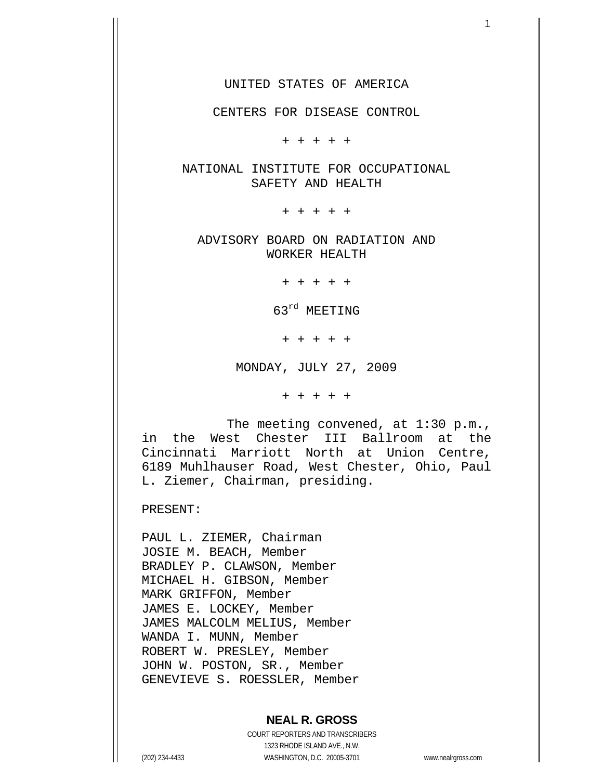CENTERS FOR DISEASE CONTROL

+ + + + +

NATIONAL INSTITUTE FOR OCCUPATIONAL SAFETY AND HEALTH

+ + + + +

ADVISORY BOARD ON RADIATION AND WORKER HEALTH

+ + + + +

63rd MEETING

+ + + + +

MONDAY, JULY 27, 2009

+ + + + +

The meeting convened, at 1:30 p.m., in the West Chester III Ballroom at the Cincinnati Marriott North at Union Centre, 6189 Muhlhauser Road, West Chester, Ohio, Paul L. Ziemer, Chairman, presiding.

PRESENT:

PAUL L. ZIEMER, Chairman JOSIE M. BEACH, Member BRADLEY P. CLAWSON, Member MICHAEL H. GIBSON, Member MARK GRIFFON, Member JAMES E. LOCKEY, Member JAMES MALCOLM MELIUS, Member WANDA I. MUNN, Member ROBERT W. PRESLEY, Member JOHN W. POSTON, SR., Member GENEVIEVE S. ROESSLER, Member

#### **NEAL R. GROSS**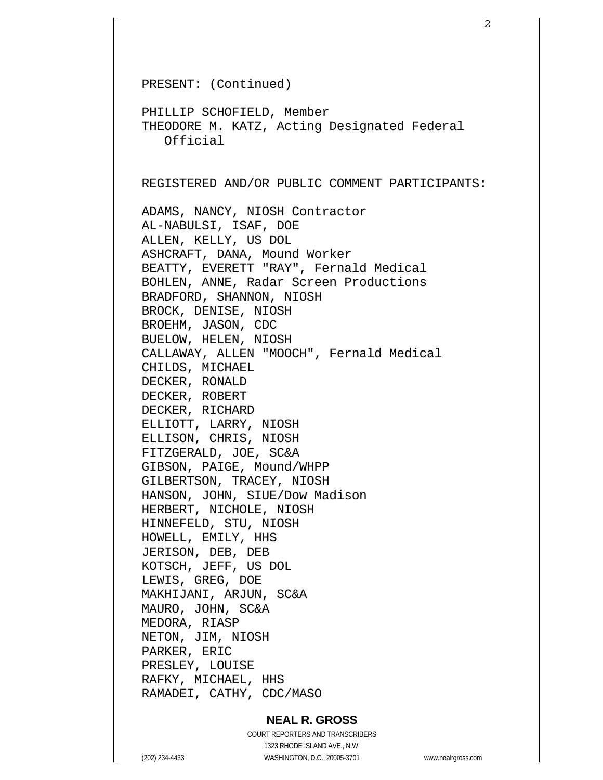```
PRESENT: (Continued) 
PHILLIP SCHOFIELD, Member 
THEODORE M. KATZ, Acting Designated Federal 
    Official 
REGISTERED AND/OR PUBLIC COMMENT PARTICIPANTS: 
ADAMS, NANCY, NIOSH Contractor 
AL-NABULSI, ISAF, DOE 
ALLEN, KELLY, US DOL 
ASHCRAFT, DANA, Mound Worker 
BEATTY, EVERETT "RAY", Fernald Medical 
BOHLEN, ANNE, Radar Screen Productions 
BRADFORD, SHANNON, NIOSH 
BROCK, DENISE, NIOSH 
BROEHM, JASON, CDC 
BUELOW, HELEN, NIOSH 
CALLAWAY, ALLEN "MOOCH", Fernald Medical 
CHILDS, MICHAEL 
DECKER, RONALD 
DECKER, ROBERT 
DECKER, RICHARD 
ELLIOTT, LARRY, NIOSH 
ELLISON, CHRIS, NIOSH 
FITZGERALD, JOE, SC&A 
GIBSON, PAIGE, Mound/WHPP 
GILBERTSON, TRACEY, NIOSH 
HANSON, JOHN, SIUE/Dow Madison 
HERBERT, NICHOLE, NIOSH 
HINNEFELD, STU, NIOSH 
HOWELL, EMILY, HHS 
JERISON, DEB, DEB 
KOTSCH, JEFF, US DOL 
LEWIS, GREG, DOE 
MAKHIJANI, ARJUN, SC&A 
MAURO, JOHN, SC&A 
MEDORA, RIASP 
NETON, JIM, NIOSH 
PARKER, ERIC 
PRESLEY, LOUISE 
RAFKY, MICHAEL, HHS 
RAMADEI, CATHY, CDC/MASO
```
## **NEAL R. GROSS**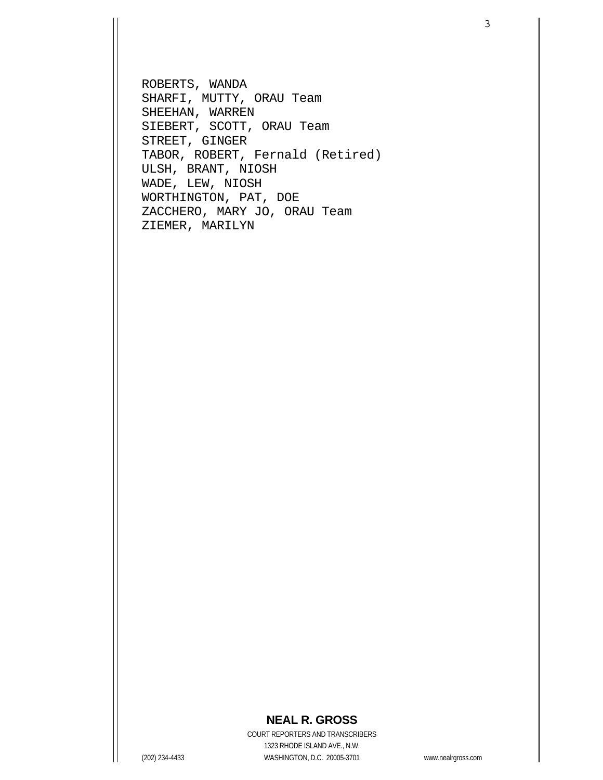ROBERTS, WANDA SHARFI, MUTTY, ORAU Team SHEEHAN, WARREN SIEBERT, SCOTT, ORAU Team STREET, GINGER TABOR, ROBERT, Fernald (Retired) ULSH, BRANT, NIOSH WADE, LEW, NIOSH WORTHINGTON, PAT, DOE ZACCHERO, MARY JO, ORAU Team ZIEMER, MARILYN

3

# **NEAL R. GROSS**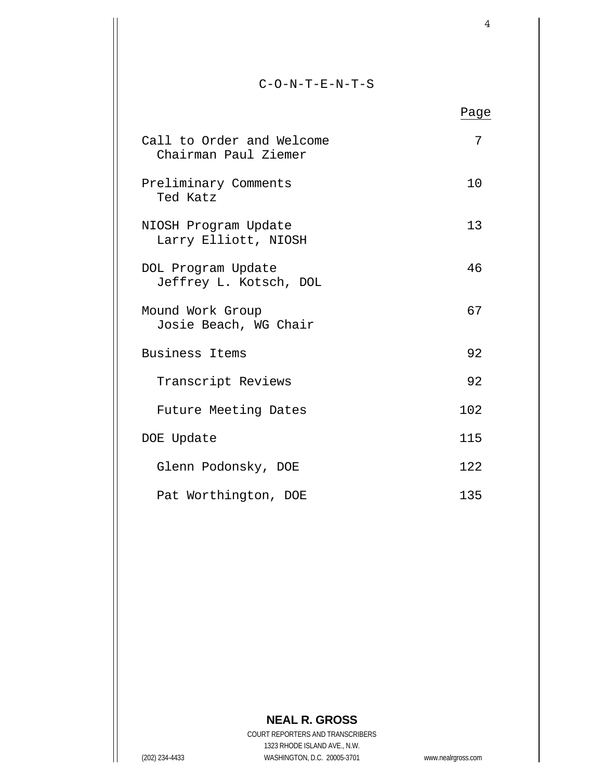### C-O-N-T-E-N-T-S

|                                                   | Page |
|---------------------------------------------------|------|
| Call to Order and Welcome<br>Chairman Paul Ziemer | 7    |
| Preliminary Comments<br>Ted Katz                  | 10   |
| NIOSH Program Update<br>Larry Elliott, NIOSH      | 13   |
| DOL Program Update<br>Jeffrey L. Kotsch, DOL      | 46   |
| Mound Work Group<br>Josie Beach, WG Chair         | 67   |
| Business Items                                    | 92   |
| Transcript Reviews                                | 92   |
| Future Meeting Dates                              | 102  |
| DOE Update                                        | 115  |
| Glenn Podonsky, DOE                               | 122  |
| Pat Worthington, DOE                              | 135  |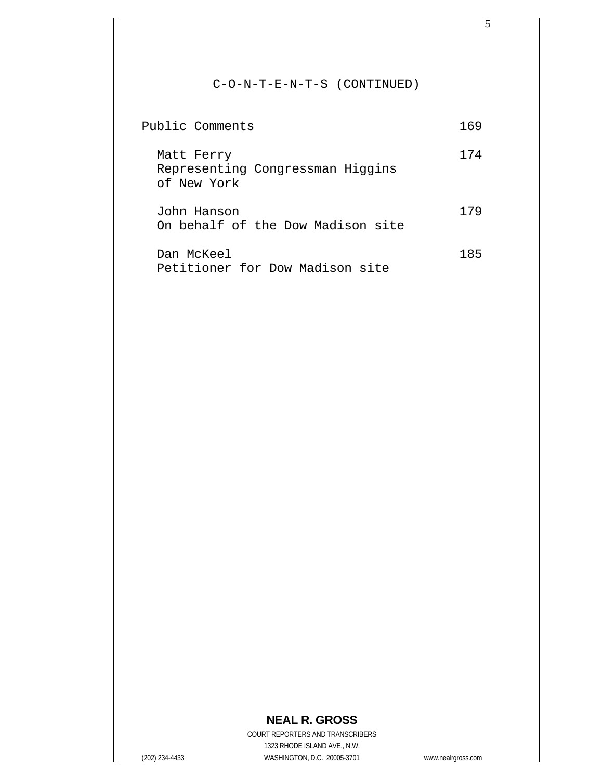# C-O-N-T-E-N-T-S (CONTINUED)

| Public Comments                                               | 169 |
|---------------------------------------------------------------|-----|
| Matt Ferry<br>Representing Congressman Higgins<br>of New York | 174 |
| John Hanson<br>On behalf of the Dow Madison site              | 179 |
| Dan McKeel<br>Petitioner for Dow Madison site                 | 185 |

# **NEAL R. GROSS**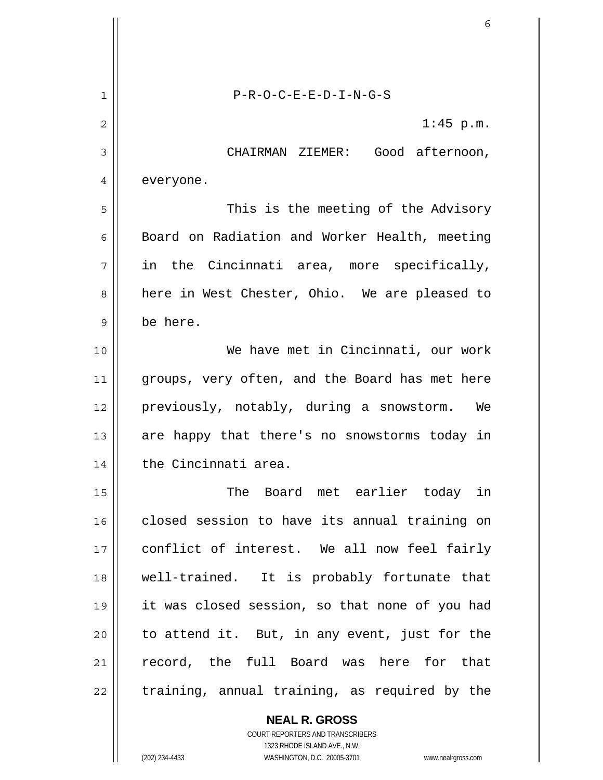1 2 3 4 5 6 7 8 9 10 11 12 13 14 15 16 17 18 19 20 21 22 P-R-O-C-E-E-D-I-N-G-S 1:45 p.m. CHAIRMAN ZIEMER: Good afternoon, everyone. This is the meeting of the Advisory Board on Radiation and Worker Health, meeting in the Cincinnati area, more specifically, here in West Chester, Ohio. We are pleased to be here. We have met in Cincinnati, our work groups, very often, and the Board has met here previously, notably, during a snowstorm. We are happy that there's no snowstorms today in the Cincinnati area. The Board met earlier today in closed session to have its annual training on conflict of interest. We all now feel fairly well-trained. It is probably fortunate that it was closed session, so that none of you had to attend it. But, in any event, just for the record, the full Board was here for that training, annual training, as required by the

> COURT REPORTERS AND TRANSCRIBERS 1323 RHODE ISLAND AVE., N.W. (202) 234-4433 WASHINGTON, D.C. 20005-3701 www.nealrgross.com

**NEAL R. GROSS**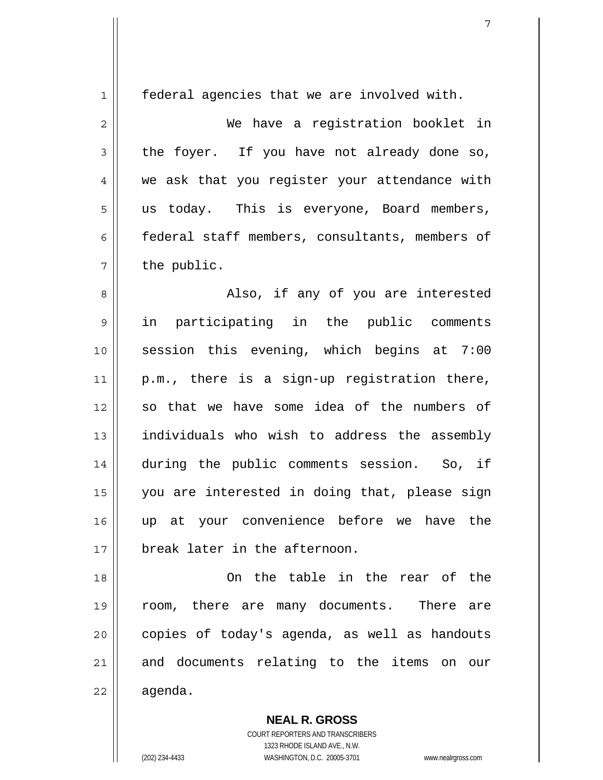| $\mathbf 1$    | federal agencies that we are involved with.    |
|----------------|------------------------------------------------|
| $\overline{c}$ | We have a registration booklet in              |
| 3              | the foyer. If you have not already done so,    |
| $\overline{4}$ | we ask that you register your attendance with  |
| 5              | us today. This is everyone, Board members,     |
| 6              | federal staff members, consultants, members of |
| 7              | the public.                                    |
| 8              | Also, if any of you are interested             |
| 9              | in participating in the public comments        |
| 10             | session this evening, which begins at 7:00     |
| 11             | p.m., there is a sign-up registration there,   |
| 12             | so that we have some idea of the numbers of    |
| 13             | individuals who wish to address the assembly   |
| 14             | during the public comments session. So, if     |
| 15             | you are interested in doing that, please sign  |
| 16             | up at your convenience before we have the      |
| 17             | break later in the afternoon.                  |
| 18             | On the table in the rear of the                |
| 19             | room, there are many documents. There are      |
| 20             | copies of today's agenda, as well as handouts  |
| 21             | and documents relating to the items on our     |
| 22             | agenda.                                        |

**NEAL R. GROSS** COURT REPORTERS AND TRANSCRIBERS 1323 RHODE ISLAND AVE., N.W. (202) 234-4433 WASHINGTON, D.C. 20005-3701 www.nealrgross.com

 $\mathsf{II}$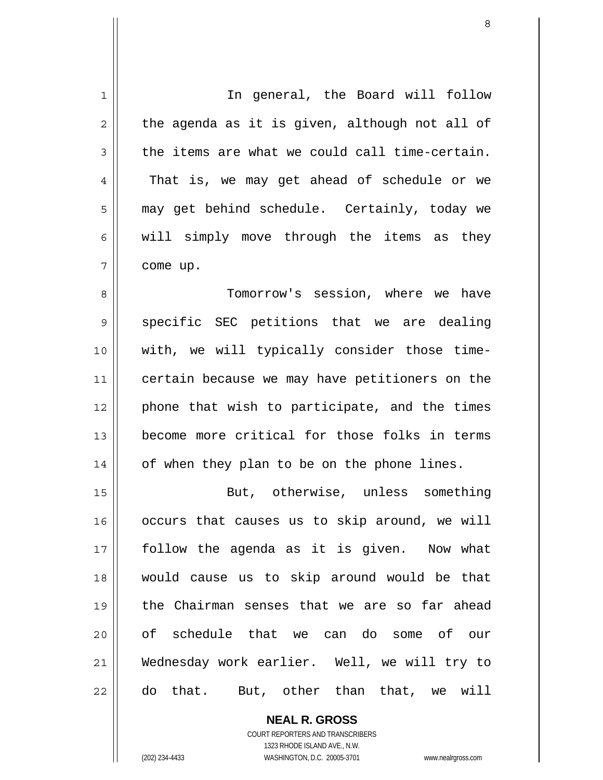| $\mathbf 1$    | In general, the Board will follow              |
|----------------|------------------------------------------------|
| $\overline{2}$ | the agenda as it is given, although not all of |
|                |                                                |
| 3              | the items are what we could call time-certain. |
| 4              | That is, we may get ahead of schedule or we    |
| 5              | may get behind schedule. Certainly, today we   |
| 6              | will simply move through the items as they     |
| 7              | come up.                                       |
| 8              | Tomorrow's session, where we have              |
| 9              | specific SEC petitions that we are dealing     |
| 10             | with, we will typically consider those time-   |
| 11             | certain because we may have petitioners on the |
| 12             | phone that wish to participate, and the times  |
| 13             | become more critical for those folks in terms  |
| 14             | of when they plan to be on the phone lines.    |
| 15             | But, otherwise, unless something               |
| 16             | occurs that causes us to skip around, we will  |
| 17             | follow the agenda as it is given. Now what     |
| 18             | would cause us to skip around would be that    |
| 19             | the Chairman senses that we are so far ahead   |
| 20             | of schedule that we can do some of our         |
| 21             | Wednesday work earlier. Well, we will try to   |
| 22             | do that. But, other than that, we will         |

**NEAL R. GROSS** COURT REPORTERS AND TRANSCRIBERS 1323 RHODE ISLAND AVE., N.W. (202) 234-4433 WASHINGTON, D.C. 20005-3701 www.nealrgross.com

 $\mathsf{I}$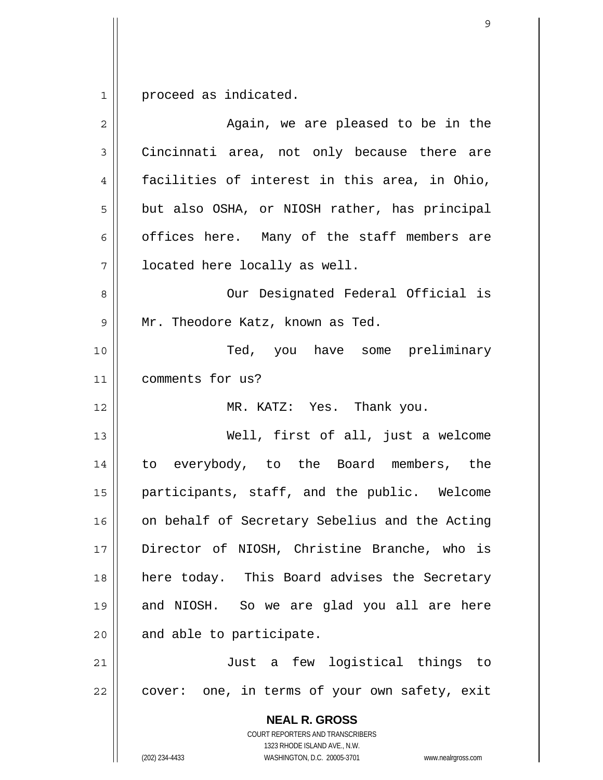$1$ proceed as indicated.

| 2  | Again, we are pleased to be in the                                                                                                                              |
|----|-----------------------------------------------------------------------------------------------------------------------------------------------------------------|
| 3  | Cincinnati area, not only because there are                                                                                                                     |
| 4  | facilities of interest in this area, in Ohio,                                                                                                                   |
| 5  | but also OSHA, or NIOSH rather, has principal                                                                                                                   |
| 6  | offices here. Many of the staff members are                                                                                                                     |
| 7  | located here locally as well.                                                                                                                                   |
| 8  | Our Designated Federal Official is                                                                                                                              |
| 9  | Mr. Theodore Katz, known as Ted.                                                                                                                                |
| 10 | Ted, you have some preliminary                                                                                                                                  |
| 11 | comments for us?                                                                                                                                                |
| 12 | MR. KATZ: Yes. Thank you.                                                                                                                                       |
| 13 | Well, first of all, just a welcome                                                                                                                              |
| 14 | to everybody, to the Board members, the                                                                                                                         |
| 15 | participants, staff, and the public. Welcome                                                                                                                    |
| 16 | on behalf of Secretary Sebelius and the Acting                                                                                                                  |
| 17 | Director of NIOSH, Christine Branche, who is                                                                                                                    |
| 18 | here today. This Board advises the Secretary                                                                                                                    |
| 19 | and NIOSH. So we are glad you all are here                                                                                                                      |
| 20 | and able to participate.                                                                                                                                        |
| 21 | Just a few logistical things to                                                                                                                                 |
| 22 | cover: one, in terms of your own safety, exit                                                                                                                   |
|    | <b>NEAL R. GROSS</b><br>COURT REPORTERS AND TRANSCRIBERS<br>1323 RHODE ISLAND AVE., N.W.<br>(202) 234-4433<br>WASHINGTON, D.C. 20005-3701<br>www.nealrgross.com |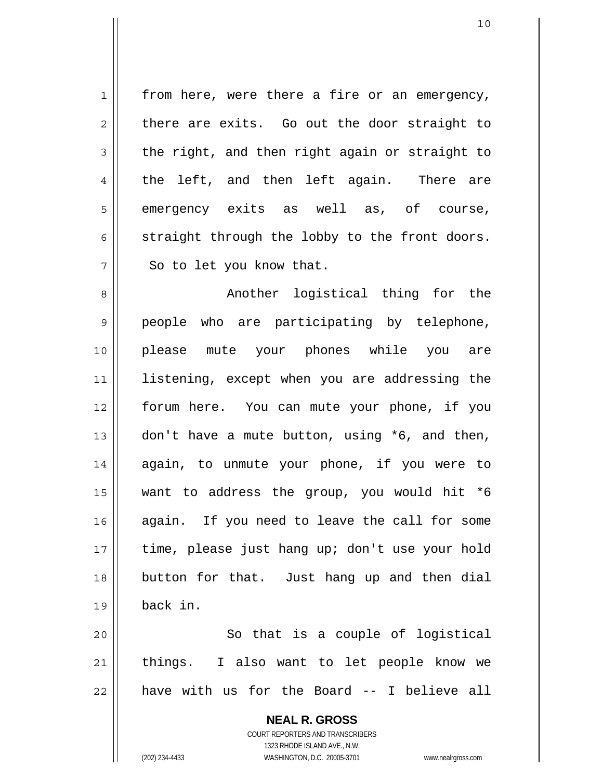1 2 3 4 5 6 7 from here, were there a fire or an emergency, there are exits. Go out the door straight to the right, and then right again or straight to the left, and then left again. There are emergency exits as well as, of course, straight through the lobby to the front doors. So to let you know that.

8 9 10 11 12 13 14 15 16 17 18 19 Another logistical thing for the people who are participating by telephone, please mute your phones while you are listening, except when you are addressing the forum here. You can mute your phone, if you don't have a mute button, using \*6, and then, again, to unmute your phone, if you were to want to address the group, you would hit \*6 again. If you need to leave the call for some time, please just hang up; don't use your hold button for that. Just hang up and then dial back in.

20 21 22 So that is a couple of logistical things. I also want to let people know we have with us for the Board -- I believe all

> **NEAL R. GROSS** COURT REPORTERS AND TRANSCRIBERS 1323 RHODE ISLAND AVE., N.W. (202) 234-4433 WASHINGTON, D.C. 20005-3701 www.nealrgross.com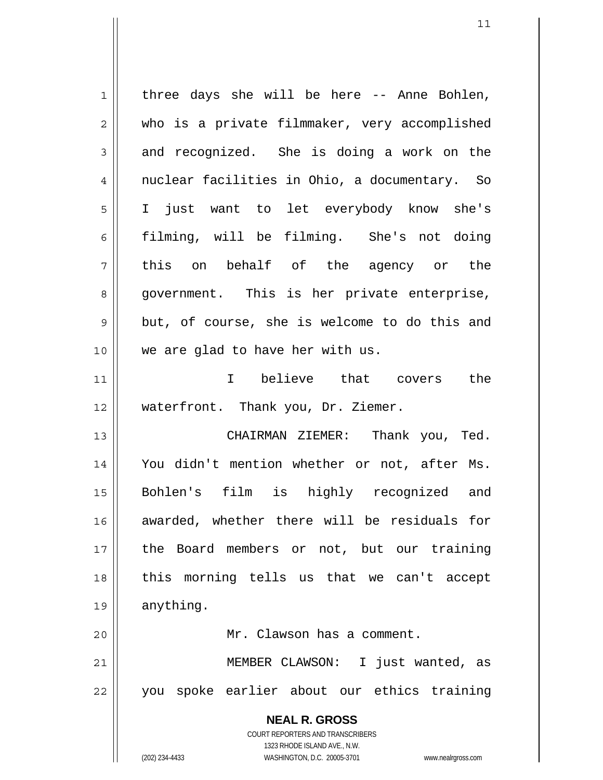| 1           | three days she will be here -- Anne Bohlen,                         |
|-------------|---------------------------------------------------------------------|
| 2           | who is a private filmmaker, very accomplished                       |
| 3           | and recognized. She is doing a work on the                          |
| 4           | nuclear facilities in Ohio, a documentary. So                       |
| 5           | I just want to let everybody know she's                             |
| 6           | filming, will be filming. She's not doing                           |
| 7           | this on behalf of the agency or the                                 |
| 8           | government. This is her private enterprise,                         |
| $\mathsf 9$ | but, of course, she is welcome to do this and                       |
| 10          | we are glad to have her with us.                                    |
| 11          | I believe that covers the                                           |
| 12          | waterfront. Thank you, Dr. Ziemer.                                  |
| 13          | CHAIRMAN ZIEMER: Thank you, Ted.                                    |
| 14          | You didn't mention whether or not, after Ms.                        |
| 15          | film is highly recognized and<br>Bohlen's                           |
| 16          | awarded, whether there will be residuals for                        |
| 17          | the Board members or not, but our training                          |
| 18          | this morning tells us that we can't accept                          |
| 19          | anything.                                                           |
| 20          | Mr. Clawson has a comment.                                          |
| 21          | MEMBER CLAWSON: I just wanted, as                                   |
| 22          | you spoke earlier about our ethics training                         |
|             |                                                                     |
|             | <b>NEAL R. GROSS</b><br>COURT REPORTERS AND TRANSCRIBERS            |
|             | 1323 RHODE ISLAND AVE., N.W.                                        |
|             | (202) 234-4433<br>WASHINGTON, D.C. 20005-3701<br>www.nealrgross.com |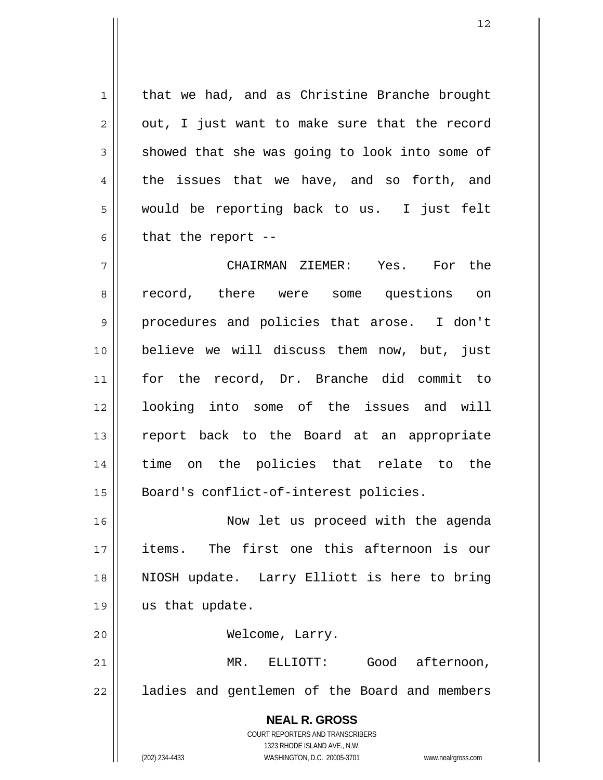that we had, and as Christine Branche brought out, I just want to make sure that the record showed that she was going to look into some of the issues that we have, and so forth, and would be reporting back to us. I just felt that the report --

1

2

3

4

5

6

20

7 8 9 10 11 12 13 14 15 CHAIRMAN ZIEMER: Yes. For the record, there were some questions on procedures and policies that arose. I don't believe we will discuss them now, but, just for the record, Dr. Branche did commit to looking into some of the issues and will report back to the Board at an appropriate time on the policies that relate to the Board's conflict-of-interest policies.

16 17 18 19 Now let us proceed with the agenda items. The first one this afternoon is our NIOSH update. Larry Elliott is here to bring us that update.

Welcome, Larry.

21 22 MR. ELLIOTT: Good afternoon, ladies and gentlemen of the Board and members

> **NEAL R. GROSS** COURT REPORTERS AND TRANSCRIBERS 1323 RHODE ISLAND AVE., N.W. (202) 234-4433 WASHINGTON, D.C. 20005-3701 www.nealrgross.com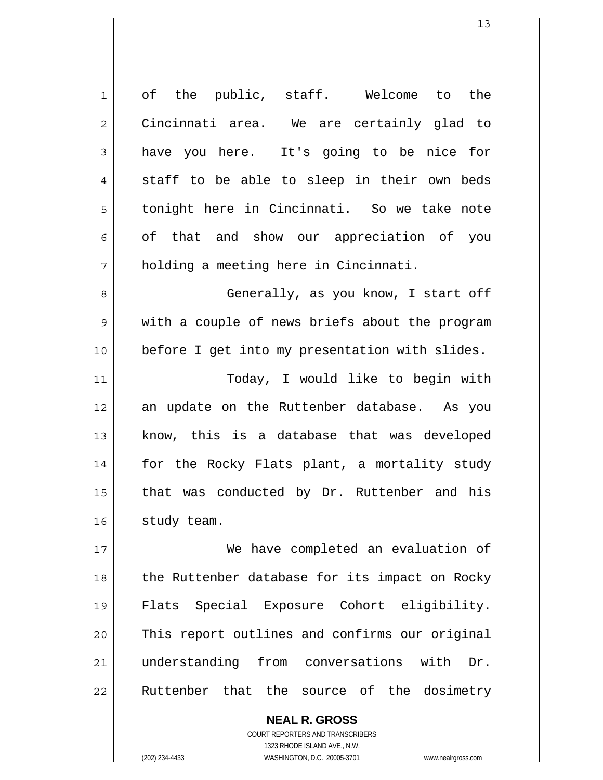| $\mathbf 1$    | of the public, staff. Welcome to the           |
|----------------|------------------------------------------------|
| $\mathbf{2}$   | Cincinnati area. We are certainly glad to      |
| 3              | have you here. It's going to be nice for       |
| $\overline{4}$ | staff to be able to sleep in their own beds    |
| 5              | tonight here in Cincinnati. So we take note    |
| 6              | of that and show our appreciation of you       |
| 7              | holding a meeting here in Cincinnati.          |
| 8              | Generally, as you know, I start off            |
| 9              | with a couple of news briefs about the program |
| 10             | before I get into my presentation with slides. |
| 11             | Today, I would like to begin with              |
| 12             | an update on the Ruttenber database. As you    |
| 13             | know, this is a database that was developed    |
| 14             | for the Rocky Flats plant, a mortality study   |
| 15             | that was conducted by Dr. Ruttenber and his    |
| 16             | study team.                                    |
| 17             | We have completed an evaluation of             |
| 18             | the Ruttenber database for its impact on Rocky |
| 19             | Flats Special Exposure Cohort eligibility.     |
| 20             | This report outlines and confirms our original |
| 21             | understanding from conversations with<br>Dr.   |
| 22             | Ruttenber that the source of the dosimetry     |

COURT REPORTERS AND TRANSCRIBERS 1323 RHODE ISLAND AVE., N.W. (202) 234-4433 WASHINGTON, D.C. 20005-3701 www.nealrgross.com

**NEAL R. GROSS**

 $\mathsf{II}$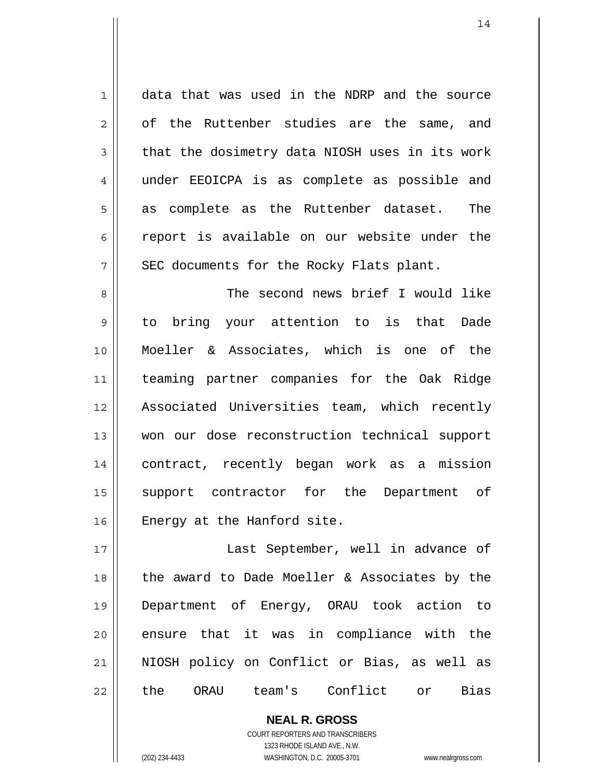1 2 3 4 5 6 7 data that was used in the NDRP and the source of the Ruttenber studies are the same, and that the dosimetry data NIOSH uses in its work under EEOICPA is as complete as possible and as complete as the Ruttenber dataset. The report is available on our website under the SEC documents for the Rocky Flats plant.

8 9 10 11 12 13 14 15 16 The second news brief I would like to bring your attention to is that Dade Moeller & Associates, which is one of the teaming partner companies for the Oak Ridge Associated Universities team, which recently won our dose reconstruction technical support contract, recently began work as a mission support contractor for the Department of Energy at the Hanford site.

17 18 19 20 21 22 Last September, well in advance of the award to Dade Moeller & Associates by the Department of Energy, ORAU took action to ensure that it was in compliance with the NIOSH policy on Conflict or Bias, as well as the ORAU team's Conflict or Bias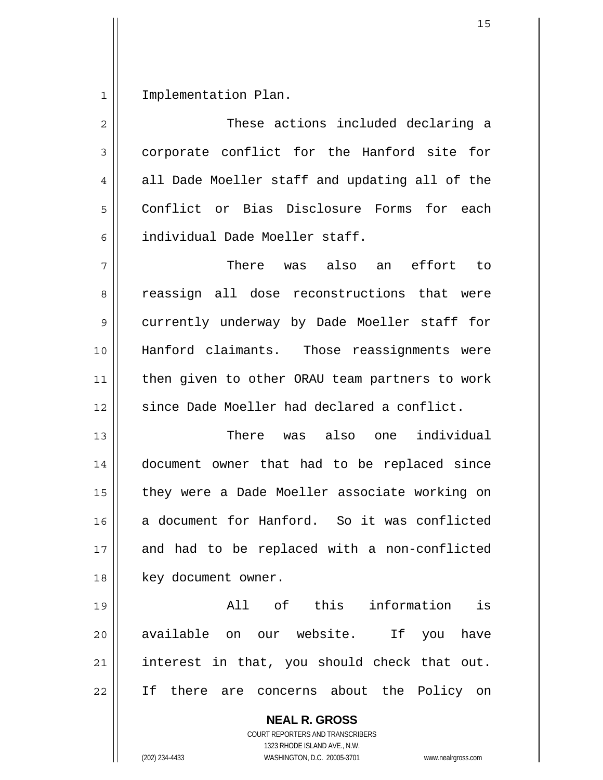1 Implementation Plan.

| $\overline{2}$ | These actions included declaring a                                                                                                                                     |
|----------------|------------------------------------------------------------------------------------------------------------------------------------------------------------------------|
| 3              | corporate conflict for the Hanford site for                                                                                                                            |
| 4              | all Dade Moeller staff and updating all of the                                                                                                                         |
| 5              | Conflict or Bias Disclosure Forms for each                                                                                                                             |
| 6              | individual Dade Moeller staff.                                                                                                                                         |
| 7              | There was also an effort to                                                                                                                                            |
| 8              | reassign all dose reconstructions that<br>were                                                                                                                         |
| $\mathsf 9$    | currently underway by Dade Moeller staff for                                                                                                                           |
| 10             | Hanford claimants. Those reassignments were                                                                                                                            |
| 11             | then given to other ORAU team partners to work                                                                                                                         |
| 12             | since Dade Moeller had declared a conflict.                                                                                                                            |
| 13             | individual<br>There<br>was also one                                                                                                                                    |
| 14             | document owner that had to be replaced since                                                                                                                           |
| 15             | they were a Dade Moeller associate working on                                                                                                                          |
| 16             | a document for Hanford. So it was conflicted                                                                                                                           |
| 17             | and had to be replaced with a non-conflicted                                                                                                                           |
| 18             | key document owner.                                                                                                                                                    |
| 19             | All of this information<br>is                                                                                                                                          |
| 20             | available on our website.<br>If<br>have<br>you                                                                                                                         |
| 21             | interest in that, you should check that out.                                                                                                                           |
| 22             | T f<br>there<br>are concerns about the<br>Policy<br>on                                                                                                                 |
|                | <b>NEAL R. GROSS</b><br><b>COURT REPORTERS AND TRANSCRIBERS</b><br>1323 RHODE ISLAND AVE., N.W.<br>(202) 234-4433<br>WASHINGTON, D.C. 20005-3701<br>www.nealrgross.com |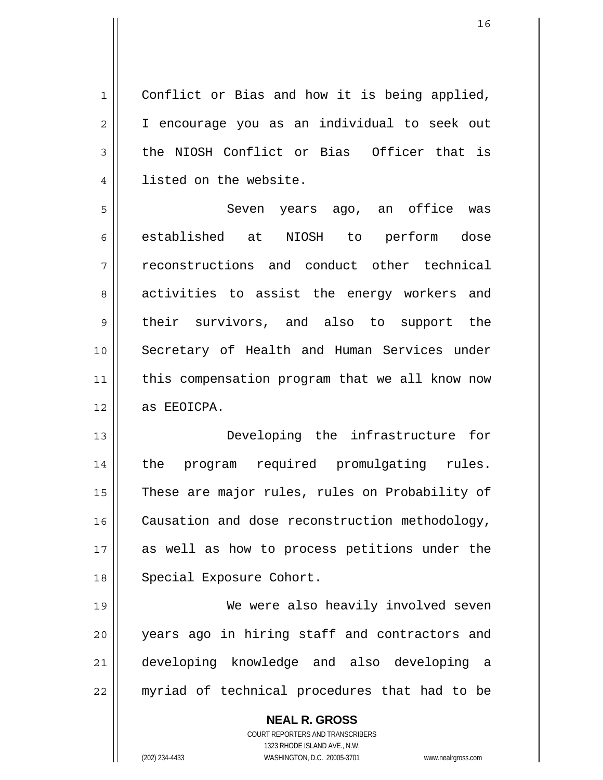1 2 3 4 Conflict or Bias and how it is being applied, I encourage you as an individual to seek out the NIOSH Conflict or Bias Officer that is listed on the website.

5 6 7 8 9 10 11 12 Seven years ago, an office was established at NIOSH to perform dose reconstructions and conduct other technical activities to assist the energy workers and their survivors, and also to support the Secretary of Health and Human Services under this compensation program that we all know now as EEOICPA.

13 14 15 16 17 18 Developing the infrastructure for the program required promulgating rules. These are major rules, rules on Probability of Causation and dose reconstruction methodology, as well as how to process petitions under the Special Exposure Cohort.

19 20 21 22 We were also heavily involved seven years ago in hiring staff and contractors and developing knowledge and also developing a myriad of technical procedures that had to be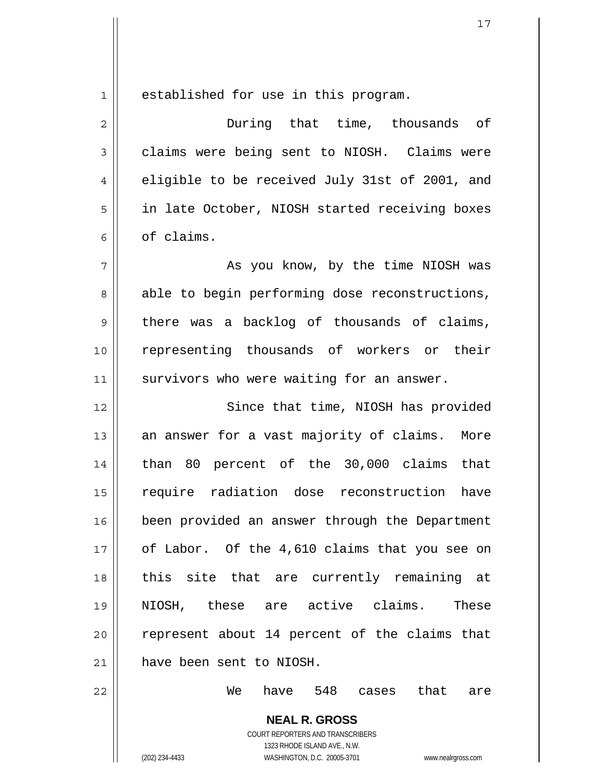1

established for use in this program.

| $\overline{2}$ | During that time, thousands of                   |
|----------------|--------------------------------------------------|
| 3              | claims were being sent to NIOSH. Claims were     |
| 4              | eligible to be received July 31st of 2001, and   |
| 5              | in late October, NIOSH started receiving boxes   |
| 6              | of claims.                                       |
| 7              | As you know, by the time NIOSH was               |
| 8              | able to begin performing dose reconstructions,   |
| 9              | there was a backlog of thousands of claims,      |
| 10             | representing thousands of workers or their       |
| 11             | survivors who were waiting for an answer.        |
| 12             | Since that time, NIOSH has provided              |
| 13             | an answer for a vast majority of claims.<br>More |
| 14             | than 80 percent of the 30,000 claims that        |
| 15             | require radiation dose reconstruction<br>have    |
| 16             | been provided an answer through the Department   |
| $17$           | of Labor. Of the 4,610 claims that you see on    |
| 18             | this site that are currently remaining at        |
| 19             | NIOSH, these are active claims. These            |
| 20             | represent about 14 percent of the claims that    |
| 21             | have been sent to NIOSH.                         |
| 22             | We<br>have 548 cases that<br>are                 |

17

COURT REPORTERS AND TRANSCRIBERS 1323 RHODE ISLAND AVE., N.W. (202) 234-4433 WASHINGTON, D.C. 20005-3701 www.nealrgross.com

**NEAL R. GROSS**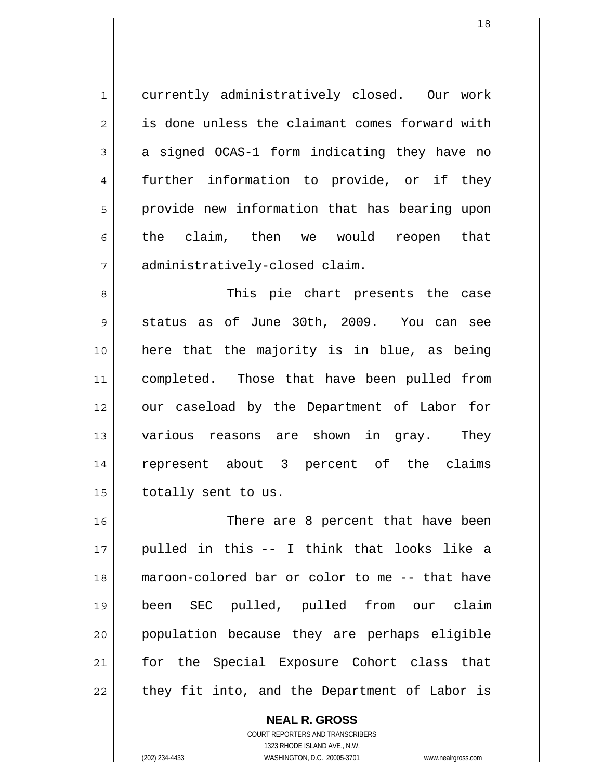1 2 3 4 5 6 7 currently administratively closed. Our work is done unless the claimant comes forward with a signed OCAS-1 form indicating they have no further information to provide, or if they provide new information that has bearing upon the claim, then we would reopen that administratively-closed claim.

8 9 10 11 12 13 14 15 This pie chart presents the case status as of June 30th, 2009. You can see here that the majority is in blue, as being completed. Those that have been pulled from our caseload by the Department of Labor for various reasons are shown in gray. They represent about 3 percent of the claims totally sent to us.

16 17 18 19 20 21 22 There are 8 percent that have been pulled in this -- I think that looks like a maroon-colored bar or color to me -- that have been SEC pulled, pulled from our claim population because they are perhaps eligible for the Special Exposure Cohort class that they fit into, and the Department of Labor is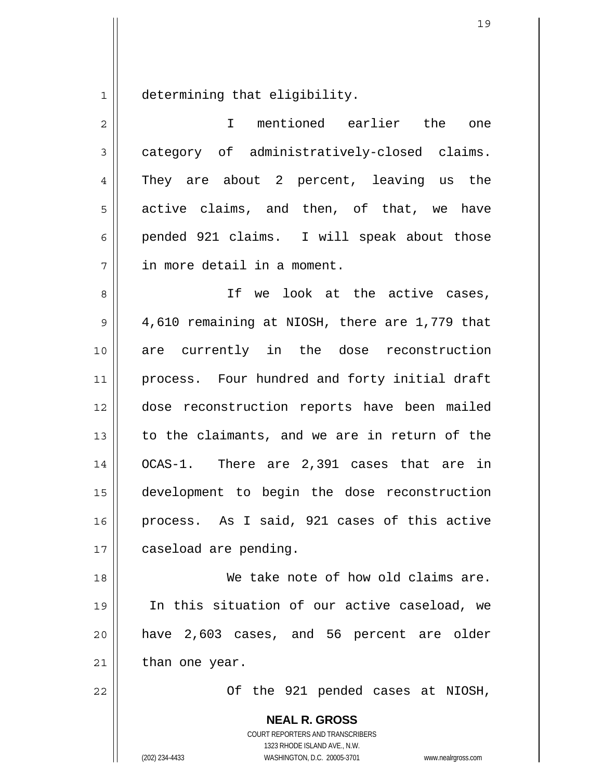1 determining that eligibility.

| $\overline{c}$ | I mentioned earlier the one                                                                                                                                     |
|----------------|-----------------------------------------------------------------------------------------------------------------------------------------------------------------|
| 3              | category of administratively-closed claims.                                                                                                                     |
| 4              | They are about 2 percent, leaving us the                                                                                                                        |
| 5              | active claims, and then, of that, we have                                                                                                                       |
| 6              | pended 921 claims. I will speak about those                                                                                                                     |
| 7              | in more detail in a moment.                                                                                                                                     |
| 8              | If we look at the active cases,                                                                                                                                 |
| 9              | 4,610 remaining at NIOSH, there are 1,779 that                                                                                                                  |
| 10             | are currently in the dose reconstruction                                                                                                                        |
| 11             | process. Four hundred and forty initial draft                                                                                                                   |
| 12             | dose reconstruction reports have been mailed                                                                                                                    |
| 13             | to the claimants, and we are in return of the                                                                                                                   |
| 14             | OCAS-1. There are 2,391 cases that are in                                                                                                                       |
| 15             | development to begin the dose reconstruction                                                                                                                    |
| 16             | process. As I said, 921 cases of this active                                                                                                                    |
| 17             | caseload are pending.                                                                                                                                           |
| 18             | We take note of how old claims are.                                                                                                                             |
| 19             | In this situation of our active caseload, we                                                                                                                    |
| 20             | have 2,603 cases, and 56 percent are older                                                                                                                      |
| 21             | than one year.                                                                                                                                                  |
| 22             | Of the 921 pended cases at NIOSH,                                                                                                                               |
|                | <b>NEAL R. GROSS</b><br>COURT REPORTERS AND TRANSCRIBERS<br>1323 RHODE ISLAND AVE., N.W.<br>(202) 234-4433<br>WASHINGTON, D.C. 20005-3701<br>www.nealrgross.com |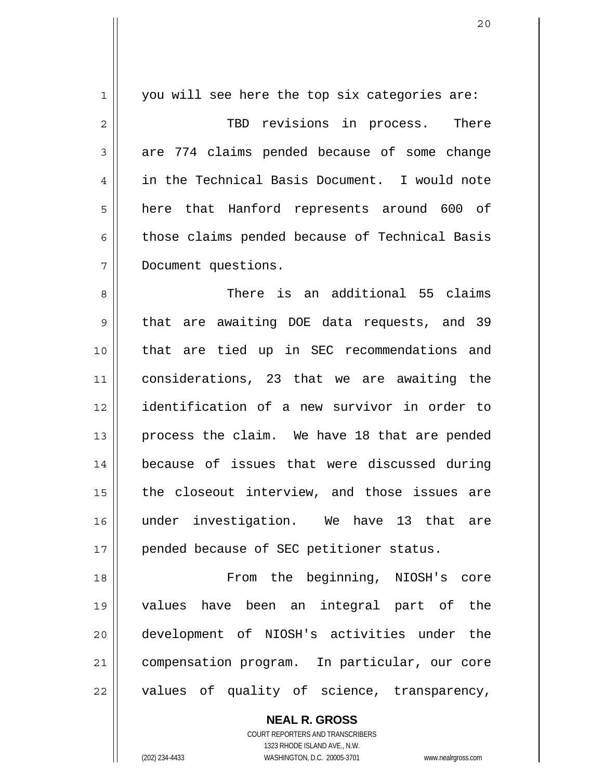| $\mathbf 1$    | you will see here the top six categories are:  |
|----------------|------------------------------------------------|
| $\overline{c}$ | TBD revisions in process. There                |
| 3              | are 774 claims pended because of some change   |
| 4              | in the Technical Basis Document. I would note  |
| 5              | here that Hanford represents around 600 of     |
| 6              | those claims pended because of Technical Basis |
| 7              | Document questions.                            |
| 8              | There is an additional 55 claims               |
| $\mathcal{G}$  | that are awaiting DOE data requests, and 39    |
| 10             | that are tied up in SEC recommendations and    |
| 11             | considerations, 23 that we are awaiting the    |
| 12             | identification of a new survivor in order to   |
| 13             | process the claim. We have 18 that are pended  |
| 14             | because of issues that were discussed during   |
| 15             | the closeout interview, and those issues are   |
| 16             | under investigation. We have 13 that are       |
| 17             | pended because of SEC petitioner status.       |
| 18             | From the beginning, NIOSH's core               |
| 19             | values have been an integral part of the       |
| 20             | development of NIOSH's activities under<br>the |
| 21             | compensation program. In particular, our core  |
| 22             | values of quality of science, transparency,    |

**NEAL R. GROSS** COURT REPORTERS AND TRANSCRIBERS 1323 RHODE ISLAND AVE., N.W. (202) 234-4433 WASHINGTON, D.C. 20005-3701 www.nealrgross.com

 $\mathsf{I}$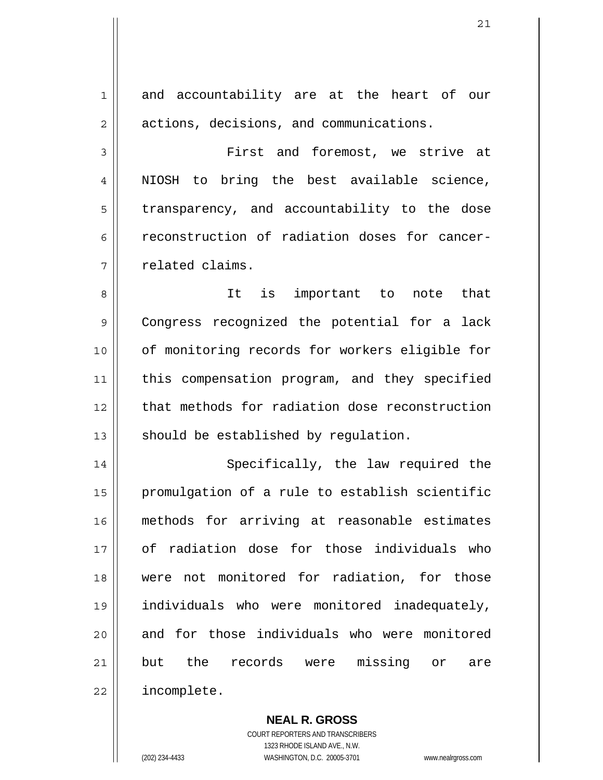1 2 3 4 5 6 7 8 9 10 11 12 13 14 15 16 17 18 19 20 21 and accountability are at the heart of our actions, decisions, and communications. First and foremost, we strive at NIOSH to bring the best available science, transparency, and accountability to the dose reconstruction of radiation doses for cancerrelated claims. It is important to note that Congress recognized the potential for a lack of monitoring records for workers eligible for this compensation program, and they specified that methods for radiation dose reconstruction should be established by regulation. Specifically, the law required the promulgation of a rule to establish scientific methods for arriving at reasonable estimates of radiation dose for those individuals who were not monitored for radiation, for those individuals who were monitored inadequately, and for those individuals who were monitored but the records were missing or are

incomplete.

22

**NEAL R. GROSS** COURT REPORTERS AND TRANSCRIBERS 1323 RHODE ISLAND AVE., N.W. (202) 234-4433 WASHINGTON, D.C. 20005-3701 www.nealrgross.com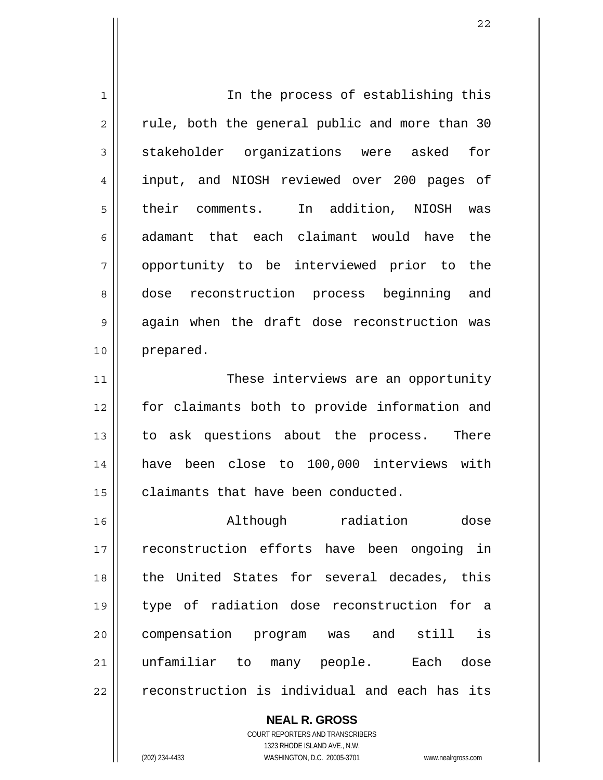| $\mathbf 1$    | In the process of establishing this            |
|----------------|------------------------------------------------|
| 2              | rule, both the general public and more than 30 |
| 3              | stakeholder organizations were asked for       |
| 4              | input, and NIOSH reviewed over 200 pages of    |
| 5              | their comments. In addition, NIOSH was         |
| 6              | adamant that each claimant would have the      |
| 7              | opportunity to be interviewed prior to the     |
| 8              | dose reconstruction process beginning and      |
| $\overline{9}$ | again when the draft dose reconstruction was   |
| 10             | prepared.                                      |
| 11             | These interviews are an opportunity            |
| 12             | for claimants both to provide information and  |
| 13             | to ask questions about the process. There      |
| 14             | have been close to 100,000 interviews with     |
| 15             | claimants that have been conducted.            |
| 16             | Although<br>radiation<br>dose                  |
| 17             | reconstruction efforts have been ongoing in    |
| 18             | the United States for several decades, this    |
| 19             | type of radiation dose reconstruction for a    |
| 20             | compensation program was and still<br>is       |
| 21             | unfamiliar to many people. Each dose           |
| 22             | reconstruction is individual and each has its  |
|                |                                                |

COURT REPORTERS AND TRANSCRIBERS 1323 RHODE ISLAND AVE., N.W.

**NEAL R. GROSS**

(202) 234-4433 WASHINGTON, D.C. 20005-3701 www.nealrgross.com

22

 $\mathsf{I}$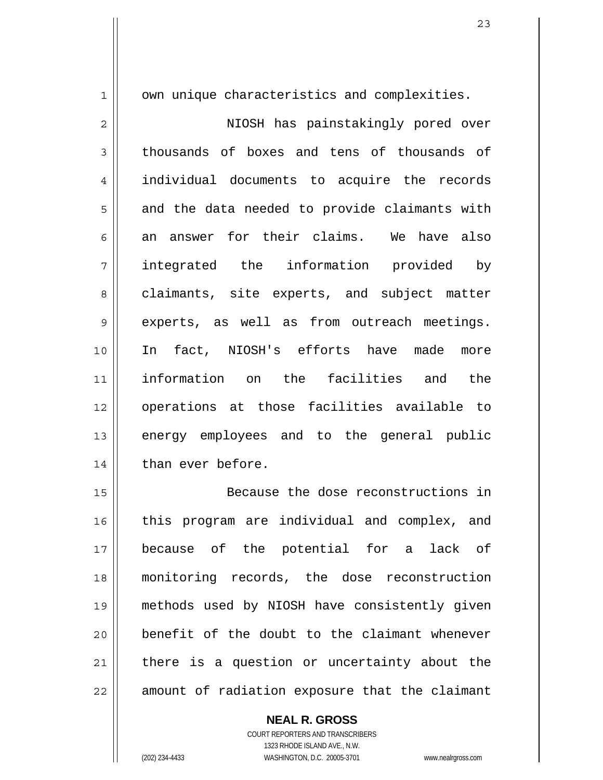1

own unique characteristics and complexities.

2 3 4 5 6 7 8 9 10 11 12 13 14 NIOSH has painstakingly pored over thousands of boxes and tens of thousands of individual documents to acquire the records and the data needed to provide claimants with an answer for their claims. We have also integrated the information provided by claimants, site experts, and subject matter experts, as well as from outreach meetings. In fact, NIOSH's efforts have made more information on the facilities and the operations at those facilities available to energy employees and to the general public than ever before.

15 16 17 18 19 20 21 22 Because the dose reconstructions in this program are individual and complex, and because of the potential for a lack of monitoring records, the dose reconstruction methods used by NIOSH have consistently given benefit of the doubt to the claimant whenever there is a question or uncertainty about the amount of radiation exposure that the claimant

> **NEAL R. GROSS** COURT REPORTERS AND TRANSCRIBERS

> > 1323 RHODE ISLAND AVE., N.W.

(202) 234-4433 WASHINGTON, D.C. 20005-3701 www.nealrgross.com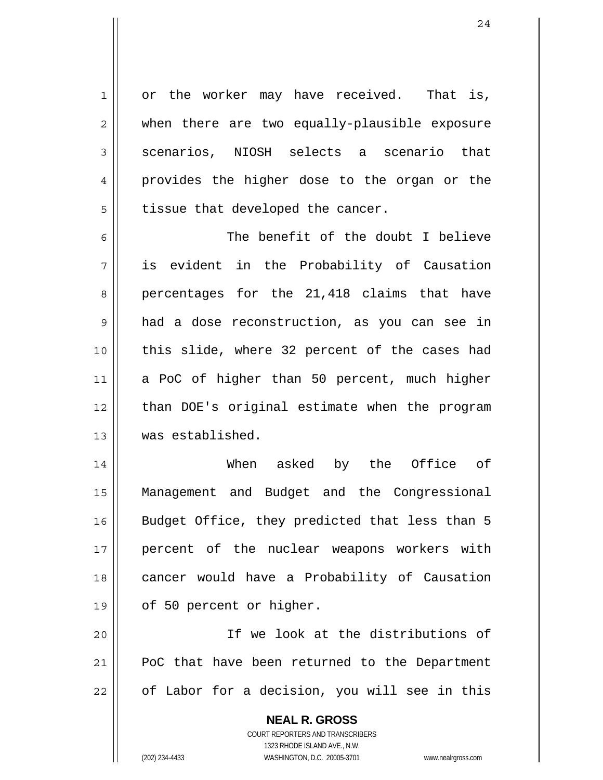1 2 3 4 5 or the worker may have received. That is, when there are two equally-plausible exposure scenarios, NIOSH selects a scenario that provides the higher dose to the organ or the tissue that developed the cancer.

6 7 8 9 10 11 12 13 The benefit of the doubt I believe is evident in the Probability of Causation percentages for the 21,418 claims that have had a dose reconstruction, as you can see in this slide, where 32 percent of the cases had a PoC of higher than 50 percent, much higher than DOE's original estimate when the program was established.

14 15 16 17 18 19 When asked by the Office of Management and Budget and the Congressional Budget Office, they predicted that less than 5 percent of the nuclear weapons workers with cancer would have a Probability of Causation of 50 percent or higher.

20 21 22 If we look at the distributions of PoC that have been returned to the Department of Labor for a decision, you will see in this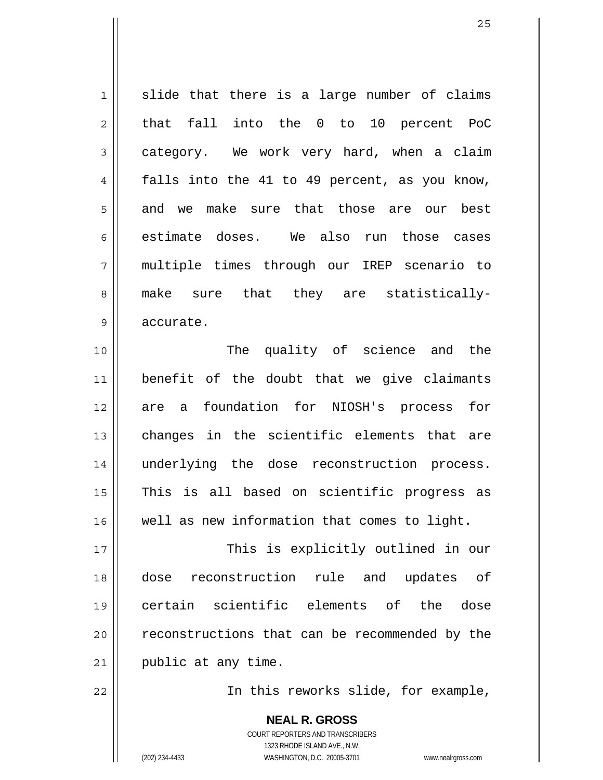1 2 3 4 5 6 7 8 9 10 11 12 13 14 15 slide that there is a large number of claims that fall into the 0 to 10 percent PoC category. We work very hard, when a claim falls into the 41 to 49 percent, as you know, and we make sure that those are our best estimate doses. We also run those cases multiple times through our IREP scenario to make sure that they are statisticallyaccurate. The quality of science and the benefit of the doubt that we give claimants are a foundation for NIOSH's process for changes in the scientific elements that are underlying the dose reconstruction process. This is all based on scientific progress as

17 18 19 20 21 This is explicitly outlined in our dose reconstruction rule and updates of certain scientific elements of the dose reconstructions that can be recommended by the public at any time.

well as new information that comes to light.

22

16

In this reworks slide, for example,

**NEAL R. GROSS** COURT REPORTERS AND TRANSCRIBERS 1323 RHODE ISLAND AVE., N.W. (202) 234-4433 WASHINGTON, D.C. 20005-3701 www.nealrgross.com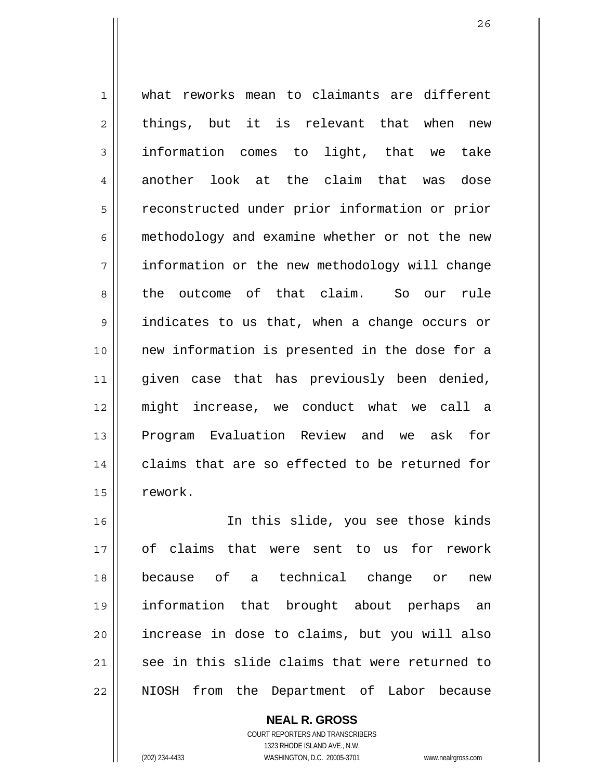1 2 3 4 5 6 7 8 9 10 11 12 13 14 15 what reworks mean to claimants are different things, but it is relevant that when new information comes to light, that we take another look at the claim that was dose reconstructed under prior information or prior methodology and examine whether or not the new information or the new methodology will change the outcome of that claim. So our rule indicates to us that, when a change occurs or new information is presented in the dose for a given case that has previously been denied, might increase, we conduct what we call a Program Evaluation Review and we ask for claims that are so effected to be returned for rework.

16 17 18 19 20 21 22 In this slide, you see those kinds of claims that were sent to us for rework because of a technical change or new information that brought about perhaps an increase in dose to claims, but you will also see in this slide claims that were returned to NIOSH from the Department of Labor because

> COURT REPORTERS AND TRANSCRIBERS 1323 RHODE ISLAND AVE., N.W. (202) 234-4433 WASHINGTON, D.C. 20005-3701 www.nealrgross.com

**NEAL R. GROSS**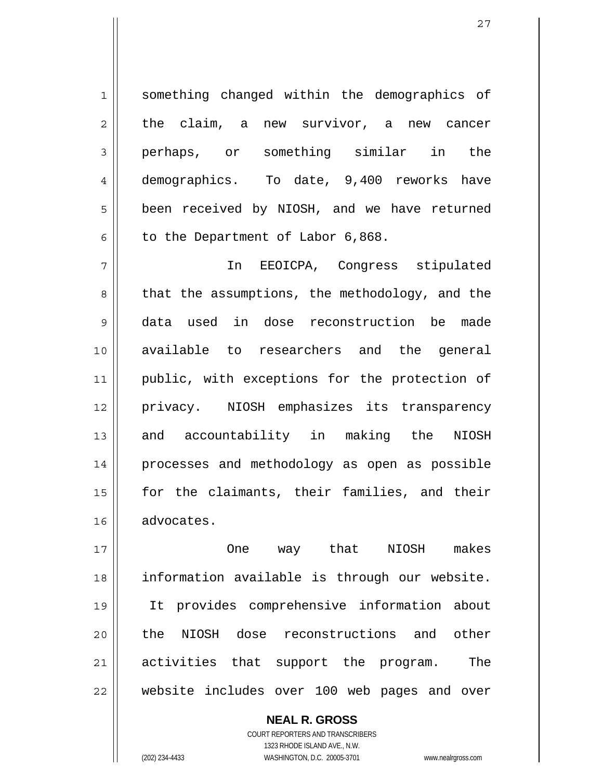something changed within the demographics of the claim, a new survivor, a new cancer perhaps, or something similar in the demographics. To date, 9,400 reworks have been received by NIOSH, and we have returned to the Department of Labor 6,868.

7 8 9 10 11 12 13 14 15 16 In EEOICPA, Congress stipulated that the assumptions, the methodology, and the data used in dose reconstruction be made available to researchers and the general public, with exceptions for the protection of privacy. NIOSH emphasizes its transparency and accountability in making the NIOSH processes and methodology as open as possible for the claimants, their families, and their advocates.

17 18 19 20 21 22 One way that NIOSH makes information available is through our website. It provides comprehensive information about the NIOSH dose reconstructions and other activities that support the program. The website includes over 100 web pages and over

> **NEAL R. GROSS** COURT REPORTERS AND TRANSCRIBERS 1323 RHODE ISLAND AVE., N.W. (202) 234-4433 WASHINGTON, D.C. 20005-3701 www.nealrgross.com

1

2

3

4

5

6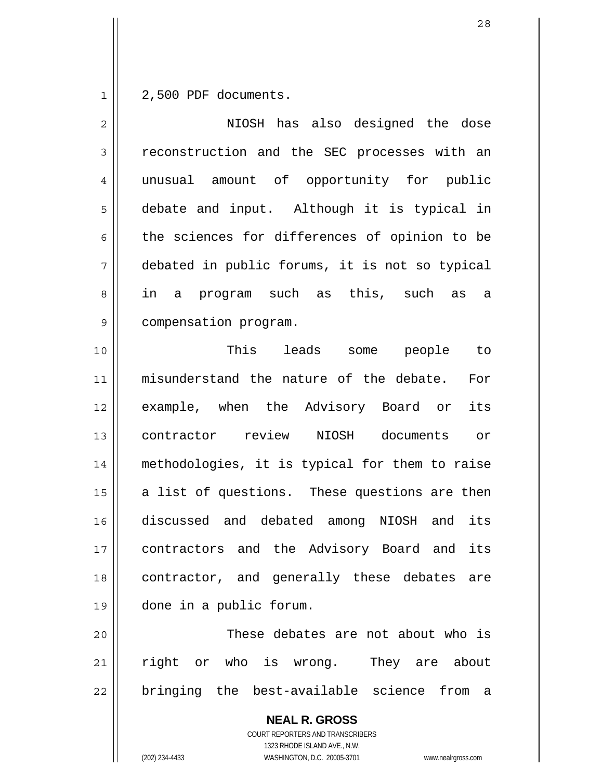1 2,500 PDF documents.

| $\overline{2}$ | NIOSH has also designed the dose                         |
|----------------|----------------------------------------------------------|
| $\mathfrak{Z}$ | reconstruction and the SEC processes with an             |
| 4              | unusual amount of opportunity for public                 |
| 5              | debate and input. Although it is typical in              |
| 6              | the sciences for differences of opinion to be            |
| 7              | debated in public forums, it is not so typical           |
| 8              | in a program such as this, such as a                     |
| $\mathsf 9$    | compensation program.                                    |
| 10             | This leads some people to                                |
| 11             | misunderstand the nature of the debate. For              |
| 12             | example, when the Advisory Board or<br>its               |
| 13             | contractor review NIOSH documents or                     |
| 14             | methodologies, it is typical for them to raise           |
| 15             | a list of questions. These questions are then            |
| 16             | discussed and debated among NIOSH and its                |
| 17             | contractors and the Advisory Board and<br>its            |
| 18             | contractor, and generally these debates are              |
| 19             | done in a public forum.                                  |
| 20             | These debates are not about who is                       |
| 21             | right or who is wrong. They are about                    |
| 22             | bringing the best-available science from<br>a a          |
|                | <b>NEAL R. GROSS</b><br>COURT REPORTERS AND TRANSCRIBERS |

1323 RHODE ISLAND AVE., N.W.

 $\prod$ 

(202) 234-4433 WASHINGTON, D.C. 20005-3701 www.nealrgross.com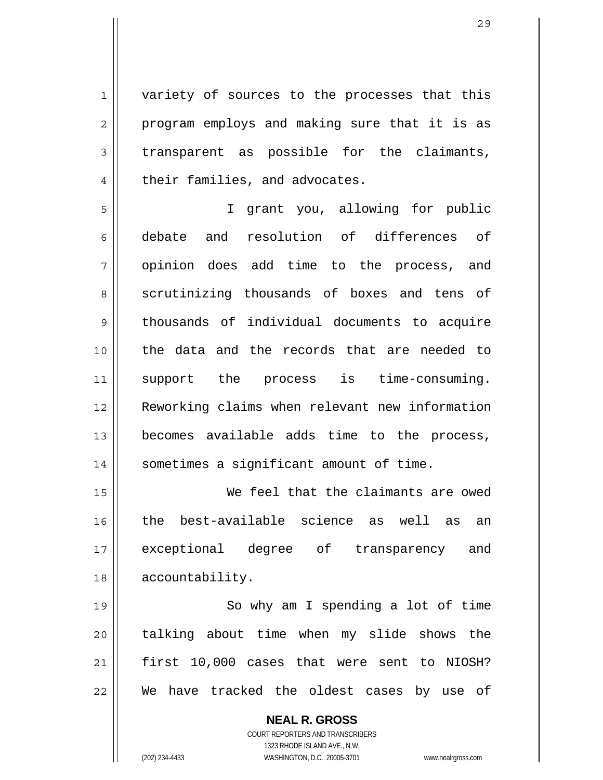1 2 3 4 variety of sources to the processes that this program employs and making sure that it is as transparent as possible for the claimants, their families, and advocates.

5 6 7 8 9 10 11 12 13 14 I grant you, allowing for public debate and resolution of differences of opinion does add time to the process, and scrutinizing thousands of boxes and tens of thousands of individual documents to acquire the data and the records that are needed to support the process is time-consuming. Reworking claims when relevant new information becomes available adds time to the process, sometimes a significant amount of time.

15 16 17 18 We feel that the claimants are owed the best-available science as well as an exceptional degree of transparency and accountability.

19 20 21 22 So why am I spending a lot of time talking about time when my slide shows the first 10,000 cases that were sent to NIOSH? We have tracked the oldest cases by use of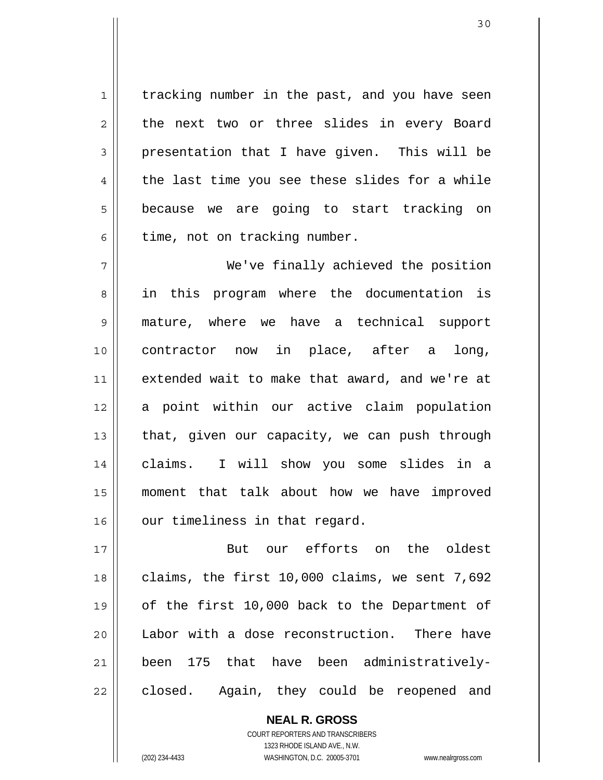1 2 3 4 5 6 tracking number in the past, and you have seen the next two or three slides in every Board presentation that I have given. This will be the last time you see these slides for a while because we are going to start tracking on time, not on tracking number.

7 8 9 10 11 12 13 14 15 16 We've finally achieved the position in this program where the documentation is mature, where we have a technical support contractor now in place, after a long, extended wait to make that award, and we're at a point within our active claim population that, given our capacity, we can push through claims. I will show you some slides in a moment that talk about how we have improved our timeliness in that regard.

17 18 19 20 21 22 But our efforts on the oldest claims, the first 10,000 claims, we sent 7,692 of the first 10,000 back to the Department of Labor with a dose reconstruction. There have been 175 that have been administrativelyclosed. Again, they could be reopened and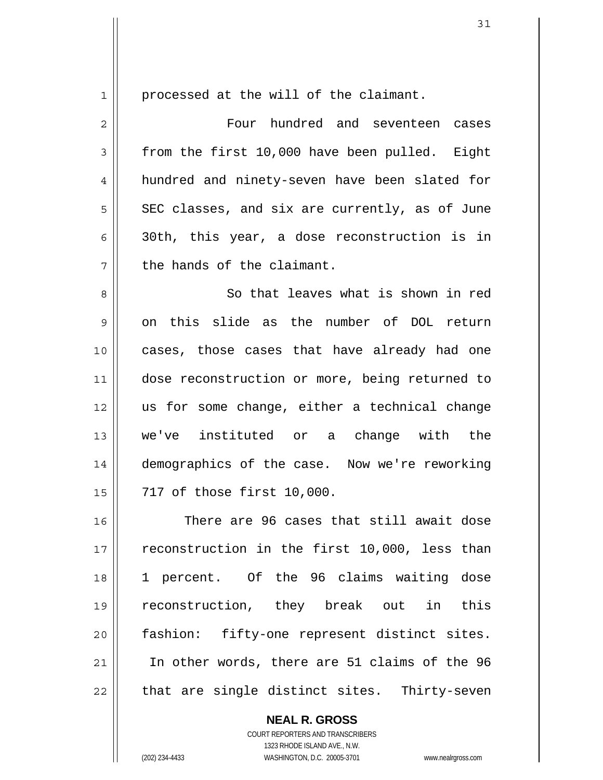1

processed at the will of the claimant.

2 3 4 5 6 7 Four hundred and seventeen cases from the first 10,000 have been pulled. Eight hundred and ninety-seven have been slated for SEC classes, and six are currently, as of June 30th, this year, a dose reconstruction is in the hands of the claimant.

8 9 10 11 12 13 14 15 So that leaves what is shown in red on this slide as the number of DOL return cases, those cases that have already had one dose reconstruction or more, being returned to us for some change, either a technical change we've instituted or a change with the demographics of the case. Now we're reworking 717 of those first 10,000.

16 17 18 19 20 21 22 There are 96 cases that still await dose reconstruction in the first 10,000, less than 1 percent. Of the 96 claims waiting dose reconstruction, they break out in this fashion: fifty-one represent distinct sites. In other words, there are 51 claims of the 96 that are single distinct sites. Thirty-seven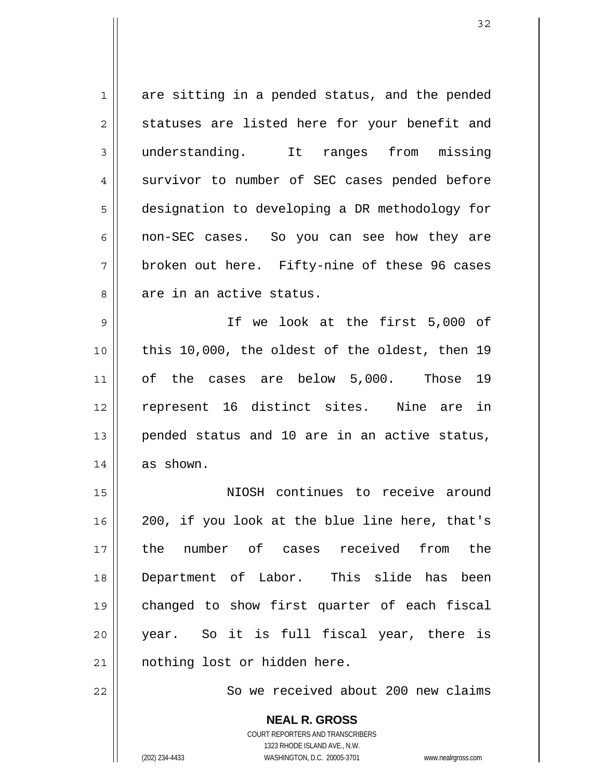1 2 3 4 5 6 7 8 are sitting in a pended status, and the pended statuses are listed here for your benefit and understanding. It ranges from missing survivor to number of SEC cases pended before designation to developing a DR methodology for non-SEC cases. So you can see how they are broken out here. Fifty-nine of these 96 cases are in an active status.

9 10 11 12 13 14 If we look at the first 5,000 of this 10,000, the oldest of the oldest, then 19 of the cases are below 5,000. Those 19 represent 16 distinct sites. Nine are in pended status and 10 are in an active status, as shown.

15 16 17 18 19 20 21 NIOSH continues to receive around 200, if you look at the blue line here, that's the number of cases received from the Department of Labor. This slide has been changed to show first quarter of each fiscal year. So it is full fiscal year, there is nothing lost or hidden here.

So we received about 200 new claims

**NEAL R. GROSS** COURT REPORTERS AND TRANSCRIBERS 1323 RHODE ISLAND AVE., N.W. (202) 234-4433 WASHINGTON, D.C. 20005-3701 www.nealrgross.com

22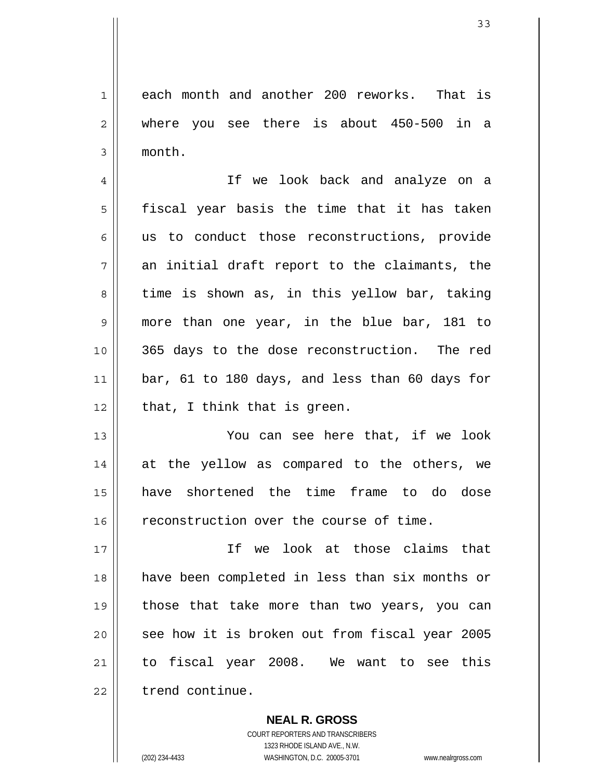each month and another 200 reworks. That is where you see there is about 450-500 in a month.

4 5 6 7 8 9 10 11 12 If we look back and analyze on a fiscal year basis the time that it has taken us to conduct those reconstructions, provide an initial draft report to the claimants, the time is shown as, in this yellow bar, taking more than one year, in the blue bar, 181 to 365 days to the dose reconstruction. The red bar, 61 to 180 days, and less than 60 days for that, I think that is green.

13 14 15 16 You can see here that, if we look at the yellow as compared to the others, we have shortened the time frame to do dose reconstruction over the course of time.

17 18 19 20 21 22 If we look at those claims that have been completed in less than six months or those that take more than two years, you can see how it is broken out from fiscal year 2005 to fiscal year 2008. We want to see this trend continue.

> **NEAL R. GROSS** COURT REPORTERS AND TRANSCRIBERS 1323 RHODE ISLAND AVE., N.W. (202) 234-4433 WASHINGTON, D.C. 20005-3701 www.nealrgross.com

1

2

3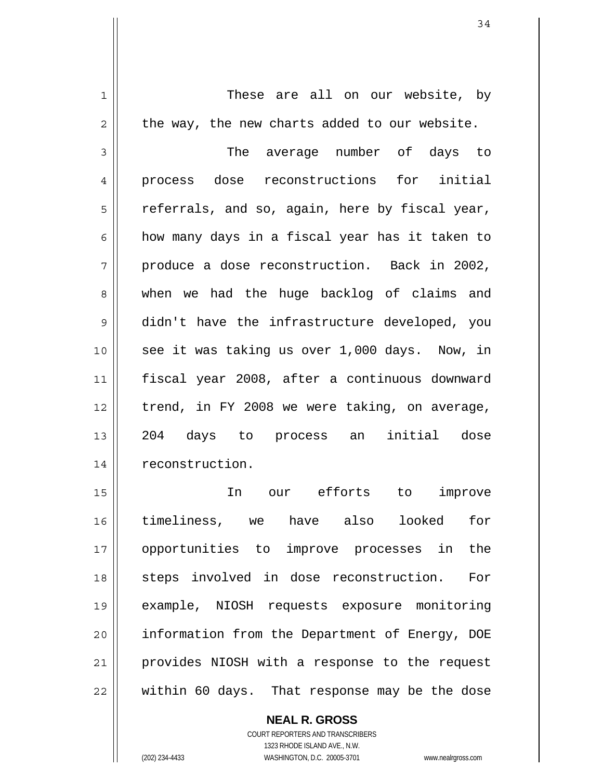These are all on our website, by the way, the new charts added to our website.

3 4 5 6 7 8 9 10 11 12 13 14 The average number of days to process dose reconstructions for initial referrals, and so, again, here by fiscal year, how many days in a fiscal year has it taken to produce a dose reconstruction. Back in 2002, when we had the huge backlog of claims and didn't have the infrastructure developed, you see it was taking us over 1,000 days. Now, in fiscal year 2008, after a continuous downward trend, in FY 2008 we were taking, on average, 204 days to process an initial dose reconstruction.

15 16 17 18 19 20 21 22 In our efforts to improve timeliness, we have also looked for opportunities to improve processes in the steps involved in dose reconstruction. For example, NIOSH requests exposure monitoring information from the Department of Energy, DOE provides NIOSH with a response to the request within 60 days. That response may be the dose

> **NEAL R. GROSS** COURT REPORTERS AND TRANSCRIBERS 1323 RHODE ISLAND AVE., N.W. (202) 234-4433 WASHINGTON, D.C. 20005-3701 www.nealrgross.com

1

2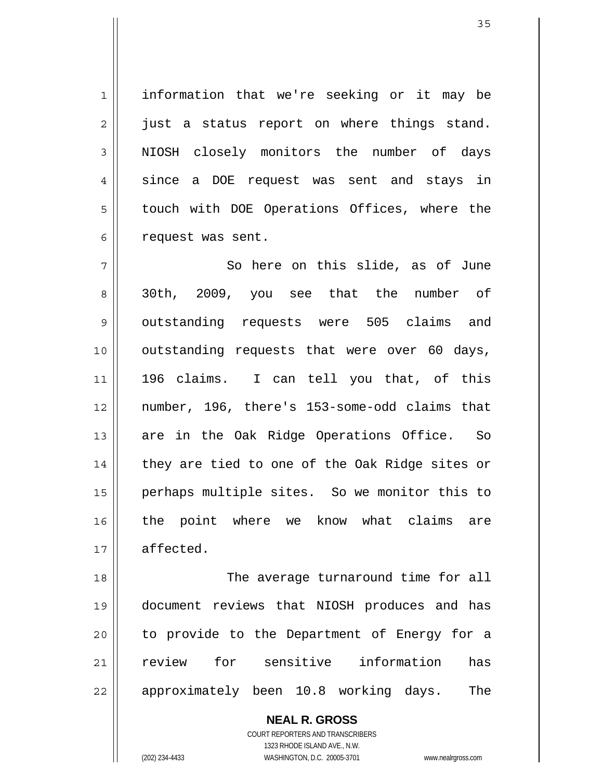information that we're seeking or it may be just a status report on where things stand. NIOSH closely monitors the number of days since a DOE request was sent and stays in touch with DOE Operations Offices, where the request was sent.

7 8 9 10 11 12 13 14 15 16 17 So here on this slide, as of June 30th, 2009, you see that the number of outstanding requests were 505 claims and outstanding requests that were over 60 days, 196 claims. I can tell you that, of this number, 196, there's 153-some-odd claims that are in the Oak Ridge Operations Office. So they are tied to one of the Oak Ridge sites or perhaps multiple sites. So we monitor this to the point where we know what claims are affected.

18 19 20 21 22 The average turnaround time for all document reviews that NIOSH produces and has to provide to the Department of Energy for a review for sensitive information has approximately been 10.8 working days. The

> **NEAL R. GROSS** COURT REPORTERS AND TRANSCRIBERS 1323 RHODE ISLAND AVE., N.W. (202) 234-4433 WASHINGTON, D.C. 20005-3701 www.nealrgross.com

1

2

3

4

5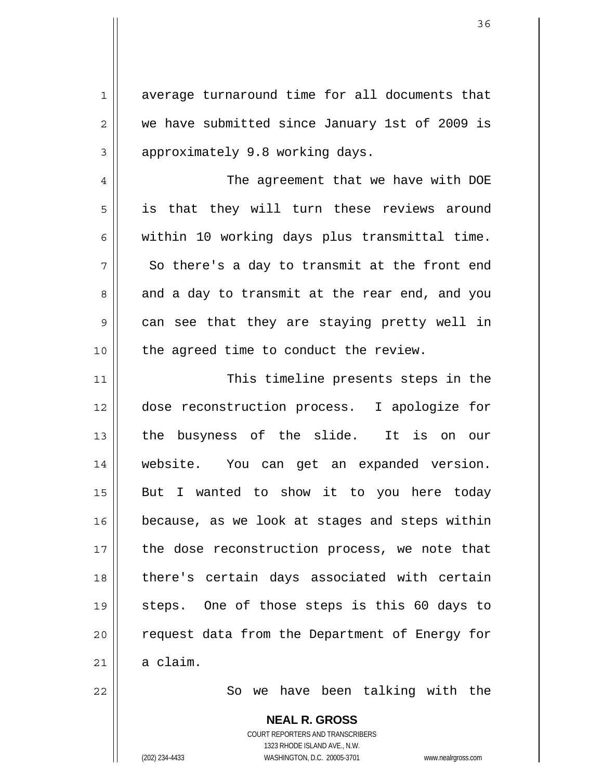1 2 3 4 5 6 7 8 9 10 11 12 13 14 15 16 17 18 19 20 21 22 average turnaround time for all documents that we have submitted since January 1st of 2009 is approximately 9.8 working days. The agreement that we have with DOE is that they will turn these reviews around within 10 working days plus transmittal time. So there's a day to transmit at the front end and a day to transmit at the rear end, and you can see that they are staying pretty well in the agreed time to conduct the review. This timeline presents steps in the dose reconstruction process. I apologize for the busyness of the slide. It is on our website. You can get an expanded version. But I wanted to show it to you here today because, as we look at stages and steps within the dose reconstruction process, we note that there's certain days associated with certain steps. One of those steps is this 60 days to request data from the Department of Energy for a claim. So we have been talking with the

> **NEAL R. GROSS** COURT REPORTERS AND TRANSCRIBERS 1323 RHODE ISLAND AVE., N.W. (202) 234-4433 WASHINGTON, D.C. 20005-3701 www.nealrgross.com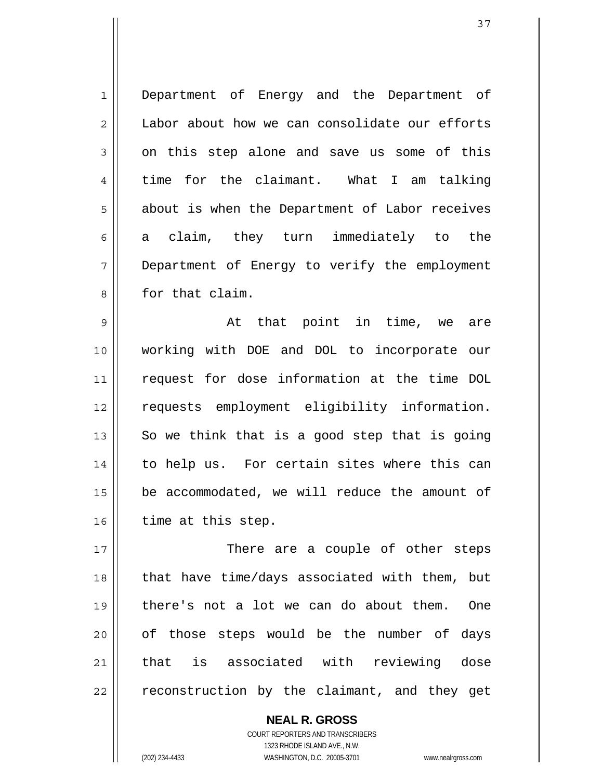1 2 3 4 5 6 7 8 Department of Energy and the Department of Labor about how we can consolidate our efforts on this step alone and save us some of this time for the claimant. What I am talking about is when the Department of Labor receives a claim, they turn immediately to the Department of Energy to verify the employment for that claim.

9 10 11 12 13 14 15 16 At that point in time, we are working with DOE and DOL to incorporate our request for dose information at the time DOL requests employment eligibility information. So we think that is a good step that is going to help us. For certain sites where this can be accommodated, we will reduce the amount of time at this step.

17 18 19 20 21 22 There are a couple of other steps that have time/days associated with them, but there's not a lot we can do about them. One of those steps would be the number of days that is associated with reviewing dose reconstruction by the claimant, and they get

> **NEAL R. GROSS** COURT REPORTERS AND TRANSCRIBERS 1323 RHODE ISLAND AVE., N.W. (202) 234-4433 WASHINGTON, D.C. 20005-3701 www.nealrgross.com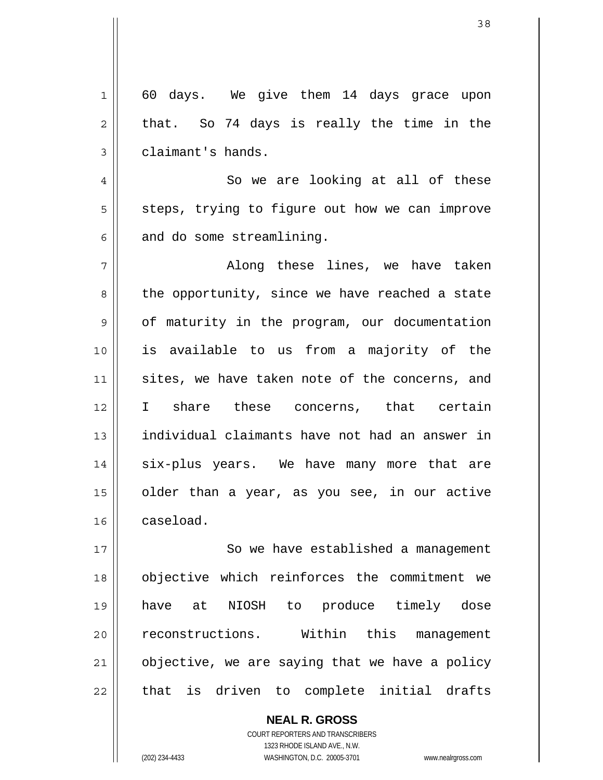1 2 3 4 5 6 7 8 9 10 11 12 13 14 15 16 17 18 19 20 21 22 60 days. We give them 14 days grace upon that. So 74 days is really the time in the claimant's hands. So we are looking at all of these steps, trying to figure out how we can improve and do some streamlining. Along these lines, we have taken the opportunity, since we have reached a state of maturity in the program, our documentation is available to us from a majority of the sites, we have taken note of the concerns, and I share these concerns, that certain individual claimants have not had an answer in six-plus years. We have many more that are older than a year, as you see, in our active caseload. So we have established a management objective which reinforces the commitment we have at NIOSH to produce timely dose reconstructions. Within this management objective, we are saying that we have a policy that is driven to complete initial drafts

> COURT REPORTERS AND TRANSCRIBERS 1323 RHODE ISLAND AVE., N.W. (202) 234-4433 WASHINGTON, D.C. 20005-3701 www.nealrgross.com

**NEAL R. GROSS**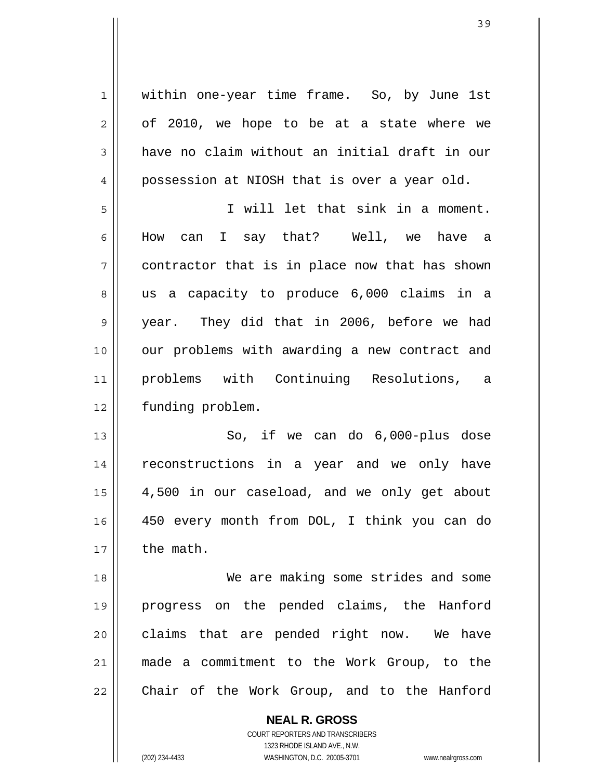1 2 3 4 5 6 7 8 9 10 11 12 13 14 15 16 17 18 19 20 21 within one-year time frame. So, by June 1st of 2010, we hope to be at a state where we have no claim without an initial draft in our possession at NIOSH that is over a year old. I will let that sink in a moment. How can I say that? Well, we have a contractor that is in place now that has shown us a capacity to produce 6,000 claims in a year. They did that in 2006, before we had our problems with awarding a new contract and problems with Continuing Resolutions, a funding problem. So, if we can do 6,000-plus dose reconstructions in a year and we only have 4,500 in our caseload, and we only get about 450 every month from DOL, I think you can do the math. We are making some strides and some progress on the pended claims, the Hanford claims that are pended right now. We have made a commitment to the Work Group, to the Chair of the Work Group, and to the Hanford

**NEAL R. GROSS** COURT REPORTERS AND TRANSCRIBERS 1323 RHODE ISLAND AVE., N.W.

22

(202) 234-4433 WASHINGTON, D.C. 20005-3701 www.nealrgross.com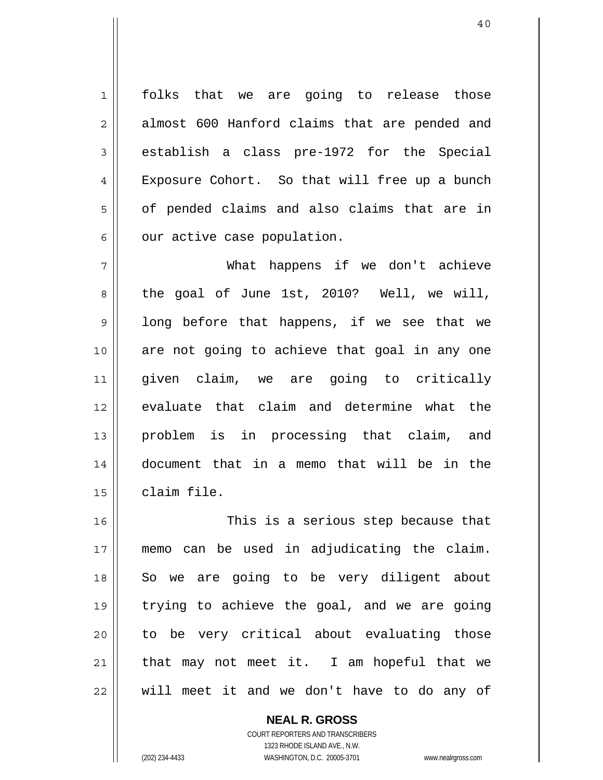folks that we are going to release those almost 600 Hanford claims that are pended and establish a class pre-1972 for the Special Exposure Cohort. So that will free up a bunch of pended claims and also claims that are in our active case population.

7 8 9 10 11 12 13 14 15 What happens if we don't achieve the goal of June 1st, 2010? Well, we will, long before that happens, if we see that we are not going to achieve that goal in any one given claim, we are going to critically evaluate that claim and determine what the problem is in processing that claim, and document that in a memo that will be in the claim file.

16 17 18 19 20 21 22 This is a serious step because that memo can be used in adjudicating the claim. So we are going to be very diligent about trying to achieve the goal, and we are going to be very critical about evaluating those that may not meet it. I am hopeful that we will meet it and we don't have to do any of

> **NEAL R. GROSS** COURT REPORTERS AND TRANSCRIBERS 1323 RHODE ISLAND AVE., N.W. (202) 234-4433 WASHINGTON, D.C. 20005-3701 www.nealrgross.com

1

2

3

4

5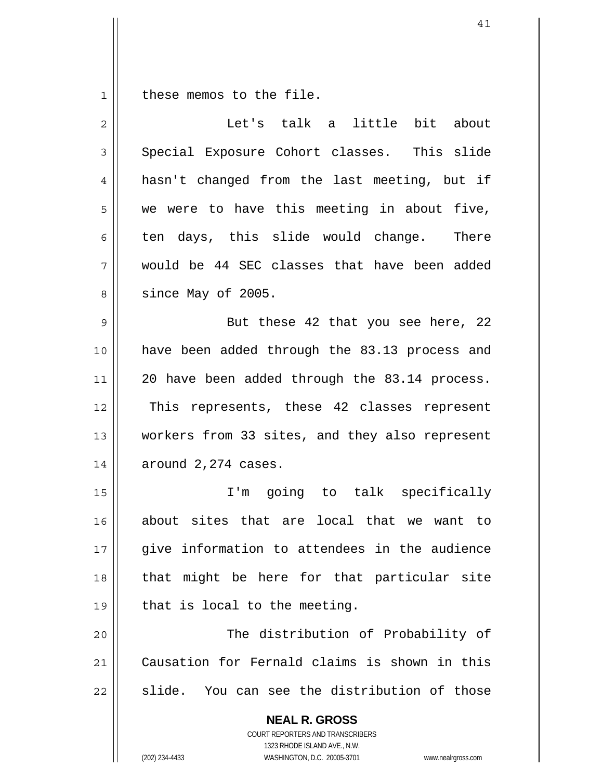1 these memos to the file.

| $\overline{2}$ | Let's talk a little<br>bit about               |
|----------------|------------------------------------------------|
| 3              | Special Exposure Cohort classes. This slide    |
| 4              | hasn't changed from the last meeting, but if   |
| 5              | we were to have this meeting in about five,    |
| 6              | ten days, this slide would change. There       |
| 7              | would be 44 SEC classes that have been added   |
| 8              | since May of 2005.                             |
| 9              | But these 42 that you see here, 22             |
| 10             | have been added through the 83.13 process and  |
| 11             | 20 have been added through the 83.14 process.  |
| 12             | This represents, these 42 classes represent    |
| 13             | workers from 33 sites, and they also represent |
| 14             | around 2,274 cases.                            |
| 15             | I'm going to talk specifically                 |
| 16             | about sites that are local that we want to     |
| 17             | give information to attendees in the audience  |
| 18             | that might be here for that particular site    |
| 19             | that is local to the meeting.                  |
| 20             | The distribution of Probability of             |
| 21             | Causation for Fernald claims is shown in this  |
| 22             | slide. You can see the distribution of those   |
|                | <b>NEAL R. GROSS</b>                           |

COURT REPORTERS AND TRANSCRIBERS 1323 RHODE ISLAND AVE., N.W.

 $\mathsf{II}$ 

(202) 234-4433 WASHINGTON, D.C. 20005-3701 www.nealrgross.com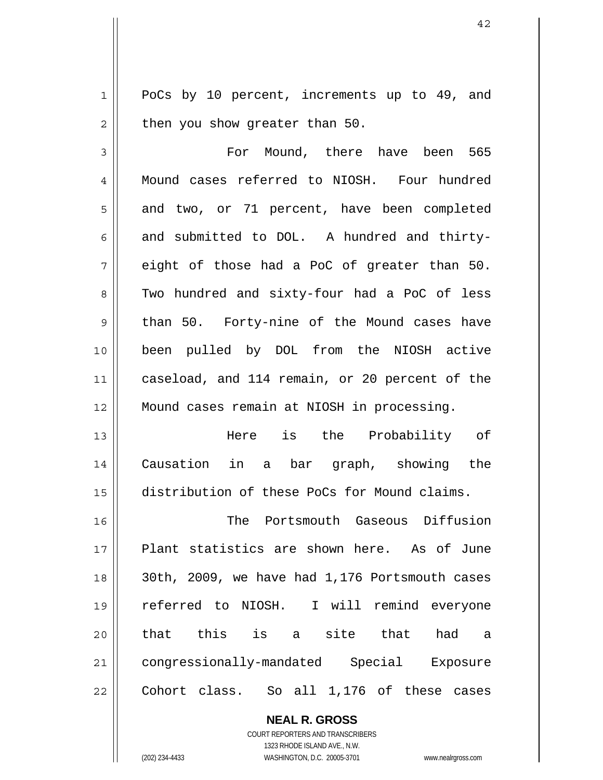1 2 PoCs by 10 percent, increments up to 49, and then you show greater than 50.

3 4 5 6 7 8 9 10 11 12 For Mound, there have been 565 Mound cases referred to NIOSH. Four hundred and two, or 71 percent, have been completed and submitted to DOL. A hundred and thirtyeight of those had a PoC of greater than 50. Two hundred and sixty-four had a PoC of less than 50. Forty-nine of the Mound cases have been pulled by DOL from the NIOSH active caseload, and 114 remain, or 20 percent of the Mound cases remain at NIOSH in processing.

13 14 15 Here is the Probability of Causation in a bar graph, showing the distribution of these PoCs for Mound claims.

16 17 18 19 20 21 22 The Portsmouth Gaseous Diffusion Plant statistics are shown here. As of June 30th, 2009, we have had 1,176 Portsmouth cases referred to NIOSH. I will remind everyone that this is a site that had a congressionally-mandated Special Exposure Cohort class. So all 1,176 of these cases

> **NEAL R. GROSS** COURT REPORTERS AND TRANSCRIBERS 1323 RHODE ISLAND AVE., N.W. (202) 234-4433 WASHINGTON, D.C. 20005-3701 www.nealrgross.com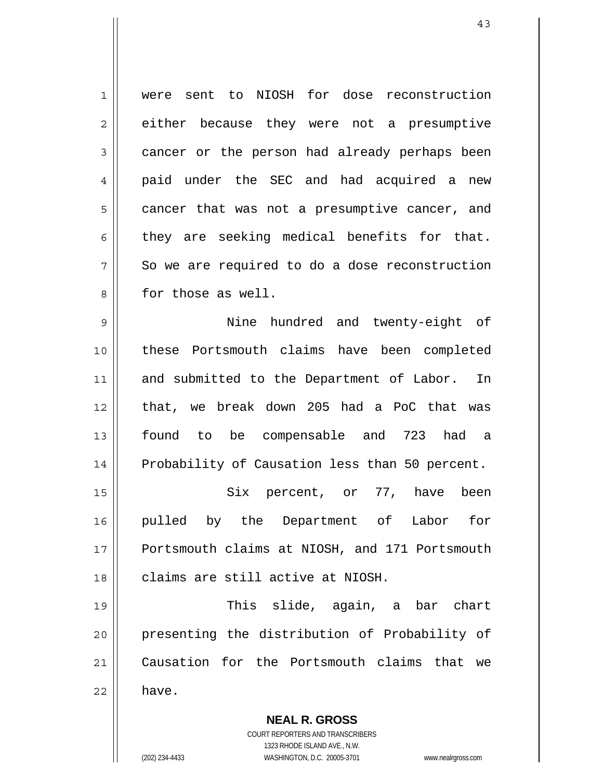1 2 3 4 5 6 7 8 9 10 11 12 13 14 15 were sent to NIOSH for dose reconstruction either because they were not a presumptive cancer or the person had already perhaps been paid under the SEC and had acquired a new cancer that was not a presumptive cancer, and they are seeking medical benefits for that. So we are required to do a dose reconstruction for those as well. Nine hundred and twenty-eight of these Portsmouth claims have been completed and submitted to the Department of Labor. In that, we break down 205 had a PoC that was found to be compensable and 723 had a Probability of Causation less than 50 percent. Six percent, or 77, have been

16 17 18 pulled by the Department of Labor for Portsmouth claims at NIOSH, and 171 Portsmouth claims are still active at NIOSH.

19 20 21 22 This slide, again, a bar chart presenting the distribution of Probability of Causation for the Portsmouth claims that we have.

> **NEAL R. GROSS** COURT REPORTERS AND TRANSCRIBERS 1323 RHODE ISLAND AVE., N.W. (202) 234-4433 WASHINGTON, D.C. 20005-3701 www.nealrgross.com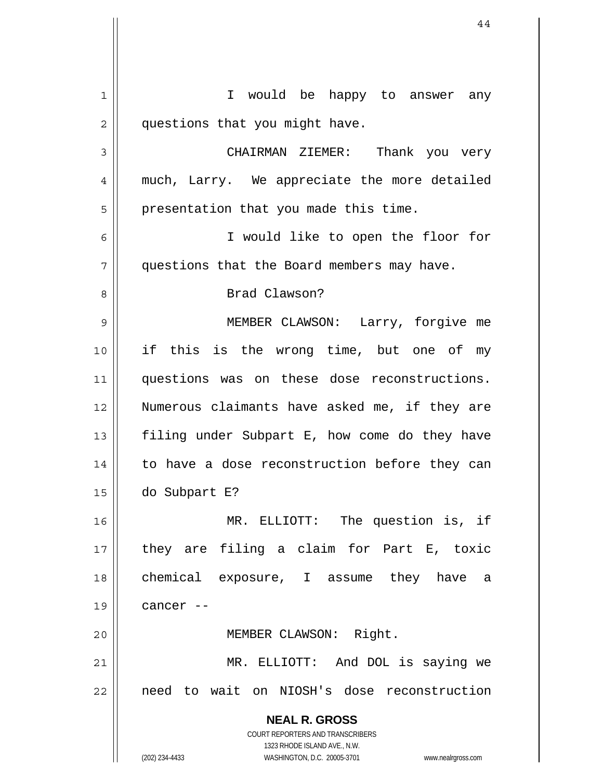**NEAL R. GROSS** COURT REPORTERS AND TRANSCRIBERS 1323 RHODE ISLAND AVE., N.W. (202) 234-4433 WASHINGTON, D.C. 20005-3701 www.nealrgross.com 1 2 3 4 5 6 7 8 9 10 11 12 13 14 15 16 17 18 19 20 21 22 I would be happy to answer any questions that you might have. CHAIRMAN ZIEMER: Thank you very much, Larry. We appreciate the more detailed presentation that you made this time. I would like to open the floor for questions that the Board members may have. Brad Clawson? MEMBER CLAWSON: Larry, forgive me if this is the wrong time, but one of my questions was on these dose reconstructions. Numerous claimants have asked me, if they are filing under Subpart E, how come do they have to have a dose reconstruction before they can do Subpart E? MR. ELLIOTT: The question is, if they are filing a claim for Part E, toxic chemical exposure, I assume they have a cancer -- MEMBER CLAWSON: Right. MR. ELLIOTT: And DOL is saying we need to wait on NIOSH's dose reconstruction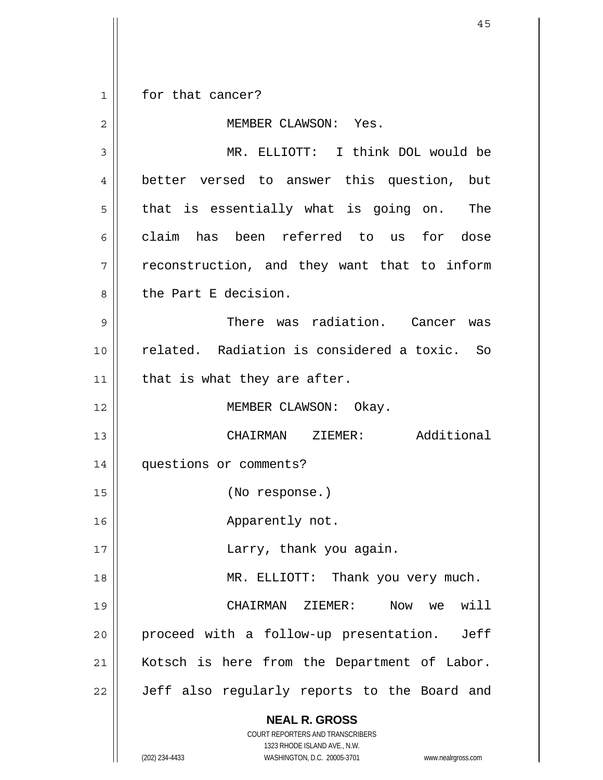**NEAL R. GROSS** COURT REPORTERS AND TRANSCRIBERS 1323 RHODE ISLAND AVE., N.W. (202) 234-4433 WASHINGTON, D.C. 20005-3701 www.nealrgross.com 1 2 3 4 5 6 7 8 9 10 11 12 13 14 15 16 17 18 19 20 21 22 for that cancer? MEMBER CLAWSON: Yes. MR. ELLIOTT: I think DOL would be better versed to answer this question, but that is essentially what is going on. The claim has been referred to us for dose reconstruction, and they want that to inform the Part E decision. There was radiation. Cancer was related. Radiation is considered a toxic. So that is what they are after. MEMBER CLAWSON: Okay. CHAIRMAN ZIEMER: Additional questions or comments? (No response.) Apparently not. Larry, thank you again. MR. ELLIOTT: Thank you very much. CHAIRMAN ZIEMER: Now we will proceed with a follow-up presentation. Jeff Kotsch is here from the Department of Labor. Jeff also regularly reports to the Board and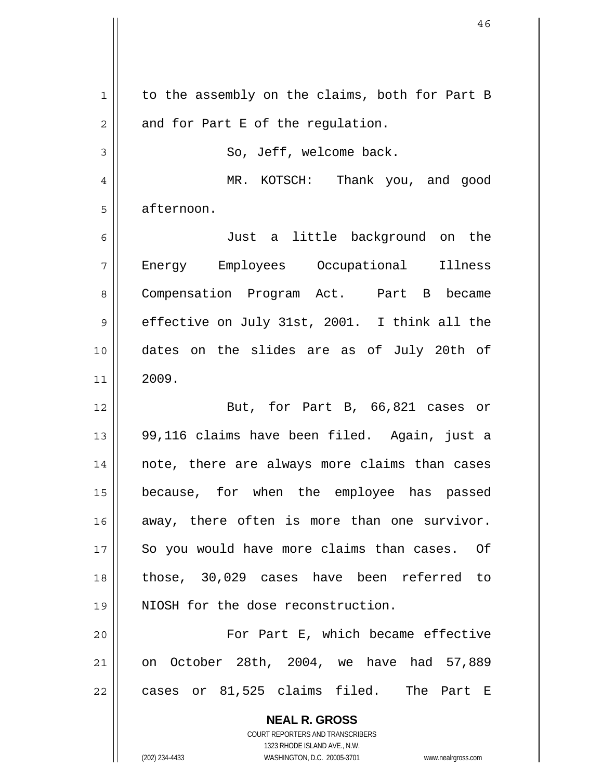**NEAL R. GROSS** COURT REPORTERS AND TRANSCRIBERS 1 2 3 4 5 6 7 8 9 10 11 12 13 14 15 16 17 18 19 20 21 22 to the assembly on the claims, both for Part B and for Part E of the regulation. So, Jeff, welcome back. MR. KOTSCH: Thank you, and good afternoon. Just a little background on the Energy Employees Occupational Illness Compensation Program Act. Part B became effective on July 31st, 2001. I think all the dates on the slides are as of July 20th of 2009. But, for Part B, 66,821 cases or 99,116 claims have been filed. Again, just a note, there are always more claims than cases because, for when the employee has passed away, there often is more than one survivor. So you would have more claims than cases. Of those, 30,029 cases have been referred to NIOSH for the dose reconstruction. For Part E, which became effective on October 28th, 2004, we have had 57,889 cases or 81,525 claims filed. The Part E

1323 RHODE ISLAND AVE., N.W.

(202) 234-4433 WASHINGTON, D.C. 20005-3701 www.nealrgross.com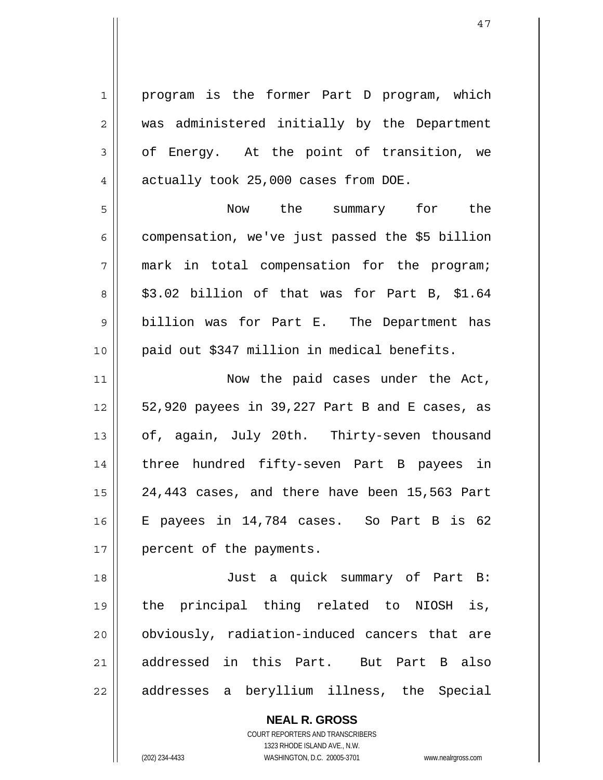| $\mathbf 1$    | program is the former Part D program, which     |
|----------------|-------------------------------------------------|
| $\overline{c}$ | was administered initially by the Department    |
| $\mathfrak{Z}$ | of Energy. At the point of transition, we       |
| $\overline{4}$ | actually took 25,000 cases from DOE.            |
| 5              | Now the summary for the                         |
| 6              | compensation, we've just passed the \$5 billion |
| 7              | mark in total compensation for the program;     |
| 8              | \$3.02 billion of that was for Part B, \$1.64   |
| 9              | billion was for Part E. The Department has      |
| 10             | paid out \$347 million in medical benefits.     |
| 11             | Now the paid cases under the Act,               |
| 12             | 52,920 payees in 39,227 Part B and E cases, as  |
| 13             | of, again, July 20th. Thirty-seven thousand     |
| 14             | three hundred fifty-seven Part B payees in      |
| 15             | 24,443 cases, and there have been 15,563 Part   |
| 16             | E payees in 14,784 cases. So Part B is 62       |
| 17             | percent of the payments.                        |
| 18             | Just a quick summary of Part B:                 |
| 19             | the principal thing related to NIOSH<br>is,     |
| 20             | obviously, radiation-induced cancers that are   |
| 21             | addressed in this Part. But Part B also         |
| 22             | addresses a beryllium illness, the Special      |

**NEAL R. GROSS** COURT REPORTERS AND TRANSCRIBERS 1323 RHODE ISLAND AVE., N.W.

 $\mathsf{II}$ 

(202) 234-4433 WASHINGTON, D.C. 20005-3701 www.nealrgross.com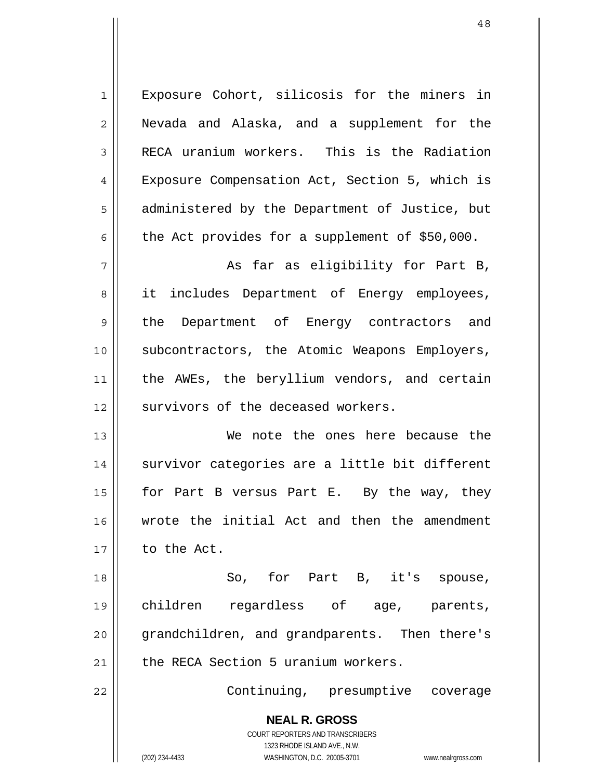**NEAL R. GROSS** 1 2 3 4 5 6 7 8 9 10 11 12 13 14 15 16 17 18 19 20 21 22 Exposure Cohort, silicosis for the miners in Nevada and Alaska, and a supplement for the RECA uranium workers. This is the Radiation Exposure Compensation Act, Section 5, which is administered by the Department of Justice, but the Act provides for a supplement of \$50,000. As far as eligibility for Part B, it includes Department of Energy employees, the Department of Energy contractors and subcontractors, the Atomic Weapons Employers, the AWEs, the beryllium vendors, and certain survivors of the deceased workers. We note the ones here because the survivor categories are a little bit different for Part B versus Part E. By the way, they wrote the initial Act and then the amendment to the Act. So, for Part B, it's spouse, children regardless of age, parents, grandchildren, and grandparents. Then there's the RECA Section 5 uranium workers. Continuing, presumptive coverage

> COURT REPORTERS AND TRANSCRIBERS 1323 RHODE ISLAND AVE., N.W.

(202) 234-4433 WASHINGTON, D.C. 20005-3701 www.nealrgross.com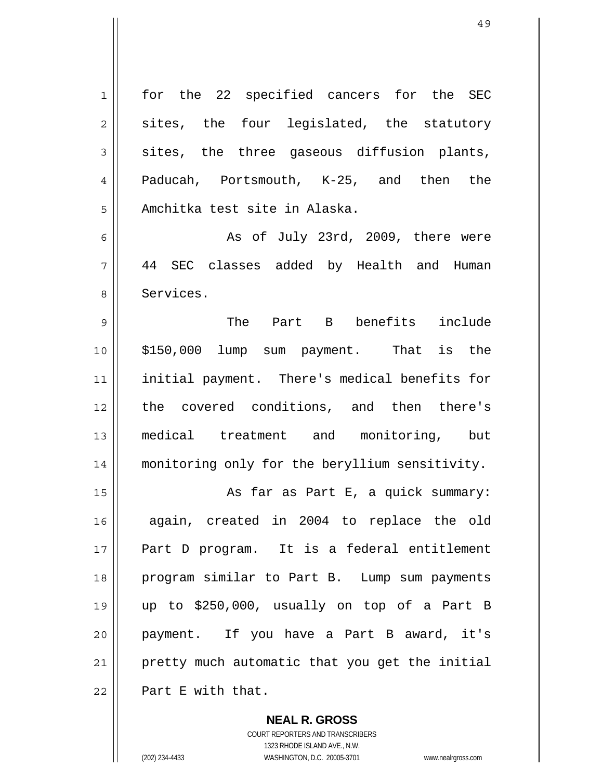| 1              | for the 22 specified cancers for the SEC       |
|----------------|------------------------------------------------|
| $\overline{2}$ | sites, the four legislated, the statutory      |
| 3              | sites, the three gaseous diffusion plants,     |
| 4              | Paducah, Portsmouth, K-25, and then the        |
| 5              | Amchitka test site in Alaska.                  |
| 6              | As of July 23rd, 2009, there were              |
| 7              | 44 SEC classes added by Health and Human       |
| 8              | Services.                                      |
| $\overline{9}$ | The Part B benefits include                    |
| 10             | \$150,000 lump sum payment. That is the        |
| 11             | initial payment. There's medical benefits for  |
| 12             | the covered conditions, and then there's       |
| 13             | medical treatment and monitoring, but          |
| 14             | monitoring only for the beryllium sensitivity. |
| 15             | As far as Part E, a quick summary:             |
| 16             | again, created in 2004 to replace the old      |
| 17             | Part D program. It is a federal entitlement    |
| 18             | program similar to Part B. Lump sum payments   |
| 19             | up to \$250,000, usually on top of a Part B    |
| 20             | payment. If you have a Part B award, it's      |
| 21             | pretty much automatic that you get the initial |
| 22             | Part E with that.                              |

COURT REPORTERS AND TRANSCRIBERS 1323 RHODE ISLAND AVE., N.W. (202) 234-4433 WASHINGTON, D.C. 20005-3701 www.nealrgross.com

**NEAL R. GROSS**

 $\mathbf{I}$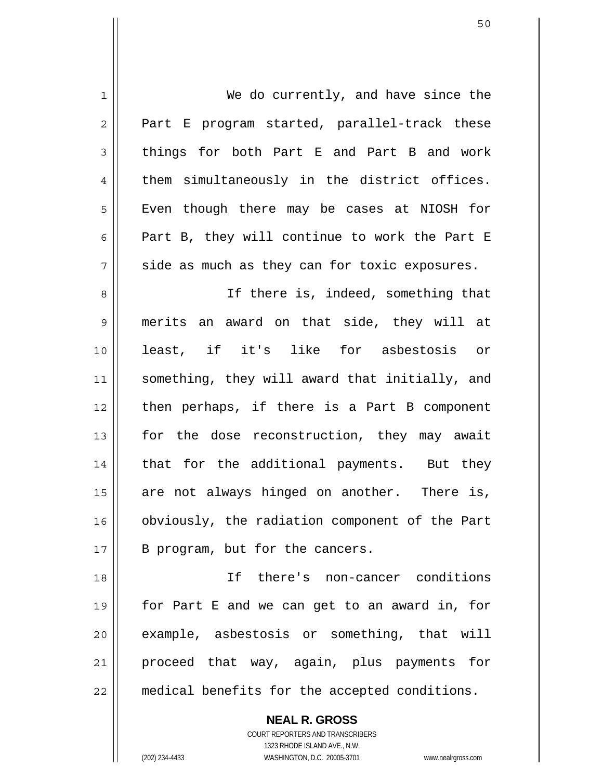| $\mathbf 1$    | We do currently, and have since the            |
|----------------|------------------------------------------------|
| $\sqrt{2}$     | Part E program started, parallel-track these   |
| 3              | things for both Part E and Part B and work     |
| $\overline{4}$ | them simultaneously in the district offices.   |
| 5              | Even though there may be cases at NIOSH for    |
| 6              | Part B, they will continue to work the Part E  |
| 7              | side as much as they can for toxic exposures.  |
| 8              | If there is, indeed, something that            |
| 9              | merits an award on that side, they will at     |
| 10             | least, if it's like for asbestosis or          |
| 11             | something, they will award that initially, and |
| 12             | then perhaps, if there is a Part B component   |
| 13             | for the dose reconstruction, they may await    |
| 14             | that for the additional payments. But they     |
| 15             | are not always hinged on another. There is,    |
| 16             | obviously, the radiation component of the Part |
| $17$           | B program, but for the cancers.                |
| 18             | If there's non-cancer conditions               |
| 19             | for Part E and we can get to an award in, for  |
| 20             | example, asbestosis or something, that will    |
| 21             | proceed that way, again, plus payments for     |
| 22             | medical benefits for the accepted conditions.  |

**NEAL R. GROSS** COURT REPORTERS AND TRANSCRIBERS

1323 RHODE ISLAND AVE., N.W.

(202) 234-4433 WASHINGTON, D.C. 20005-3701 www.nealrgross.com

 $\mathsf{II}$ 

 $\mathsf{I}$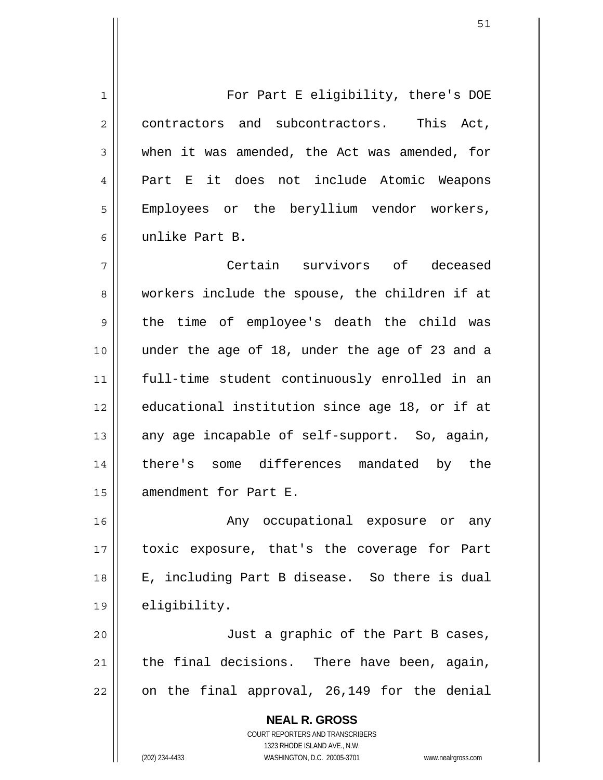For Part E eligibility, there's DOE contractors and subcontractors. This Act, when it was amended, the Act was amended, for Part E it does not include Atomic Weapons Employees or the beryllium vendor workers, unlike Part B.

7 8 9 10 11 12 13 14 15 Certain survivors of deceased workers include the spouse, the children if at the time of employee's death the child was under the age of 18, under the age of 23 and a full-time student continuously enrolled in an educational institution since age 18, or if at any age incapable of self-support. So, again, there's some differences mandated by the amendment for Part E.

16 17 18 19 Any occupational exposure or any toxic exposure, that's the coverage for Part E, including Part B disease. So there is dual eligibility.

20 21 22 Just a graphic of the Part B cases, the final decisions. There have been, again, on the final approval, 26,149 for the denial

> **NEAL R. GROSS** COURT REPORTERS AND TRANSCRIBERS 1323 RHODE ISLAND AVE., N.W. (202) 234-4433 WASHINGTON, D.C. 20005-3701 www.nealrgross.com

1

2

3

4

5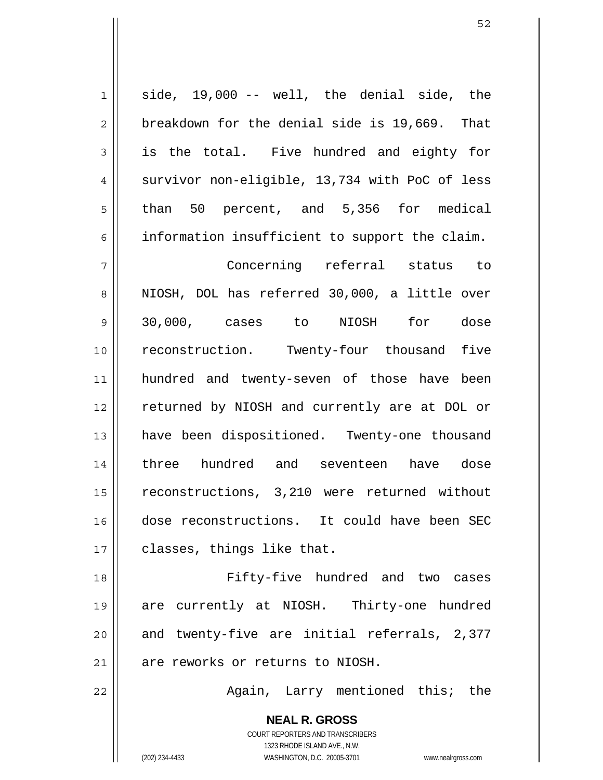| $\mathbf 1$    | side, 19,000 -- well, the denial side, the     |
|----------------|------------------------------------------------|
| $\overline{2}$ | breakdown for the denial side is 19,669. That  |
| 3              | is the total. Five hundred and eighty for      |
| 4              | survivor non-eligible, 13,734 with PoC of less |
| 5              | than 50 percent, and 5,356 for medical         |
| 6              | information insufficient to support the claim. |
| 7              | Concerning referral status to                  |
| 8              | NIOSH, DOL has referred 30,000, a little over  |
| 9              | 30,000, cases to NIOSH for dose                |
| 10             | reconstruction. Twenty-four thousand five      |
| 11             | hundred and twenty-seven of those have been    |
| 12             | returned by NIOSH and currently are at DOL or  |
| 13             | have been dispositioned. Twenty-one thousand   |
| 14             | three hundred and seventeen have dose          |
| 15             | reconstructions, 3,210 were returned without   |
| 16             | dose reconstructions. It could have been SEC   |
| 17             | classes, things like that.                     |
| 18             | Fifty-five hundred and two cases               |
| 19             | are currently at NIOSH. Thirty-one hundred     |
| 20             | and twenty-five are initial referrals, 2,377   |
| 21             | are reworks or returns to NIOSH.               |
| 22             | Again, Larry mentioned this; the               |
|                | <b>NEAL R. GROSS</b>                           |

COURT REPORTERS AND TRANSCRIBERS 1323 RHODE ISLAND AVE., N.W.

 $\mathsf{II}$ 

(202) 234-4433 WASHINGTON, D.C. 20005-3701 www.nealrgross.com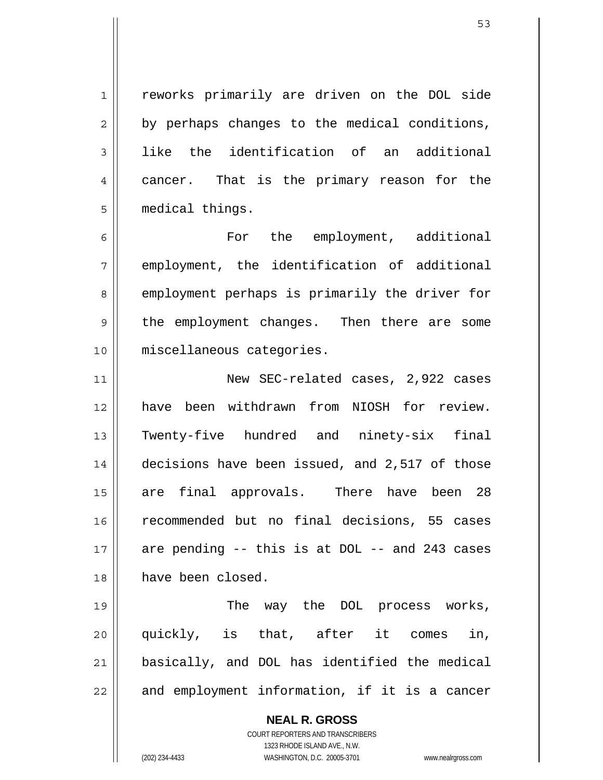1 2 3 4 5 reworks primarily are driven on the DOL side by perhaps changes to the medical conditions, like the identification of an additional cancer. That is the primary reason for the medical things.

6 7 8 9 10 For the employment, additional employment, the identification of additional employment perhaps is primarily the driver for the employment changes. Then there are some miscellaneous categories.

11 12 13 14 15 16 17 18 New SEC-related cases, 2,922 cases have been withdrawn from NIOSH for review. Twenty-five hundred and ninety-six final decisions have been issued, and 2,517 of those are final approvals. There have been 28 recommended but no final decisions, 55 cases are pending -- this is at DOL -- and 243 cases have been closed.

19 20 21 22 The way the DOL process works, quickly, is that, after it comes in, basically, and DOL has identified the medical and employment information, if it is a cancer

> **NEAL R. GROSS** COURT REPORTERS AND TRANSCRIBERS 1323 RHODE ISLAND AVE., N.W. (202) 234-4433 WASHINGTON, D.C. 20005-3701 www.nealrgross.com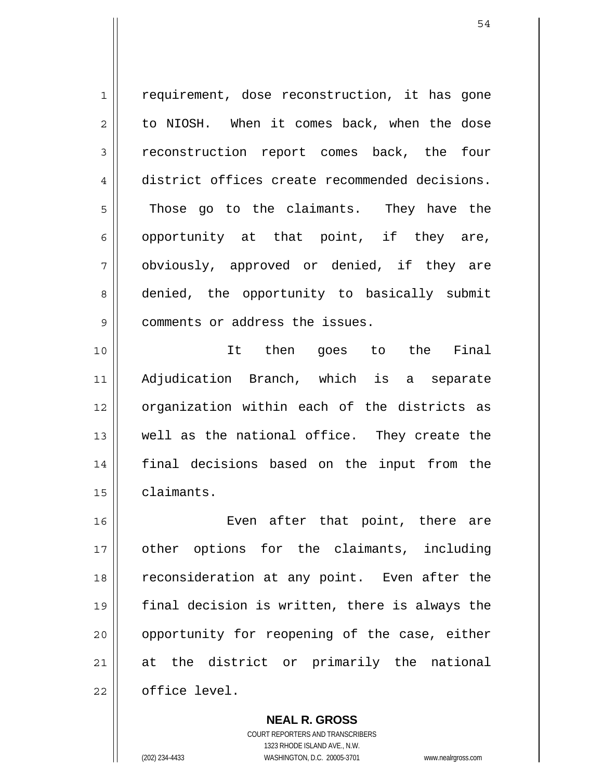1 2 3 4 5 6 7 8 9 requirement, dose reconstruction, it has gone to NIOSH. When it comes back, when the dose reconstruction report comes back, the four district offices create recommended decisions. Those go to the claimants. They have the opportunity at that point, if they are, obviously, approved or denied, if they are denied, the opportunity to basically submit comments or address the issues.

10 11 12 13 14 15 It then goes to the Final Adjudication Branch, which is a separate organization within each of the districts as well as the national office. They create the final decisions based on the input from the claimants.

16 17 18 19 20 21 22 Even after that point, there are other options for the claimants, including reconsideration at any point. Even after the final decision is written, there is always the opportunity for reopening of the case, either at the district or primarily the national office level.

> **NEAL R. GROSS** COURT REPORTERS AND TRANSCRIBERS 1323 RHODE ISLAND AVE., N.W. (202) 234-4433 WASHINGTON, D.C. 20005-3701 www.nealrgross.com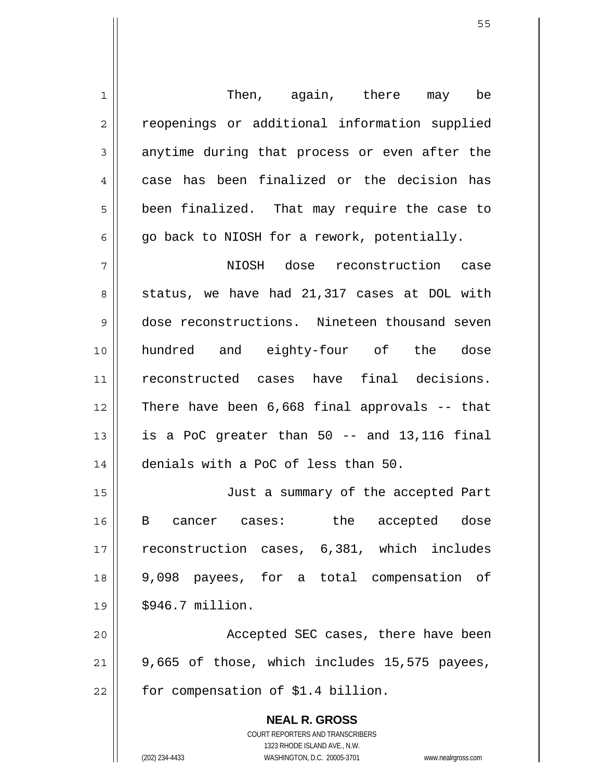**NEAL R. GROSS** COURT REPORTERS AND TRANSCRIBERS 1323 RHODE ISLAND AVE., N.W. (202) 234-4433 WASHINGTON, D.C. 20005-3701 www.nealrgross.com 1 2 3 4 5 6 7 8 9 10 11 12 13 14 15 16 17 18 19 20 21 22 Then, again, there may be reopenings or additional information supplied anytime during that process or even after the case has been finalized or the decision has been finalized. That may require the case to go back to NIOSH for a rework, potentially. NIOSH dose reconstruction case status, we have had 21,317 cases at DOL with dose reconstructions. Nineteen thousand seven hundred and eighty-four of the dose reconstructed cases have final decisions. There have been 6,668 final approvals -- that is a PoC greater than 50 -- and 13,116 final denials with a PoC of less than 50. Just a summary of the accepted Part B cancer cases: the accepted dose reconstruction cases, 6,381, which includes 9,098 payees, for a total compensation of \$946.7 million. Accepted SEC cases, there have been 9,665 of those, which includes 15,575 payees, for compensation of \$1.4 billion.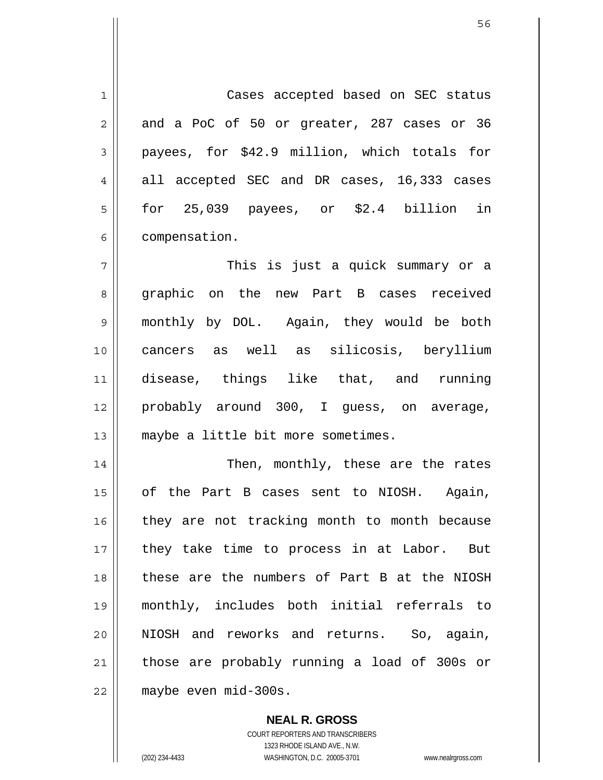1 2 3 4 5 6 7 8 9 10 11 12 13 14 15 16 17 18 19 20 21 Cases accepted based on SEC status and a PoC of 50 or greater, 287 cases or 36 payees, for \$42.9 million, which totals for all accepted SEC and DR cases, 16,333 cases for 25,039 payees, or \$2.4 billion in compensation. This is just a quick summary or a graphic on the new Part B cases received monthly by DOL. Again, they would be both cancers as well as silicosis, beryllium disease, things like that, and running probably around 300, I guess, on average, maybe a little bit more sometimes. Then, monthly, these are the rates of the Part B cases sent to NIOSH. Again, they are not tracking month to month because they take time to process in at Labor. But these are the numbers of Part B at the NIOSH monthly, includes both initial referrals to NIOSH and reworks and returns. So, again, those are probably running a load of 300s or

22

**NEAL R. GROSS**

COURT REPORTERS AND TRANSCRIBERS 1323 RHODE ISLAND AVE., N.W. (202) 234-4433 WASHINGTON, D.C. 20005-3701 www.nealrgross.com

maybe even mid-300s.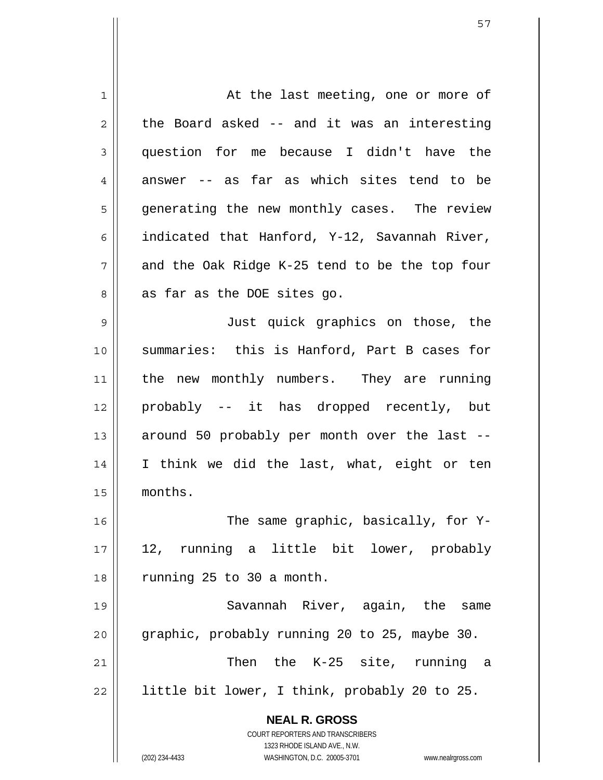**NEAL R. GROSS** COURT REPORTERS AND TRANSCRIBERS 1323 RHODE ISLAND AVE., N.W. 1 2 3 4 5 6 7 8 9 10 11 12 13 14 15 16 17 18 19 20 21 22 At the last meeting, one or more of the Board asked -- and it was an interesting question for me because I didn't have the answer -- as far as which sites tend to be generating the new monthly cases. The review indicated that Hanford, Y-12, Savannah River, and the Oak Ridge K-25 tend to be the top four as far as the DOE sites go. Just quick graphics on those, the summaries: this is Hanford, Part B cases for the new monthly numbers. They are running probably -- it has dropped recently, but around 50 probably per month over the last -- I think we did the last, what, eight or ten months. The same graphic, basically, for Y-12, running a little bit lower, probably running 25 to 30 a month. Savannah River, again, the same graphic, probably running 20 to 25, maybe 30. Then the K-25 site, running a little bit lower, I think, probably 20 to 25.

(202) 234-4433 WASHINGTON, D.C. 20005-3701 www.nealrgross.com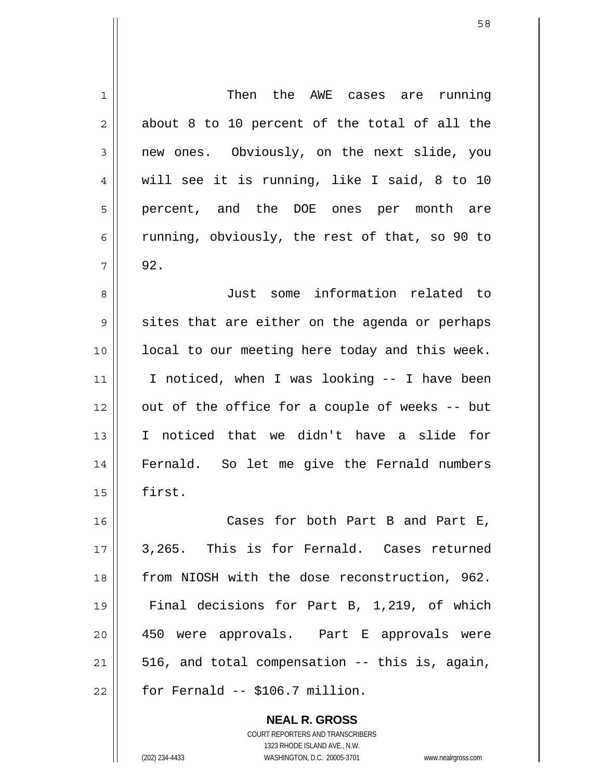| 1  | Then the AWE cases are<br>running                        |
|----|----------------------------------------------------------|
| 2  | about 8 to 10 percent of the total of all the            |
| 3  | new ones. Obviously, on the next slide, you              |
| 4  | will see it is running, like I said, 8 to 10             |
| 5  | percent, and the DOE ones per month are                  |
| 6  | running, obviously, the rest of that, so 90 to           |
| 7  | 92.                                                      |
| 8  | Just some information related to                         |
| 9  | sites that are either on the agenda or perhaps           |
| 10 | local to our meeting here today and this week.           |
| 11 | I noticed, when I was looking -- I have been             |
| 12 | out of the office for a couple of weeks -- but           |
| 13 | I noticed that we didn't have a slide for                |
| 14 | Fernald. So let me give the Fernald numbers              |
| 15 | first.                                                   |
| 16 | Cases for both Part B and Part E,                        |
| 17 | 3,265. This is for Fernald. Cases returned               |
| 18 | from NIOSH with the dose reconstruction, 962.            |
| 19 | Final decisions for Part B, 1,219, of which              |
| 20 | 450 were approvals. Part E approvals were                |
| 21 | 516, and total compensation -- this is, again,           |
| 22 | for Fernald -- \$106.7 million.                          |
|    | <b>NEAL R. GROSS</b><br>COURT REPORTERS AND TRANSCRIBERS |

1323 RHODE ISLAND AVE., N.W.

 $\prod$ 

(202) 234-4433 WASHINGTON, D.C. 20005-3701 www.nealrgross.com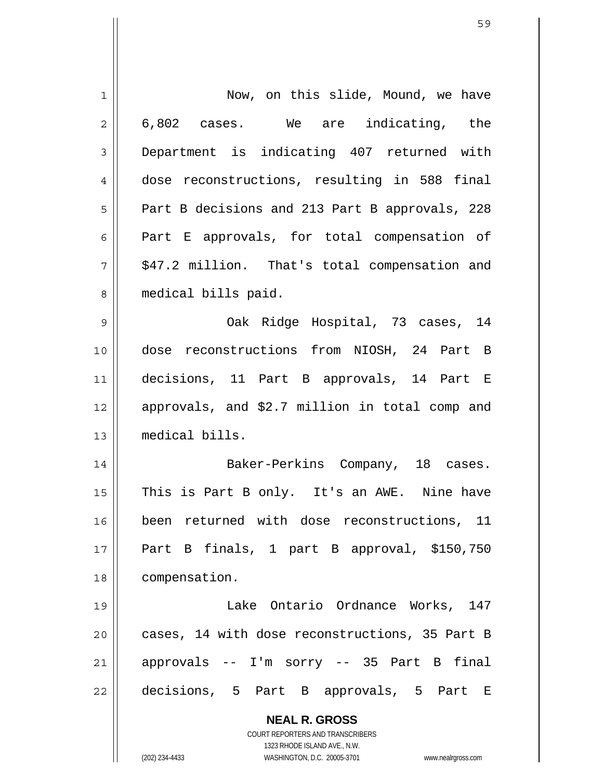| 1  | Now, on this slide, Mound, we have                                                                  |
|----|-----------------------------------------------------------------------------------------------------|
| 2  | 6,802 cases. We are indicating, the                                                                 |
| 3  | Department is indicating 407 returned with                                                          |
| 4  | dose reconstructions, resulting in 588 final                                                        |
| 5  | Part B decisions and 213 Part B approvals, 228                                                      |
| 6  | Part E approvals, for total compensation of                                                         |
| 7  | \$47.2 million. That's total compensation and                                                       |
| 8  | medical bills paid.                                                                                 |
| 9  | Oak Ridge Hospital, 73 cases, 14                                                                    |
| 10 | dose reconstructions from NIOSH, 24 Part B                                                          |
| 11 | decisions, 11 Part B approvals, 14 Part E                                                           |
| 12 | approvals, and \$2.7 million in total comp and                                                      |
| 13 | medical bills.                                                                                      |
| 14 | Baker-Perkins Company, 18 cases.                                                                    |
| 15 | This is Part B only. It's an AWE. Nine have                                                         |
| 16 | been returned with dose reconstructions, 11                                                         |
| 17 | Part B finals, 1 part B approval, \$150,750                                                         |
| 18 | compensation.                                                                                       |
| 19 | Lake Ontario Ordnance Works, 147                                                                    |
| 20 | cases, 14 with dose reconstructions, 35 Part B                                                      |
| 21 | approvals -- I'm sorry -- 35 Part B final                                                           |
| 22 | decisions, 5 Part B approvals, 5 Part E                                                             |
|    | <b>NEAL R. GROSS</b>                                                                                |
|    | COURT REPORTERS AND TRANSCRIBERS                                                                    |
|    | 1323 RHODE ISLAND AVE., N.W.<br>(202) 234-4433<br>WASHINGTON, D.C. 20005-3701<br>www.nealrgross.com |

 $\mathsf{I}$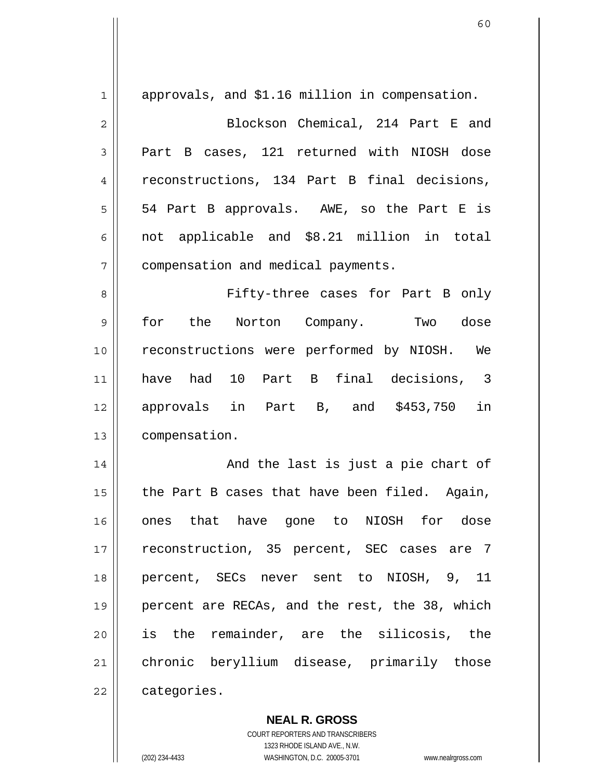| 1              | approvals, and \$1.16 million in compensation. |
|----------------|------------------------------------------------|
| $\overline{2}$ | Blockson Chemical, 214 Part E and              |
| 3              | Part B cases, 121 returned with NIOSH dose     |
| 4              | reconstructions, 134 Part B final decisions,   |
| 5              | 54 Part B approvals. AWE, so the Part E is     |
| 6              | not applicable and \$8.21 million in total     |
| 7              | compensation and medical payments.             |
| 8              | Fifty-three cases for Part B only              |
| 9              | for the<br>Norton Company. Two dose            |
| 10             | reconstructions were performed by NIOSH. We    |
| 11             | have had 10 Part B final decisions, 3          |
| 12             | in<br>approvals in Part B, and \$453,750       |
| 13             | compensation.                                  |
| 14             | And the last is just a pie chart of            |
| 15             | the Part B cases that have been filed. Again,  |
| 16             | ones that have gone to NIOSH for dose          |
| 17             | reconstruction, 35 percent, SEC cases are 7    |
| 18             | percent, SECs never sent to NIOSH, 9, 11       |
| 19             | percent are RECAs, and the rest, the 38, which |
| 20             | is the remainder, are the silicosis, the       |
| 21             | chronic beryllium disease, primarily those     |
| 22             | categories.                                    |

**NEAL R. GROSS** COURT REPORTERS AND TRANSCRIBERS 1323 RHODE ISLAND AVE., N.W. (202) 234-4433 WASHINGTON, D.C. 20005-3701 www.nealrgross.com

 $\mathbf{I}$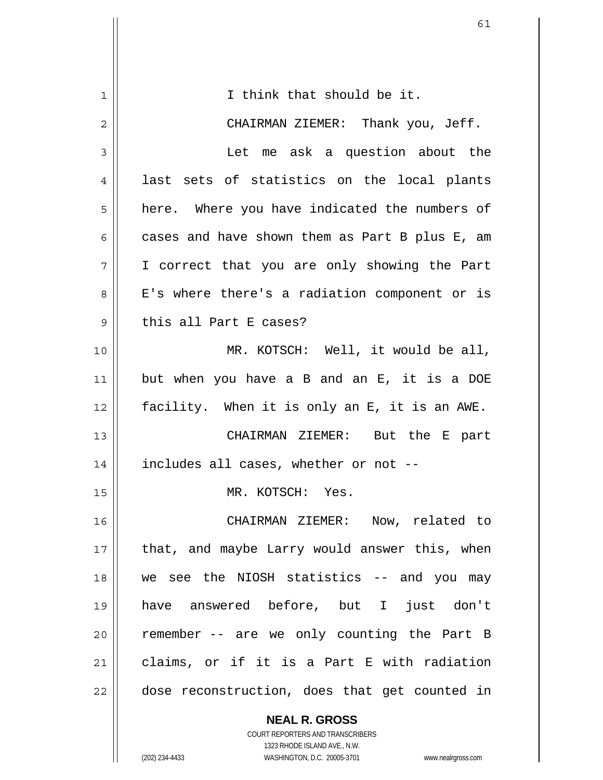| 1  | I think that should be it.                                          |
|----|---------------------------------------------------------------------|
| 2  | CHAIRMAN ZIEMER: Thank you, Jeff.                                   |
| 3  | Let me ask a question about the                                     |
| 4  | last sets of statistics on the local plants                         |
| 5  | here. Where you have indicated the numbers of                       |
| 6  | cases and have shown them as Part B plus E, am                      |
| 7  | I correct that you are only showing the Part                        |
| 8  | E's where there's a radiation component or is                       |
| 9  | this all Part E cases?                                              |
| 10 | MR. KOTSCH: Well, it would be all,                                  |
| 11 | but when you have a B and an E, it is a DOE                         |
| 12 | facility. When it is only an E, it is an AWE.                       |
| 13 | CHAIRMAN ZIEMER: But the E part                                     |
| 14 | includes all cases, whether or not --                               |
| 15 | MR. KOTSCH: Yes.                                                    |
| 16 | CHAIRMAN ZIEMER: Now, related to                                    |
| 17 | that, and maybe Larry would answer this, when                       |
| 18 | we see the NIOSH statistics -- and you may                          |
| 19 | have answered before, but I<br>just don't                           |
| 20 | remember -- are we only counting the Part B                         |
| 21 | claims, or if it is a Part E with radiation                         |
| 22 | dose reconstruction, does that get counted in                       |
|    | <b>NEAL R. GROSS</b>                                                |
|    | COURT REPORTERS AND TRANSCRIBERS<br>1323 RHODE ISLAND AVE., N.W.    |
|    | (202) 234-4433<br>WASHINGTON, D.C. 20005-3701<br>www.nealrgross.com |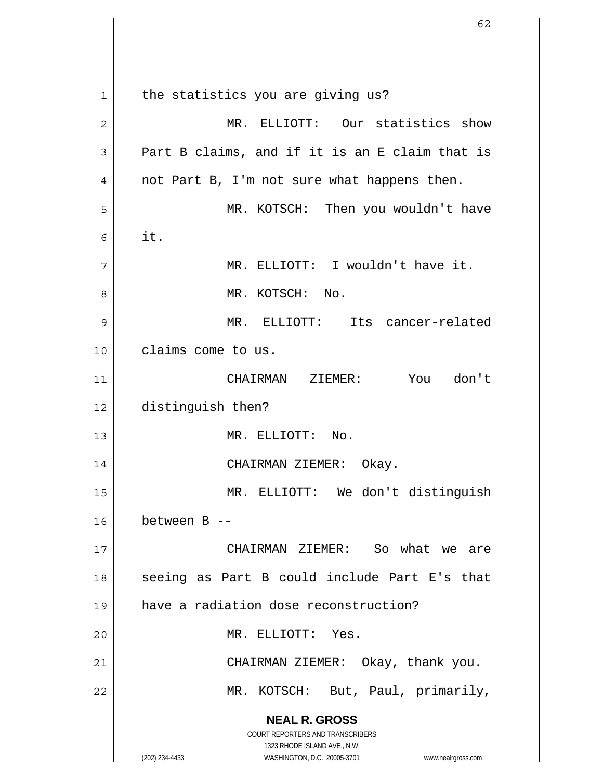**NEAL R. GROSS** COURT REPORTERS AND TRANSCRIBERS 1323 RHODE ISLAND AVE., N.W. (202) 234-4433 WASHINGTON, D.C. 20005-3701 www.nealrgross.com 1 2 3 4 5 6 7 8 9 10 11 12 13 14 15 16 17 18 19 20 21 22 the statistics you are giving us? MR. ELLIOTT: Our statistics show Part B claims, and if it is an E claim that is not Part B, I'm not sure what happens then. MR. KOTSCH: Then you wouldn't have it. MR. ELLIOTT: I wouldn't have it. MR. KOTSCH: No. MR. ELLIOTT: Its cancer-related claims come to us. CHAIRMAN ZIEMER: You don't distinguish then? MR. ELLIOTT: No. CHAIRMAN ZIEMER: Okay. MR. ELLIOTT: We don't distinguish between B -- CHAIRMAN ZIEMER: So what we are seeing as Part B could include Part E's that have a radiation dose reconstruction? MR. ELLIOTT: Yes. CHAIRMAN ZIEMER: Okay, thank you. MR. KOTSCH: But, Paul, primarily,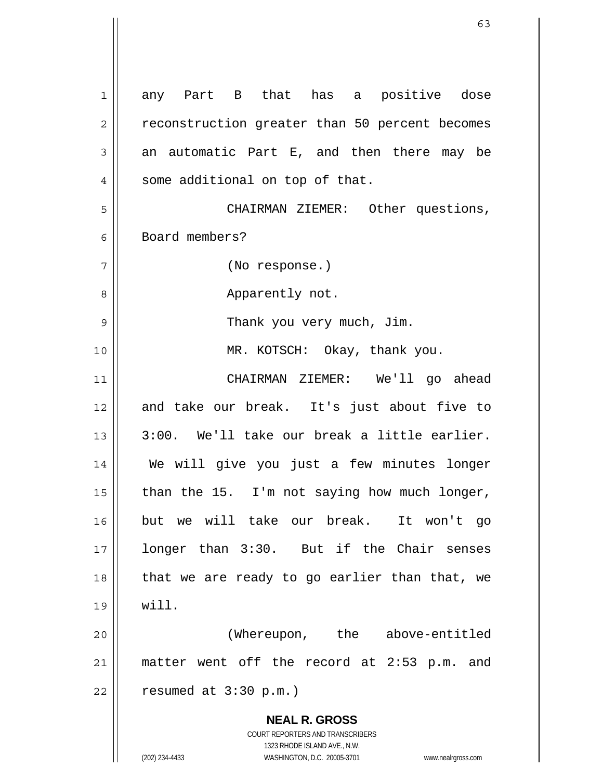**NEAL R. GROSS** COURT REPORTERS AND TRANSCRIBERS 1323 RHODE ISLAND AVE., N.W. (202) 234-4433 WASHINGTON, D.C. 20005-3701 www.nealrgross.com 1 2 3 4 5 6 7 8 9 10 11 12 13 14 15 16 17 18 19 20 21 22 any Part B that has a positive dose reconstruction greater than 50 percent becomes an automatic Part E, and then there may be some additional on top of that. CHAIRMAN ZIEMER: Other questions, Board members? (No response.) Apparently not. Thank you very much, Jim. MR. KOTSCH: Okay, thank you. CHAIRMAN ZIEMER: We'll go ahead and take our break. It's just about five to 3:00. We'll take our break a little earlier. We will give you just a few minutes longer than the 15. I'm not saying how much longer, but we will take our break. It won't go longer than 3:30. But if the Chair senses that we are ready to go earlier than that, we will. (Whereupon, the above-entitled matter went off the record at 2:53 p.m. and resumed at 3:30 p.m.)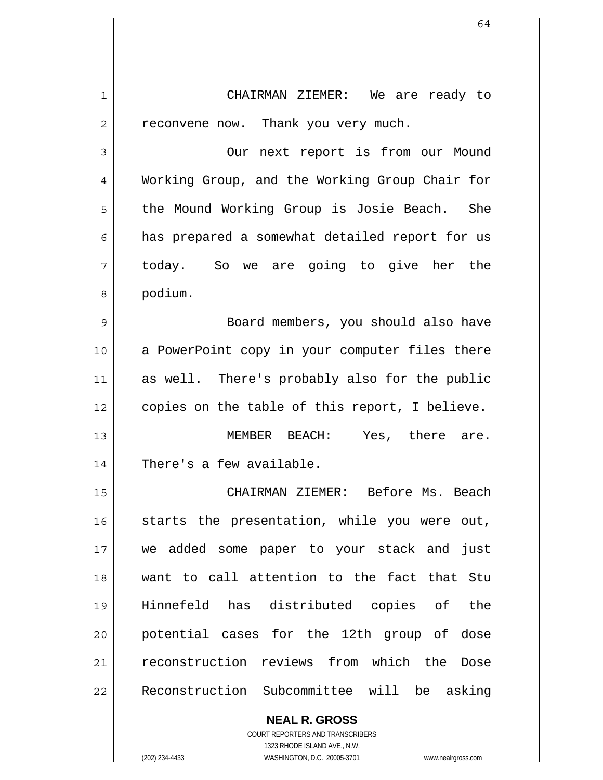1 2 3 4 5 6 7 8 9 10 11 12 13 14 15 16 17 18 19 20 21 22 CHAIRMAN ZIEMER: We are ready to reconvene now. Thank you very much. Our next report is from our Mound Working Group, and the Working Group Chair for the Mound Working Group is Josie Beach. She has prepared a somewhat detailed report for us today. So we are going to give her the podium. Board members, you should also have a PowerPoint copy in your computer files there as well. There's probably also for the public copies on the table of this report, I believe. MEMBER BEACH: Yes, there are. There's a few available. CHAIRMAN ZIEMER: Before Ms. Beach starts the presentation, while you were out, we added some paper to your stack and just want to call attention to the fact that Stu Hinnefeld has distributed copies of the potential cases for the 12th group of dose reconstruction reviews from which the Dose Reconstruction Subcommittee will be asking

> **NEAL R. GROSS** COURT REPORTERS AND TRANSCRIBERS 1323 RHODE ISLAND AVE., N.W.

(202) 234-4433 WASHINGTON, D.C. 20005-3701 www.nealrgross.com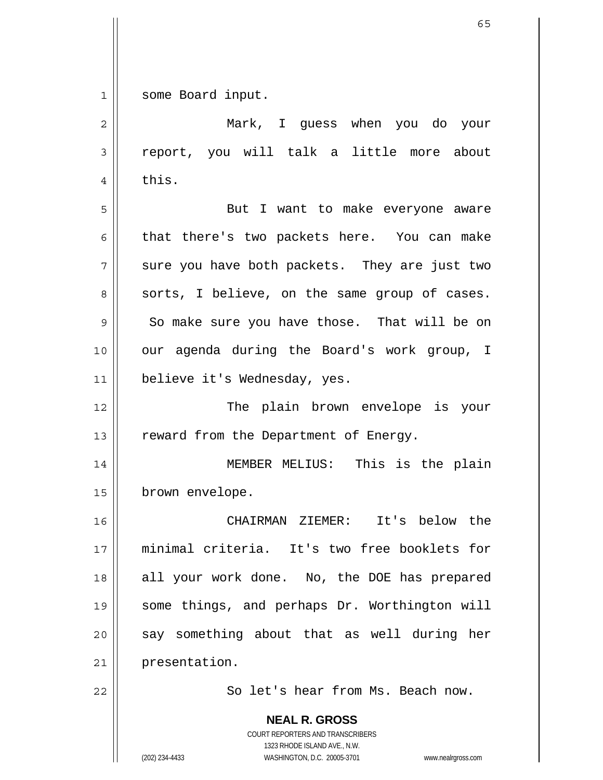**NEAL R. GROSS** 1 2 3 4 5 6 7 8 9 10 11 12 13 14 15 16 17 18 19 20 21 22 some Board input. Mark, I guess when you do your report, you will talk a little more about this. But I want to make everyone aware that there's two packets here. You can make sure you have both packets. They are just two sorts, I believe, on the same group of cases. So make sure you have those. That will be on our agenda during the Board's work group, I believe it's Wednesday, yes. The plain brown envelope is your reward from the Department of Energy. MEMBER MELIUS: This is the plain brown envelope. CHAIRMAN ZIEMER: It's below the minimal criteria. It's two free booklets for all your work done. No, the DOE has prepared some things, and perhaps Dr. Worthington will say something about that as well during her presentation. So let's hear from Ms. Beach now.

> COURT REPORTERS AND TRANSCRIBERS 1323 RHODE ISLAND AVE., N.W.

(202) 234-4433 WASHINGTON, D.C. 20005-3701 www.nealrgross.com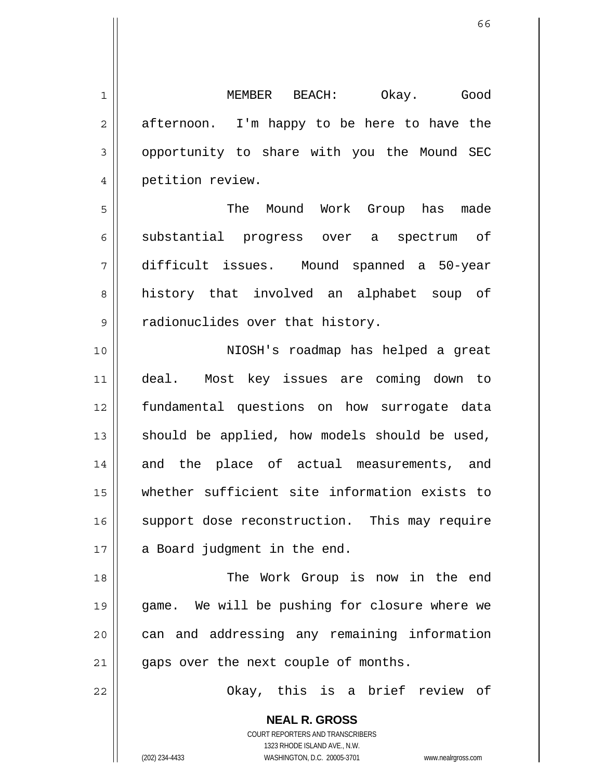1 2 3 4 5 6 7 8 9 10 11 12 13 14 15 MEMBER BEACH: Okay. Good afternoon. I'm happy to be here to have the opportunity to share with you the Mound SEC petition review. The Mound Work Group has made substantial progress over a spectrum of difficult issues. Mound spanned a 50-year history that involved an alphabet soup of radionuclides over that history. NIOSH's roadmap has helped a great deal. Most key issues are coming down to fundamental questions on how surrogate data should be applied, how models should be used, and the place of actual measurements, and whether sufficient site information exists to

16 17 support dose reconstruction. This may require a Board judgment in the end.

18 19 20 21 The Work Group is now in the end game. We will be pushing for closure where we can and addressing any remaining information gaps over the next couple of months.

Okay, this is a brief review of

**NEAL R. GROSS** COURT REPORTERS AND TRANSCRIBERS 1323 RHODE ISLAND AVE., N.W. (202) 234-4433 WASHINGTON, D.C. 20005-3701 www.nealrgross.com

22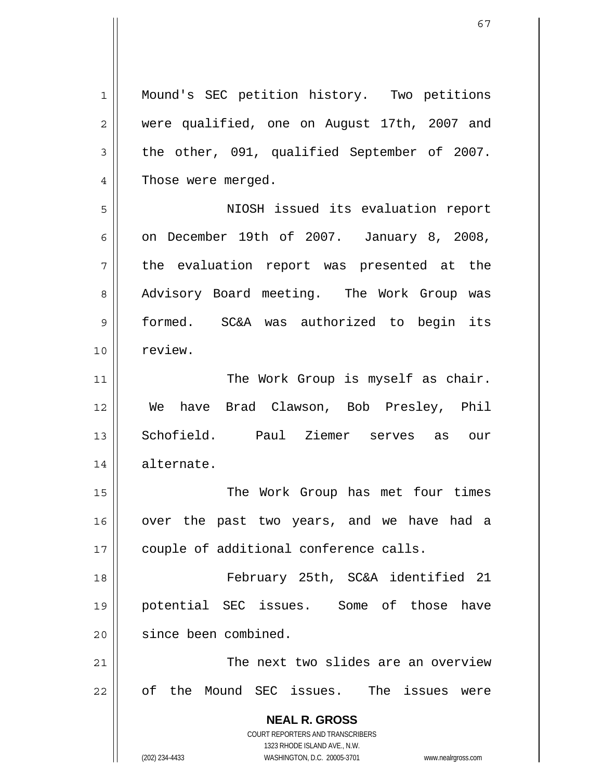**NEAL R. GROSS** COURT REPORTERS AND TRANSCRIBERS 1323 RHODE ISLAND AVE., N.W. 1 2 3 4 5 6 7 8 9 10 11 12 13 14 15 16 17 18 19 20 21 22 Mound's SEC petition history. Two petitions were qualified, one on August 17th, 2007 and the other, 091, qualified September of 2007. Those were merged. NIOSH issued its evaluation report on December 19th of 2007. January 8, 2008, the evaluation report was presented at the Advisory Board meeting. The Work Group was formed. SC&A was authorized to begin its review. The Work Group is myself as chair. We have Brad Clawson, Bob Presley, Phil Schofield. Paul Ziemer serves as our alternate. The Work Group has met four times over the past two years, and we have had a couple of additional conference calls. February 25th, SC&A identified 21 potential SEC issues. Some of those have since been combined. The next two slides are an overview of the Mound SEC issues. The issues were

(202) 234-4433 WASHINGTON, D.C. 20005-3701 www.nealrgross.com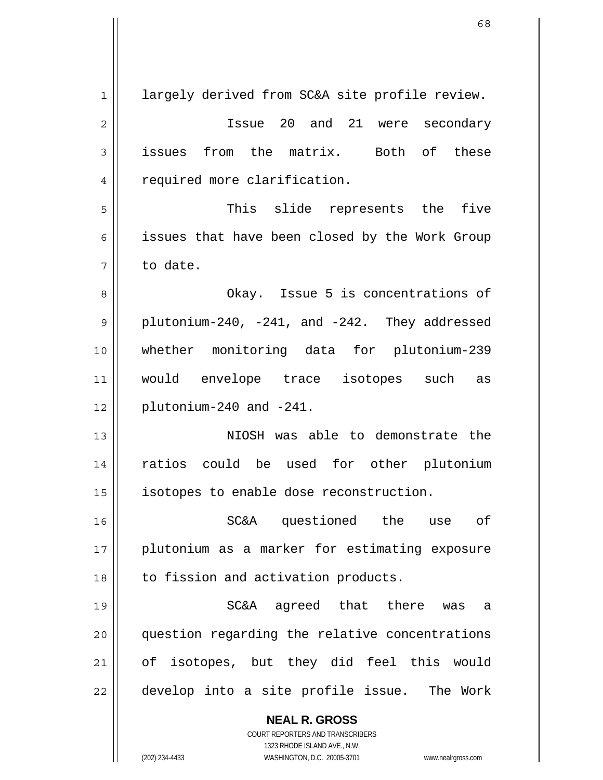| 1              | largely derived from SC&A site profile review.                                                      |
|----------------|-----------------------------------------------------------------------------------------------------|
| $\overline{c}$ | Issue 20 and 21 were secondary                                                                      |
| 3              | issues from the matrix. Both of these                                                               |
| 4              | required more clarification.                                                                        |
| 5              | This slide represents the five                                                                      |
| 6              | issues that have been closed by the Work Group                                                      |
| 7              | to date.                                                                                            |
| 8              | Okay. Issue 5 is concentrations of                                                                  |
| 9              | plutonium-240, -241, and -242. They addressed                                                       |
| 10             | whether monitoring data for plutonium-239                                                           |
| 11             | would envelope trace isotopes such as                                                               |
| 12             | plutonium-240 and -241.                                                                             |
| 13             | NIOSH was able to demonstrate the                                                                   |
| 14             | ratios could be used for other plutonium                                                            |
| 15             | isotopes to enable dose reconstruction.                                                             |
| 16             | SC&A questioned the use of                                                                          |
| 17             | plutonium as a marker for estimating exposure                                                       |
| 18             | to fission and activation products.                                                                 |
| 19             | SC&A agreed that there was<br>- a                                                                   |
| 20             | question regarding the relative concentrations                                                      |
| 21             | of isotopes, but they did feel this would                                                           |
| 22             | develop into a site profile issue. The Work                                                         |
|                | <b>NEAL R. GROSS</b>                                                                                |
|                | <b>COURT REPORTERS AND TRANSCRIBERS</b>                                                             |
|                | 1323 RHODE ISLAND AVE., N.W.<br>(202) 234-4433<br>WASHINGTON, D.C. 20005-3701<br>www.nealrgross.com |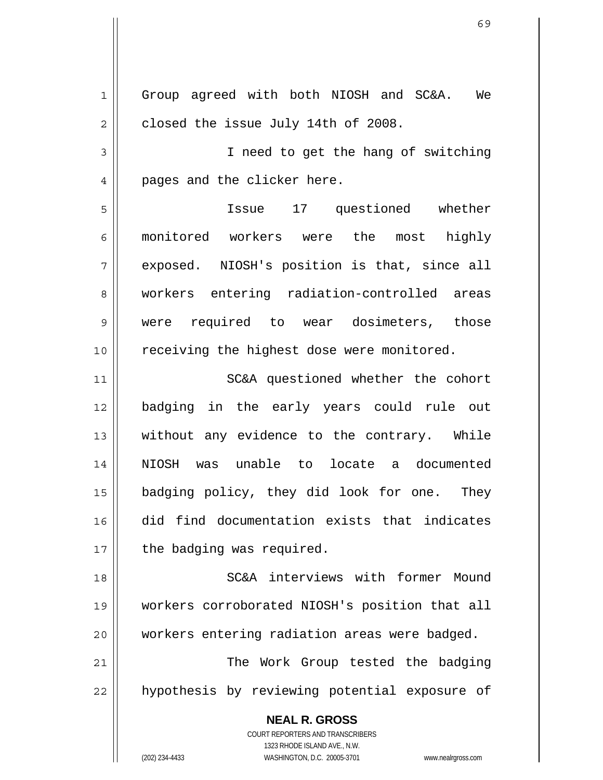**NEAL R. GROSS** 1 2 3 4 5 6 7 8 9 10 11 12 13 14 15 16 17 18 19 20 21 22 Group agreed with both NIOSH and SC&A. We closed the issue July 14th of 2008. I need to get the hang of switching pages and the clicker here. Issue 17 questioned whether monitored workers were the most highly exposed. NIOSH's position is that, since all workers entering radiation-controlled areas were required to wear dosimeters, those receiving the highest dose were monitored. SC&A questioned whether the cohort badging in the early years could rule out without any evidence to the contrary. While NIOSH was unable to locate a documented badging policy, they did look for one. They did find documentation exists that indicates the badging was required. SC&A interviews with former Mound workers corroborated NIOSH's position that all workers entering radiation areas were badged. The Work Group tested the badging hypothesis by reviewing potential exposure of

> COURT REPORTERS AND TRANSCRIBERS 1323 RHODE ISLAND AVE., N.W.

(202) 234-4433 WASHINGTON, D.C. 20005-3701 www.nealrgross.com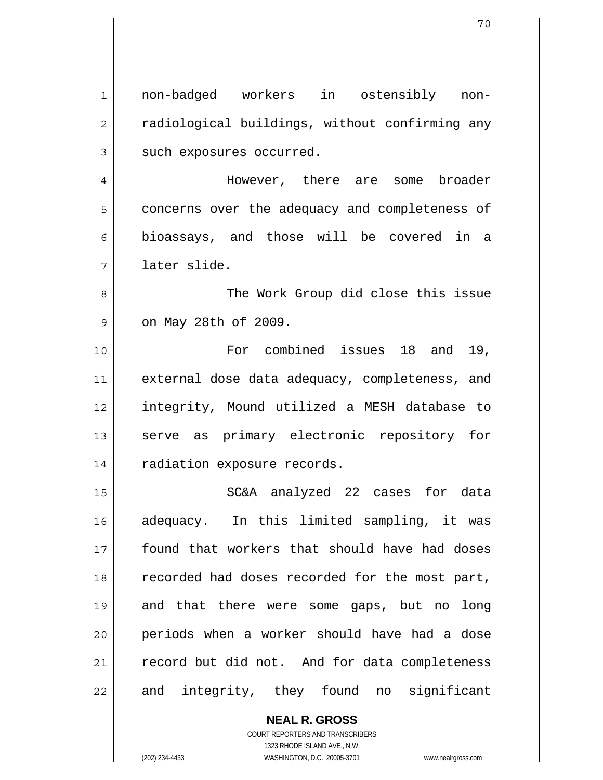| non-badged workers in ostensibly non-          |
|------------------------------------------------|
| radiological buildings, without confirming any |
| such exposures occurred.                       |
| However, there are some broader                |
| concerns over the adequacy and completeness of |
| bioassays, and those will be covered in a      |
| later slide.                                   |
| The Work Group did close this issue            |
| on May 28th of 2009.                           |
| For combined issues 18 and 19,                 |
| external dose data adequacy, completeness, and |
| integrity, Mound utilized a MESH database to   |
| serve as primary electronic repository for     |
| radiation exposure records.                    |
| SC&A analyzed 22 cases for data                |
| adequacy. In this limited sampling, it was     |
| found that workers that should have had doses  |
| recorded had doses recorded for the most part, |
| and that there were some gaps, but no long     |
| periods when a worker should have had a dose   |
| record but did not. And for data completeness  |
| and integrity, they found no significant       |
|                                                |

**NEAL R. GROSS** COURT REPORTERS AND TRANSCRIBERS 1323 RHODE ISLAND AVE., N.W. (202) 234-4433 WASHINGTON, D.C. 20005-3701 www.nealrgross.com

 $\mathbf{I}$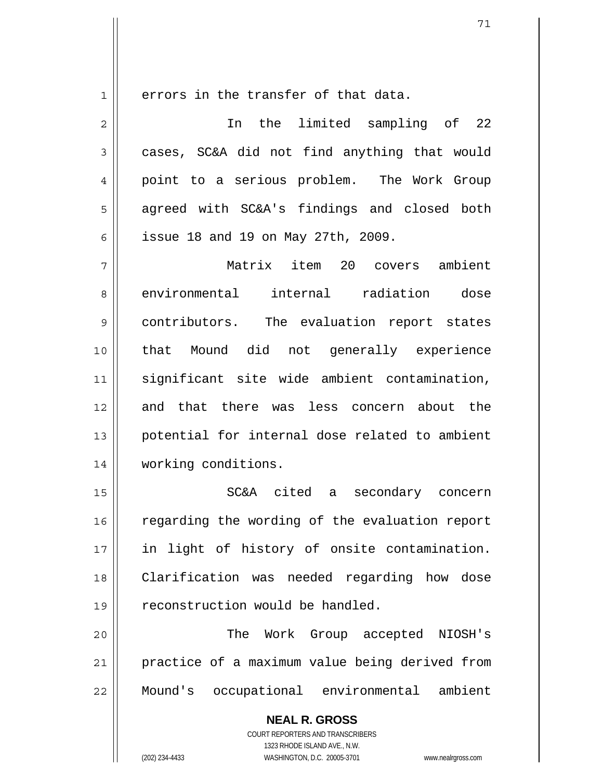1

errors in the transfer of that data.

2 3 4 5 6 7 8 9 10 11 12 13 14 15 16 17 18 19 20 21 In the limited sampling of 22 cases, SC&A did not find anything that would point to a serious problem. The Work Group agreed with SC&A's findings and closed both issue 18 and 19 on May 27th, 2009. Matrix item 20 covers ambient environmental internal radiation dose contributors. The evaluation report states that Mound did not generally experience significant site wide ambient contamination, and that there was less concern about the potential for internal dose related to ambient working conditions. SC&A cited a secondary concern regarding the wording of the evaluation report in light of history of onsite contamination. Clarification was needed regarding how dose reconstruction would be handled. The Work Group accepted NIOSH's practice of a maximum value being derived from

22 Mound's occupational environmental ambient

> **NEAL R. GROSS** COURT REPORTERS AND TRANSCRIBERS 1323 RHODE ISLAND AVE., N.W. (202) 234-4433 WASHINGTON, D.C. 20005-3701 www.nealrgross.com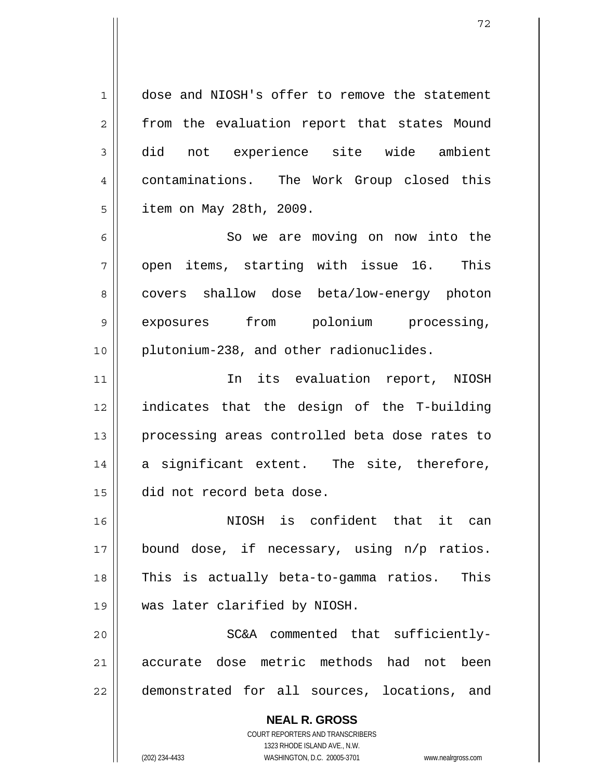**NEAL R. GROSS** 1 2 3 4 5 6 7 8 9 10 11 12 13 14 15 16 17 18 19 20 21 22 dose and NIOSH's offer to remove the statement from the evaluation report that states Mound did not experience site wide ambient contaminations. The Work Group closed this item on May 28th, 2009. So we are moving on now into the open items, starting with issue 16. This covers shallow dose beta/low-energy photon exposures from polonium processing, plutonium-238, and other radionuclides. In its evaluation report, NIOSH indicates that the design of the T-building processing areas controlled beta dose rates to a significant extent. The site, therefore, did not record beta dose. NIOSH is confident that it can bound dose, if necessary, using n/p ratios. This is actually beta-to-gamma ratios. This was later clarified by NIOSH. SC&A commented that sufficientlyaccurate dose metric methods had not been demonstrated for all sources, locations, and

> COURT REPORTERS AND TRANSCRIBERS 1323 RHODE ISLAND AVE., N.W.

(202) 234-4433 WASHINGTON, D.C. 20005-3701 www.nealrgross.com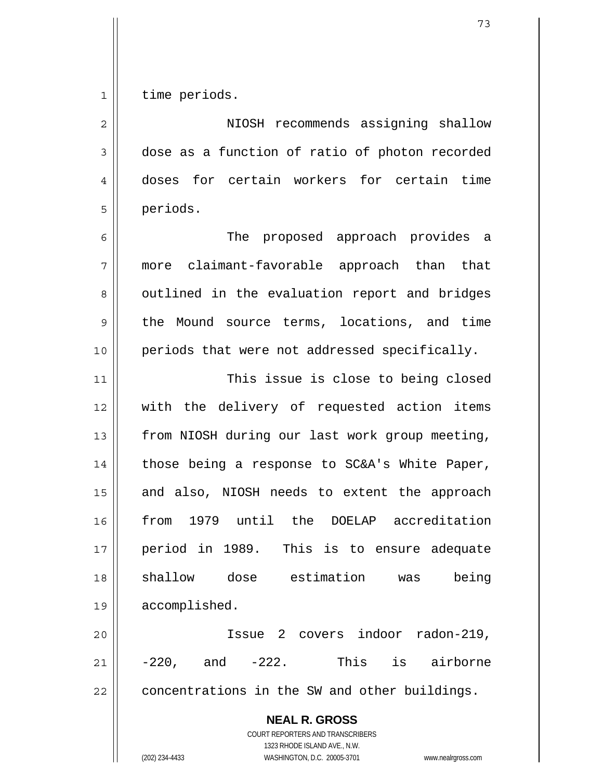1 time periods.

| $\overline{2}$ | NIOSH recommends assigning shallow                                                                                                                                     |
|----------------|------------------------------------------------------------------------------------------------------------------------------------------------------------------------|
| 3              | dose as a function of ratio of photon recorded                                                                                                                         |
| 4              | doses for certain workers for certain time                                                                                                                             |
| 5              | periods.                                                                                                                                                               |
| 6              | The<br>proposed approach provides a                                                                                                                                    |
| 7              | claimant-favorable approach than that<br>more                                                                                                                          |
| 8              | outlined in the evaluation report and bridges                                                                                                                          |
| 9              | the Mound source terms, locations, and time                                                                                                                            |
| 10             | periods that were not addressed specifically.                                                                                                                          |
| 11             | This issue is close to being closed                                                                                                                                    |
| 12             | with the delivery of requested action items                                                                                                                            |
| 13             | from NIOSH during our last work group meeting,                                                                                                                         |
| 14             | those being a response to SC&A's White Paper,                                                                                                                          |
| 15             | and also, NIOSH needs to extent the approach                                                                                                                           |
| 16             | 1979 until the DOELAP accreditation<br>from                                                                                                                            |
| 17             | period in 1989. This is to ensure adequate                                                                                                                             |
| 18             | shallow dose estimation<br>being<br>was                                                                                                                                |
| 19             | accomplished.                                                                                                                                                          |
| 20             | Issue 2 covers indoor radon-219,                                                                                                                                       |
| 21             | This<br>$-220$ ,<br>$-222.$<br>airborne<br>and<br>is                                                                                                                   |
| 22             | concentrations in the SW and other buildings.                                                                                                                          |
|                | <b>NEAL R. GROSS</b><br><b>COURT REPORTERS AND TRANSCRIBERS</b><br>1323 RHODE ISLAND AVE., N.W.<br>(202) 234-4433<br>WASHINGTON, D.C. 20005-3701<br>www.nealrgross.com |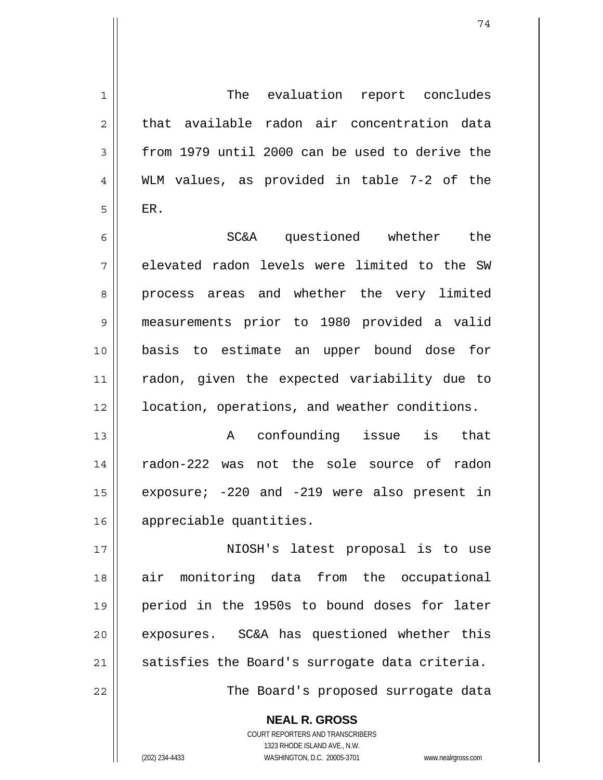1 2 3 4 5 6 7 8 9 10 11 12 13 14 15 16 17 18 19 20 21 The evaluation report concludes that available radon air concentration data from 1979 until 2000 can be used to derive the WLM values, as provided in table 7-2 of the ER. SC&A questioned whether the elevated radon levels were limited to the SW process areas and whether the very limited measurements prior to 1980 provided a valid basis to estimate an upper bound dose for radon, given the expected variability due to location, operations, and weather conditions. A confounding issue is that radon-222 was not the sole source of radon exposure; -220 and -219 were also present in appreciable quantities. NIOSH's latest proposal is to use air monitoring data from the occupational period in the 1950s to bound doses for later exposures. SC&A has questioned whether this satisfies the Board's surrogate data criteria.

The Board's proposed surrogate data

**NEAL R. GROSS** COURT REPORTERS AND TRANSCRIBERS

1323 RHODE ISLAND AVE., N.W.

(202) 234-4433 WASHINGTON, D.C. 20005-3701 www.nealrgross.com

22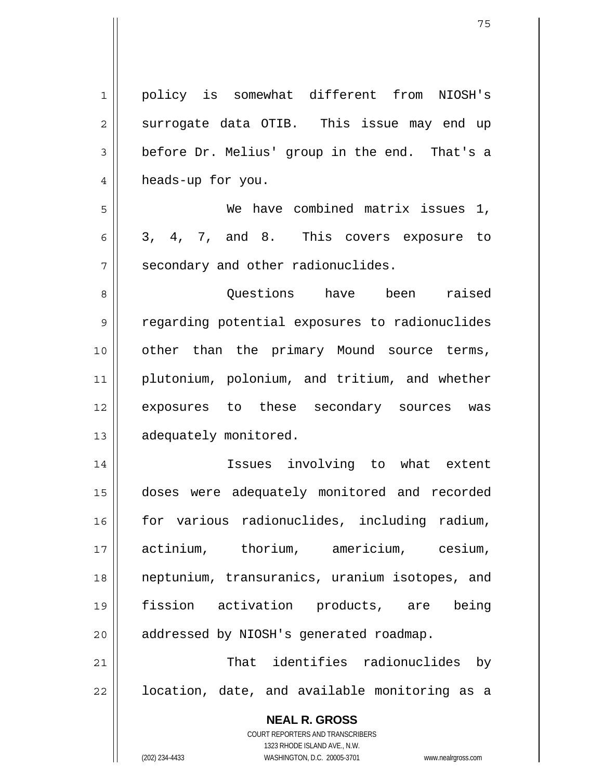| 1  | policy is somewhat different from<br>NIOSH's                        |
|----|---------------------------------------------------------------------|
| 2  | surrogate data OTIB. This issue may end up                          |
| 3  | before Dr. Melius' group in the end. That's a                       |
| 4  | heads-up for you.                                                   |
| 5  | We have combined matrix issues 1,                                   |
| 6  | 3, 4, 7, and 8. This covers exposure to                             |
| 7  | secondary and other radionuclides.                                  |
| 8  | Questions have been raised                                          |
| 9  | regarding potential exposures to radionuclides                      |
| 10 | other than the primary Mound source terms,                          |
| 11 | plutonium, polonium, and tritium, and whether                       |
| 12 | exposures to these secondary sources was                            |
| 13 | adequately monitored.                                               |
| 14 | Issues involving to what extent                                     |
| 15 | doses were adequately monitored and recorded                        |
| 16 | for various radionuclides, including radium,                        |
| 17 | actinium, thorium, americium, cesium,                               |
|    |                                                                     |
| 18 | neptunium, transuranics, uranium isotopes, and                      |
| 19 | fission activation products, are<br>being                           |
| 20 | addressed by NIOSH's generated roadmap.                             |
| 21 | That identifies radionuclides by                                    |
| 22 | location, date, and available monitoring as a                       |
|    | <b>NEAL R. GROSS</b>                                                |
|    | COURT REPORTERS AND TRANSCRIBERS                                    |
|    | 1323 RHODE ISLAND AVE., N.W.                                        |
|    | (202) 234-4433<br>WASHINGTON, D.C. 20005-3701<br>www.nealrgross.com |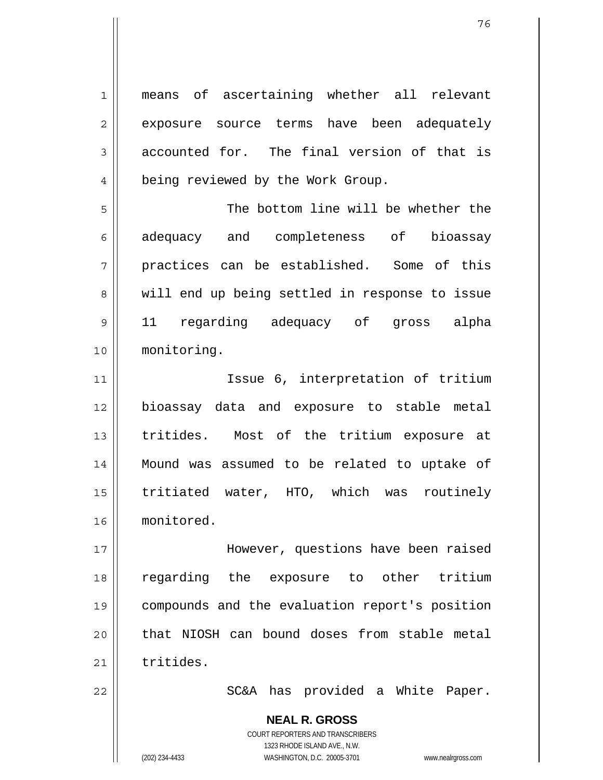1 2 3 4 5 6 7 8 9 10 11 12 means of ascertaining whether all relevant exposure source terms have been adequately accounted for. The final version of that is being reviewed by the Work Group. The bottom line will be whether the adequacy and completeness of bioassay practices can be established. Some of this will end up being settled in response to issue 11 regarding adequacy of gross alpha monitoring. Issue 6, interpretation of tritium bioassay data and exposure to stable metal

13 14 15 16 tritides. Most of the tritium exposure at Mound was assumed to be related to uptake of tritiated water, HTO, which was routinely monitored.

17 18 19 20 21 However, questions have been raised regarding the exposure to other tritium compounds and the evaluation report's position that NIOSH can bound doses from stable metal tritides.

SC&A has provided a White Paper.

**NEAL R. GROSS** COURT REPORTERS AND TRANSCRIBERS 1323 RHODE ISLAND AVE., N.W. (202) 234-4433 WASHINGTON, D.C. 20005-3701 www.nealrgross.com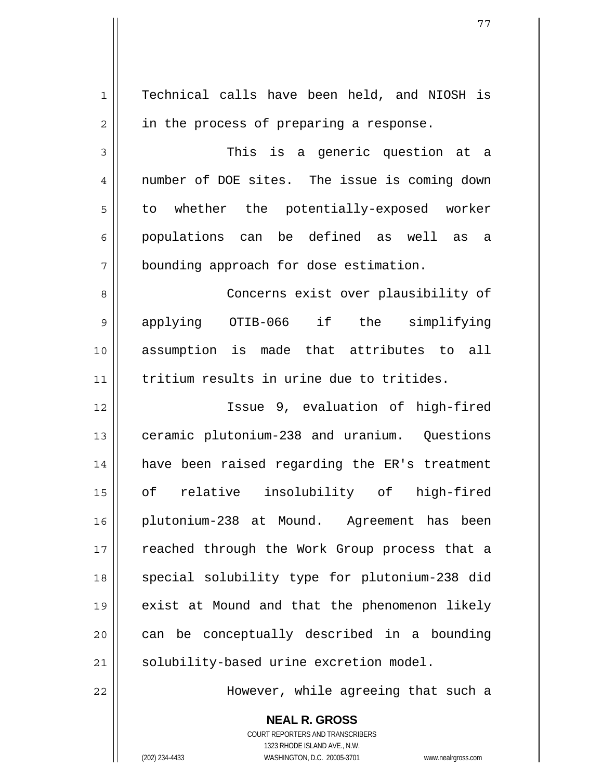| $\mathbf 1$    | Technical calls have been held, and NIOSH is  |
|----------------|-----------------------------------------------|
| $\overline{c}$ | in the process of preparing a response.       |
| 3              | This is a generic question at a               |
| 4              | number of DOE sites. The issue is coming down |
| 5              | to whether the potentially-exposed worker     |
| 6              | populations can be defined as well as a       |
| 7              | bounding approach for dose estimation.        |
| 8              | Concerns exist over plausibility of           |
| 9              | applying OTIB-066 if the simplifying          |
| 10             | assumption is made that attributes to all     |
| 11             | tritium results in urine due to tritides.     |
| 12             | Issue 9, evaluation of high-fired             |
| 13             | ceramic plutonium-238 and uranium. Questions  |
| 14             | have been raised regarding the ER's treatment |
| 15             | of relative insolubility of high-fired        |
| 16             | plutonium-238 at Mound. Agreement has been    |
| 17             | reached through the Work Group process that a |
| 18             | special solubility type for plutonium-238 did |
| 19             | exist at Mound and that the phenomenon likely |
| 20             | can be conceptually described in a bounding   |
| 21             | solubility-based urine excretion model.       |
| 22             | However, while agreeing that such a           |

**NEAL R. GROSS** COURT REPORTERS AND TRANSCRIBERS 1323 RHODE ISLAND AVE., N.W. (202) 234-4433 WASHINGTON, D.C. 20005-3701 www.nealrgross.com

 $\mathbf{\mathsf{I}}$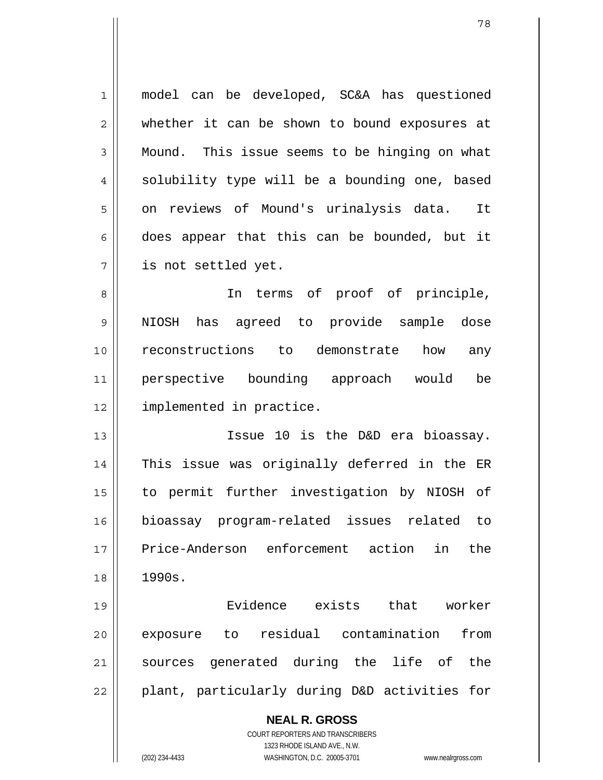1 2 3 4 5 6 7 8 model can be developed, SC&A has questioned whether it can be shown to bound exposures at Mound. This issue seems to be hinging on what solubility type will be a bounding one, based on reviews of Mound's urinalysis data. It does appear that this can be bounded, but it is not settled yet. In terms of proof of principle,

9 10 11 12 NIOSH has agreed to provide sample dose reconstructions to demonstrate how any perspective bounding approach would be implemented in practice.

13 14 15 16 17 18 Issue 10 is the D&D era bioassay. This issue was originally deferred in the ER to permit further investigation by NIOSH of bioassay program-related issues related to Price-Anderson enforcement action in the 1990s.

19 20 21 22 Evidence exists that worker exposure to residual contamination from sources generated during the life of the plant, particularly during D&D activities for

**NEAL R. GROSS**

COURT REPORTERS AND TRANSCRIBERS 1323 RHODE ISLAND AVE., N.W. (202) 234-4433 WASHINGTON, D.C. 20005-3701 www.nealrgross.com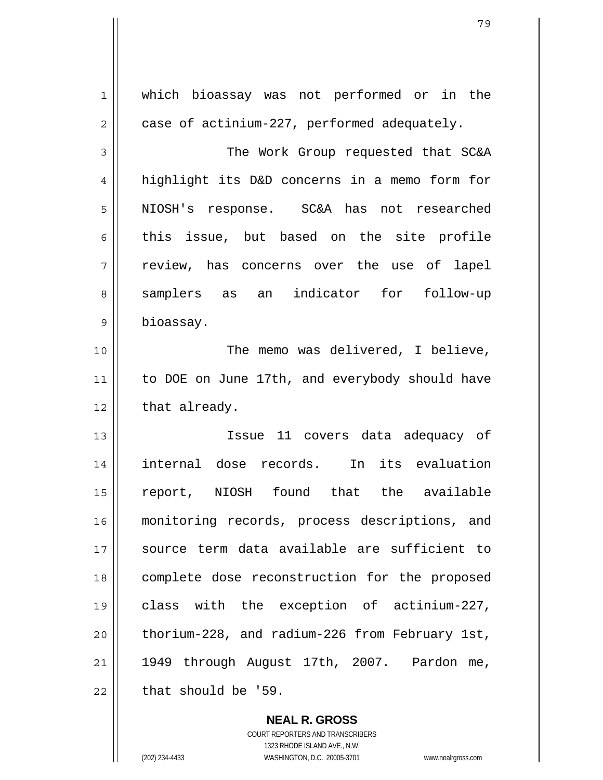1 2 3 4 5 6 7 8 9 10 11 12 13 14 15 16 17 18 19 20 21 22 which bioassay was not performed or in the case of actinium-227, performed adequately. The Work Group requested that SC&A highlight its D&D concerns in a memo form for NIOSH's response. SC&A has not researched this issue, but based on the site profile review, has concerns over the use of lapel samplers as an indicator for follow-up bioassay. The memo was delivered, I believe, to DOE on June 17th, and everybody should have that already. Issue 11 covers data adequacy of internal dose records. In its evaluation report, NIOSH found that the available monitoring records, process descriptions, and source term data available are sufficient to complete dose reconstruction for the proposed class with the exception of actinium-227, thorium-228, and radium-226 from February 1st, 1949 through August 17th, 2007. Pardon me, that should be '59.

> **NEAL R. GROSS** COURT REPORTERS AND TRANSCRIBERS 1323 RHODE ISLAND AVE., N.W.

(202) 234-4433 WASHINGTON, D.C. 20005-3701 www.nealrgross.com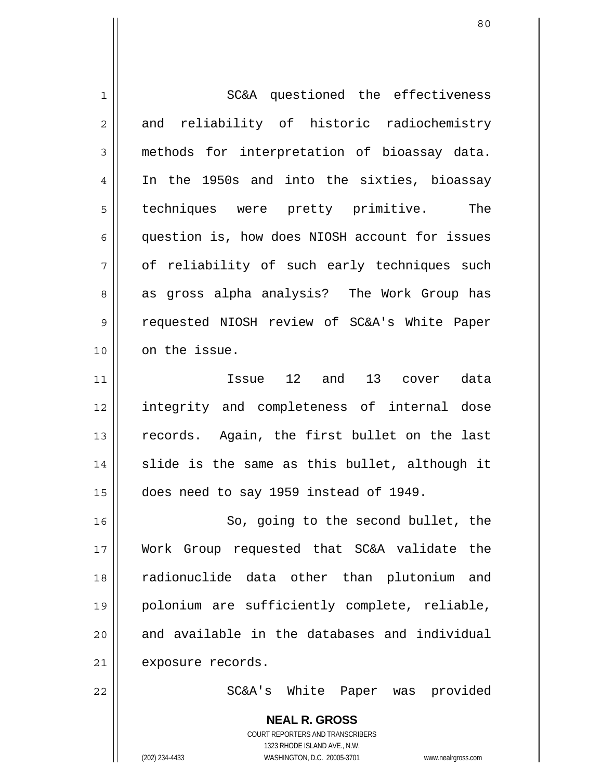| $\mathbf 1$ | SC&A questioned the effectiveness              |
|-------------|------------------------------------------------|
| 2           | and reliability of historic radiochemistry     |
| 3           | methods for interpretation of bioassay data.   |
| 4           | In the 1950s and into the sixties, bioassay    |
| 5           | techniques were pretty primitive. The          |
| 6           | question is, how does NIOSH account for issues |
| 7           | of reliability of such early techniques such   |
| 8           | as gross alpha analysis? The Work Group has    |
| 9           | requested NIOSH review of SC&A's White Paper   |
| 10          | on the issue.                                  |
| 11          | 12 and 13 cover data<br>Issue                  |
| 12          | integrity and completeness of internal dose    |
| 13          | records. Again, the first bullet on the last   |
| 14          | slide is the same as this bullet, although it  |
| 15          | does need to say 1959 instead of 1949.         |
| 16          | So, going to the second bullet, the            |
| 17          | Work Group requested that SC&A validate the    |
| 18          | radionuclide data other than plutonium and     |
| 19          | polonium are sufficiently complete, reliable,  |
| 20          | and available in the databases and individual  |
| 21          | exposure records.                              |
| 22          | SC&A's White Paper was provided                |
|             | <b>NEAL R. GROSS</b>                           |

COURT REPORTERS AND TRANSCRIBERS 1323 RHODE ISLAND AVE., N.W.

 $\mathsf{II}$ 

(202) 234-4433 WASHINGTON, D.C. 20005-3701 www.nealrgross.com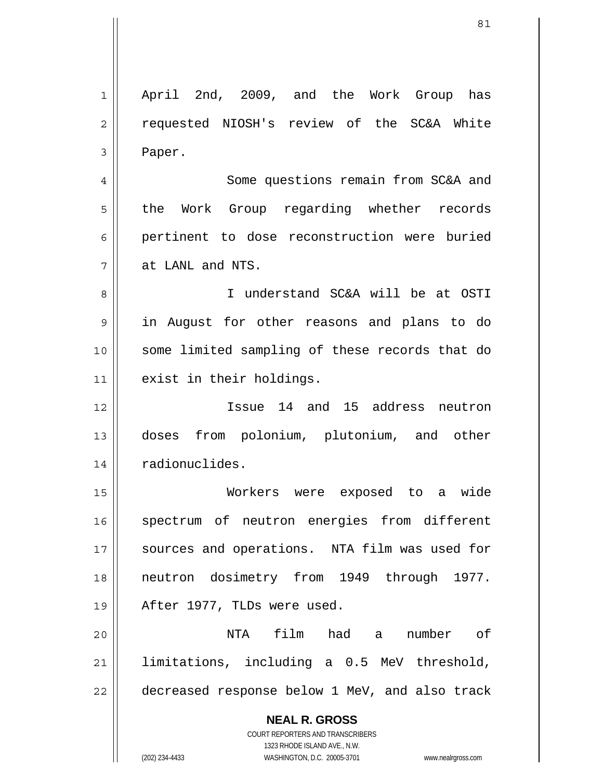**NEAL R. GROSS** COURT REPORTERS AND TRANSCRIBERS 1323 RHODE ISLAND AVE., N.W. 1 2 3 4 5 6 7 8 9 10 11 12 13 14 15 16 17 18 19 20 21 22 April 2nd, 2009, and the Work Group has requested NIOSH's review of the SC&A White Paper. Some questions remain from SC&A and the Work Group regarding whether records pertinent to dose reconstruction were buried at LANL and NTS. I understand SC&A will be at OSTI in August for other reasons and plans to do some limited sampling of these records that do exist in their holdings. Issue 14 and 15 address neutron doses from polonium, plutonium, and other radionuclides. Workers were exposed to a wide spectrum of neutron energies from different sources and operations. NTA film was used for neutron dosimetry from 1949 through 1977. After 1977, TLDs were used. NTA film had a number of limitations, including a 0.5 MeV threshold, decreased response below 1 MeV, and also track

(202) 234-4433 WASHINGTON, D.C. 20005-3701 www.nealrgross.com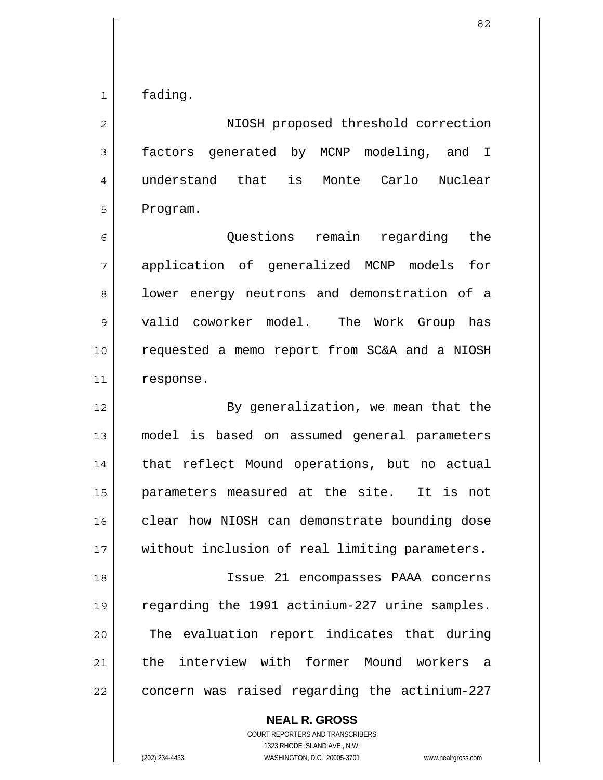1 fading.

2 3 4 5 NIOSH proposed threshold correction factors generated by MCNP modeling, and I understand that is Monte Carlo Nuclear Program.

6 7 8 9 10 11 Questions remain regarding the application of generalized MCNP models for lower energy neutrons and demonstration of a valid coworker model. The Work Group has requested a memo report from SC&A and a NIOSH response.

12 13 14 15 16 17 By generalization, we mean that the model is based on assumed general parameters that reflect Mound operations, but no actual parameters measured at the site. It is not clear how NIOSH can demonstrate bounding dose without inclusion of real limiting parameters.

18 19 20 21 22 Issue 21 encompasses PAAA concerns regarding the 1991 actinium-227 urine samples. The evaluation report indicates that during the interview with former Mound workers a concern was raised regarding the actinium-227

> **NEAL R. GROSS** COURT REPORTERS AND TRANSCRIBERS

1323 RHODE ISLAND AVE., N.W. (202) 234-4433 WASHINGTON, D.C. 20005-3701 www.nealrgross.com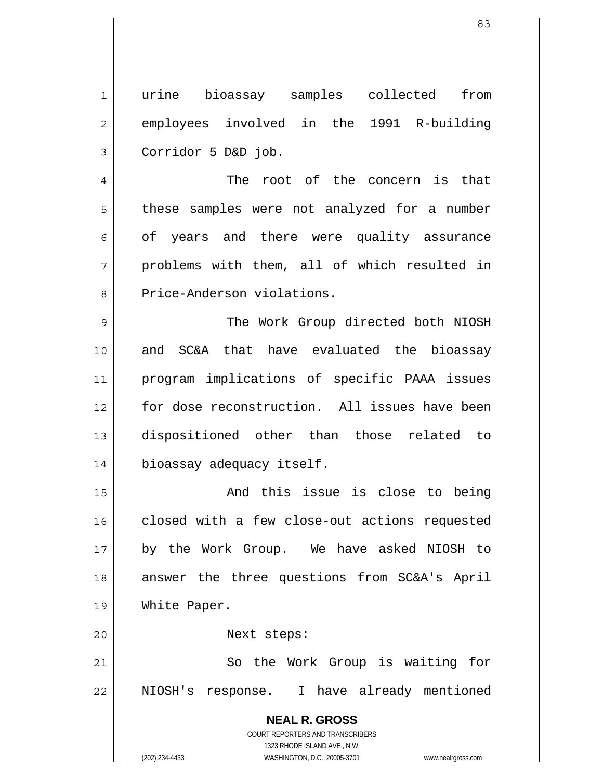1 2 3 urine bioassay samples collected from employees involved in the 1991 R-building Corridor 5 D&D job.

4 5 6 7 8 The root of the concern is that these samples were not analyzed for a number of years and there were quality assurance problems with them, all of which resulted in Price-Anderson violations.

9 10 11 12 13 14 The Work Group directed both NIOSH and SC&A that have evaluated the bioassay program implications of specific PAAA issues for dose reconstruction. All issues have been dispositioned other than those related to bioassay adequacy itself.

15 16 17 18 19 And this issue is close to being closed with a few close-out actions requested by the Work Group. We have asked NIOSH to answer the three questions from SC&A's April White Paper.

Next steps:

21 22 So the Work Group is waiting for NIOSH's response. I have already mentioned

> **NEAL R. GROSS** COURT REPORTERS AND TRANSCRIBERS 1323 RHODE ISLAND AVE., N.W. (202) 234-4433 WASHINGTON, D.C. 20005-3701 www.nealrgross.com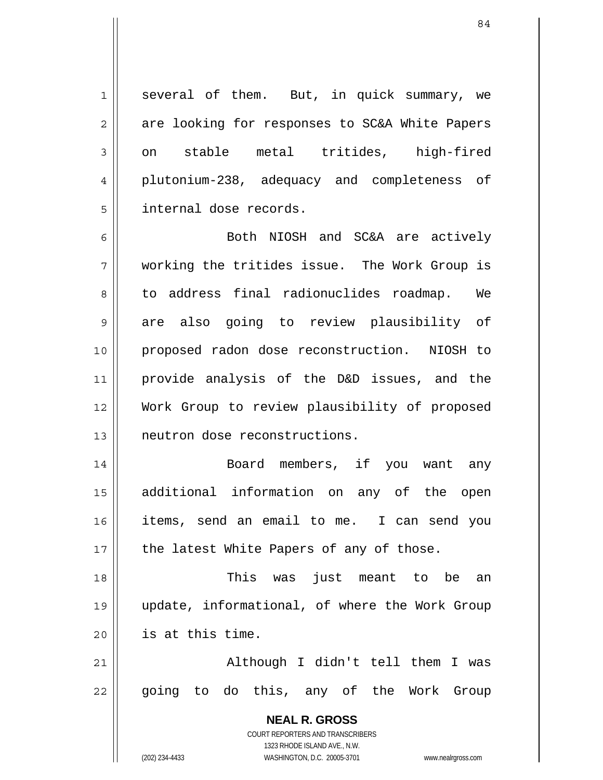1 2 3 4 5 several of them. But, in quick summary, we are looking for responses to SC&A White Papers on stable metal tritides, high-fired plutonium-238, adequacy and completeness of internal dose records.

6 7 8 9 10 11 12 13 Both NIOSH and SC&A are actively working the tritides issue. The Work Group is to address final radionuclides roadmap. We are also going to review plausibility of proposed radon dose reconstruction. NIOSH to provide analysis of the D&D issues, and the Work Group to review plausibility of proposed neutron dose reconstructions.

14 15 16 17 Board members, if you want any additional information on any of the open items, send an email to me. I can send you the latest White Papers of any of those.

18 19 20 This was just meant to be an update, informational, of where the Work Group is at this time.

21 22 Although I didn't tell them I was going to do this, any of the Work Group

> **NEAL R. GROSS** COURT REPORTERS AND TRANSCRIBERS 1323 RHODE ISLAND AVE., N.W. (202) 234-4433 WASHINGTON, D.C. 20005-3701 www.nealrgross.com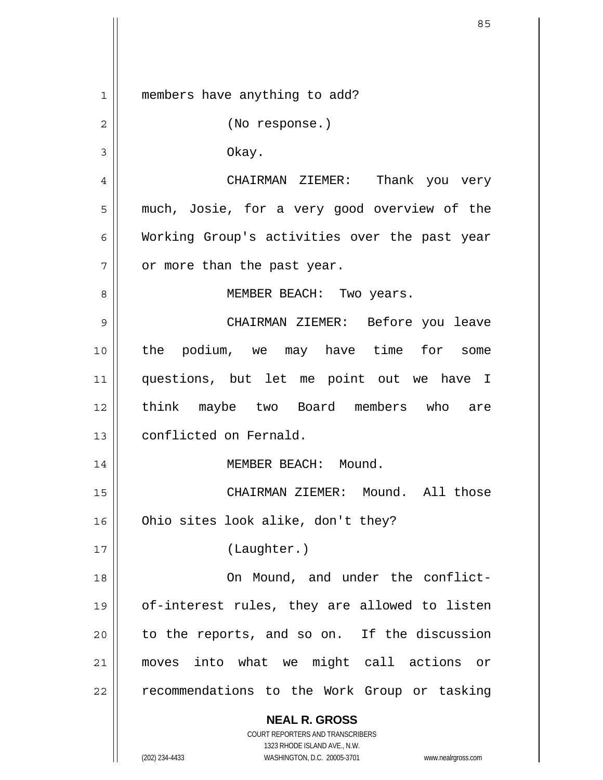**NEAL R. GROSS** COURT REPORTERS AND TRANSCRIBERS 1323 RHODE ISLAND AVE., N.W. (202) 234-4433 WASHINGTON, D.C. 20005-3701 www.nealrgross.com 1 2 3 4 5 6 7 8 9 10 11 12 13 14 15 16 17 18 19 20 21 22 members have anything to add? (No response.) Okay. CHAIRMAN ZIEMER: Thank you very much, Josie, for a very good overview of the Working Group's activities over the past year or more than the past year. MEMBER BEACH: Two years. CHAIRMAN ZIEMER: Before you leave the podium, we may have time for some questions, but let me point out we have I think maybe two Board members who are conflicted on Fernald. MEMBER BEACH: Mound. CHAIRMAN ZIEMER: Mound. All those Ohio sites look alike, don't they? (Laughter.) On Mound, and under the conflictof-interest rules, they are allowed to listen to the reports, and so on. If the discussion moves into what we might call actions or recommendations to the Work Group or tasking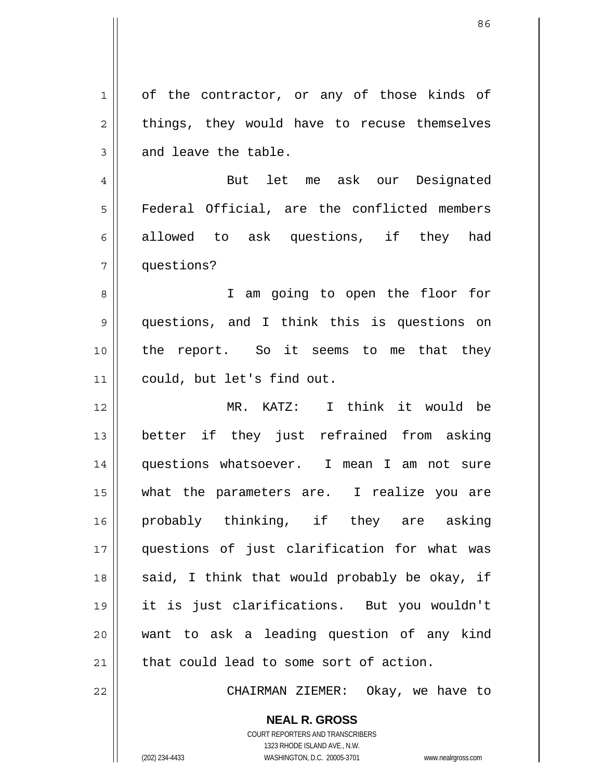1 2 3 4 5 6 7 8 9 10 11 12 13 14 15 16 17 18 19 20 21 22 of the contractor, or any of those kinds of things, they would have to recuse themselves and leave the table. But let me ask our Designated Federal Official, are the conflicted members allowed to ask questions, if they had questions? I am going to open the floor for questions, and I think this is questions on the report. So it seems to me that they could, but let's find out. MR. KATZ: I think it would be better if they just refrained from asking questions whatsoever. I mean I am not sure what the parameters are. I realize you are probably thinking, if they are asking questions of just clarification for what was said, I think that would probably be okay, if it is just clarifications. But you wouldn't want to ask a leading question of any kind that could lead to some sort of action. CHAIRMAN ZIEMER: Okay, we have to

> **NEAL R. GROSS** COURT REPORTERS AND TRANSCRIBERS

> > 1323 RHODE ISLAND AVE., N.W.

(202) 234-4433 WASHINGTON, D.C. 20005-3701 www.nealrgross.com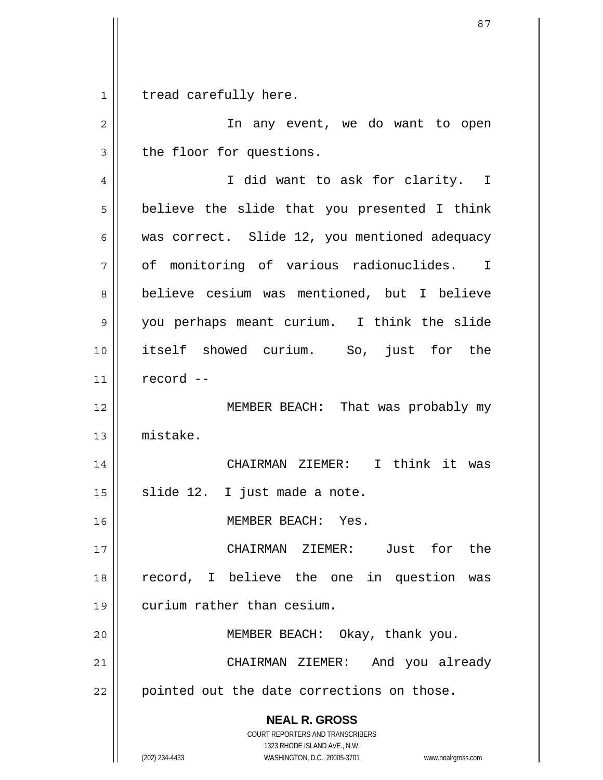1 tread carefully here.

| $\overline{2}$ | In any event, we do want to open                                                                                                                                       |
|----------------|------------------------------------------------------------------------------------------------------------------------------------------------------------------------|
| 3              | the floor for questions.                                                                                                                                               |
| 4              | I did want to ask for clarity. I                                                                                                                                       |
| 5              | believe the slide that you presented I think                                                                                                                           |
| 6              | was correct. Slide 12, you mentioned adequacy                                                                                                                          |
| 7              | of monitoring of various radionuclides. I                                                                                                                              |
| 8              | believe cesium was mentioned, but I believe                                                                                                                            |
| 9              | you perhaps meant curium. I think the slide                                                                                                                            |
| 10             | itself showed curium. So, just for the                                                                                                                                 |
| 11             | record --                                                                                                                                                              |
| 12             | MEMBER BEACH: That was probably my                                                                                                                                     |
| 13             | mistake.                                                                                                                                                               |
| 14             | CHAIRMAN ZIEMER: I think it was                                                                                                                                        |
| 15             | slide 12. I just made a note.                                                                                                                                          |
| 16             | MEMBER BEACH: Yes.                                                                                                                                                     |
| 17             | CHAIRMAN ZIEMER: Just for the                                                                                                                                          |
| 18             | record, I believe the one in question was                                                                                                                              |
| 19             | curium rather than cesium.                                                                                                                                             |
| 20             | MEMBER BEACH: Okay, thank you.                                                                                                                                         |
| 21             | CHAIRMAN ZIEMER: And you already                                                                                                                                       |
| 22             | pointed out the date corrections on those.                                                                                                                             |
|                | <b>NEAL R. GROSS</b><br><b>COURT REPORTERS AND TRANSCRIBERS</b><br>1323 RHODE ISLAND AVE., N.W.<br>(202) 234-4433<br>WASHINGTON, D.C. 20005-3701<br>www.nealrgross.com |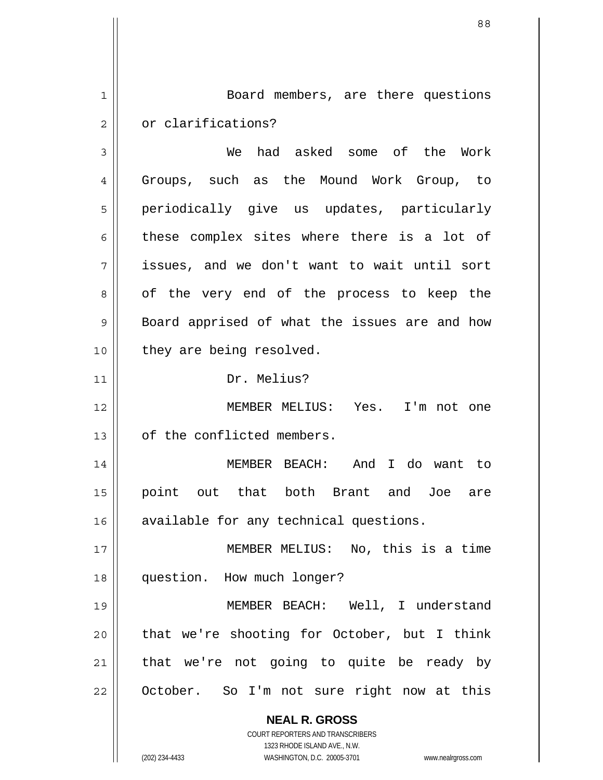1 2 Board members, are there questions or clarifications?

3 4 5 6 7 8 9 10 We had asked some of the Work Groups, such as the Mound Work Group, to periodically give us updates, particularly these complex sites where there is a lot of issues, and we don't want to wait until sort of the very end of the process to keep the Board apprised of what the issues are and how they are being resolved.

Dr. Melius?

12 13 MEMBER MELIUS: Yes. I'm not one of the conflicted members.

14 15 16 MEMBER BEACH: And I do want to point out that both Brant and Joe are available for any technical questions.

17 18 19 MEMBER MELIUS: No, this is a time question. How much longer? MEMBER BEACH: Well, I understand

20 21 22 that we're shooting for October, but I think that we're not going to quite be ready by October. So I'm not sure right now at this

**NEAL R. GROSS**

COURT REPORTERS AND TRANSCRIBERS 1323 RHODE ISLAND AVE., N.W. (202) 234-4433 WASHINGTON, D.C. 20005-3701 www.nealrgross.com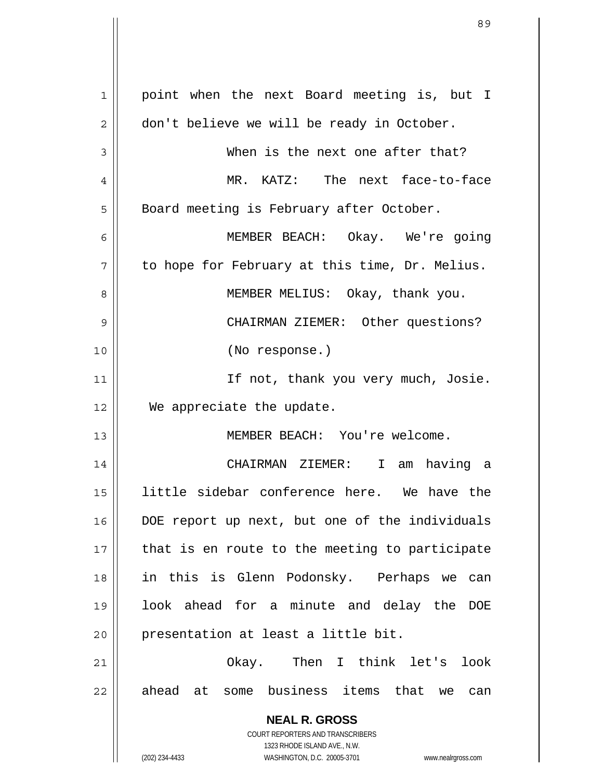|              | 89                                                                                                  |
|--------------|-----------------------------------------------------------------------------------------------------|
|              |                                                                                                     |
| $\mathbf{1}$ | point when the next Board meeting is, but I                                                         |
| 2            | don't believe we will be ready in October.                                                          |
| 3            | When is the next one after that?                                                                    |
| 4            | MR. KATZ: The next face-to-face                                                                     |
| 5            | Board meeting is February after October.                                                            |
| 6            | MEMBER BEACH: Okay. We're going                                                                     |
| 7            | to hope for February at this time, Dr. Melius.                                                      |
| 8            | MEMBER MELIUS: Okay, thank you.                                                                     |
| 9            | CHAIRMAN ZIEMER: Other questions?                                                                   |
| 10           | (No response.)                                                                                      |
| 11           | If not, thank you very much, Josie.                                                                 |
| 12           | We appreciate the update.                                                                           |
| 13           | MEMBER BEACH: You're welcome.                                                                       |
| 14           | CHAIRMAN ZIEMER:<br>I am having a                                                                   |
| 15           | little sidebar conference here. We have the                                                         |
| 16           | DOE report up next, but one of the individuals                                                      |
| 17           | that is en route to the meeting to participate                                                      |
| 18           | in this is Glenn Podonsky. Perhaps we can                                                           |
| 19           | look ahead for a minute and delay the DOE                                                           |
| 20           | presentation at least a little bit.                                                                 |
| 21           | Okay. Then I think let's<br>look                                                                    |
| 22           | ahead at some business items that we can                                                            |
|              | <b>NEAL R. GROSS</b>                                                                                |
|              | <b>COURT REPORTERS AND TRANSCRIBERS</b>                                                             |
|              | 1323 RHODE ISLAND AVE., N.W.<br>(202) 234-4433<br>WASHINGTON, D.C. 20005-3701<br>www.nealrgross.com |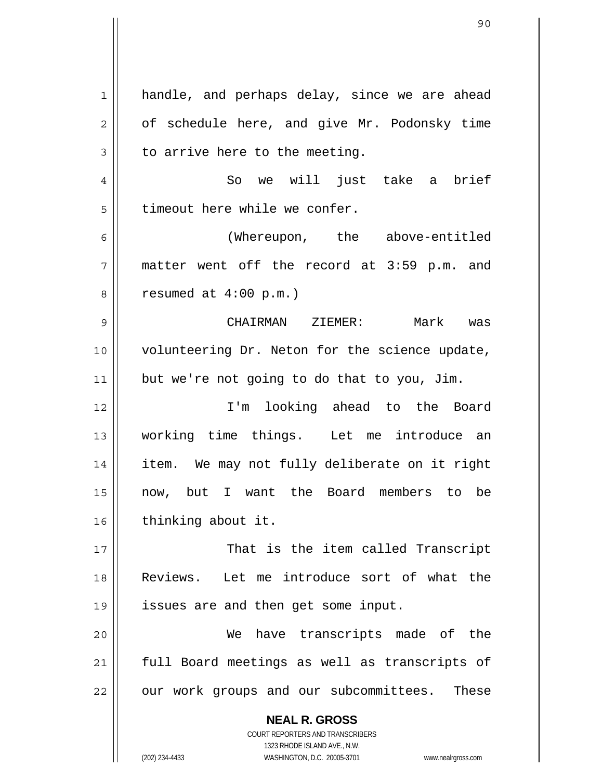| 1  | handle, and perhaps delay, since we are ahead                                                       |
|----|-----------------------------------------------------------------------------------------------------|
| 2  | of schedule here, and give Mr. Podonsky time                                                        |
| 3  | to arrive here to the meeting.                                                                      |
| 4  | So we will just take a brief                                                                        |
| 5  | timeout here while we confer.                                                                       |
| 6  | (Whereupon, the above-entitled                                                                      |
| 7  | matter went off the record at 3:59 p.m. and                                                         |
| 8  | resumed at $4:00$ p.m.)                                                                             |
| 9  | CHAIRMAN ZIEMER: Mark was                                                                           |
| 10 | volunteering Dr. Neton for the science update,                                                      |
| 11 | but we're not going to do that to you, Jim.                                                         |
| 12 | I'm looking ahead to the Board                                                                      |
| 13 | working time things. Let me introduce an                                                            |
| 14 | item. We may not fully deliberate on it right                                                       |
| 15 | now, but I want the Board members to<br>be                                                          |
| 16 | thinking about it.                                                                                  |
| 17 | That is the item called Transcript                                                                  |
|    |                                                                                                     |
| 18 | Reviews.<br>Let me introduce sort of what the                                                       |
| 19 | issues are and then get some input.                                                                 |
| 20 | have transcripts made of the<br>We                                                                  |
| 21 | full Board meetings as well as transcripts of                                                       |
| 22 | our work groups and our subcommittees. These                                                        |
|    | <b>NEAL R. GROSS</b>                                                                                |
|    | <b>COURT REPORTERS AND TRANSCRIBERS</b>                                                             |
|    | 1323 RHODE ISLAND AVE., N.W.<br>(202) 234-4433<br>WASHINGTON, D.C. 20005-3701<br>www.nealrgross.com |
|    |                                                                                                     |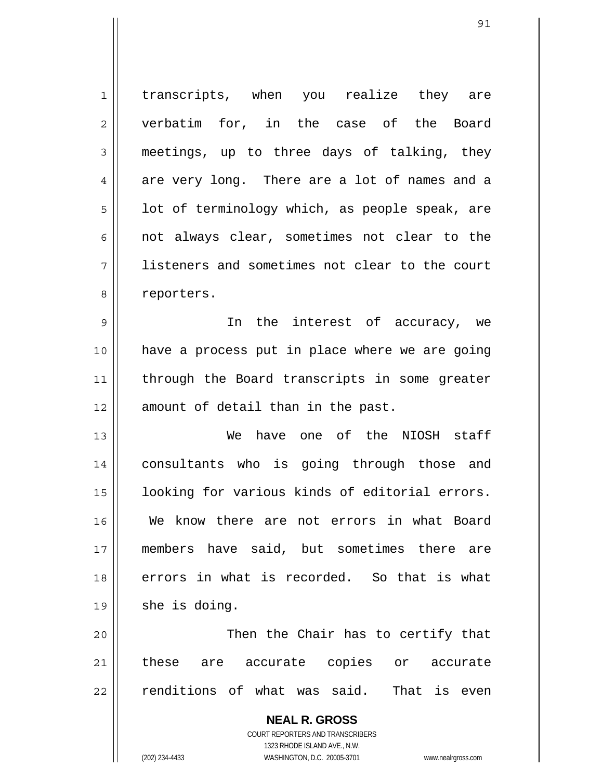1 2 3 4 5 6 7 8 transcripts, when you realize they are verbatim for, in the case of the Board meetings, up to three days of talking, they are very long. There are a lot of names and a lot of terminology which, as people speak, are not always clear, sometimes not clear to the listeners and sometimes not clear to the court reporters.

9 10 11 12 In the interest of accuracy, we have a process put in place where we are going through the Board transcripts in some greater amount of detail than in the past.

13 14 15 16 17 18 19 We have one of the NIOSH staff consultants who is going through those and looking for various kinds of editorial errors. We know there are not errors in what Board members have said, but sometimes there are errors in what is recorded. So that is what she is doing.

20 21 22 Then the Chair has to certify that these are accurate copies or accurate renditions of what was said. That is even

> **NEAL R. GROSS** COURT REPORTERS AND TRANSCRIBERS 1323 RHODE ISLAND AVE., N.W. (202) 234-4433 WASHINGTON, D.C. 20005-3701 www.nealrgross.com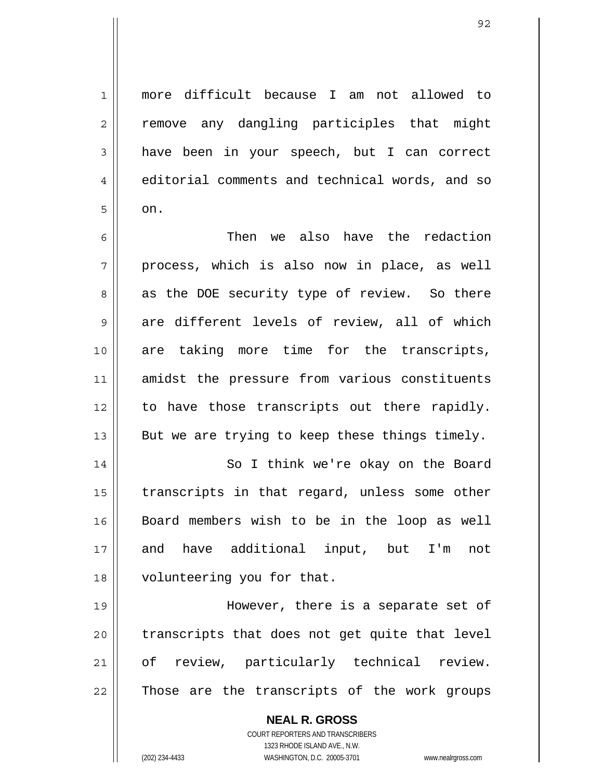more difficult because I am not allowed to remove any dangling participles that might have been in your speech, but I can correct editorial comments and technical words, and so on.

6 7 8 9 10 11 12 13 Then we also have the redaction process, which is also now in place, as well as the DOE security type of review. So there are different levels of review, all of which are taking more time for the transcripts, amidst the pressure from various constituents to have those transcripts out there rapidly. But we are trying to keep these things timely.

14 15 16 17 18 So I think we're okay on the Board transcripts in that regard, unless some other Board members wish to be in the loop as well and have additional input, but I'm not volunteering you for that.

19 20 21 22 However, there is a separate set of transcripts that does not get quite that level of review, particularly technical review. Those are the transcripts of the work groups

> **NEAL R. GROSS** COURT REPORTERS AND TRANSCRIBERS 1323 RHODE ISLAND AVE., N.W. (202) 234-4433 WASHINGTON, D.C. 20005-3701 www.nealrgross.com

1

2

3

4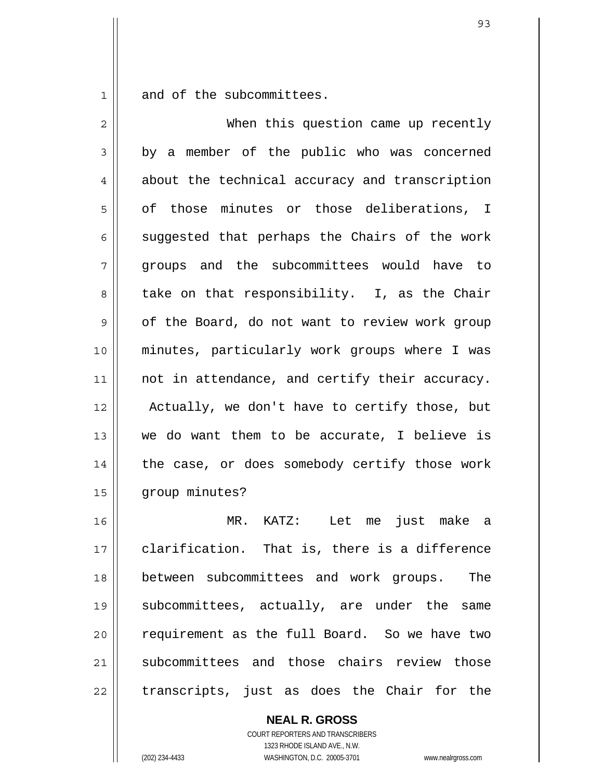1 and of the subcommittees.

| $\overline{2}$ | When this question came up recently            |
|----------------|------------------------------------------------|
| 3              | by a member of the public who was concerned    |
| 4              | about the technical accuracy and transcription |
| 5              | of those minutes or those deliberations, I     |
| 6              | suggested that perhaps the Chairs of the work  |
| 7              | groups and the subcommittees would have to     |
| 8              | take on that responsibility. I, as the Chair   |
| 9              | of the Board, do not want to review work group |
| 10             | minutes, particularly work groups where I was  |
| 11             | not in attendance, and certify their accuracy. |
| 12             | Actually, we don't have to certify those, but  |
| 13             | we do want them to be accurate, I believe is   |
| 14             | the case, or does somebody certify those work  |
| 15             | group minutes?                                 |
| 16             | MR. KATZ: Let me<br>just make a                |
| 17             | clarification. That is, there is a difference  |
| 18             | between subcommittees and work groups. The     |
| 19             | subcommittees, actually, are under the<br>same |
| 20             | requirement as the full Board. So we have two  |
| 21             | subcommittees and those chairs review those    |
| 22             | transcripts, just as does the Chair for the    |

**NEAL R. GROSS** COURT REPORTERS AND TRANSCRIBERS

1323 RHODE ISLAND AVE., N.W. (202) 234-4433 WASHINGTON, D.C. 20005-3701 www.nealrgross.com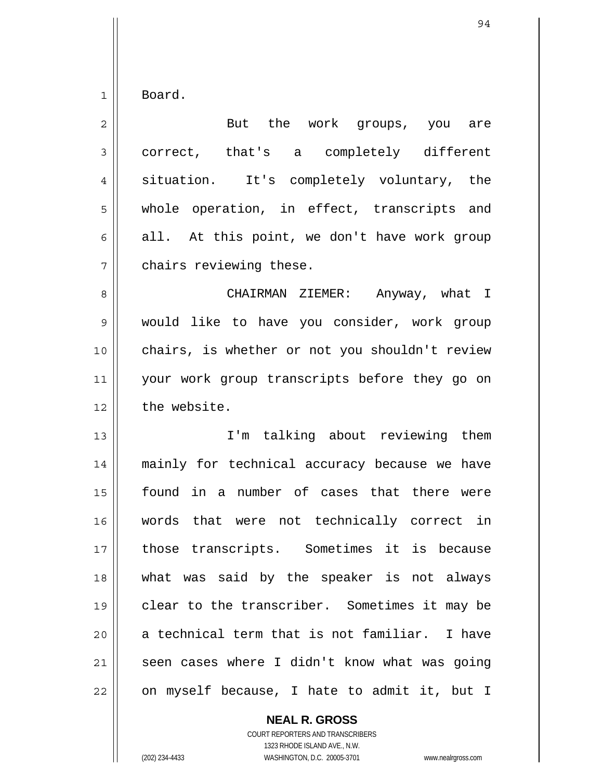|  | Board. |
|--|--------|
|--|--------|

| $\overline{2}$ | But the work groups, you are                   |
|----------------|------------------------------------------------|
| 3              | correct, that's a completely different         |
| 4              | situation. It's completely voluntary, the      |
| 5              | whole operation, in effect, transcripts and    |
| 6              | all. At this point, we don't have work group   |
| 7              | chairs reviewing these.                        |
| 8              | CHAIRMAN ZIEMER: Anyway, what I                |
| 9              | would like to have you consider, work group    |
| 10             | chairs, is whether or not you shouldn't review |
| 11             | your work group transcripts before they go on  |
| 12             | the website.                                   |
| 13             | I'm talking about reviewing them               |
| 14             | mainly for technical accuracy because we have  |
| 15             | found in a number of cases that there were     |
| 16             | words that were not technically correct in     |
| 17             | those transcripts. Sometimes it is because     |
| 18             | what was said by the speaker is not always     |
| 19             | clear to the transcriber. Sometimes it may be  |
| 20             | a technical term that is not familiar. I have  |
| 21             | seen cases where I didn't know what was going  |
| 22             | on myself because, I hate to admit it, but I   |

**NEAL R. GROSS** COURT REPORTERS AND TRANSCRIBERS

 $\mathbf{I}$ 

1323 RHODE ISLAND AVE., N.W. (202) 234-4433 WASHINGTON, D.C. 20005-3701 www.nealrgross.com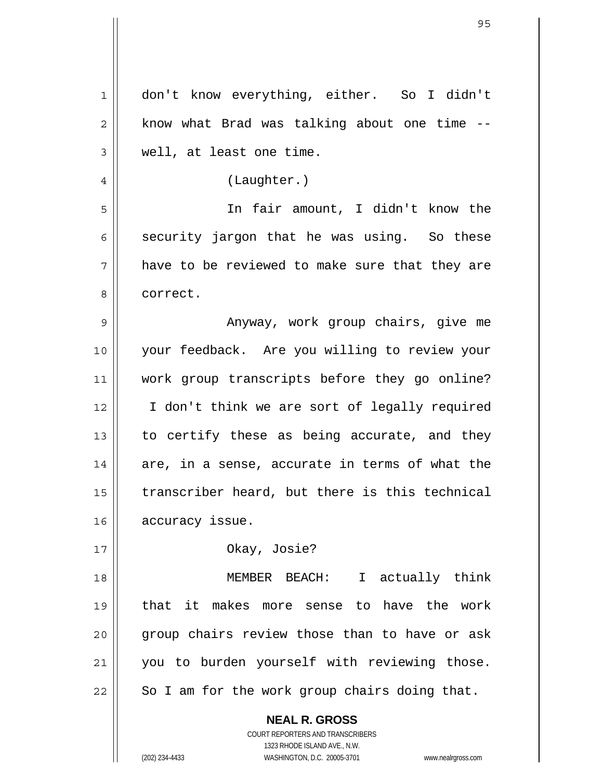| 1  | don't know everything, either. So I didn't                                                          |
|----|-----------------------------------------------------------------------------------------------------|
| 2  | know what Brad was talking about one time --                                                        |
| 3  | well, at least one time.                                                                            |
| 4  | (Laughter.)                                                                                         |
| 5  | In fair amount, I didn't know the                                                                   |
| 6  | security jargon that he was using. So these                                                         |
| 7  | have to be reviewed to make sure that they are                                                      |
| 8  | correct.                                                                                            |
| 9  | Anyway, work group chairs, give me                                                                  |
| 10 | your feedback. Are you willing to review your                                                       |
| 11 | work group transcripts before they go online?                                                       |
| 12 | I don't think we are sort of legally required                                                       |
| 13 | to certify these as being accurate, and they                                                        |
| 14 | are, in a sense, accurate in terms of what the                                                      |
| 15 | transcriber heard, but there is this technical                                                      |
| 16 | accuracy issue.                                                                                     |
| 17 | Okay, Josie?                                                                                        |
| 18 | MEMBER BEACH: I actually think                                                                      |
| 19 | that it makes more sense to have the work                                                           |
| 20 | group chairs review those than to have or ask                                                       |
| 21 | you to burden yourself with reviewing those.                                                        |
| 22 | So I am for the work group chairs doing that.                                                       |
|    | <b>NEAL R. GROSS</b>                                                                                |
|    | COURT REPORTERS AND TRANSCRIBERS                                                                    |
|    | 1323 RHODE ISLAND AVE., N.W.<br>(202) 234-4433<br>WASHINGTON, D.C. 20005-3701<br>www.nealrgross.com |

 $\mathsf{I}$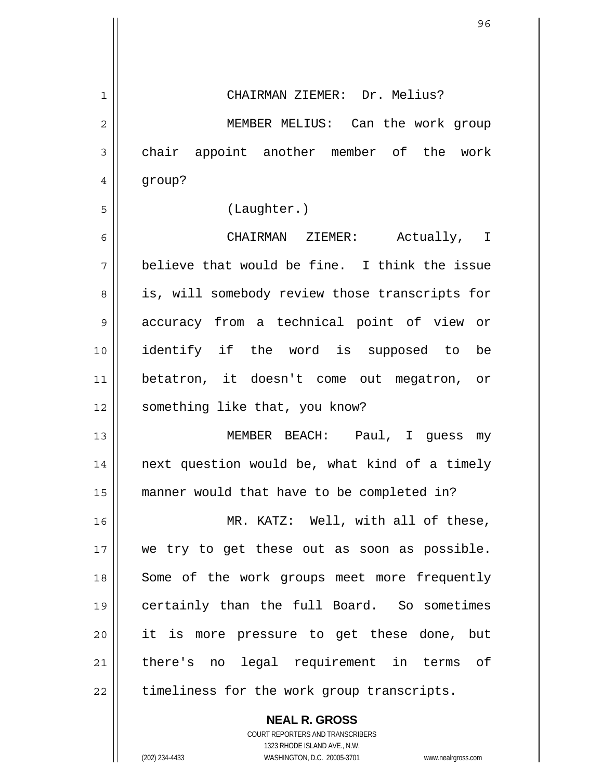| 1              | CHAIRMAN ZIEMER: Dr. Melius?                   |
|----------------|------------------------------------------------|
| $\overline{2}$ | MEMBER MELIUS: Can the work group              |
| 3              | chair appoint another member of the work       |
| 4              | group?                                         |
| 5              | (Laughter.)                                    |
| 6              | CHAIRMAN ZIEMER: Actually, I                   |
| 7              | believe that would be fine. I think the issue  |
| 8              | is, will somebody review those transcripts for |
| 9              | accuracy from a technical point of view or     |
| 10             | identify if the word is supposed to be         |
| 11             | betatron, it doesn't come out megatron, or     |
| 12             | something like that, you know?                 |
| 13             | MEMBER BEACH: Paul, I guess my                 |
| 14             | next question would be, what kind of a timely  |
| 15             | manner would that have to be completed in?     |
| 16             | MR. KATZ: Well, with all of these,             |
| 17             | we try to get these out as soon as possible.   |
| 18             | Some of the work groups meet more frequently   |
| 19             | certainly than the full Board. So sometimes    |
| 20             | it is more pressure to get these done, but     |
| 21             | there's no legal requirement in terms<br>of    |
| 22             | timeliness for the work group transcripts.     |
|                |                                                |

COURT REPORTERS AND TRANSCRIBERS 1323 RHODE ISLAND AVE., N.W. (202) 234-4433 WASHINGTON, D.C. 20005-3701 www.nealrgross.com

**NEAL R. GROSS**

 $\mathsf{II}$ 

 $\mathsf{I}$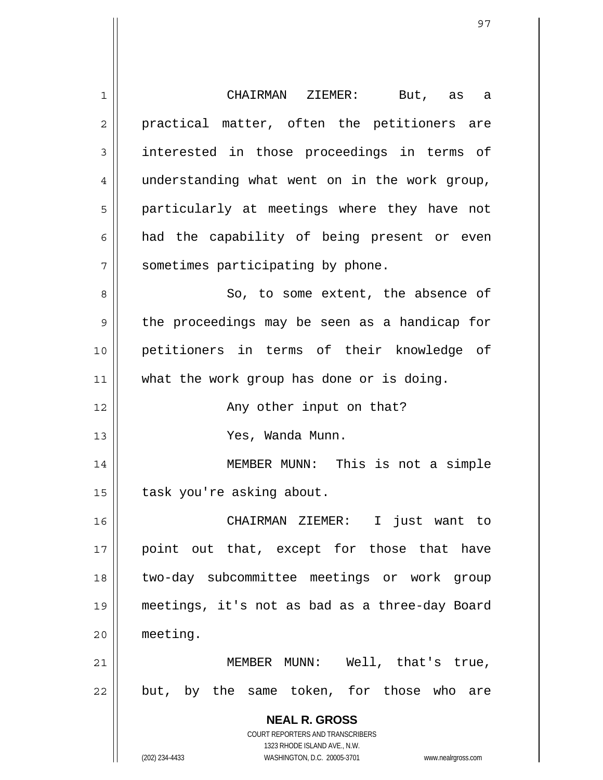**NEAL R. GROSS** COURT REPORTERS AND TRANSCRIBERS 1323 RHODE ISLAND AVE., N.W. (202) 234-4433 WASHINGTON, D.C. 20005-3701 www.nealrgross.com 1 2 3 4 5 6 7 8 9 10 11 12 13 14 15 16 17 18 19 20 21 22 CHAIRMAN ZIEMER: But, as a practical matter, often the petitioners are interested in those proceedings in terms of understanding what went on in the work group, particularly at meetings where they have not had the capability of being present or even sometimes participating by phone. So, to some extent, the absence of the proceedings may be seen as a handicap for petitioners in terms of their knowledge of what the work group has done or is doing. Any other input on that? Yes, Wanda Munn. MEMBER MUNN: This is not a simple task you're asking about. CHAIRMAN ZIEMER: I just want to point out that, except for those that have two-day subcommittee meetings or work group meetings, it's not as bad as a three-day Board meeting. MEMBER MUNN: Well, that's true, but, by the same token, for those who are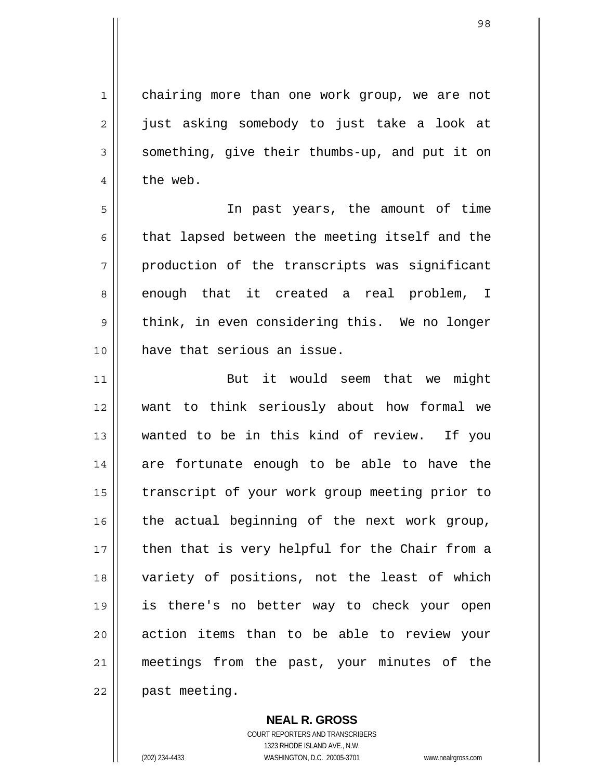chairing more than one work group, we are not just asking somebody to just take a look at something, give their thumbs-up, and put it on the web.

5 6 7 8 9 10 In past years, the amount of time that lapsed between the meeting itself and the production of the transcripts was significant enough that it created a real problem, I think, in even considering this. We no longer have that serious an issue.

11 12 13 14 15 16 17 18 19 20 21 22 But it would seem that we might want to think seriously about how formal we wanted to be in this kind of review. If you are fortunate enough to be able to have the transcript of your work group meeting prior to the actual beginning of the next work group, then that is very helpful for the Chair from a variety of positions, not the least of which is there's no better way to check your open action items than to be able to review your meetings from the past, your minutes of the past meeting.

> COURT REPORTERS AND TRANSCRIBERS 1323 RHODE ISLAND AVE., N.W. (202) 234-4433 WASHINGTON, D.C. 20005-3701 www.nealrgross.com

**NEAL R. GROSS**

1

2

3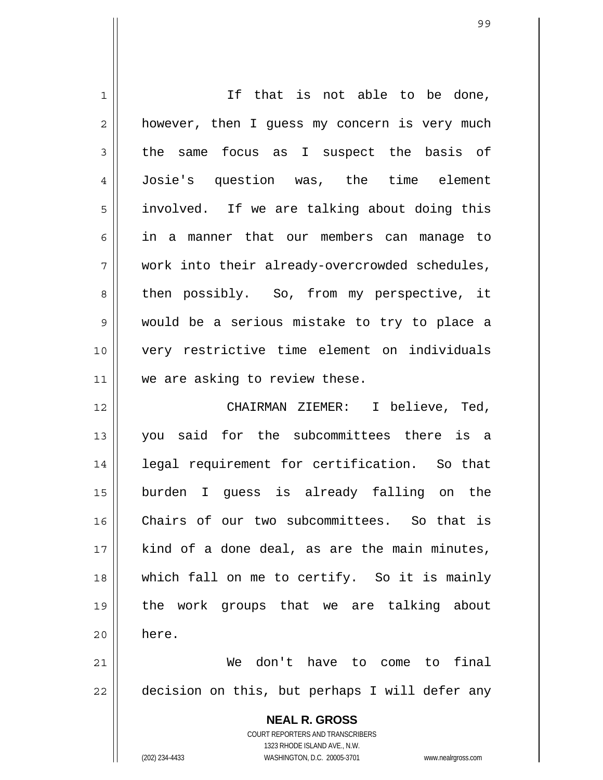| 1  | If that is not able to be done,                                     |
|----|---------------------------------------------------------------------|
| 2  | however, then I guess my concern is very much                       |
| 3  | the same focus as I suspect the basis of                            |
| 4  | Josie's question was, the time element                              |
| 5  | involved. If we are talking about doing this                        |
| 6  | in a manner that our members can manage to                          |
| 7  | work into their already-overcrowded schedules,                      |
| 8  | then possibly. So, from my perspective, it                          |
| 9  | would be a serious mistake to try to place a                        |
| 10 | very restrictive time element on individuals                        |
| 11 | we are asking to review these.                                      |
| 12 | CHAIRMAN ZIEMER: I believe, Ted,                                    |
| 13 | you said for the subcommittees there is a                           |
| 14 | legal requirement for certification. So that                        |
| 15 | burden I guess is already falling on the                            |
| 16 | Chairs of our two subcommittees. So that is                         |
| 17 | kind of a done deal, as are the main minutes,                       |
| 18 | which fall on me to certify. So it is mainly                        |
| 19 | the work groups that we are talking about                           |
| 20 | here.                                                               |
|    |                                                                     |
| 21 | We don't have to come to final                                      |
| 22 | decision on this, but perhaps I will defer any                      |
|    | <b>NEAL R. GROSS</b>                                                |
|    | COURT REPORTERS AND TRANSCRIBERS                                    |
|    | 1323 RHODE ISLAND AVE., N.W.                                        |
|    | (202) 234-4433<br>WASHINGTON, D.C. 20005-3701<br>www.nealrgross.com |

 $\mathbf{I}$ 

 $\mathsf{I}$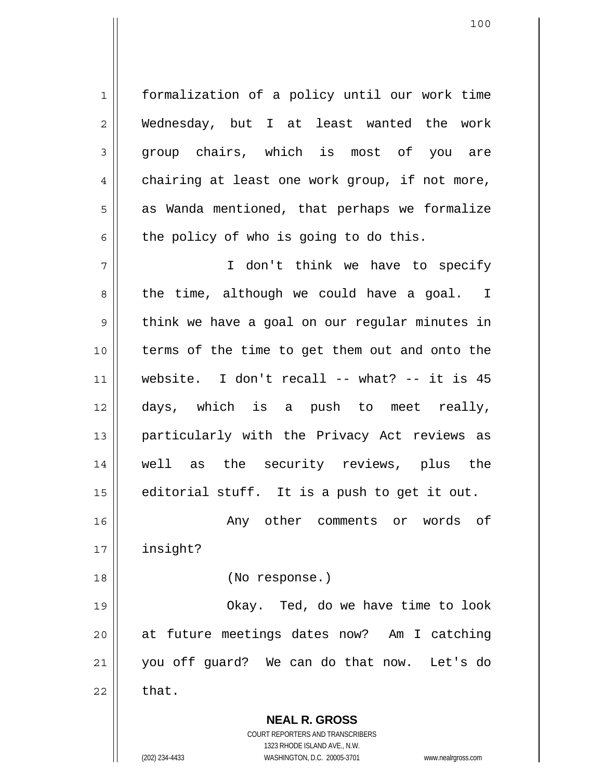formalization of a policy until our work time Wednesday, but I at least wanted the work group chairs, which is most of you are chairing at least one work group, if not more, as Wanda mentioned, that perhaps we formalize the policy of who is going to do this.

7 8 9 10 11 12 13 14 15 I don't think we have to specify the time, although we could have a goal. I think we have a goal on our regular minutes in terms of the time to get them out and onto the website. I don't recall -- what? -- it is 45 days, which is a push to meet really, particularly with the Privacy Act reviews as well as the security reviews, plus the editorial stuff. It is a push to get it out.

 Any other comments or words of insight?

(No response.)

19 20 21 22 Okay. Ted, do we have time to look at future meetings dates now? Am I catching you off guard? We can do that now. Let's do that.

> **NEAL R. GROSS** COURT REPORTERS AND TRANSCRIBERS 1323 RHODE ISLAND AVE., N.W. (202) 234-4433 WASHINGTON, D.C. 20005-3701 www.nealrgross.com

1

2

3

4

5

6

16

17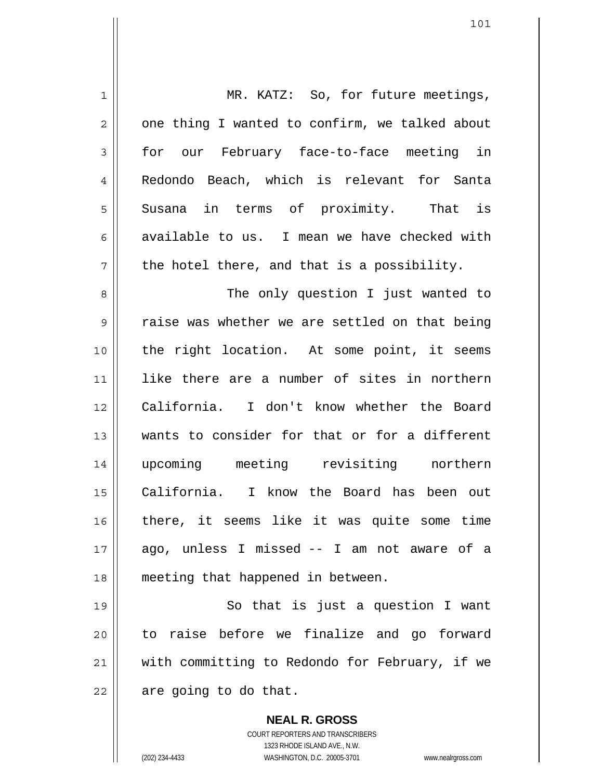| $\mathbf 1$    | MR. KATZ: So, for future meetings,             |
|----------------|------------------------------------------------|
| $\overline{2}$ | one thing I wanted to confirm, we talked about |
| 3              | for our February face-to-face meeting in       |
| 4              | Redondo Beach, which is relevant for Santa     |
| 5              | Susana in terms of proximity. That is          |
| 6              | available to us. I mean we have checked with   |
| 7              | the hotel there, and that is a possibility.    |
| 8              | The only question I just wanted to             |
| 9              | raise was whether we are settled on that being |
| 10             | the right location. At some point, it seems    |
| 11             | like there are a number of sites in northern   |
| 12             | California. I don't know whether the Board     |
| 13             | wants to consider for that or for a different  |
| 14             | upcoming meeting revisiting northern           |
| 15             | California. I know the Board has<br>been out   |
| 16             | there, it seems like it was quite some time    |
| 17             | ago, unless I missed -- I am not aware of a    |
| 18             | meeting that happened in between.              |
| 19             | So that is just a question I want              |
| 20             | to raise before we finalize and go forward     |
| 21             | with committing to Redondo for February, if we |
| 22             | are going to do that.                          |

**NEAL R. GROSS** COURT REPORTERS AND TRANSCRIBERS 1323 RHODE ISLAND AVE., N.W. (202) 234-4433 WASHINGTON, D.C. 20005-3701 www.nealrgross.com

 $\mathsf{II}$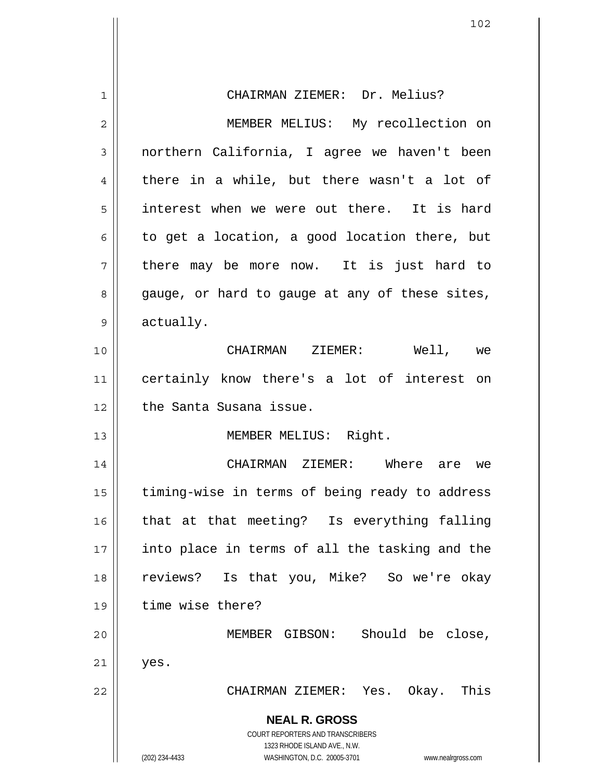|                | 102                                                                                                 |
|----------------|-----------------------------------------------------------------------------------------------------|
|                |                                                                                                     |
| $\mathbf{1}$   | CHAIRMAN ZIEMER: Dr. Melius?                                                                        |
| $\overline{2}$ | MEMBER MELIUS: My recollection on                                                                   |
| 3              | northern California, I agree we haven't been                                                        |
| 4              | there in a while, but there wasn't a lot of                                                         |
| 5              | interest when we were out there. It is hard                                                         |
| 6              | to get a location, a good location there, but                                                       |
| 7              | there may be more now. It is just hard to                                                           |
| 8              | gauge, or hard to gauge at any of these sites,                                                      |
| $\mathcal{G}$  | actually.                                                                                           |
| 10             | CHAIRMAN ZIEMER: Well, we                                                                           |
| 11             | certainly know there's a lot of interest on                                                         |
| 12             | the Santa Susana issue.                                                                             |
| 13             | MEMBER MELIUS: Right.                                                                               |
| 14             | CHAIRMAN ZIEMER:<br>Where<br>are<br>we                                                              |
| 15             | timing-wise in terms of being ready to address                                                      |
| 16             | that at that meeting? Is everything falling                                                         |
| 17             | into place in terms of all the tasking and the                                                      |
| 18             | reviews? Is that you, Mike? So we're okay                                                           |
| 19             | time wise there?                                                                                    |
| 20             | MEMBER GIBSON: Should be close,                                                                     |
| 21             | yes.                                                                                                |
| 22             | CHAIRMAN ZIEMER: Yes. Okay. This                                                                    |
|                | <b>NEAL R. GROSS</b>                                                                                |
|                | COURT REPORTERS AND TRANSCRIBERS                                                                    |
|                | 1323 RHODE ISLAND AVE., N.W.<br>(202) 234-4433<br>WASHINGTON, D.C. 20005-3701<br>www.nealrgross.com |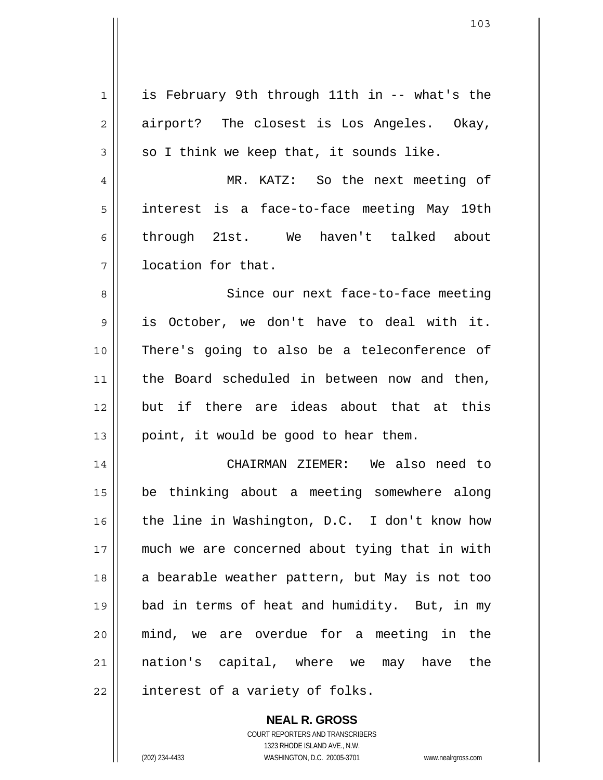| $\mathbf{1}$   | is February 9th through 11th in -- what's the  |
|----------------|------------------------------------------------|
| $\overline{2}$ | airport? The closest is Los Angeles. Okay,     |
| 3              | so I think we keep that, it sounds like.       |
| 4              | MR. KATZ: So the next meeting of               |
| 5              | interest is a face-to-face meeting May 19th    |
| 6              | through 21st. We haven't talked about          |
| 7              | location for that.                             |
| 8              | Since our next face-to-face meeting            |
| 9              | is October, we don't have to deal with it.     |
| 10             | There's going to also be a teleconference of   |
| 11             | the Board scheduled in between now and then,   |
| 12             | but if there are ideas about that at this      |
| 13             | point, it would be good to hear them.          |
| 14             | CHAIRMAN ZIEMER: We also need to               |
| 15             | be thinking about a meeting somewhere along    |
| 16             | the line in Washington, D.C. I don't know how  |
| 17             | much we are concerned about tying that in with |
| 18             | a bearable weather pattern, but May is not too |
| 19             | bad in terms of heat and humidity. But, in my  |
| 20             | mind, we are overdue for a meeting in the      |
| 21             | nation's capital, where we may have the        |
| 22             | interest of a variety of folks.                |

**NEAL R. GROSS** COURT REPORTERS AND TRANSCRIBERS 1323 RHODE ISLAND AVE., N.W. (202) 234-4433 WASHINGTON, D.C. 20005-3701 www.nealrgross.com

 $\mathsf{I}$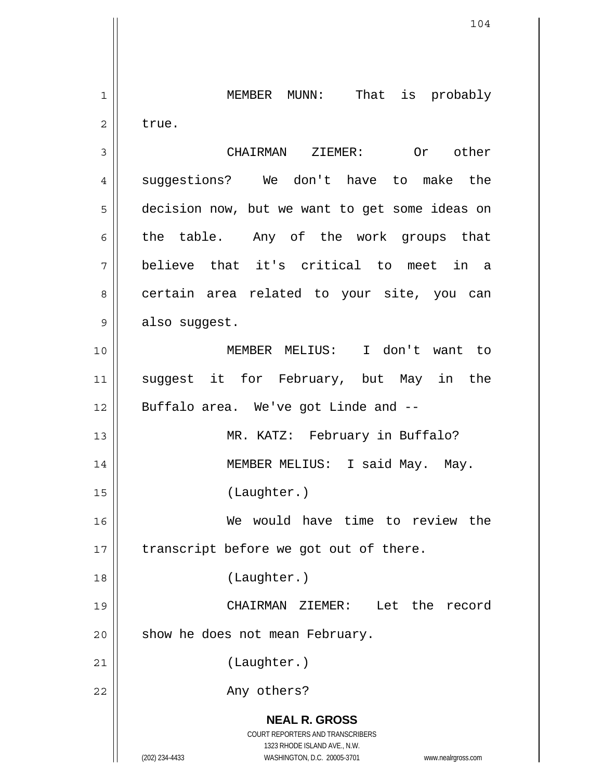**NEAL R. GROSS** COURT REPORTERS AND TRANSCRIBERS 1323 RHODE ISLAND AVE., N.W. (202) 234-4433 WASHINGTON, D.C. 20005-3701 www.nealrgross.com 1 2 3 4 5 6 7 8 9 10 11 12 13 14 15 16 17 18 19 20 21 22 MEMBER MUNN: That is probably true. CHAIRMAN ZIEMER: Or other suggestions? We don't have to make the decision now, but we want to get some ideas on the table. Any of the work groups that believe that it's critical to meet in a certain area related to your site, you can also suggest. MEMBER MELIUS: I don't want to suggest it for February, but May in the Buffalo area. We've got Linde and -- MR. KATZ: February in Buffalo? MEMBER MELIUS: I said May. May. (Laughter.) We would have time to review the transcript before we got out of there. (Laughter.) CHAIRMAN ZIEMER: Let the record show he does not mean February. (Laughter.) Any others?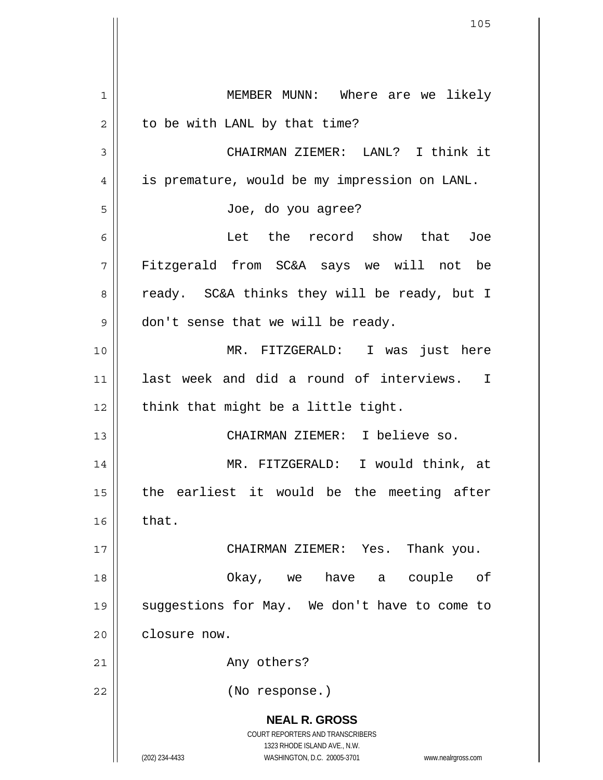**NEAL R. GROSS** COURT REPORTERS AND TRANSCRIBERS 1323 RHODE ISLAND AVE., N.W. (202) 234-4433 WASHINGTON, D.C. 20005-3701 www.nealrgross.com 1 2 3 4 5 6 7 8 9 10 11 12 13 14 15 16 17 18 19 20 21 22 MEMBER MUNN: Where are we likely to be with LANL by that time? CHAIRMAN ZIEMER: LANL? I think it is premature, would be my impression on LANL. Joe, do you agree? Let the record show that Joe Fitzgerald from SC&A says we will not be ready. SC&A thinks they will be ready, but I don't sense that we will be ready. MR. FITZGERALD: I was just here last week and did a round of interviews. I think that might be a little tight. CHAIRMAN ZIEMER: I believe so. MR. FITZGERALD: I would think, at the earliest it would be the meeting after that. CHAIRMAN ZIEMER: Yes. Thank you. Okay, we have a couple of suggestions for May. We don't have to come to closure now. Any others? (No response.)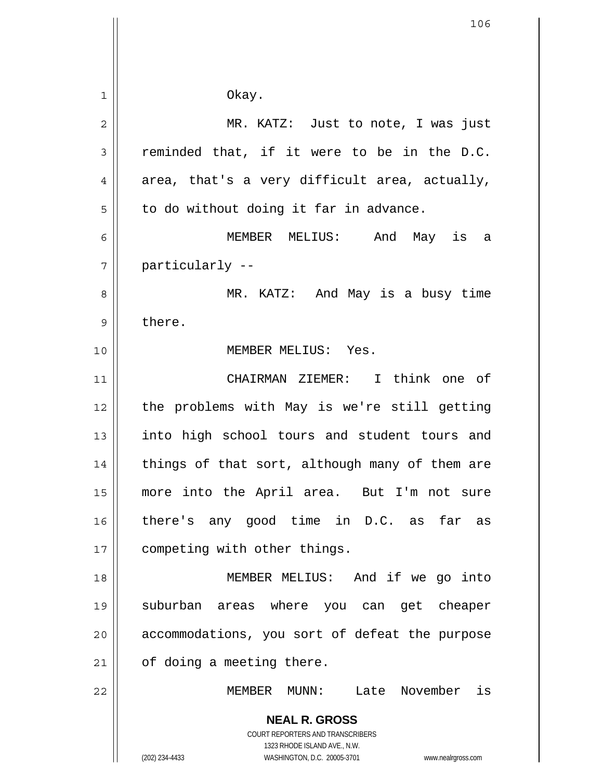| 1  | Okay.                                                               |
|----|---------------------------------------------------------------------|
| 2  | MR. KATZ: Just to note, I was just                                  |
| 3  | reminded that, if it were to be in the D.C.                         |
| 4  | area, that's a very difficult area, actually,                       |
| 5  | to do without doing it far in advance.                              |
| 6  | MEMBER MELIUS: And May is a                                         |
| 7  | particularly --                                                     |
| 8  | MR. KATZ: And May is a busy time                                    |
| 9  | there.                                                              |
| 10 | MEMBER MELIUS: Yes.                                                 |
| 11 | CHAIRMAN ZIEMER: I think one of                                     |
| 12 | the problems with May is we're still getting                        |
| 13 | into high school tours and student tours and                        |
| 14 | things of that sort, although many of them are                      |
| 15 | more into the April area. But I'm not sure                          |
| 16 | there's any good time in D.C. as far<br>as                          |
| 17 | competing with other things.                                        |
| 18 | MEMBER MELIUS: And if we go into                                    |
| 19 | suburban areas where you can get cheaper                            |
| 20 | accommodations, you sort of defeat the purpose                      |
| 21 | of doing a meeting there.                                           |
| 22 | MEMBER MUNN:<br>Late November is                                    |
|    | <b>NEAL R. GROSS</b>                                                |
|    | COURT REPORTERS AND TRANSCRIBERS<br>1323 RHODE ISLAND AVE., N.W.    |
|    | (202) 234-4433<br>WASHINGTON, D.C. 20005-3701<br>www.nealrgross.com |

 $\begin{array}{c} \hline \end{array}$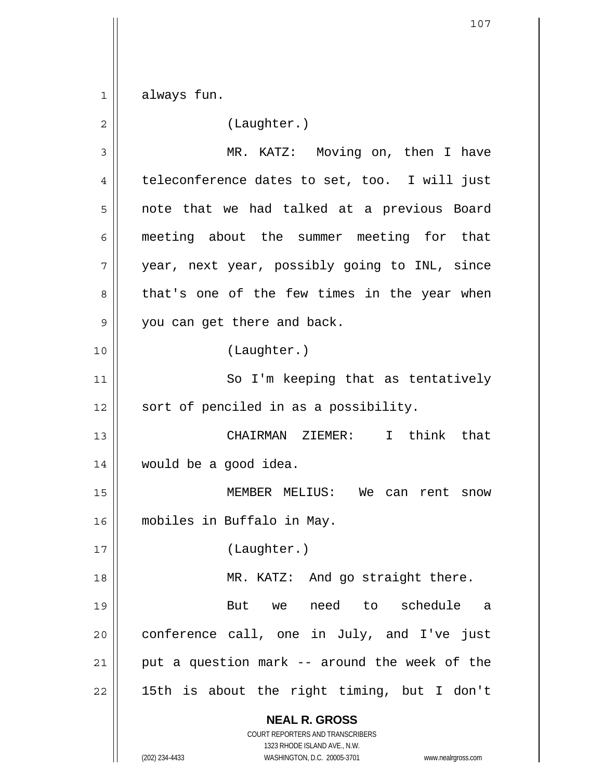1 always fun.

| 2  | (Laughter.)                                                                                         |
|----|-----------------------------------------------------------------------------------------------------|
| 3  | MR. KATZ: Moving on, then I have                                                                    |
| 4  | teleconference dates to set, too. I will just                                                       |
| 5  | note that we had talked at a previous Board                                                         |
| 6  | meeting about the summer meeting for that                                                           |
| 7  | year, next year, possibly going to INL, since                                                       |
| 8  | that's one of the few times in the year when                                                        |
| 9  | you can get there and back.                                                                         |
| 10 | (Laughter.)                                                                                         |
| 11 | So I'm keeping that as tentatively                                                                  |
| 12 | sort of penciled in as a possibility.                                                               |
| 13 | CHAIRMAN ZIEMER: I think that                                                                       |
| 14 | would be a good idea.                                                                               |
| 15 | MEMBER MELIUS: We can rent<br>snow                                                                  |
| 16 | mobiles in Buffalo in May.                                                                          |
| 17 | (Laughter.)                                                                                         |
| 18 | MR. KATZ: And go straight there.                                                                    |
| 19 | need to schedule a<br>But we                                                                        |
| 20 | conference call, one in July, and I've just                                                         |
| 21 | put a question mark -- around the week of the                                                       |
| 22 | 15th is about the right timing, but I don't                                                         |
|    | <b>NEAL R. GROSS</b>                                                                                |
|    | COURT REPORTERS AND TRANSCRIBERS                                                                    |
|    | 1323 RHODE ISLAND AVE., N.W.<br>(202) 234-4433<br>WASHINGTON, D.C. 20005-3701<br>www.nealrgross.com |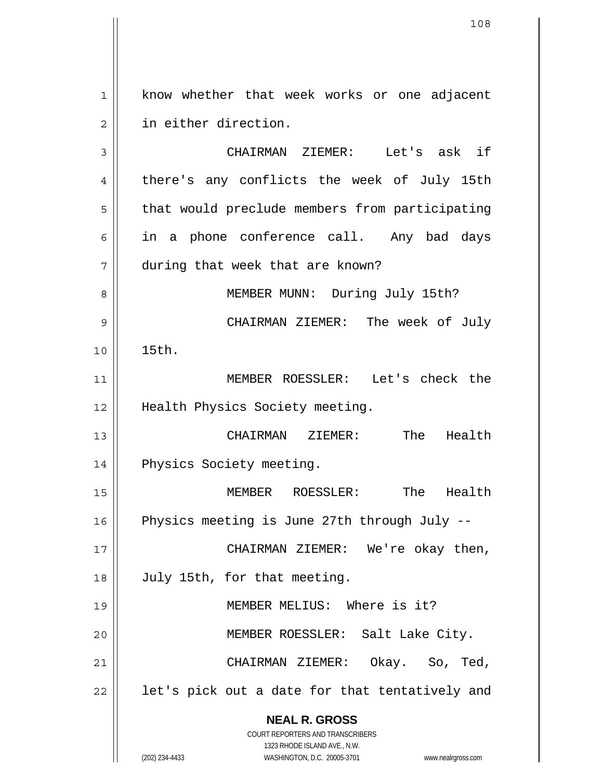1 2 know whether that week works or one adjacent in either direction.

| 3  | CHAIRMAN ZIEMER: Let's ask if                                                                                                                                          |
|----|------------------------------------------------------------------------------------------------------------------------------------------------------------------------|
| 4  | there's any conflicts the week of July 15th                                                                                                                            |
| 5  | that would preclude members from participating                                                                                                                         |
| 6  | in a phone conference call. Any bad days                                                                                                                               |
| 7  | during that week that are known?                                                                                                                                       |
| 8  | MEMBER MUNN: During July 15th?                                                                                                                                         |
| 9  | CHAIRMAN ZIEMER: The week of July                                                                                                                                      |
| 10 | 15th.                                                                                                                                                                  |
| 11 | MEMBER ROESSLER: Let's check the                                                                                                                                       |
| 12 | Health Physics Society meeting.                                                                                                                                        |
| 13 | CHAIRMAN ZIEMER:<br>The<br>Health                                                                                                                                      |
| 14 | Physics Society meeting.                                                                                                                                               |
| 15 | MEMBER ROESSLER: The Health                                                                                                                                            |
| 16 | Physics meeting is June 27th through July --                                                                                                                           |
| 17 | CHAIRMAN ZIEMER: We're okay then,                                                                                                                                      |
| 18 | July 15th, for that meeting.                                                                                                                                           |
| 19 | MEMBER MELIUS: Where is it?                                                                                                                                            |
| 20 | MEMBER ROESSLER: Salt Lake City.                                                                                                                                       |
| 21 | CHAIRMAN ZIEMER: Okay. So, Ted,                                                                                                                                        |
| 22 | let's pick out a date for that tentatively and                                                                                                                         |
|    | <b>NEAL R. GROSS</b><br><b>COURT REPORTERS AND TRANSCRIBERS</b><br>1323 RHODE ISLAND AVE., N.W.<br>(202) 234-4433<br>WASHINGTON, D.C. 20005-3701<br>www.nealrgross.com |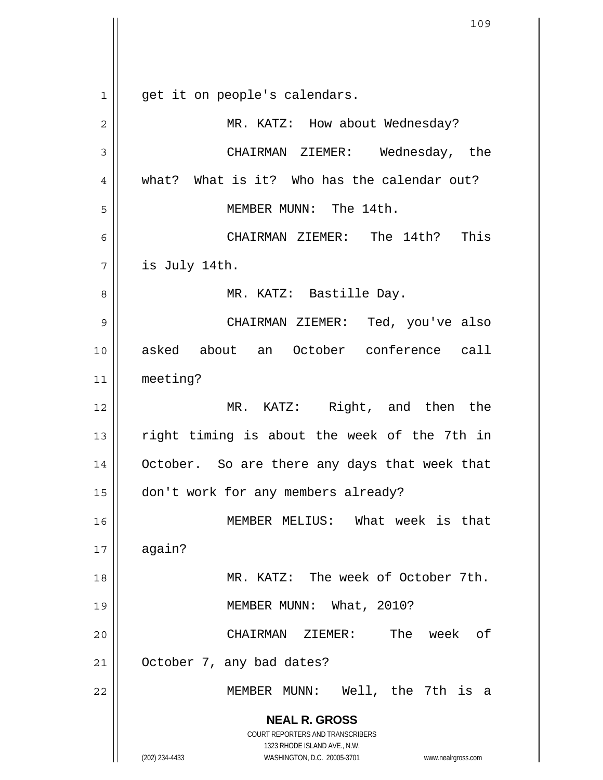**NEAL R. GROSS** COURT REPORTERS AND TRANSCRIBERS 1323 RHODE ISLAND AVE., N.W. (202) 234-4433 WASHINGTON, D.C. 20005-3701 www.nealrgross.com 1 2 3 4 5 6 7 8 9 10 11 12 13 14 15 16 17 18 19 20 21 22 get it on people's calendars. MR. KATZ: How about Wednesday? CHAIRMAN ZIEMER: Wednesday, the what? What is it? Who has the calendar out? MEMBER MUNN: The 14th. CHAIRMAN ZIEMER: The 14th? This is July 14th. MR. KATZ: Bastille Day. CHAIRMAN ZIEMER: Ted, you've also asked about an October conference call meeting? MR. KATZ: Right, and then the right timing is about the week of the 7th in October. So are there any days that week that don't work for any members already? MEMBER MELIUS: What week is that again? MR. KATZ: The week of October 7th. MEMBER MUNN: What, 2010? CHAIRMAN ZIEMER: The week of October 7, any bad dates? MEMBER MUNN: Well, the 7th is a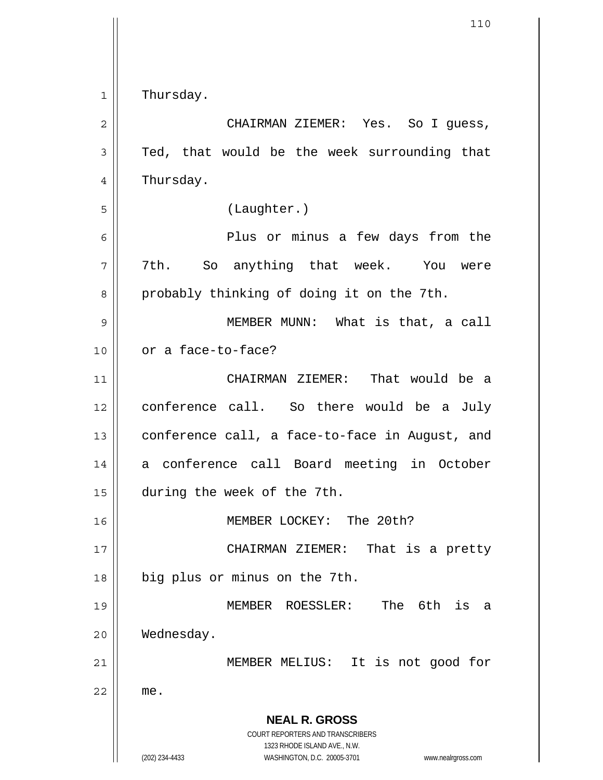$1$ Thursday.

| $\mathbf{2}$ | CHAIRMAN ZIEMER: Yes. So I quess,                                   |
|--------------|---------------------------------------------------------------------|
| 3            | Ted, that would be the week surrounding that                        |
| 4            | Thursday.                                                           |
| 5            | (Laughter.)                                                         |
| 6            | Plus or minus a few days from the                                   |
| 7            | 7th. So anything that week. You were                                |
| 8            | probably thinking of doing it on the 7th.                           |
| 9            | MEMBER MUNN: What is that, a call                                   |
| 10           | or a face-to-face?                                                  |
| 11           | CHAIRMAN ZIEMER: That would be a                                    |
| 12           | conference call. So there would be a July                           |
| 13           | conference call, a face-to-face in August, and                      |
| 14           | a conference call Board meeting in October                          |
| 15           | during the week of the 7th.                                         |
| 16           | MEMBER LOCKEY: The 20th?                                            |
| 17           | CHAIRMAN ZIEMER:<br>That<br>is a pretty                             |
| 18           | big plus or minus on the 7th.                                       |
| 19           | 6th<br>MEMBER ROESSLER:<br>The<br>is<br>a                           |
| 20           | Wednesday.                                                          |
| 21           | MEMBER MELIUS: It is not good for                                   |
| 22           | me.                                                                 |
|              | <b>NEAL R. GROSS</b>                                                |
|              | <b>COURT REPORTERS AND TRANSCRIBERS</b>                             |
|              | 1323 RHODE ISLAND AVE., N.W.                                        |
|              | (202) 234-4433<br>WASHINGTON, D.C. 20005-3701<br>www.nealrgross.com |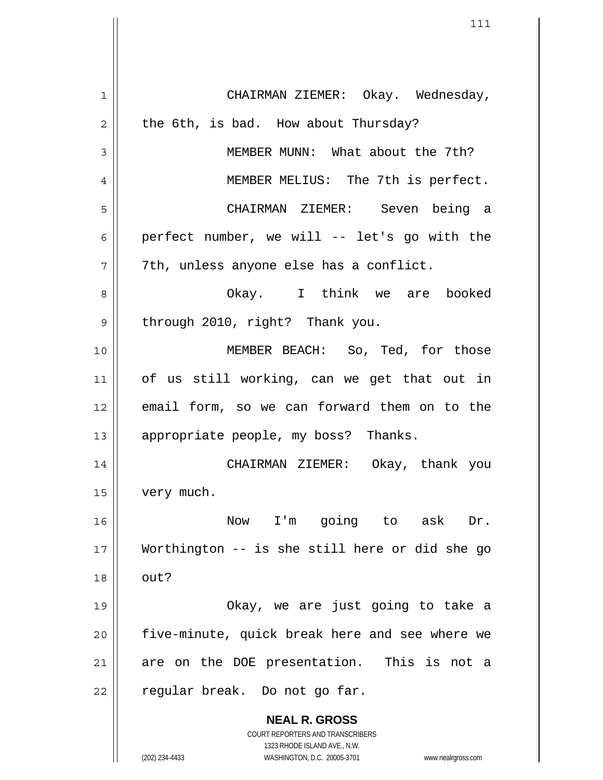**NEAL R. GROSS** COURT REPORTERS AND TRANSCRIBERS 1323 RHODE ISLAND AVE., N.W. (202) 234-4433 WASHINGTON, D.C. 20005-3701 www.nealrgross.com 1 2 3 4 5 6 7 8 9 10 11 12 13 14 15 16 17 18 19 20 21 22 CHAIRMAN ZIEMER: Okay. Wednesday, the 6th, is bad. How about Thursday? MEMBER MUNN: What about the 7th? MEMBER MELIUS: The 7th is perfect. CHAIRMAN ZIEMER: Seven being a perfect number, we will -- let's go with the 7th, unless anyone else has a conflict. Okay. I think we are booked through 2010, right? Thank you. MEMBER BEACH: So, Ted, for those of us still working, can we get that out in email form, so we can forward them on to the appropriate people, my boss? Thanks. CHAIRMAN ZIEMER: Okay, thank you very much. Now I'm going to ask Dr. Worthington -- is she still here or did she go out? Okay, we are just going to take a five-minute, quick break here and see where we are on the DOE presentation. This is not a regular break. Do not go far.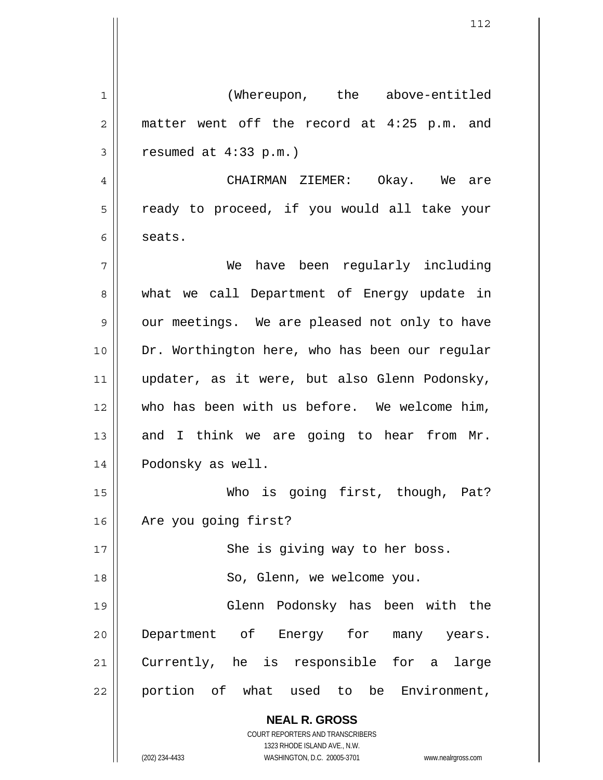**NEAL R. GROSS** COURT REPORTERS AND TRANSCRIBERS 1 2 3 4 5 6 7 8 9 10 11 12 13 14 15 16 17 18 19 20 21 22 (Whereupon, the above-entitled matter went off the record at 4:25 p.m. and resumed at 4:33 p.m.) CHAIRMAN ZIEMER: Okay. We are ready to proceed, if you would all take your seats. We have been regularly including what we call Department of Energy update in our meetings. We are pleased not only to have Dr. Worthington here, who has been our regular updater, as it were, but also Glenn Podonsky, who has been with us before. We welcome him, and I think we are going to hear from Mr. Podonsky as well. Who is going first, though, Pat? Are you going first? She is giving way to her boss. So, Glenn, we welcome you. Glenn Podonsky has been with the Department of Energy for many years. Currently, he is responsible for a large portion of what used to be Environment,

1323 RHODE ISLAND AVE., N.W.

(202) 234-4433 WASHINGTON, D.C. 20005-3701 www.nealrgross.com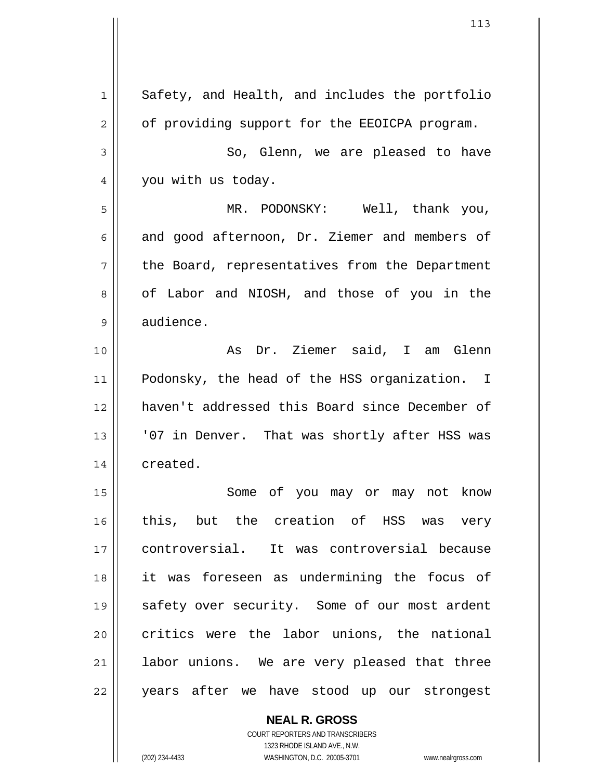| 1              | Safety, and Health, and includes the portfolio |
|----------------|------------------------------------------------|
| $\overline{2}$ | of providing support for the EEOICPA program.  |
| 3              | So, Glenn, we are pleased to have              |
| 4              | you with us today.                             |
| 5              | MR. PODONSKY: Well, thank you,                 |
| 6              | and good afternoon, Dr. Ziemer and members of  |
| 7              | the Board, representatives from the Department |
| 8              | of Labor and NIOSH, and those of you in the    |
| 9              | audience.                                      |
| 10             | As Dr. Ziemer said, I am Glenn                 |
| 11             | Podonsky, the head of the HSS organization. I  |
| 12             | haven't addressed this Board since December of |
| 13             | '07 in Denver. That was shortly after HSS was  |
| 14             | created.                                       |
| 15             | Some of you may or may not know                |
| 16             | this, but the creation of HSS was very         |
| 17             | controversial. It was controversial because    |
| 18             | it was foreseen as undermining the focus of    |
| 19             | safety over security. Some of our most ardent  |
| 20             | critics were the labor unions, the national    |
| 21             | labor unions. We are very pleased that three   |
| 22             | years after we have stood up our strongest     |

COURT REPORTERS AND TRANSCRIBERS 1323 RHODE ISLAND AVE., N.W. (202) 234-4433 WASHINGTON, D.C. 20005-3701 www.nealrgross.com

**NEAL R. GROSS**

 $\mathbf{I}$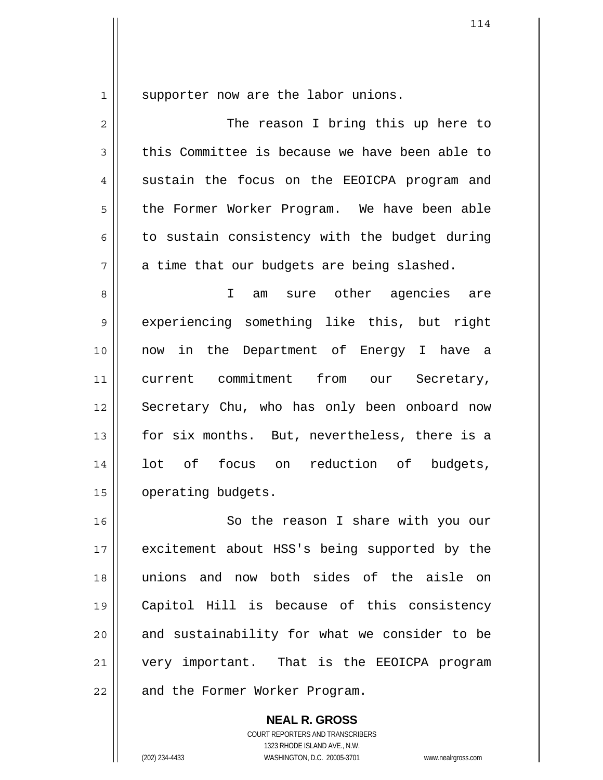1

supporter now are the labor unions.

2 3 4 5 6 7 8 9 10 11 12 13 14 15 The reason I bring this up here to this Committee is because we have been able to sustain the focus on the EEOICPA program and the Former Worker Program. We have been able to sustain consistency with the budget during a time that our budgets are being slashed. I am sure other agencies are experiencing something like this, but right now in the Department of Energy I have a current commitment from our Secretary, Secretary Chu, who has only been onboard now for six months. But, nevertheless, there is a lot of focus on reduction of budgets, operating budgets.

16 17 18 19 20 21 22 So the reason I share with you our excitement about HSS's being supported by the unions and now both sides of the aisle on Capitol Hill is because of this consistency and sustainability for what we consider to be very important. That is the EEOICPA program and the Former Worker Program.

> **NEAL R. GROSS** COURT REPORTERS AND TRANSCRIBERS 1323 RHODE ISLAND AVE., N.W. (202) 234-4433 WASHINGTON, D.C. 20005-3701 www.nealrgross.com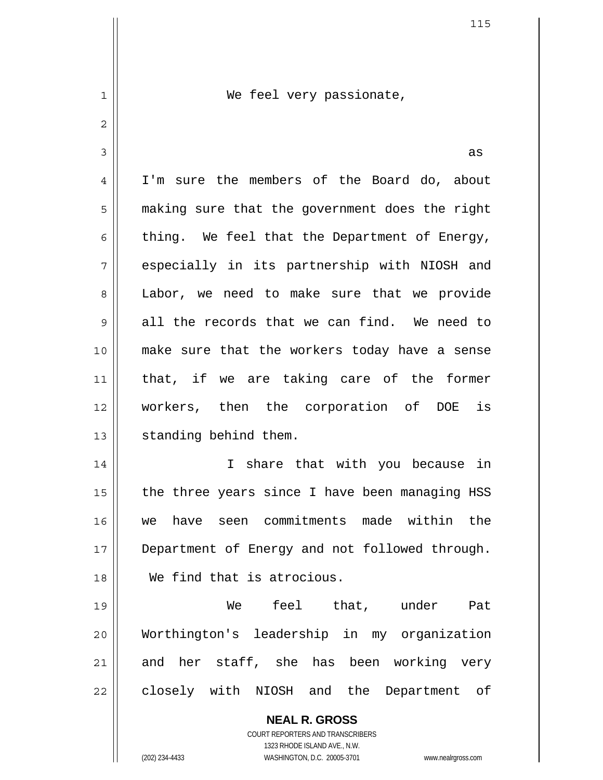**NEAL R. GROSS** COURT REPORTERS AND TRANSCRIBERS 1 2 3 4 5 6 7 8 9 10 11 12 13 14 15 16 17 18 19 20 21 22 We feel very passionate, as I'm sure the members of the Board do, about making sure that the government does the right thing. We feel that the Department of Energy, especially in its partnership with NIOSH and Labor, we need to make sure that we provide all the records that we can find. We need to make sure that the workers today have a sense that, if we are taking care of the former workers, then the corporation of DOE is standing behind them. I share that with you because in the three years since I have been managing HSS we have seen commitments made within the Department of Energy and not followed through. We find that is atrocious. We feel that, under Pat Worthington's leadership in my organization and her staff, she has been working very closely with NIOSH and the Department of

1323 RHODE ISLAND AVE., N.W.

(202) 234-4433 WASHINGTON, D.C. 20005-3701 www.nealrgross.com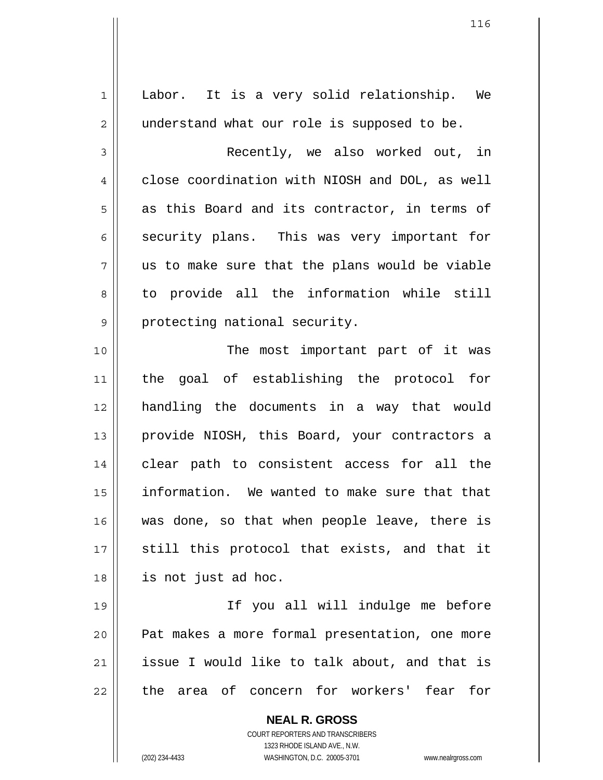| $\mathbf 1$    | Labor. It is a very solid relationship. We     |
|----------------|------------------------------------------------|
| $\overline{2}$ | understand what our role is supposed to be.    |
| 3              | Recently, we also worked out, in               |
| 4              | close coordination with NIOSH and DOL, as well |
| 5              | as this Board and its contractor, in terms of  |
| 6              | security plans. This was very important for    |
| 7              | us to make sure that the plans would be viable |
| 8              | to provide all the information while still     |
| 9              | protecting national security.                  |
| 10             | The most important part of it was              |
| 11             | the goal of establishing the protocol for      |
| 12             | handling the documents in a way that would     |
| 13             | provide NIOSH, this Board, your contractors a  |
| 14             | clear path to consistent access for all the    |
| 15             | information. We wanted to make sure that that  |
| 16             | was done, so that when people leave, there is  |
| $17$           | still this protocol that exists, and that it   |
| 18             | is not just ad hoc.                            |
| 19             | If you all will indulge me before              |
| 20             | Pat makes a more formal presentation, one more |
| 21             | issue I would like to talk about, and that is  |
| 22             | the area of concern for workers' fear for      |
|                |                                                |

**NEAL R. GROSS** COURT REPORTERS AND TRANSCRIBERS 1323 RHODE ISLAND AVE., N.W.

 $\mathbf{I}$ 

(202) 234-4433 WASHINGTON, D.C. 20005-3701 www.nealrgross.com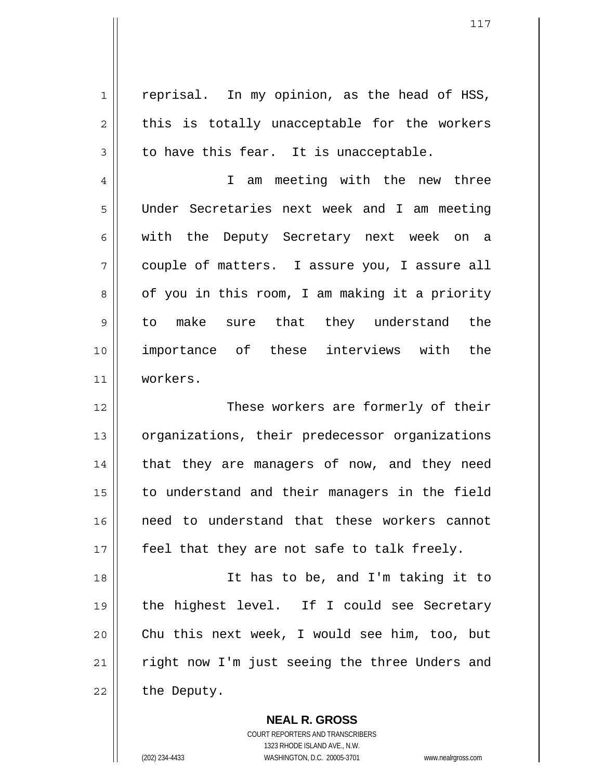reprisal. In my opinion, as the head of HSS, this is totally unacceptable for the workers to have this fear. It is unacceptable.

4 5 6 7 8 9 10 11 I am meeting with the new three Under Secretaries next week and I am meeting with the Deputy Secretary next week on a couple of matters. I assure you, I assure all of you in this room, I am making it a priority to make sure that they understand the importance of these interviews with the workers.

 These workers are formerly of their organizations, their predecessor organizations that they are managers of now, and they need to understand and their managers in the field need to understand that these workers cannot feel that they are not safe to talk freely.

18 19 20 21 22 It has to be, and I'm taking it to the highest level. If I could see Secretary Chu this next week, I would see him, too, but right now I'm just seeing the three Unders and the Deputy.

> **NEAL R. GROSS** COURT REPORTERS AND TRANSCRIBERS 1323 RHODE ISLAND AVE., N.W. (202) 234-4433 WASHINGTON, D.C. 20005-3701 www.nealrgross.com

1

2

3

12

13

14

15

16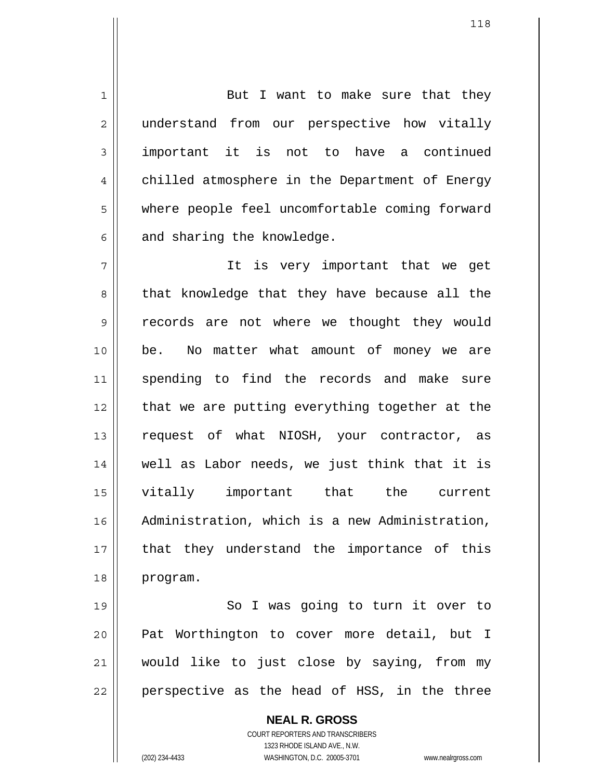But I want to make sure that they understand from our perspective how vitally important it is not to have a continued chilled atmosphere in the Department of Energy where people feel uncomfortable coming forward and sharing the knowledge.

7 8 9 10 11 12 13 14 15 16 17 18 It is very important that we get that knowledge that they have because all the records are not where we thought they would be. No matter what amount of money we are spending to find the records and make sure that we are putting everything together at the request of what NIOSH, your contractor, as well as Labor needs, we just think that it is vitally important that the current Administration, which is a new Administration, that they understand the importance of this program.

19 20 21 22 So I was going to turn it over to Pat Worthington to cover more detail, but I would like to just close by saying, from my perspective as the head of HSS, in the three

> **NEAL R. GROSS** COURT REPORTERS AND TRANSCRIBERS 1323 RHODE ISLAND AVE., N.W. (202) 234-4433 WASHINGTON, D.C. 20005-3701 www.nealrgross.com

1

2

3

4

5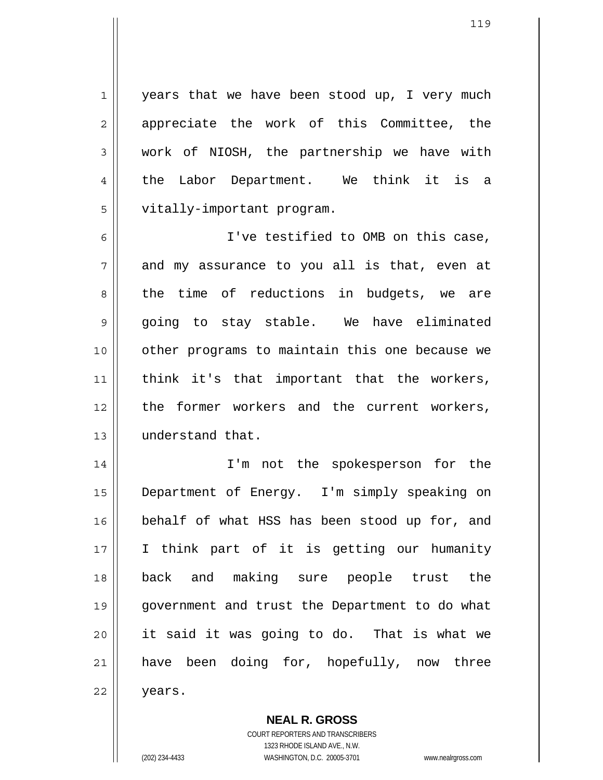1 2 3 4 5 years that we have been stood up, I very much appreciate the work of this Committee, the work of NIOSH, the partnership we have with the Labor Department. We think it is a vitally-important program.

6 7 8 9 10 11 12 13 I've testified to OMB on this case, and my assurance to you all is that, even at the time of reductions in budgets, we are going to stay stable. We have eliminated other programs to maintain this one because we think it's that important that the workers, the former workers and the current workers, understand that.

14 15 16 17 18 19 20 21 22 I'm not the spokesperson for the Department of Energy. I'm simply speaking on behalf of what HSS has been stood up for, and I think part of it is getting our humanity back and making sure people trust the government and trust the Department to do what it said it was going to do. That is what we have been doing for, hopefully, now three years.

> **NEAL R. GROSS** COURT REPORTERS AND TRANSCRIBERS 1323 RHODE ISLAND AVE., N.W. (202) 234-4433 WASHINGTON, D.C. 20005-3701 www.nealrgross.com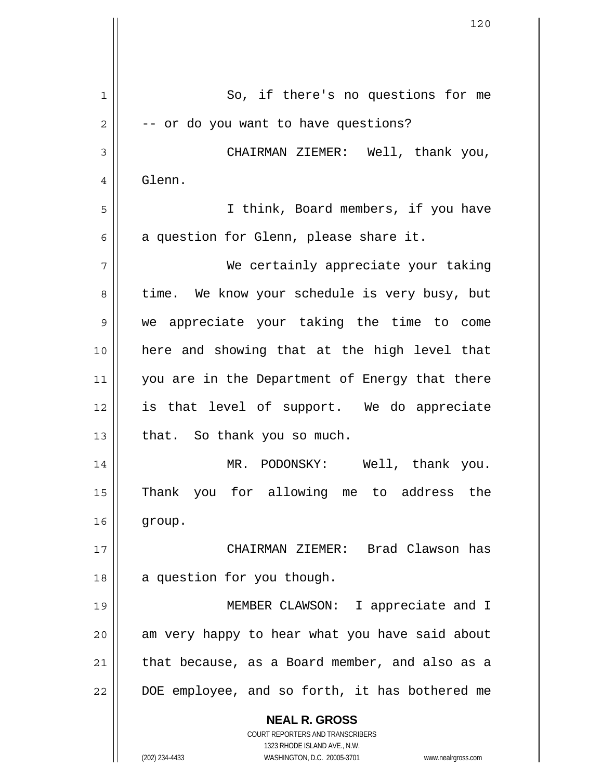|    | 120                                                                                                 |
|----|-----------------------------------------------------------------------------------------------------|
|    |                                                                                                     |
| 1  | So, if there's no questions for me                                                                  |
| 2  | -- or do you want to have questions?                                                                |
| 3  | CHAIRMAN ZIEMER: Well, thank you,                                                                   |
| 4  | Glenn.                                                                                              |
| 5  | I think, Board members, if you have                                                                 |
| 6  | a question for Glenn, please share it.                                                              |
| 7  | We certainly appreciate your taking                                                                 |
| 8  | time. We know your schedule is very busy, but                                                       |
| 9  | we appreciate your taking the time to come                                                          |
| 10 | here and showing that at the high level that                                                        |
| 11 | you are in the Department of Energy that there                                                      |
| 12 | is that level of support. We do appreciate                                                          |
| 13 | that. So thank you so much.                                                                         |
| 14 | MR. PODONSKY: Well, thank you.                                                                      |
| 15 | Thank you for allowing me to address the                                                            |
| 16 | group.                                                                                              |
| 17 | CHAIRMAN ZIEMER: Brad Clawson has                                                                   |
| 18 | a question for you though.                                                                          |
| 19 | MEMBER CLAWSON: I appreciate and I                                                                  |
| 20 | am very happy to hear what you have said about                                                      |
| 21 | that because, as a Board member, and also as a                                                      |
| 22 | DOE employee, and so forth, it has bothered me                                                      |
|    | <b>NEAL R. GROSS</b>                                                                                |
|    | COURT REPORTERS AND TRANSCRIBERS                                                                    |
|    | 1323 RHODE ISLAND AVE., N.W.<br>(202) 234-4433<br>WASHINGTON, D.C. 20005-3701<br>www.nealrgross.com |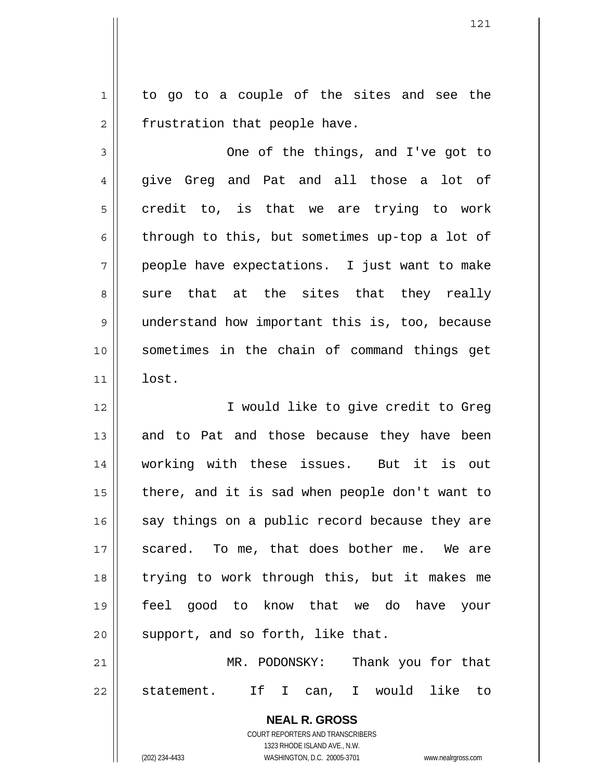1 2 to go to a couple of the sites and see the frustration that people have.

3 4 5 6 7 8 9 10 11 One of the things, and I've got to give Greg and Pat and all those a lot of credit to, is that we are trying to work through to this, but sometimes up-top a lot of people have expectations. I just want to make sure that at the sites that they really understand how important this is, too, because sometimes in the chain of command things get lost.

12 13 14 15 16 17 18 19 20 21 I would like to give credit to Greg and to Pat and those because they have been working with these issues. But it is out there, and it is sad when people don't want to say things on a public record because they are scared. To me, that does bother me. We are trying to work through this, but it makes me feel good to know that we do have your support, and so forth, like that. MR. PODONSKY: Thank you for that

22 statement. If I can, I would like to

> **NEAL R. GROSS** COURT REPORTERS AND TRANSCRIBERS 1323 RHODE ISLAND AVE., N.W.

(202) 234-4433 WASHINGTON, D.C. 20005-3701 www.nealrgross.com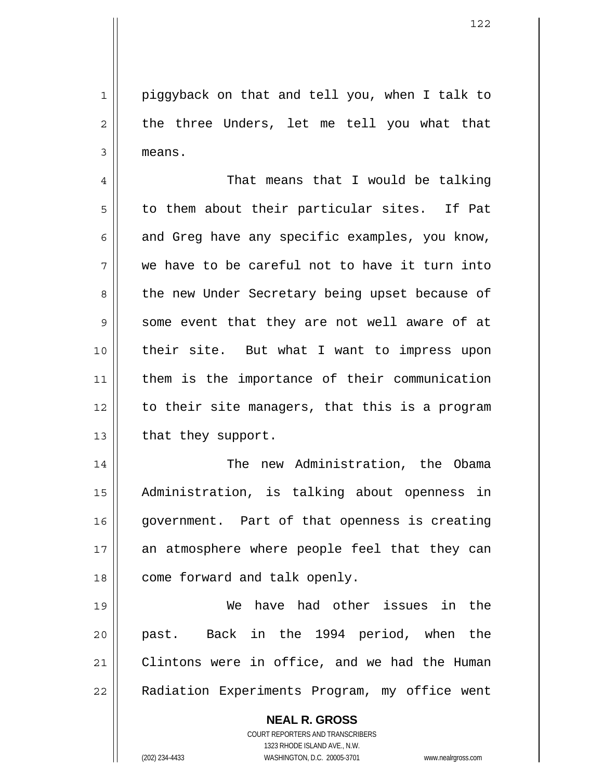piggyback on that and tell you, when I talk to the three Unders, let me tell you what that means.

1

2

3

4 5 6 7 8 9 10 11 12 13 That means that I would be talking to them about their particular sites. If Pat and Greg have any specific examples, you know, we have to be careful not to have it turn into the new Under Secretary being upset because of some event that they are not well aware of at their site. But what I want to impress upon them is the importance of their communication to their site managers, that this is a program that they support.

14 15 16 17 18 The new Administration, the Obama Administration, is talking about openness in government. Part of that openness is creating an atmosphere where people feel that they can come forward and talk openly.

19 20 21 22 We have had other issues in the past. Back in the 1994 period, when the Clintons were in office, and we had the Human Radiation Experiments Program, my office went

> **NEAL R. GROSS** COURT REPORTERS AND TRANSCRIBERS 1323 RHODE ISLAND AVE., N.W. (202) 234-4433 WASHINGTON, D.C. 20005-3701 www.nealrgross.com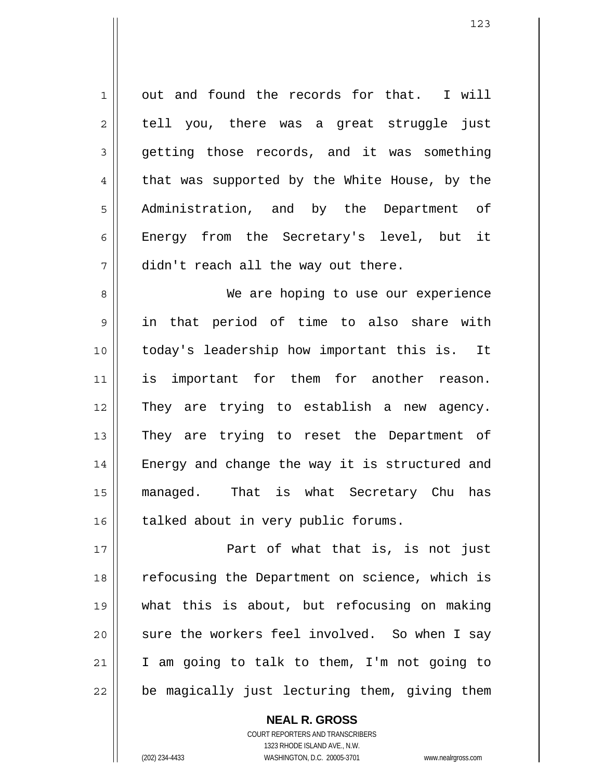1 2 3 4 5 6 7 out and found the records for that. I will tell you, there was a great struggle just getting those records, and it was something that was supported by the White House, by the Administration, and by the Department of Energy from the Secretary's level, but it didn't reach all the way out there.

8 9 10 11 12 13 14 15 16 We are hoping to use our experience in that period of time to also share with today's leadership how important this is. It is important for them for another reason. They are trying to establish a new agency. They are trying to reset the Department of Energy and change the way it is structured and managed. That is what Secretary Chu has talked about in very public forums.

17 18 19 20 21 22 Part of what that is, is not just refocusing the Department on science, which is what this is about, but refocusing on making sure the workers feel involved. So when I say I am going to talk to them, I'm not going to be magically just lecturing them, giving them

> COURT REPORTERS AND TRANSCRIBERS 1323 RHODE ISLAND AVE., N.W. (202) 234-4433 WASHINGTON, D.C. 20005-3701 www.nealrgross.com

**NEAL R. GROSS**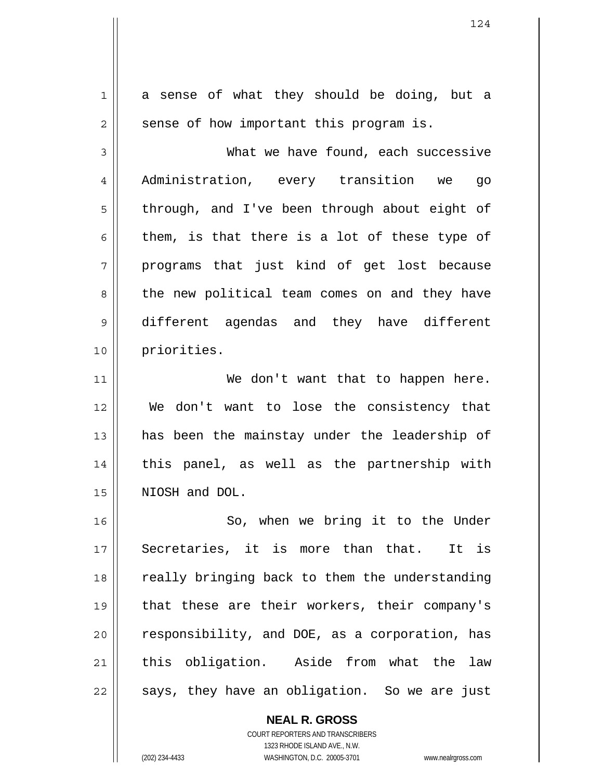| 1              | a sense of what they should be doing, but a    |
|----------------|------------------------------------------------|
| 2              | sense of how important this program is.        |
| 3              | What we have found, each successive            |
| 4              | Administration, every transition we go         |
| 5              | through, and I've been through about eight of  |
| 6              | them, is that there is a lot of these type of  |
| 7              | programs that just kind of get lost because    |
| 8              | the new political team comes on and they have  |
| $\overline{9}$ | different agendas and they have different      |
| 10             | priorities.                                    |
| 11             | We don't want that to happen here.             |
| 12             | We don't want to lose the consistency that     |
| 13             | has been the mainstay under the leadership of  |
| 14             | this panel, as well as the partnership with    |
| 15             | NIOSH and DOL.                                 |
| 16             | So, when we bring it to the Under              |
| 17             | Secretaries, it is more than that.<br>It is    |
| 18             | really bringing back to them the understanding |
| 19             | that these are their workers, their company's  |
| 20             | responsibility, and DOE, as a corporation, has |
| 21             | this obligation. Aside from what the<br>law    |
| 22             | says, they have an obligation. So we are just  |
|                | <b>NEAL R. GROSS</b>                           |
|                |                                                |

COURT REPORTERS AND TRANSCRIBERS 1323 RHODE ISLAND AVE., N.W.

 $\mathbf{I}$ 

(202) 234-4433 WASHINGTON, D.C. 20005-3701 www.nealrgross.com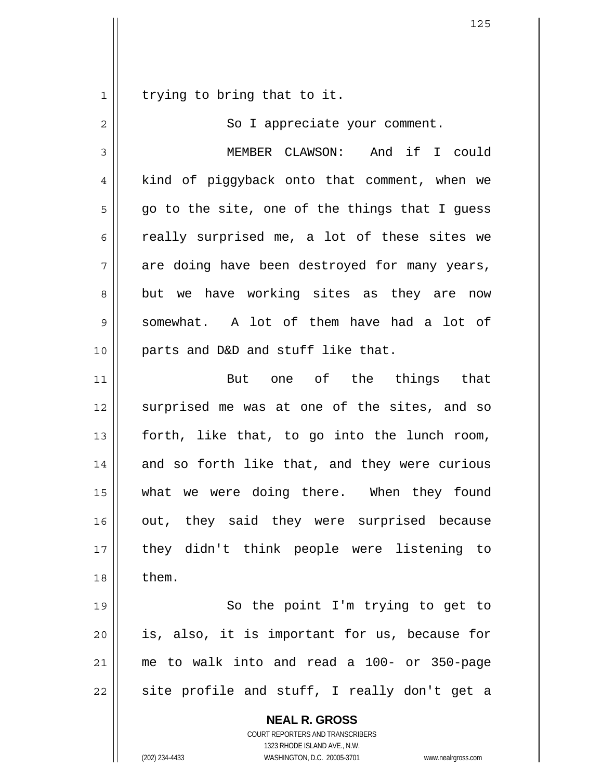1 trying to bring that to it.

2 3 4 5 6 7 8 9 10 11 12 13 14 15 16 17 18 19 So I appreciate your comment. MEMBER CLAWSON: And if I could kind of piggyback onto that comment, when we go to the site, one of the things that I guess really surprised me, a lot of these sites we are doing have been destroyed for many years, but we have working sites as they are now somewhat. A lot of them have had a lot of parts and D&D and stuff like that. But one of the things that surprised me was at one of the sites, and so forth, like that, to go into the lunch room, and so forth like that, and they were curious what we were doing there. When they found out, they said they were surprised because they didn't think people were listening to them. So the point I'm trying to get to

20 21 22 is, also, it is important for us, because for me to walk into and read a 100- or 350-page site profile and stuff, I really don't get a

**NEAL R. GROSS**

COURT REPORTERS AND TRANSCRIBERS 1323 RHODE ISLAND AVE., N.W. (202) 234-4433 WASHINGTON, D.C. 20005-3701 www.nealrgross.com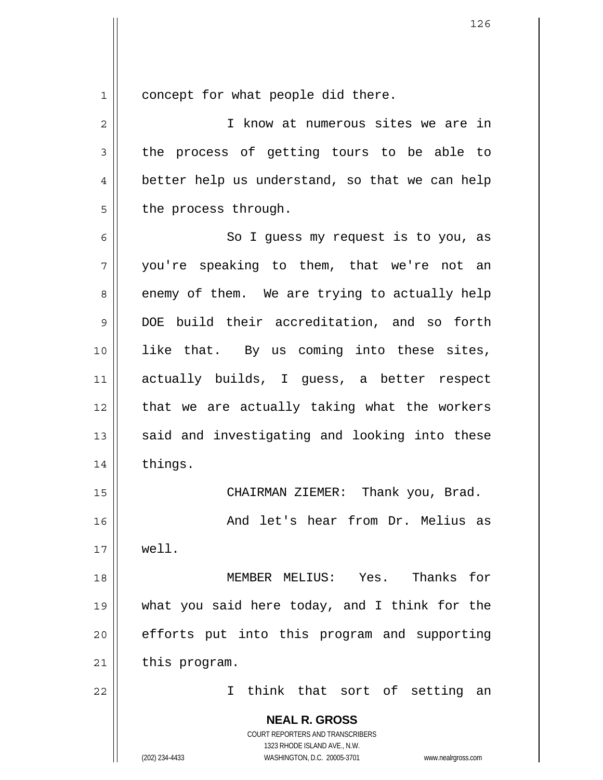1 concept for what people did there.

2 3 4 5 6 7 8 9 10 11 12 13 14 15 16 17 18 19 20 21 22 I know at numerous sites we are in the process of getting tours to be able to better help us understand, so that we can help the process through. So I guess my request is to you, as you're speaking to them, that we're not an enemy of them. We are trying to actually help DOE build their accreditation, and so forth like that. By us coming into these sites, actually builds, I guess, a better respect that we are actually taking what the workers said and investigating and looking into these things. CHAIRMAN ZIEMER: Thank you, Brad. And let's hear from Dr. Melius as well. MEMBER MELIUS: Yes. Thanks for what you said here today, and I think for the efforts put into this program and supporting this program. I think that sort of setting an

> **NEAL R. GROSS** COURT REPORTERS AND TRANSCRIBERS

> > 1323 RHODE ISLAND AVE., N.W.

(202) 234-4433 WASHINGTON, D.C. 20005-3701 www.nealrgross.com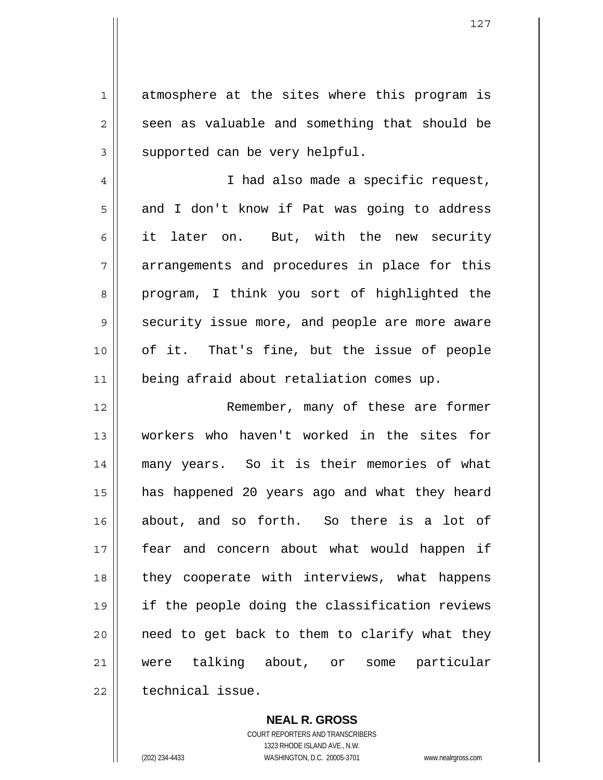atmosphere at the sites where this program is seen as valuable and something that should be supported can be very helpful.

4 5 6 7 8 9 10 11 I had also made a specific request, and I don't know if Pat was going to address it later on. But, with the new security arrangements and procedures in place for this program, I think you sort of highlighted the security issue more, and people are more aware of it. That's fine, but the issue of people being afraid about retaliation comes up.

12 13 14 15 16 17 18 19 20 21 22 Remember, many of these are former workers who haven't worked in the sites for many years. So it is their memories of what has happened 20 years ago and what they heard about, and so forth. So there is a lot of fear and concern about what would happen if they cooperate with interviews, what happens if the people doing the classification reviews need to get back to them to clarify what they were talking about, or some particular technical issue.

> **NEAL R. GROSS** COURT REPORTERS AND TRANSCRIBERS 1323 RHODE ISLAND AVE., N.W. (202) 234-4433 WASHINGTON, D.C. 20005-3701 www.nealrgross.com

1

2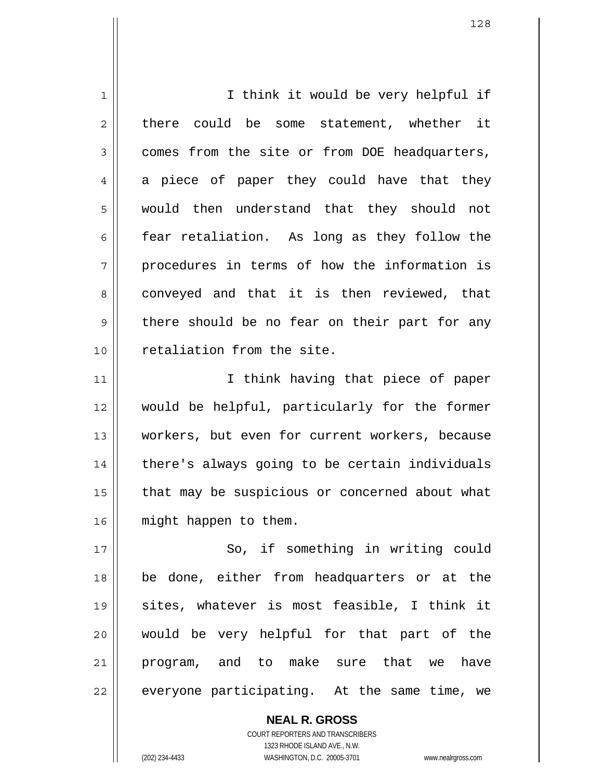1 2 3 4 5 6 7 8 9 10 11 12 13 14 I think it would be very helpful if there could be some statement, whether it comes from the site or from DOE headquarters, a piece of paper they could have that they would then understand that they should not fear retaliation. As long as they follow the procedures in terms of how the information is conveyed and that it is then reviewed, that there should be no fear on their part for any retaliation from the site. I think having that piece of paper would be helpful, particularly for the former workers, but even for current workers, because there's always going to be certain individuals

15 16 that may be suspicious or concerned about what might happen to them.

17 18 19 20 21 22 So, if something in writing could be done, either from headquarters or at the sites, whatever is most feasible, I think it would be very helpful for that part of the program, and to make sure that we have everyone participating. At the same time, we

> **NEAL R. GROSS** COURT REPORTERS AND TRANSCRIBERS 1323 RHODE ISLAND AVE., N.W. (202) 234-4433 WASHINGTON, D.C. 20005-3701 www.nealrgross.com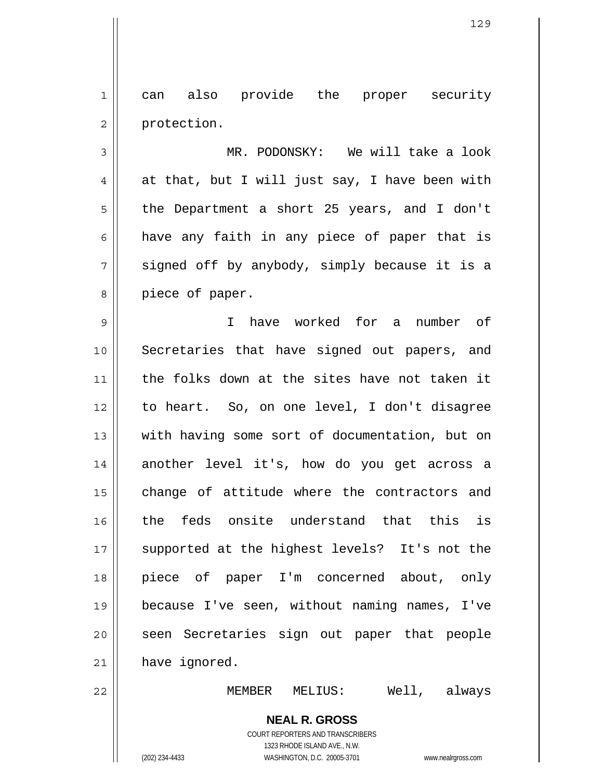1 2 can also provide the proper security protection.

3 4 5 6 7 8 MR. PODONSKY: We will take a look at that, but I will just say, I have been with the Department a short 25 years, and I don't have any faith in any piece of paper that is signed off by anybody, simply because it is a piece of paper.

9 10 11 12 13 14 15 16 17 18 19 20 21 I have worked for a number of Secretaries that have signed out papers, and the folks down at the sites have not taken it to heart. So, on one level, I don't disagree with having some sort of documentation, but on another level it's, how do you get across a change of attitude where the contractors and the feds onsite understand that this is supported at the highest levels? It's not the piece of paper I'm concerned about, only because I've seen, without naming names, I've seen Secretaries sign out paper that people have ignored.

22

MEMBER MELIUS: Well, always

**NEAL R. GROSS**

COURT REPORTERS AND TRANSCRIBERS 1323 RHODE ISLAND AVE., N.W. (202) 234-4433 WASHINGTON, D.C. 20005-3701 www.nealrgross.com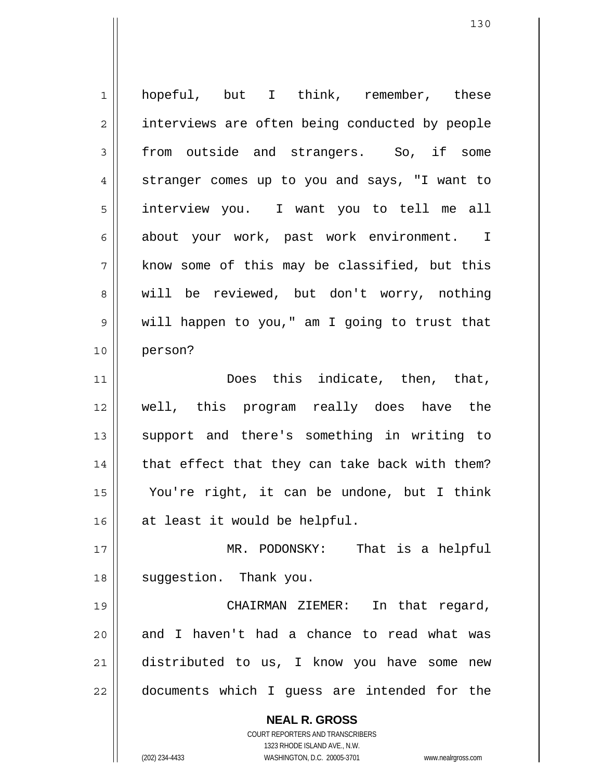**NEAL R. GROSS** COURT REPORTERS AND TRANSCRIBERS 1323 RHODE ISLAND AVE., N.W. (202) 234-4433 WASHINGTON, D.C. 20005-3701 www.nealrgross.com 1 2 3 4 5 6 7 8 9 10 11 12 13 14 15 16 17 18 19 20 21 22 hopeful, but I think, remember, these interviews are often being conducted by people from outside and strangers. So, if some stranger comes up to you and says, "I want to interview you. I want you to tell me all about your work, past work environment. I know some of this may be classified, but this will be reviewed, but don't worry, nothing will happen to you," am I going to trust that person? Does this indicate, then, that, well, this program really does have the support and there's something in writing to that effect that they can take back with them? You're right, it can be undone, but I think at least it would be helpful. MR. PODONSKY: That is a helpful suggestion. Thank you. CHAIRMAN ZIEMER: In that regard, and I haven't had a chance to read what was distributed to us, I know you have some new documents which I guess are intended for the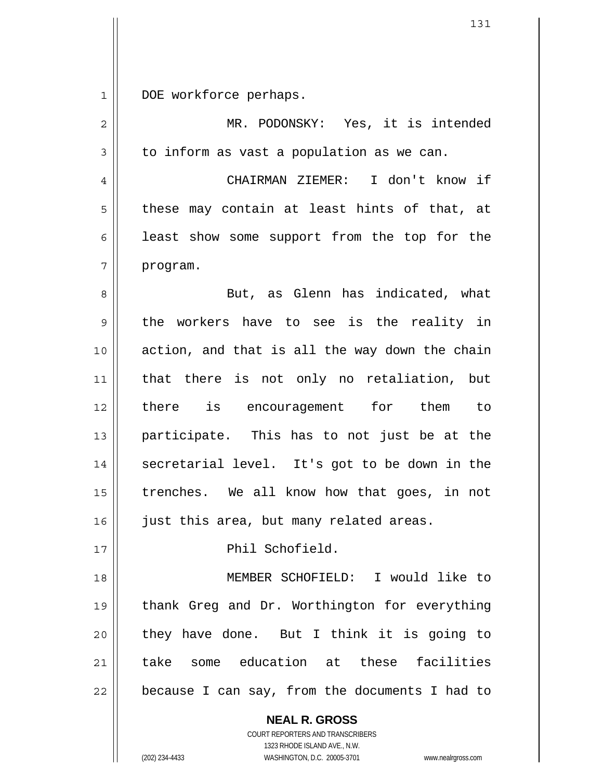1 DOE workforce perhaps.

| $\overline{2}$ | MR. PODONSKY: Yes, it is intended              |
|----------------|------------------------------------------------|
| 3              | to inform as vast a population as we can.      |
| 4              | CHAIRMAN ZIEMER: I don't know if               |
| 5              | these may contain at least hints of that, at   |
| 6              | least show some support from the top for the   |
| 7              | program.                                       |
| 8              | But, as Glenn has indicated, what              |
| $\mathsf 9$    | the workers have to see is the reality in      |
| 10             | action, and that is all the way down the chain |
| 11             | that there is not only no retaliation, but     |
| 12             | there is encouragement for them to             |
| 13             | participate. This has to not just be at the    |
| 14             | secretarial level. It's got to be down in the  |
| 15             | trenches. We all know how that goes, in not    |
| 16             | just this area, but many related areas.        |
| 17             | Phil Schofield.                                |
| 18             | MEMBER SCHOFIELD: I would like to              |
| 19             | thank Greg and Dr. Worthington for everything  |
| 20             | they have done. But I think it is going to     |
| 21             | take some education at these facilities        |
| 22             | because I can say, from the documents I had to |
|                | <b>NEAL R. GROSS</b>                           |

1323 RHODE ISLAND AVE., N.W. (202) 234-4433 WASHINGTON, D.C. 20005-3701 www.nealrgross.com

COURT REPORTERS AND TRANSCRIBERS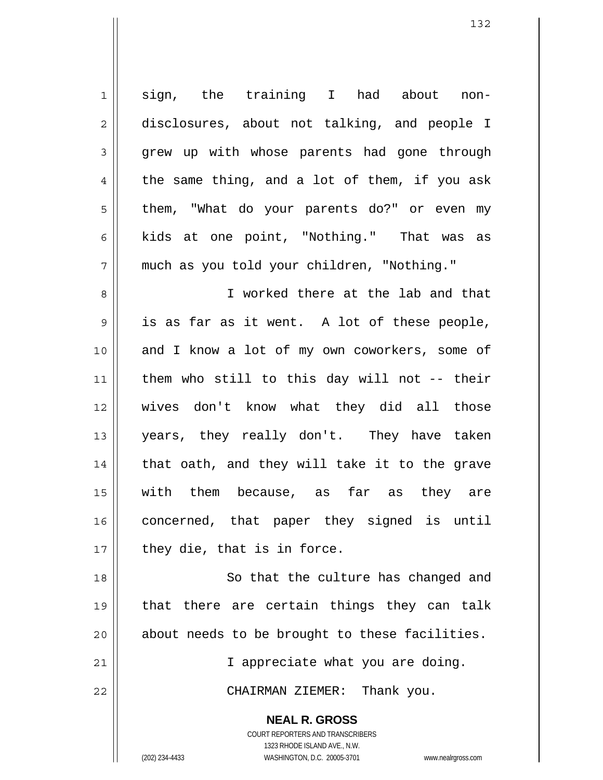1 2 3 4 5 6 7 8 9 10 11 12 13 14 15 16 17 sign, the training I had about nondisclosures, about not talking, and people I grew up with whose parents had gone through the same thing, and a lot of them, if you ask them, "What do your parents do?" or even my kids at one point, "Nothing." That was as much as you told your children, "Nothing." I worked there at the lab and that is as far as it went. A lot of these people, and I know a lot of my own coworkers, some of them who still to this day will not -- their wives don't know what they did all those years, they really don't. They have taken that oath, and they will take it to the grave with them because, as far as they are concerned, that paper they signed is until they die, that is in force.

 So that the culture has changed and that there are certain things they can talk about needs to be brought to these facilities.

I appreciate what you are doing.

CHAIRMAN ZIEMER: Thank you.

**NEAL R. GROSS**

COURT REPORTERS AND TRANSCRIBERS 1323 RHODE ISLAND AVE., N.W. (202) 234-4433 WASHINGTON, D.C. 20005-3701 www.nealrgross.com

18

19

20

21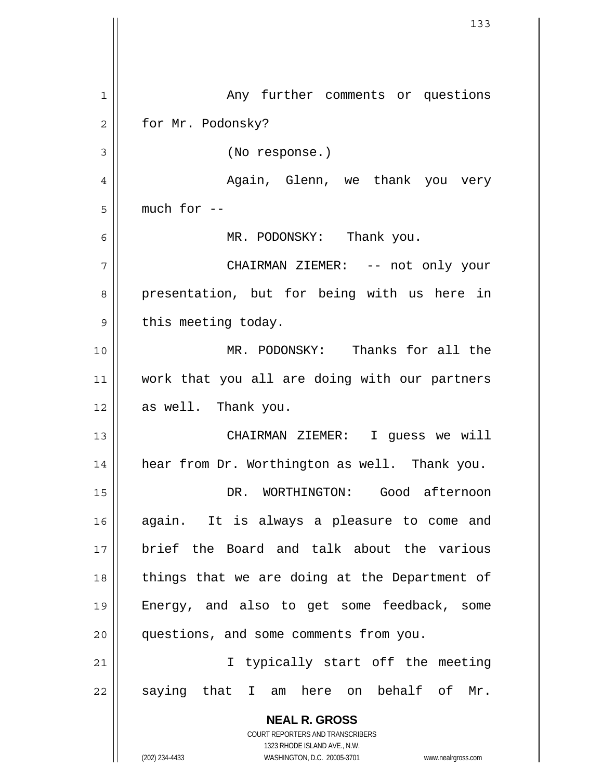**NEAL R. GROSS** COURT REPORTERS AND TRANSCRIBERS 1323 RHODE ISLAND AVE., N.W. (202) 234-4433 WASHINGTON, D.C. 20005-3701 www.nealrgross.com 1 2 3 4 5 6 7 8 9 10 11 12 13 14 15 16 17 18 19 20 21 22 Any further comments or questions for Mr. Podonsky? (No response.) Again, Glenn, we thank you very much for -- MR. PODONSKY: Thank you. CHAIRMAN ZIEMER: -- not only your presentation, but for being with us here in this meeting today. MR. PODONSKY: Thanks for all the work that you all are doing with our partners as well. Thank you. CHAIRMAN ZIEMER: I guess we will hear from Dr. Worthington as well. Thank you. DR. WORTHINGTON: Good afternoon again. It is always a pleasure to come and brief the Board and talk about the various things that we are doing at the Department of Energy, and also to get some feedback, some questions, and some comments from you. I typically start off the meeting saying that I am here on behalf of Mr.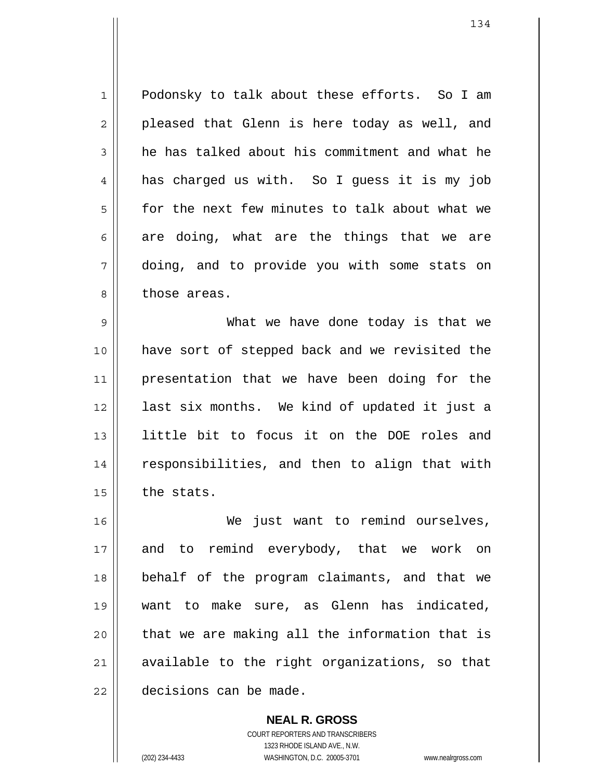1 2 3 4 5 6 7 8 Podonsky to talk about these efforts. So I am pleased that Glenn is here today as well, and he has talked about his commitment and what he has charged us with. So I guess it is my job for the next few minutes to talk about what we are doing, what are the things that we are doing, and to provide you with some stats on those areas.

9 10 11 12 13 14 15 What we have done today is that we have sort of stepped back and we revisited the presentation that we have been doing for the last six months. We kind of updated it just a little bit to focus it on the DOE roles and responsibilities, and then to align that with the stats.

16 17 18 19 20 21 22 We just want to remind ourselves, and to remind everybody, that we work on behalf of the program claimants, and that we want to make sure, as Glenn has indicated, that we are making all the information that is available to the right organizations, so that decisions can be made.

> **NEAL R. GROSS** COURT REPORTERS AND TRANSCRIBERS 1323 RHODE ISLAND AVE., N.W. (202) 234-4433 WASHINGTON, D.C. 20005-3701 www.nealrgross.com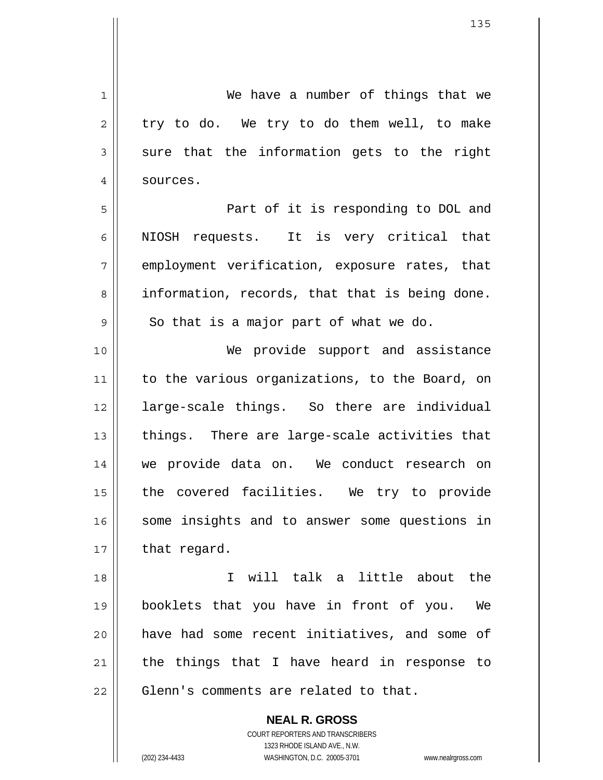We have a number of things that we try to do. We try to do them well, to make sure that the information gets to the right sources.

7 Part of it is responding to DOL and NIOSH requests. It is very critical that employment verification, exposure rates, that information, records, that that is being done. So that is a major part of what we do.

10 11 12 13 14 15 16 17 We provide support and assistance to the various organizations, to the Board, on large-scale things. So there are individual things. There are large-scale activities that we provide data on. We conduct research on the covered facilities. We try to provide some insights and to answer some questions in that regard.

18 19 20 21 22 I will talk a little about the booklets that you have in front of you. We have had some recent initiatives, and some of the things that I have heard in response to Glenn's comments are related to that.

> **NEAL R. GROSS** COURT REPORTERS AND TRANSCRIBERS 1323 RHODE ISLAND AVE., N.W. (202) 234-4433 WASHINGTON, D.C. 20005-3701 www.nealrgross.com

1

2

3

4

5

6

8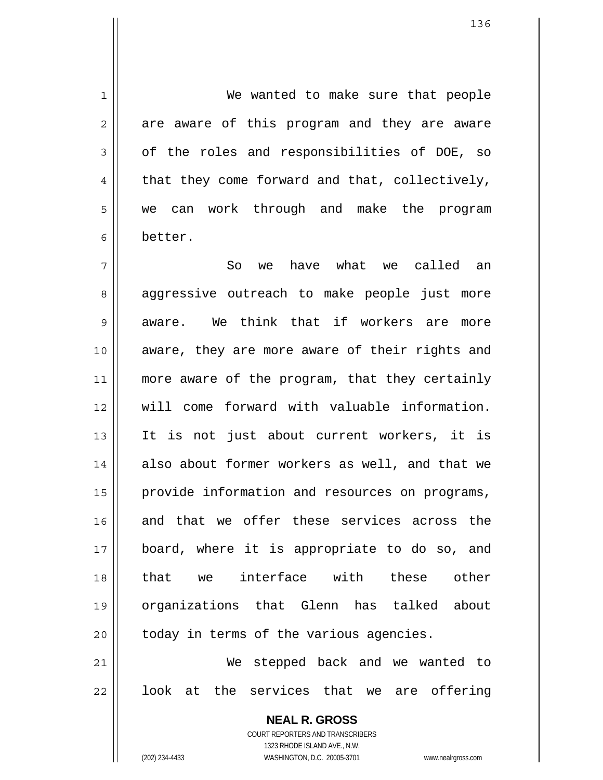**NEAL R. GROSS** COURT REPORTERS AND TRANSCRIBERS 1 2 3 4 5 6 7 8 9 10 11 12 13 14 15 16 17 18 19 20 21 22 We wanted to make sure that people are aware of this program and they are aware of the roles and responsibilities of DOE, so that they come forward and that, collectively, we can work through and make the program better. So we have what we called an aggressive outreach to make people just more aware. We think that if workers are more aware, they are more aware of their rights and more aware of the program, that they certainly will come forward with valuable information. It is not just about current workers, it is also about former workers as well, and that we provide information and resources on programs, and that we offer these services across the board, where it is appropriate to do so, and that we interface with these other organizations that Glenn has talked about today in terms of the various agencies. We stepped back and we wanted to look at the services that we are offering

1323 RHODE ISLAND AVE., N.W.

(202) 234-4433 WASHINGTON, D.C. 20005-3701 www.nealrgross.com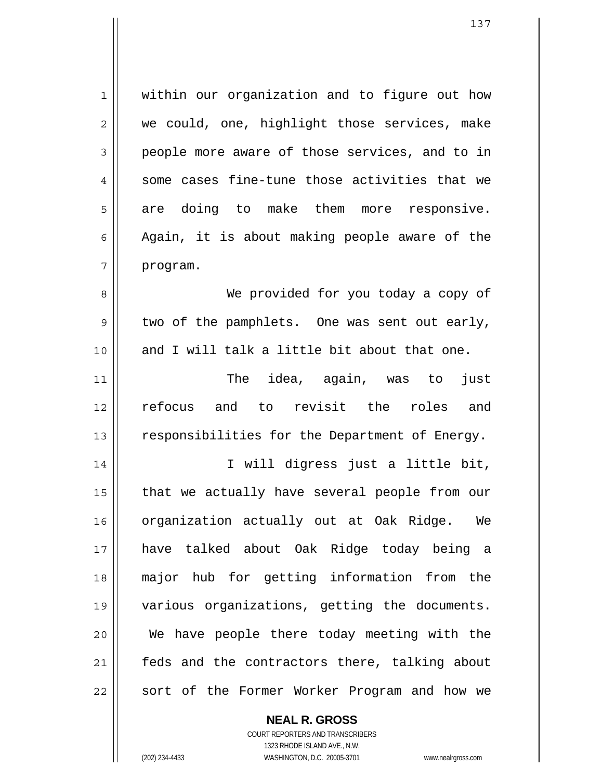1 2 3 4 5 6 7 8 9 10 11 12 13 14 15 16 17 18 19 20 21 22 within our organization and to figure out how we could, one, highlight those services, make people more aware of those services, and to in some cases fine-tune those activities that we are doing to make them more responsive. Again, it is about making people aware of the program. We provided for you today a copy of two of the pamphlets. One was sent out early, and I will talk a little bit about that one. The idea, again, was to just refocus and to revisit the roles and responsibilities for the Department of Energy. I will digress just a little bit, that we actually have several people from our organization actually out at Oak Ridge. We have talked about Oak Ridge today being a major hub for getting information from the various organizations, getting the documents. We have people there today meeting with the feds and the contractors there, talking about sort of the Former Worker Program and how we

> COURT REPORTERS AND TRANSCRIBERS 1323 RHODE ISLAND AVE., N.W. (202) 234-4433 WASHINGTON, D.C. 20005-3701 www.nealrgross.com

**NEAL R. GROSS**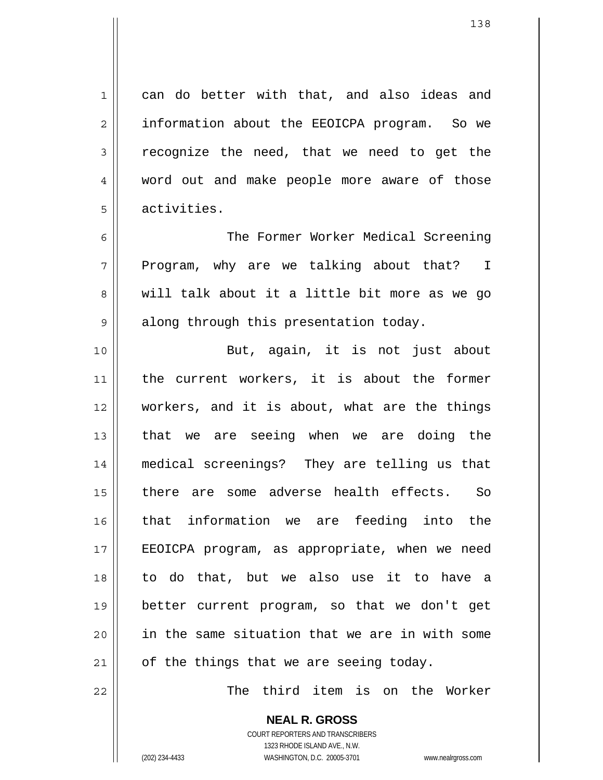can do better with that, and also ideas and information about the EEOICPA program. So we recognize the need, that we need to get the word out and make people more aware of those activities.

6 7 8 9 The Former Worker Medical Screening Program, why are we talking about that? I will talk about it a little bit more as we go along through this presentation today.

10 11 12 13 14 15 16 17 18 19 20 21 But, again, it is not just about the current workers, it is about the former workers, and it is about, what are the things that we are seeing when we are doing the medical screenings? They are telling us that there are some adverse health effects. So that information we are feeding into the EEOICPA program, as appropriate, when we need to do that, but we also use it to have a better current program, so that we don't get in the same situation that we are in with some of the things that we are seeing today.

The third item is on the Worker

**NEAL R. GROSS** COURT REPORTERS AND TRANSCRIBERS 1323 RHODE ISLAND AVE., N.W. (202) 234-4433 WASHINGTON, D.C. 20005-3701 www.nealrgross.com

22

1

2

3

4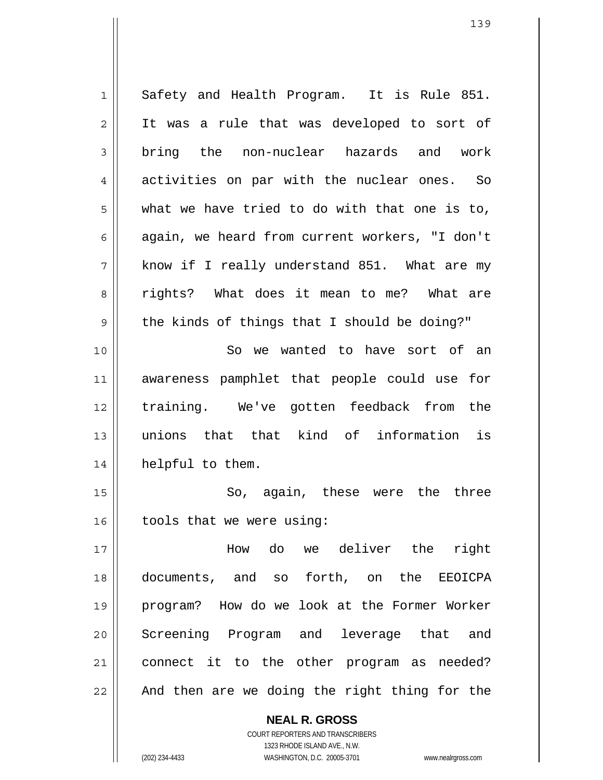1 2 3 4 5 6 7 8 9 10 11 12 13 14 15 16 17 18 19 20 21 22 Safety and Health Program. It is Rule 851. It was a rule that was developed to sort of bring the non-nuclear hazards and work activities on par with the nuclear ones. So what we have tried to do with that one is to, again, we heard from current workers, "I don't know if I really understand 851. What are my rights? What does it mean to me? What are the kinds of things that I should be doing?" So we wanted to have sort of an awareness pamphlet that people could use for training. We've gotten feedback from the unions that that kind of information is helpful to them. So, again, these were the three tools that we were using: How do we deliver the right documents, and so forth, on the EEOICPA program? How do we look at the Former Worker Screening Program and leverage that and connect it to the other program as needed? And then are we doing the right thing for the

1323 RHODE ISLAND AVE., N.W. (202) 234-4433 WASHINGTON, D.C. 20005-3701 www.nealrgross.com

**NEAL R. GROSS** COURT REPORTERS AND TRANSCRIBERS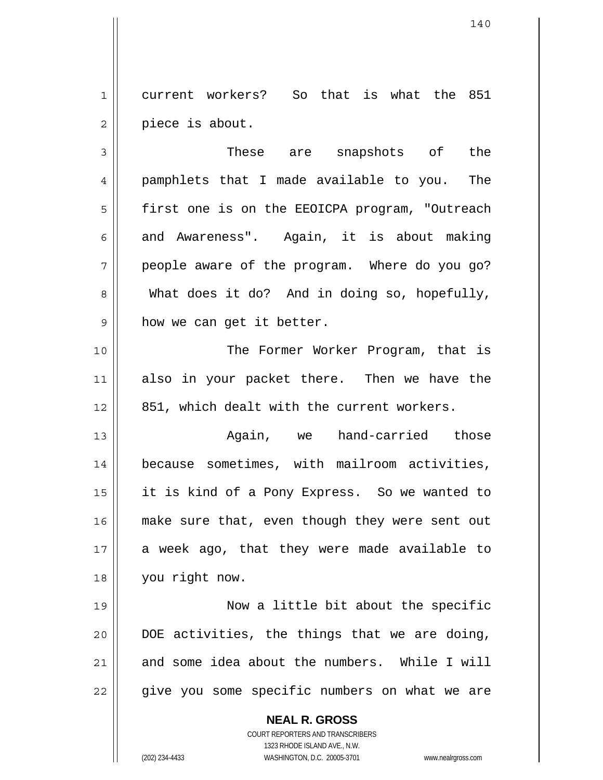1 2 current workers? So that is what the 851 piece is about.

3 4 5 6 7 8 9 These are snapshots of the pamphlets that I made available to you. The first one is on the EEOICPA program, "Outreach and Awareness". Again, it is about making people aware of the program. Where do you go? What does it do? And in doing so, hopefully, how we can get it better.

10 11 12 The Former Worker Program, that is also in your packet there. Then we have the 851, which dealt with the current workers.

13 14 15 16 17 18 Again, we hand-carried those because sometimes, with mailroom activities, it is kind of a Pony Express. So we wanted to make sure that, even though they were sent out a week ago, that they were made available to you right now.

19 20 21 22 Now a little bit about the specific DOE activities, the things that we are doing, and some idea about the numbers. While I will give you some specific numbers on what we are

> **NEAL R. GROSS** COURT REPORTERS AND TRANSCRIBERS 1323 RHODE ISLAND AVE., N.W. (202) 234-4433 WASHINGTON, D.C. 20005-3701 www.nealrgross.com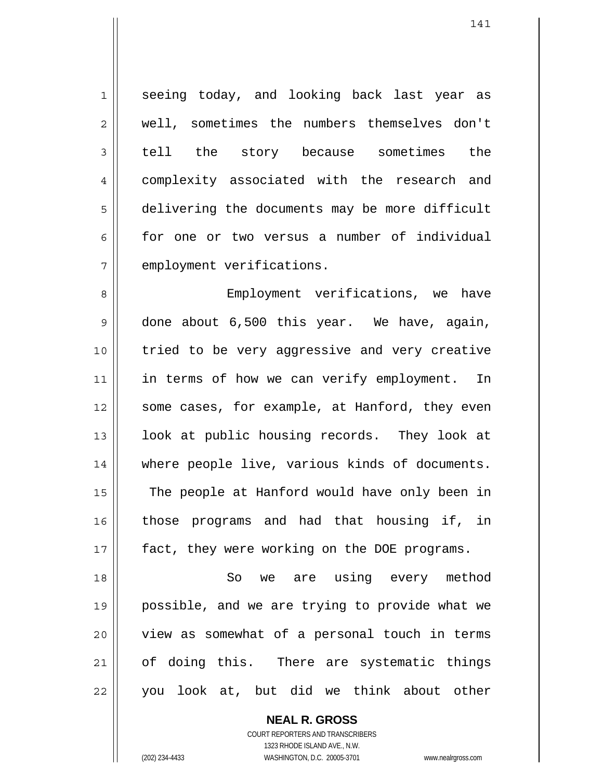1 2 3 4 5 6 7 seeing today, and looking back last year as well, sometimes the numbers themselves don't tell the story because sometimes the complexity associated with the research and delivering the documents may be more difficult for one or two versus a number of individual employment verifications.

8 9 10 11 12 13 14 15 16 17 Employment verifications, we have done about 6,500 this year. We have, again, tried to be very aggressive and very creative in terms of how we can verify employment. In some cases, for example, at Hanford, they even look at public housing records. They look at where people live, various kinds of documents. The people at Hanford would have only been in those programs and had that housing if, in fact, they were working on the DOE programs.

18 19 20 21 22 So we are using every method possible, and we are trying to provide what we view as somewhat of a personal touch in terms of doing this. There are systematic things you look at, but did we think about other

> **NEAL R. GROSS** COURT REPORTERS AND TRANSCRIBERS 1323 RHODE ISLAND AVE., N.W. (202) 234-4433 WASHINGTON, D.C. 20005-3701 www.nealrgross.com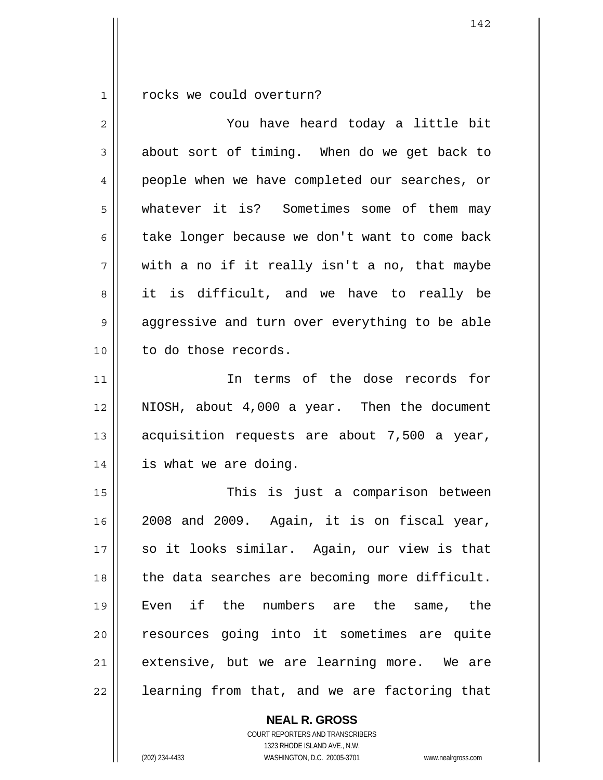1 rocks we could overturn?

| $\overline{2}$ | You have heard today a little bit              |
|----------------|------------------------------------------------|
| 3              | about sort of timing. When do we get back to   |
| 4              | people when we have completed our searches, or |
| 5              | whatever it is? Sometimes some of them may     |
| 6              | take longer because we don't want to come back |
| 7              | with a no if it really isn't a no, that maybe  |
| 8              | it is difficult, and we have to really be      |
| 9              | aggressive and turn over everything to be able |
| 10             | to do those records.                           |
| 11             | In terms of the dose records for               |
| 12             | NIOSH, about 4,000 a year. Then the document   |
| 13             | acquisition requests are about 7,500 a year,   |
| 14             | is what we are doing.                          |
| 15             | This is just a comparison between              |
| 16             | 2008 and 2009. Again, it is on fiscal year,    |
| 17             | so it looks similar. Again, our view is that   |
| 18             | the data searches are becoming more difficult. |
| 19             | Even if the numbers are the<br>same, the       |
| 20             | resources going into it sometimes are quite    |
| 21             | extensive, but we are learning more. We are    |
| 22             | learning from that, and we are factoring that  |

**NEAL R. GROSS**

COURT REPORTERS AND TRANSCRIBERS 1323 RHODE ISLAND AVE., N.W. (202) 234-4433 WASHINGTON, D.C. 20005-3701 www.nealrgross.com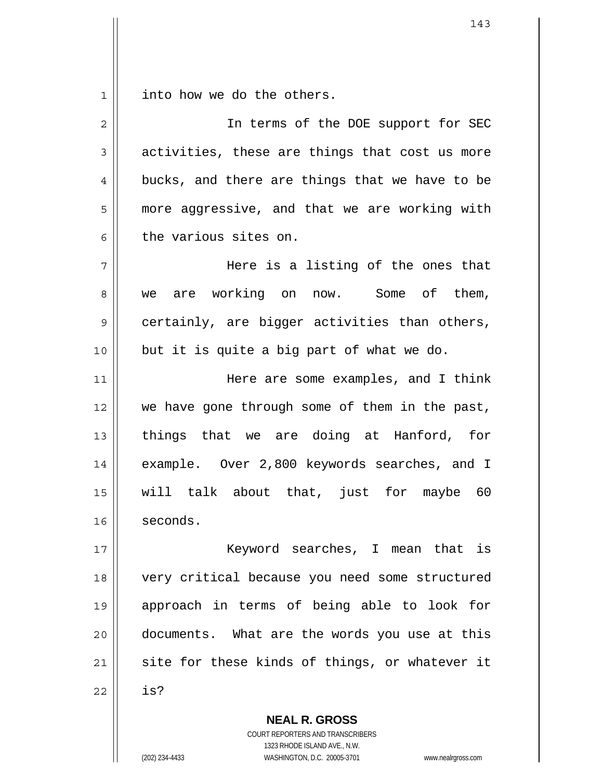1 into how we do the others.

| $\overline{2}$ | In terms of the DOE support for SEC            |
|----------------|------------------------------------------------|
| $\mathsf 3$    | activities, these are things that cost us more |
| $\overline{4}$ | bucks, and there are things that we have to be |
| 5              | more aggressive, and that we are working with  |
| 6              | the various sites on.                          |
| 7              | Here is a listing of the ones that             |
| 8              | we are working on now. Some of them,           |
| $\mathsf 9$    | certainly, are bigger activities than others,  |
| 10             | but it is quite a big part of what we do.      |
| 11             | Here are some examples, and I think            |
| 12             | we have gone through some of them in the past, |
| 13             | things that we are doing at Hanford, for       |
| 14             | example. Over 2,800 keywords searches, and I   |
| 15             | will talk about that, just for maybe 60        |
| 16             | seconds.                                       |
| 17             | Keyword searches, I mean that is               |
| 18             | very critical because you need some structured |
| 19             | approach in terms of being able to look for    |
| 20             | documents. What are the words you use at this  |
| 21             | site for these kinds of things, or whatever it |
| 22             | is?                                            |
|                |                                                |

**NEAL R. GROSS** COURT REPORTERS AND TRANSCRIBERS 1323 RHODE ISLAND AVE., N.W.

(202) 234-4433 WASHINGTON, D.C. 20005-3701 www.nealrgross.com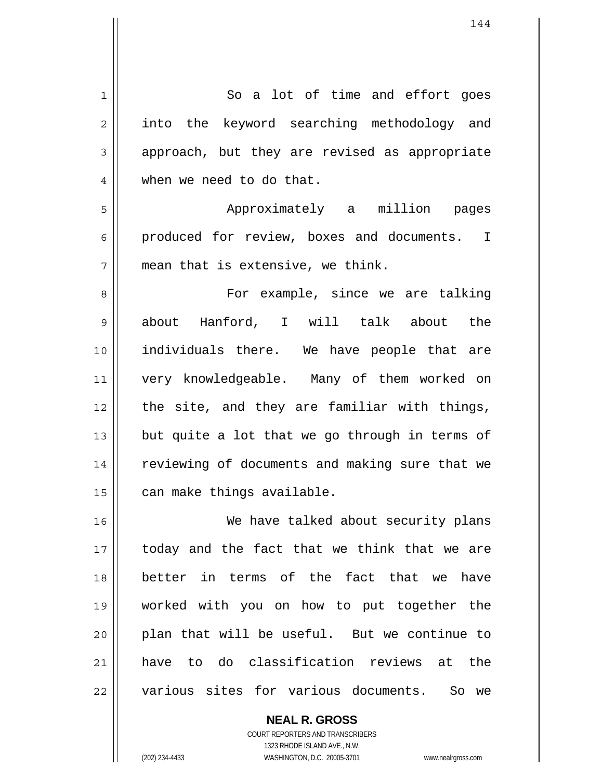| $\mathbf 1$  | So a lot of time and effort goes               |
|--------------|------------------------------------------------|
| $\mathbf{2}$ | into the keyword searching methodology and     |
| 3            | approach, but they are revised as appropriate  |
| 4            | when we need to do that.                       |
| 5            | Approximately a million pages                  |
| 6            | produced for review, boxes and documents. I    |
| 7            | mean that is extensive, we think.              |
| 8            | For example, since we are talking              |
| 9            | about Hanford, I will talk about the           |
| 10           | individuals there. We have people that are     |
| 11           | very knowledgeable. Many of them worked on     |
| 12           | the site, and they are familiar with things,   |
| 13           | but quite a lot that we go through in terms of |
| 14           | reviewing of documents and making sure that we |
| 15           | can make things available.                     |
| 16           | We have talked about security plans            |
| 17           | today and the fact that we think that we are   |
| 18           | better in terms of the fact that we have       |
| 19           | worked with you on how to put together the     |
| 20           | plan that will be useful. But we continue to   |
| 21           | have to do classification reviews at the       |
| 22           | various sites for various documents. So we     |

COURT REPORTERS AND TRANSCRIBERS 1323 RHODE ISLAND AVE., N.W. (202) 234-4433 WASHINGTON, D.C. 20005-3701 www.nealrgross.com

**NEAL R. GROSS**

 $\mathsf{II}$ 

 $\mathsf{I}$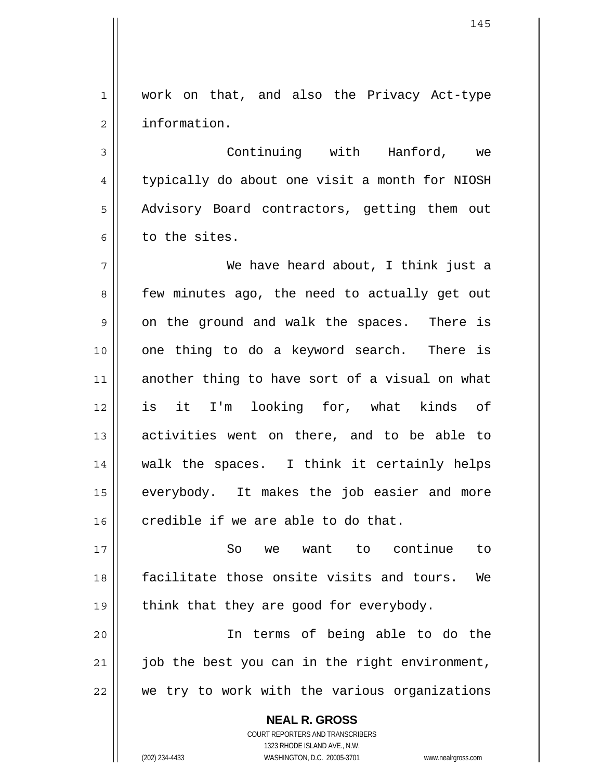1 2 work on that, and also the Privacy Act-type information.

3 4 5 6 Continuing with Hanford, we typically do about one visit a month for NIOSH Advisory Board contractors, getting them out to the sites.

7 8 9 10 11 12 13 14 15 16 We have heard about, I think just a few minutes ago, the need to actually get out on the ground and walk the spaces. There is one thing to do a keyword search. There is another thing to have sort of a visual on what is it I'm looking for, what kinds of activities went on there, and to be able to walk the spaces. I think it certainly helps everybody. It makes the job easier and more credible if we are able to do that.

17 18 19 So we want to continue to facilitate those onsite visits and tours. We think that they are good for everybody.

20 21 22 In terms of being able to do the job the best you can in the right environment, we try to work with the various organizations

> **NEAL R. GROSS** COURT REPORTERS AND TRANSCRIBERS 1323 RHODE ISLAND AVE., N.W. (202) 234-4433 WASHINGTON, D.C. 20005-3701 www.nealrgross.com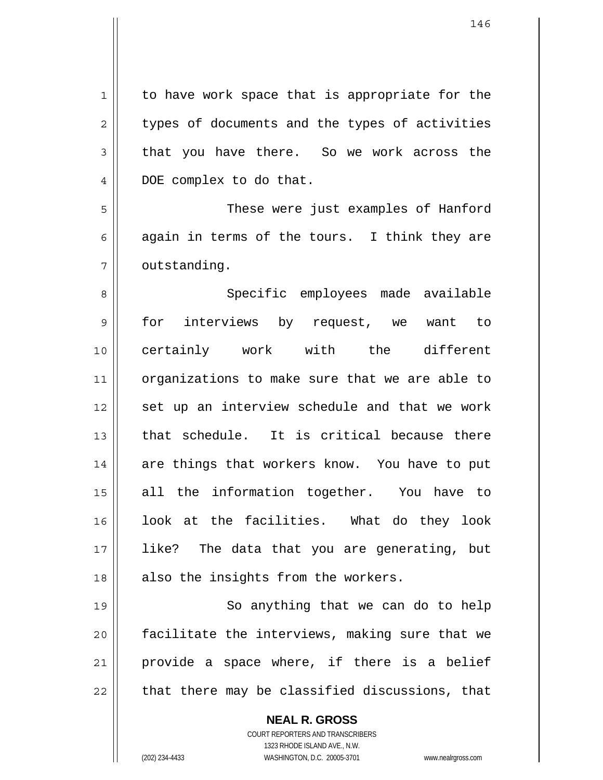| 1  | to have work space that is appropriate for the           |
|----|----------------------------------------------------------|
| 2  | types of documents and the types of activities           |
| 3  | that you have there. So we work across the               |
| 4  | DOE complex to do that.                                  |
| 5  | These were just examples of Hanford                      |
| 6  | again in terms of the tours. I think they are            |
| 7  | outstanding.                                             |
| 8  | Specific employees made available                        |
| 9  | interviews by request, we want to<br>for                 |
| 10 | certainly work with the different                        |
| 11 | organizations to make sure that we are able to           |
| 12 | set up an interview schedule and that we work            |
| 13 | that schedule. It is critical because there              |
| 14 | are things that workers know. You have to put            |
| 15 | all the information together. You have to                |
| 16 | look at the facilities. What do they look                |
| 17 | The data that you are generating, but<br>like?           |
| 18 | also the insights from the workers.                      |
| 19 | So anything that we can do to help                       |
| 20 | facilitate the interviews, making sure that we           |
| 21 | provide a space where, if there is a belief              |
| 22 | that there may be classified discussions, that           |
|    | <b>NEAL R. GROSS</b><br>COURT REPORTERS AND TRANSCRIBERS |

1323 RHODE ISLAND AVE., N.W.

 $\prod$ 

(202) 234-4433 WASHINGTON, D.C. 20005-3701 www.nealrgross.com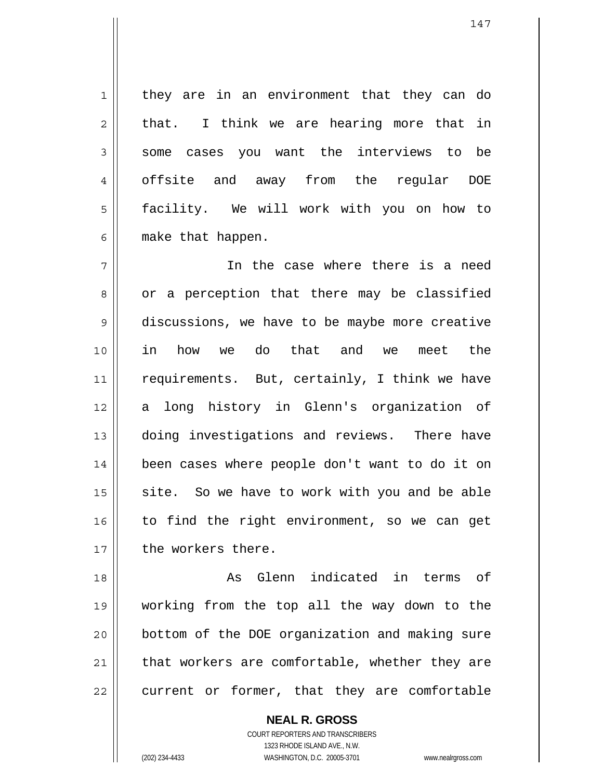they are in an environment that they can do that. I think we are hearing more that in some cases you want the interviews to be offsite and away from the regular DOE facility. We will work with you on how to make that happen.

7 8 9 10 11 12 13 14 15 16 17 In the case where there is a need or a perception that there may be classified discussions, we have to be maybe more creative in how we do that and we meet the requirements. But, certainly, I think we have a long history in Glenn's organization of doing investigations and reviews. There have been cases where people don't want to do it on site. So we have to work with you and be able to find the right environment, so we can get the workers there.

18 19 20 21 22 As Glenn indicated in terms of working from the top all the way down to the bottom of the DOE organization and making sure that workers are comfortable, whether they are current or former, that they are comfortable

> **NEAL R. GROSS** COURT REPORTERS AND TRANSCRIBERS 1323 RHODE ISLAND AVE., N.W. (202) 234-4433 WASHINGTON, D.C. 20005-3701 www.nealrgross.com

1

2

3

4

5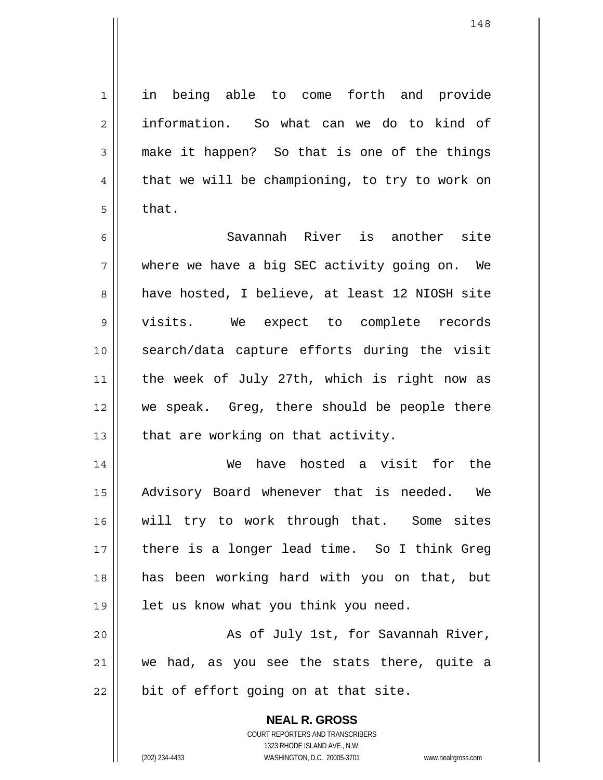in being able to come forth and provide information. So what can we do to kind of make it happen? So that is one of the things that we will be championing, to try to work on that.

6 7 8 9 10 11 12 13 Savannah River is another site where we have a big SEC activity going on. We have hosted, I believe, at least 12 NIOSH site visits. We expect to complete records search/data capture efforts during the visit the week of July 27th, which is right now as we speak. Greg, there should be people there that are working on that activity.

14 15 16 17 18 19 We have hosted a visit for the Advisory Board whenever that is needed. We will try to work through that. Some sites there is a longer lead time. So I think Greg has been working hard with you on that, but let us know what you think you need.

20 21 22 As of July 1st, for Savannah River, we had, as you see the stats there, quite a bit of effort going on at that site.

> **NEAL R. GROSS** COURT REPORTERS AND TRANSCRIBERS 1323 RHODE ISLAND AVE., N.W. (202) 234-4433 WASHINGTON, D.C. 20005-3701 www.nealrgross.com

1

2

3

4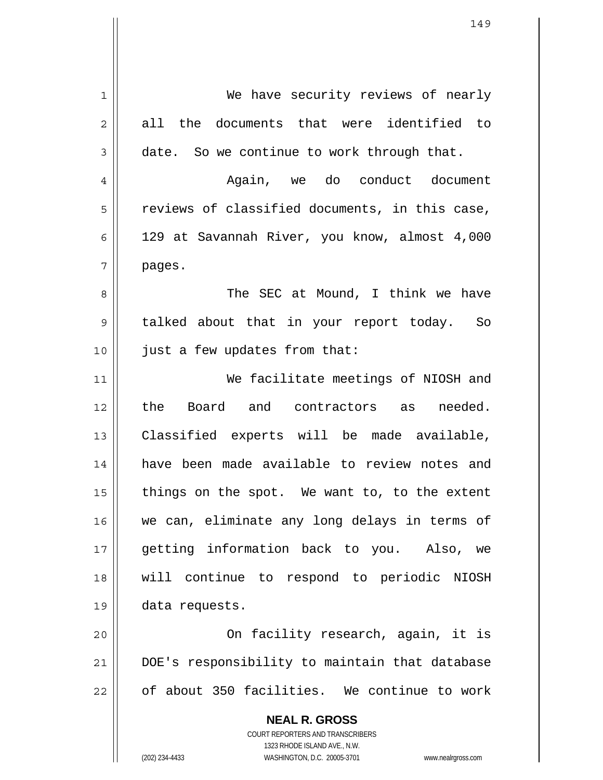| 1  | We have security reviews of nearly                                  |
|----|---------------------------------------------------------------------|
| 2  | all the documents that were identified to                           |
| 3  | date. So we continue to work through that.                          |
| 4  | Again, we do conduct document                                       |
| 5  | reviews of classified documents, in this case,                      |
| 6  | 129 at Savannah River, you know, almost 4,000                       |
| 7  | pages.                                                              |
| 8  | The SEC at Mound, I think we have                                   |
| 9  | talked about that in your report today. So                          |
| 10 | just a few updates from that:                                       |
| 11 | We facilitate meetings of NIOSH and                                 |
| 12 | the Board and contractors as needed.                                |
| 13 | Classified experts will be made available,                          |
| 14 | have been made available to review notes and                        |
| 15 | things on the spot. We want to, to the extent                       |
| 16 | we can, eliminate any long delays in terms of                       |
| 17 | getting information back to you. Also, we                           |
| 18 | will continue to respond to periodic NIOSH                          |
| 19 | data requests.                                                      |
| 20 | On facility research, again, it is                                  |
| 21 | DOE's responsibility to maintain that database                      |
| 22 | of about 350 facilities. We continue to work                        |
|    | <b>NEAL R. GROSS</b>                                                |
|    | <b>COURT REPORTERS AND TRANSCRIBERS</b>                             |
|    | 1323 RHODE ISLAND AVE., N.W.                                        |
|    | (202) 234-4433<br>WASHINGTON, D.C. 20005-3701<br>www.nealrgross.com |

 $\mathsf{I}$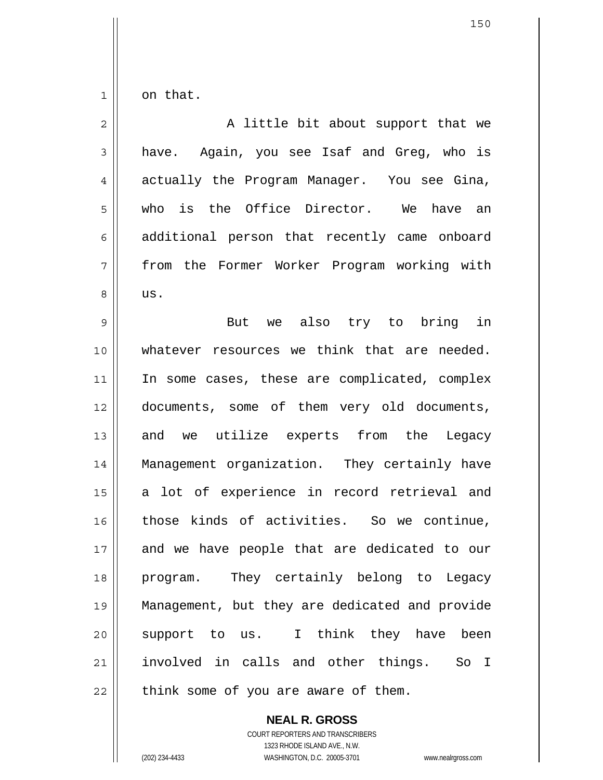1 on that.

| $\overline{2}$ | A little bit about support that we             |
|----------------|------------------------------------------------|
| 3              | have. Again, you see Isaf and Greg, who is     |
| 4              | actually the Program Manager. You see Gina,    |
| 5              | who is the Office Director. We have an         |
| 6              | additional person that recently came onboard   |
| 7              | from the Former Worker Program working with    |
| 8              | us.                                            |
| 9              | But we also try to bring in                    |
| 10             | whatever resources we think that are needed.   |
| 11             | In some cases, these are complicated, complex  |
| 12             | documents, some of them very old documents,    |
| 13             | and we utilize experts from the<br>Legacy      |
| 14             | Management organization. They certainly have   |
| 15             | a lot of experience in record retrieval and    |
| 16             | those kinds of activities. So we continue,     |
| 17             | and we have people that are dedicated to our   |
| 18             | program. They certainly belong to Legacy       |
| 19             | Management, but they are dedicated and provide |
| 20             | support to us. I think they have been          |
| 21             | involved in calls and other things. So I       |
| 22             | think some of you are aware of them.           |

150

COURT REPORTERS AND TRANSCRIBERS 1323 RHODE ISLAND AVE., N.W. (202) 234-4433 WASHINGTON, D.C. 20005-3701 www.nealrgross.com

**NEAL R. GROSS**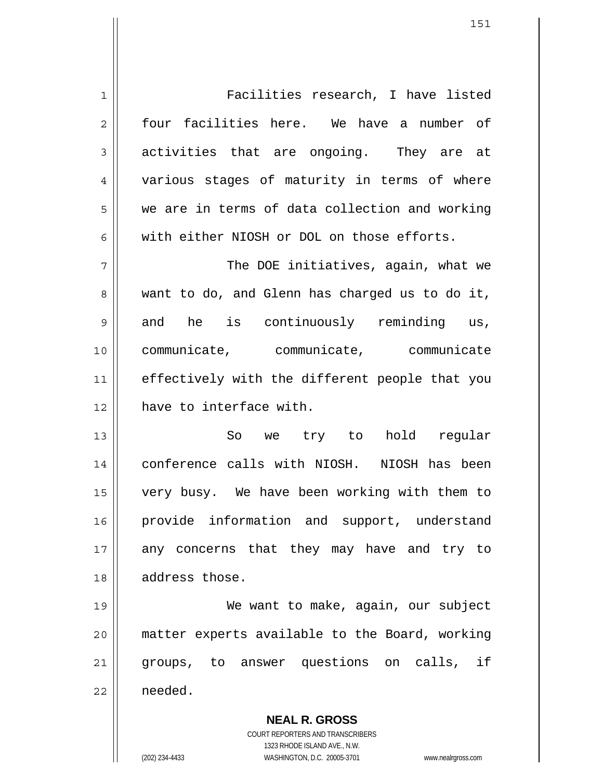1 2 3 4 5 6 7 8 9 10 11 12 13 14 15 16 17 18 19 20 21 22 Facilities research, I have listed four facilities here. We have a number of activities that are ongoing. They are at various stages of maturity in terms of where we are in terms of data collection and working with either NIOSH or DOL on those efforts. The DOE initiatives, again, what we want to do, and Glenn has charged us to do it, and he is continuously reminding us, communicate, communicate, communicate effectively with the different people that you have to interface with. So we try to hold regular conference calls with NIOSH. NIOSH has been very busy. We have been working with them to provide information and support, understand any concerns that they may have and try to address those. We want to make, again, our subject matter experts available to the Board, working groups, to answer questions on calls, if needed.

> **NEAL R. GROSS** COURT REPORTERS AND TRANSCRIBERS 1323 RHODE ISLAND AVE., N.W. (202) 234-4433 WASHINGTON, D.C. 20005-3701 www.nealrgross.com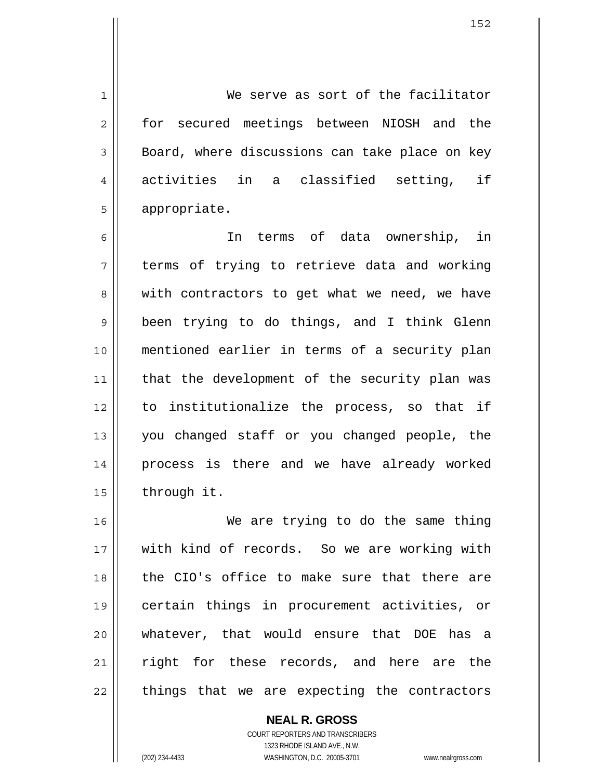We serve as sort of the facilitator for secured meetings between NIOSH and the Board, where discussions can take place on key activities in a classified setting, if appropriate.

6 7 8 9 10 11 12 13 14 15 In terms of data ownership, in terms of trying to retrieve data and working with contractors to get what we need, we have been trying to do things, and I think Glenn mentioned earlier in terms of a security plan that the development of the security plan was to institutionalize the process, so that if you changed staff or you changed people, the process is there and we have already worked through it.

16 17 18 19 20 21 22 We are trying to do the same thing with kind of records. So we are working with the CIO's office to make sure that there are certain things in procurement activities, or whatever, that would ensure that DOE has a right for these records, and here are the things that we are expecting the contractors

> **NEAL R. GROSS** COURT REPORTERS AND TRANSCRIBERS 1323 RHODE ISLAND AVE., N.W. (202) 234-4433 WASHINGTON, D.C. 20005-3701 www.nealrgross.com

1

2

3

4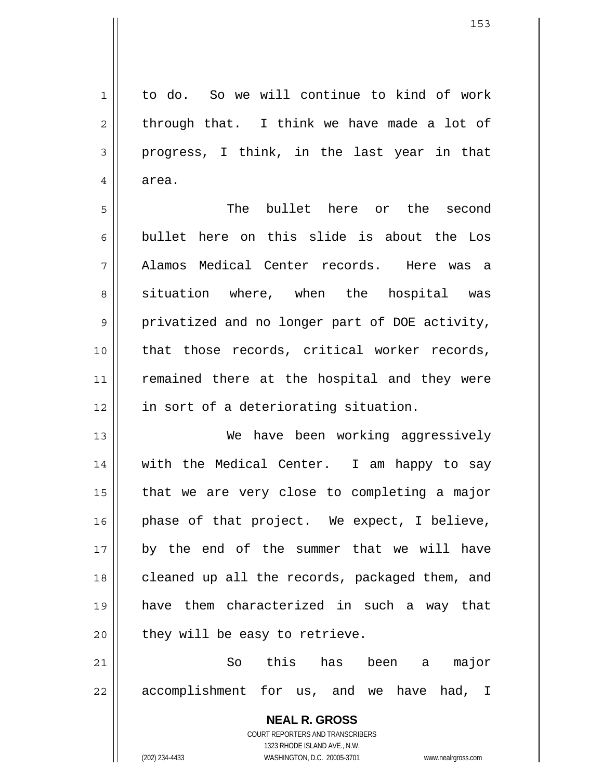153

1 2 3 4 to do. So we will continue to kind of work through that. I think we have made a lot of progress, I think, in the last year in that area.

5 6 7 8 9 10 11 12 The bullet here or the second bullet here on this slide is about the Los Alamos Medical Center records. Here was a situation where, when the hospital was privatized and no longer part of DOE activity, that those records, critical worker records, remained there at the hospital and they were in sort of a deteriorating situation.

13 14 15 16 17 18 19 20 We have been working aggressively with the Medical Center. I am happy to say that we are very close to completing a major phase of that project. We expect, I believe, by the end of the summer that we will have cleaned up all the records, packaged them, and have them characterized in such a way that they will be easy to retrieve.

21 22 So this has been a major accomplishment for us, and we have had, I

> **NEAL R. GROSS** COURT REPORTERS AND TRANSCRIBERS 1323 RHODE ISLAND AVE., N.W. (202) 234-4433 WASHINGTON, D.C. 20005-3701 www.nealrgross.com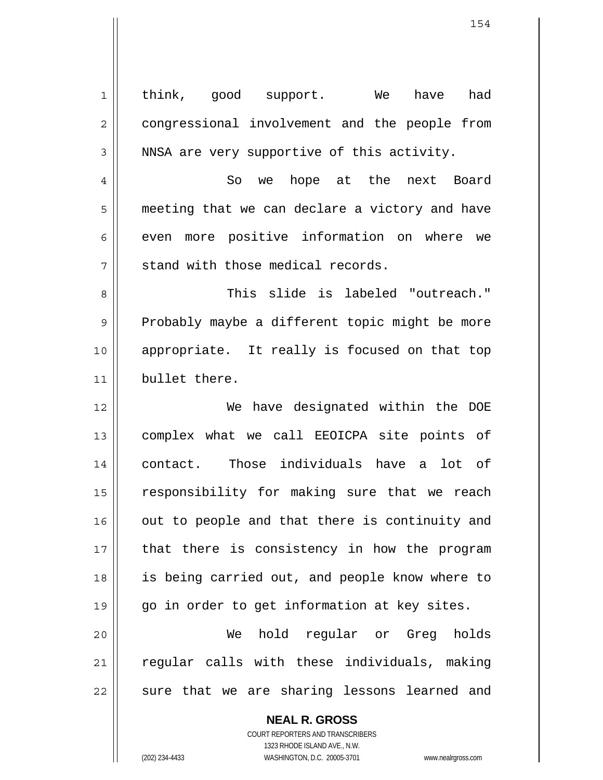1 2 3 4 5 6 7 8 9 10 11 12 13 14 15 16 17 18 19 20 21 22 think, good support. We have had congressional involvement and the people from NNSA are very supportive of this activity. So we hope at the next Board meeting that we can declare a victory and have even more positive information on where we stand with those medical records. This slide is labeled "outreach." Probably maybe a different topic might be more appropriate. It really is focused on that top bullet there. We have designated within the DOE complex what we call EEOICPA site points of contact. Those individuals have a lot of responsibility for making sure that we reach out to people and that there is continuity and that there is consistency in how the program is being carried out, and people know where to go in order to get information at key sites. We hold regular or Greg holds regular calls with these individuals, making sure that we are sharing lessons learned and

> **NEAL R. GROSS** COURT REPORTERS AND TRANSCRIBERS

> > 1323 RHODE ISLAND AVE., N.W.

(202) 234-4433 WASHINGTON, D.C. 20005-3701 www.nealrgross.com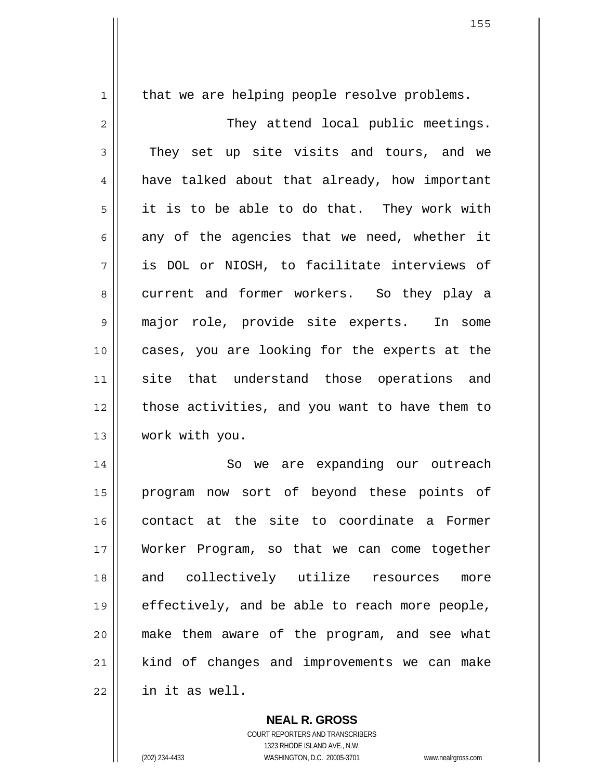1

that we are helping people resolve problems.

2 3 4 5 6 7 8 9 10 11 12 13 They attend local public meetings. They set up site visits and tours, and we have talked about that already, how important it is to be able to do that. They work with any of the agencies that we need, whether it is DOL or NIOSH, to facilitate interviews of current and former workers. So they play a major role, provide site experts. In some cases, you are looking for the experts at the site that understand those operations and those activities, and you want to have them to work with you.

14 15 16 17 18 19 20 21 22 So we are expanding our outreach program now sort of beyond these points of contact at the site to coordinate a Former Worker Program, so that we can come together and collectively utilize resources more effectively, and be able to reach more people, make them aware of the program, and see what kind of changes and improvements we can make in it as well.

> **NEAL R. GROSS** COURT REPORTERS AND TRANSCRIBERS

> > 1323 RHODE ISLAND AVE., N.W.

(202) 234-4433 WASHINGTON, D.C. 20005-3701 www.nealrgross.com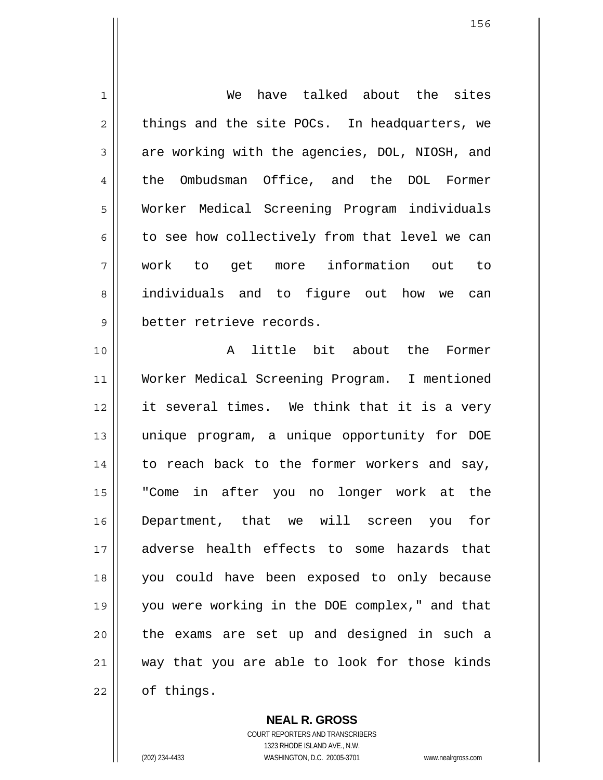| $\mathbf 1$    | have talked about the sites<br>We              |
|----------------|------------------------------------------------|
| $\overline{2}$ | things and the site POCs. In headquarters, we  |
| 3              | are working with the agencies, DOL, NIOSH, and |
| 4              | the Ombudsman Office, and the DOL Former       |
| 5              | Worker Medical Screening Program individuals   |
| 6              | to see how collectively from that level we can |
| 7              | work to get more information out to            |
| 8              | individuals and to figure out how we can       |
| 9              | better retrieve records.                       |
| 10             | A little bit about the Former                  |
| 11             | Worker Medical Screening Program. I mentioned  |
| 12             | it several times. We think that it is a very   |
| 13             | unique program, a unique opportunity for DOE   |
| 14             | to reach back to the former workers and say,   |
| 15             | "Come in after you no longer work at the       |
| 16             | Department, that we will screen you for        |
| 17             | adverse health effects to some hazards that    |
| 18             | you could have been exposed to only because    |
| 19             | you were working in the DOE complex," and that |
| 20             | the exams are set up and designed in such a    |
| 21             | way that you are able to look for those kinds  |
| 22             | of things.                                     |

**NEAL R. GROSS** COURT REPORTERS AND TRANSCRIBERS 1323 RHODE ISLAND AVE., N.W. (202) 234-4433 WASHINGTON, D.C. 20005-3701 www.nealrgross.com

 $\mathsf{II}$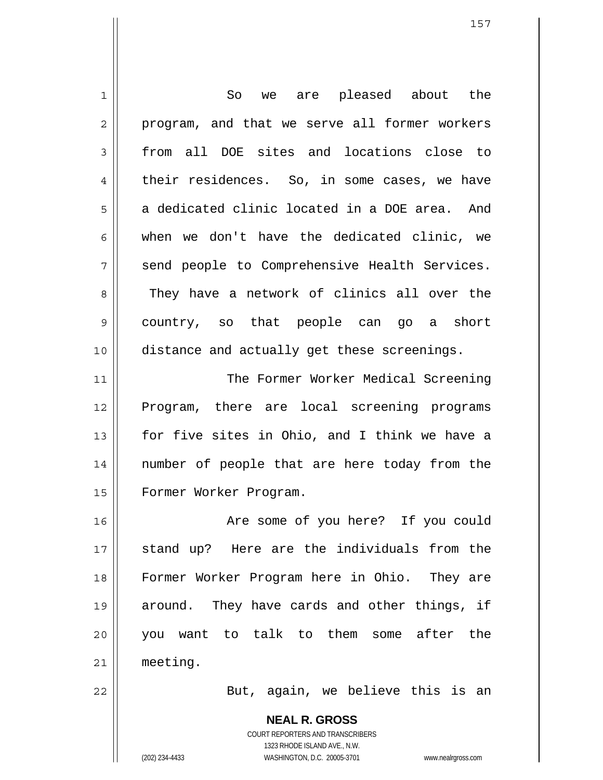| $\mathbf 1$    | we are pleased about the<br>So                           |
|----------------|----------------------------------------------------------|
| $\overline{2}$ | program, and that we serve all former workers            |
| 3              | all DOE sites and locations close to<br>from             |
| 4              | their residences. So, in some cases, we have             |
| 5              | a dedicated clinic located in a DOE area. And            |
| 6              | when we don't have the dedicated clinic, we              |
| 7              | send people to Comprehensive Health Services.            |
| 8              | They have a network of clinics all over the              |
| 9              | country, so that people can go a short                   |
| 10             | distance and actually get these screenings.              |
| 11             | The Former Worker Medical Screening                      |
| 12             | Program, there are local screening programs              |
| 13             | for five sites in Ohio, and I think we have a            |
| 14             | number of people that are here today from the            |
| 15             | Former Worker Program.                                   |
| 16             | Are some of you here? If you could                       |
| 17             | stand up? Here are the individuals from the              |
| 18             | Former Worker Program here in Ohio. They are             |
| 19             | around. They have cards and other things, if             |
| 20             | you want to talk to them some after the                  |
| 21             | meeting.                                                 |
| 22             | But, again, we believe this is an                        |
|                | <b>NEAL R. GROSS</b><br>COURT REPORTERS AND TRANSCRIBERS |

1323 RHODE ISLAND AVE., N.W.

 $\prod$ 

(202) 234-4433 WASHINGTON, D.C. 20005-3701 www.nealrgross.com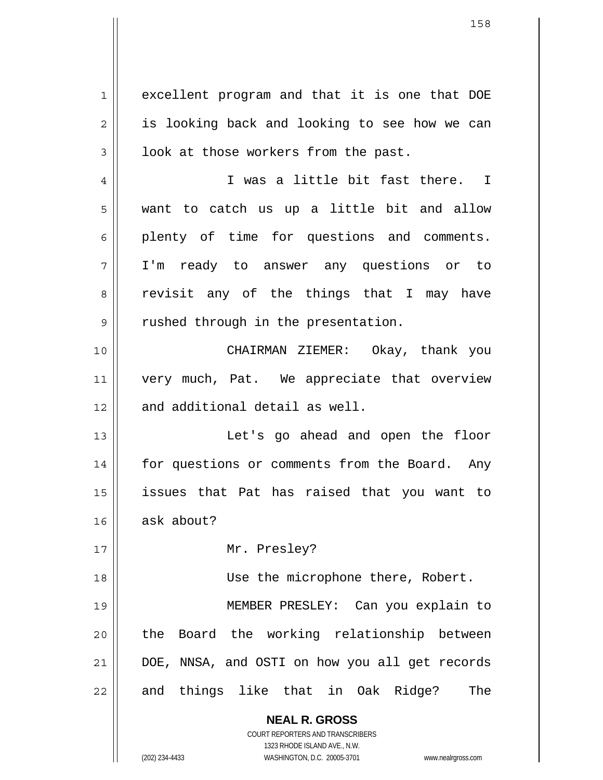**NEAL R. GROSS** COURT REPORTERS AND TRANSCRIBERS 1 2 3 4 5 6 7 8 9 10 11 12 13 14 15 16 17 18 19 20 21 22 excellent program and that it is one that DOE is looking back and looking to see how we can look at those workers from the past. I was a little bit fast there. I want to catch us up a little bit and allow plenty of time for questions and comments. I'm ready to answer any questions or to revisit any of the things that I may have rushed through in the presentation. CHAIRMAN ZIEMER: Okay, thank you very much, Pat. We appreciate that overview and additional detail as well. Let's go ahead and open the floor for questions or comments from the Board. Any issues that Pat has raised that you want to ask about? Mr. Presley? Use the microphone there, Robert. MEMBER PRESLEY: Can you explain to the Board the working relationship between DOE, NNSA, and OSTI on how you all get records and things like that in Oak Ridge? The

1323 RHODE ISLAND AVE., N.W.

(202) 234-4433 WASHINGTON, D.C. 20005-3701 www.nealrgross.com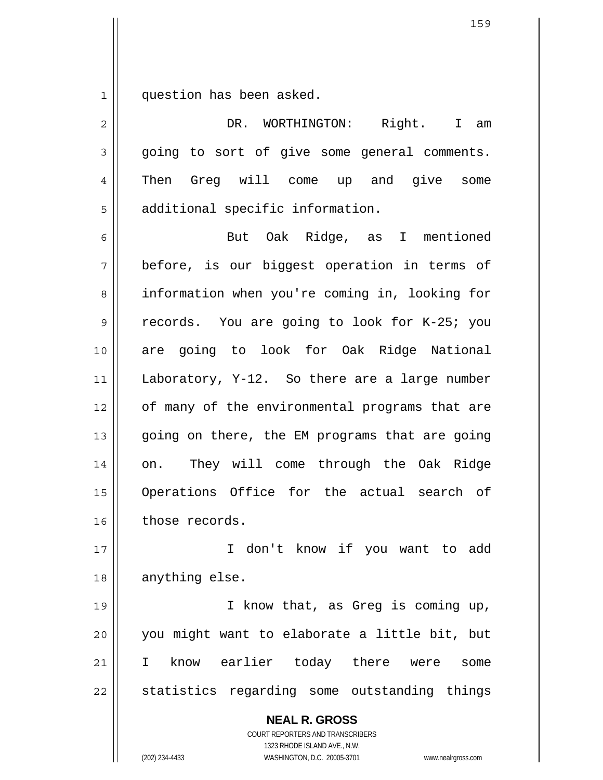1 question has been asked.

| $\overline{2}$ | DR. WORTHINGTON:<br>Right. I am                          |
|----------------|----------------------------------------------------------|
| 3              | going to sort of give some general comments.             |
| 4              | Greg will come up and give some<br>Then                  |
| 5              | additional specific information.                         |
| 6              | But Oak Ridge, as I mentioned                            |
| 7              | before, is our biggest operation in terms of             |
| 8              | information when you're coming in, looking for           |
| 9              | records. You are going to look for K-25; you             |
| 10             | are going to look for Oak Ridge National                 |
| 11             | Laboratory, Y-12. So there are a large number            |
| 12             | of many of the environmental programs that are           |
| 13             | going on there, the EM programs that are going           |
| 14             | They will come through the Oak Ridge<br>on.              |
| 15             | Operations Office for the actual search of               |
| 16             | those records.                                           |
| 17             | I don't know if you want to add                          |
| 18             | anything else.                                           |
| 19             | I know that, as Greg is coming up,                       |
| 20             | you might want to elaborate a little bit, but            |
| 21             | know earlier today there were<br>$\mathbb{I}$<br>some    |
| 22             | statistics regarding some outstanding things             |
|                | <b>NEAL R. GROSS</b><br>COURT REPORTERS AND TRANSCRIBERS |

1323 RHODE ISLAND AVE., N.W.

 $\overline{\phantom{a}}$  $\prod_{i=1}^{n}$ 

(202) 234-4433 WASHINGTON, D.C. 20005-3701 www.nealrgross.com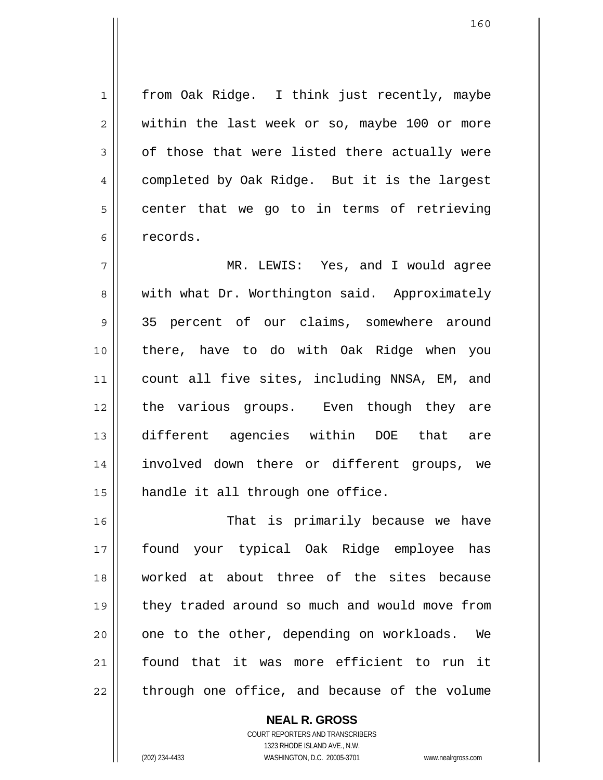from Oak Ridge. I think just recently, maybe within the last week or so, maybe 100 or more of those that were listed there actually were completed by Oak Ridge. But it is the largest center that we go to in terms of retrieving records.

7 8 9 10 11 12 13 14 15 MR. LEWIS: Yes, and I would agree with what Dr. Worthington said. Approximately 35 percent of our claims, somewhere around there, have to do with Oak Ridge when you count all five sites, including NNSA, EM, and the various groups. Even though they are different agencies within DOE that are involved down there or different groups, we handle it all through one office.

16 17 18 19 20 21 22 That is primarily because we have found your typical Oak Ridge employee has worked at about three of the sites because they traded around so much and would move from one to the other, depending on workloads. We found that it was more efficient to run it through one office, and because of the volume

> **NEAL R. GROSS** COURT REPORTERS AND TRANSCRIBERS 1323 RHODE ISLAND AVE., N.W. (202) 234-4433 WASHINGTON, D.C. 20005-3701 www.nealrgross.com

1

2

3

4

5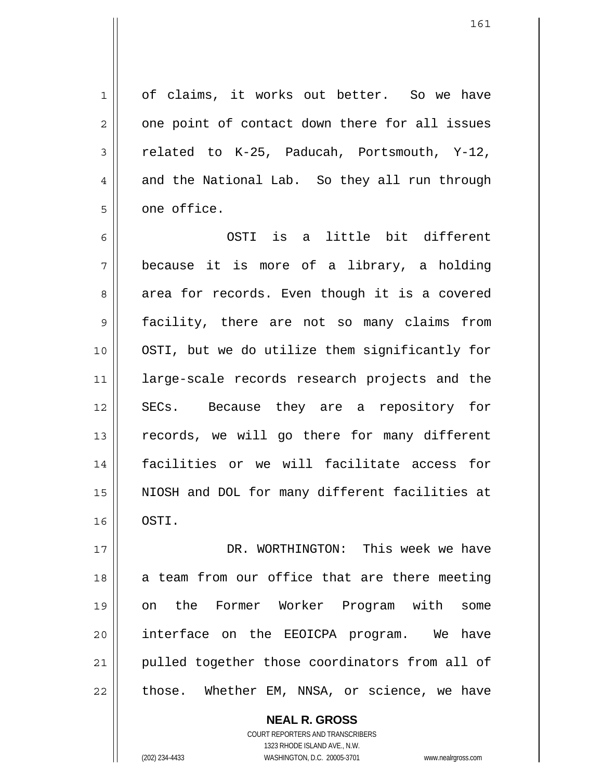of claims, it works out better. So we have one point of contact down there for all issues related to K-25, Paducah, Portsmouth, Y-12, and the National Lab. So they all run through one office.

6 7 8 9 10 11 12 13 14 15 16 OSTI is a little bit different because it is more of a library, a holding area for records. Even though it is a covered facility, there are not so many claims from OSTI, but we do utilize them significantly for large-scale records research projects and the SECs. Because they are a repository for records, we will go there for many different facilities or we will facilitate access for NIOSH and DOL for many different facilities at OSTI.

17 18 19 20 21 22 DR. WORTHINGTON: This week we have a team from our office that are there meeting on the Former Worker Program with some interface on the EEOICPA program. We have pulled together those coordinators from all of those. Whether EM, NNSA, or science, we have

> COURT REPORTERS AND TRANSCRIBERS 1323 RHODE ISLAND AVE., N.W. (202) 234-4433 WASHINGTON, D.C. 20005-3701 www.nealrgross.com

**NEAL R. GROSS**

1

2

3

4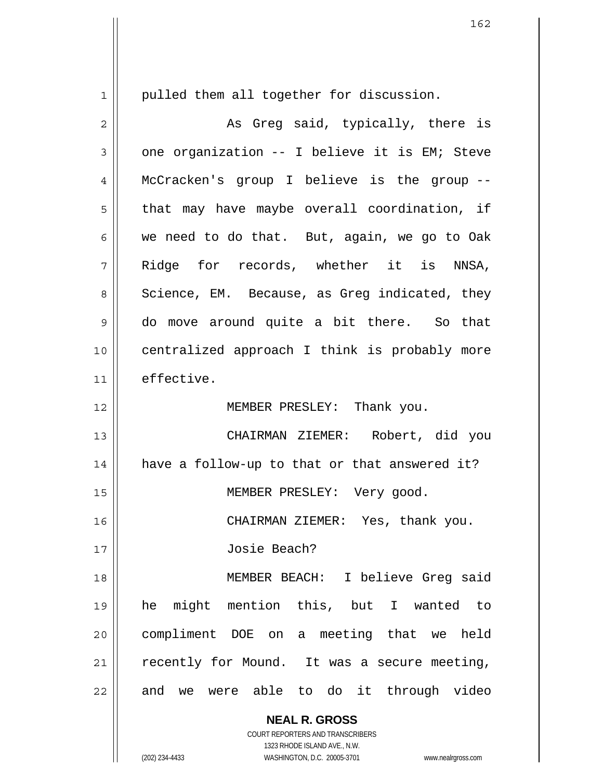1 2 3 4 5 6 7 8 9 10 11 12 13 14 15 16 17 18 19 20 21 22 pulled them all together for discussion. As Greg said, typically, there is one organization -- I believe it is EM; Steve McCracken's group I believe is the group - that may have maybe overall coordination, if we need to do that. But, again, we go to Oak Ridge for records, whether it is NNSA, Science, EM. Because, as Greg indicated, they do move around quite a bit there. So that centralized approach I think is probably more effective. MEMBER PRESLEY: Thank you. CHAIRMAN ZIEMER: Robert, did you have a follow-up to that or that answered it? MEMBER PRESLEY: Very good. CHAIRMAN ZIEMER: Yes, thank you. Josie Beach? MEMBER BEACH: I believe Greg said he might mention this, but I wanted to compliment DOE on a meeting that we held recently for Mound. It was a secure meeting, and we were able to do it through video

> **NEAL R. GROSS** COURT REPORTERS AND TRANSCRIBERS 1323 RHODE ISLAND AVE., N.W.

(202) 234-4433 WASHINGTON, D.C. 20005-3701 www.nealrgross.com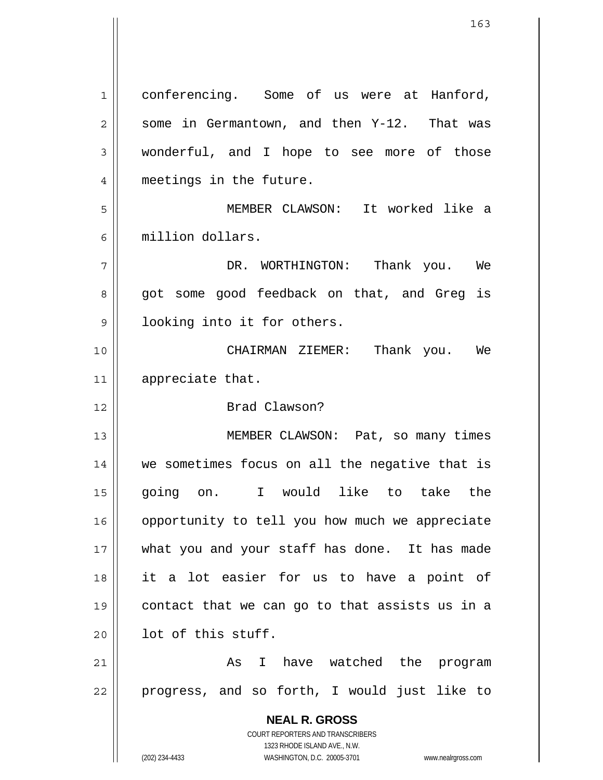**NEAL R. GROSS** COURT REPORTERS AND TRANSCRIBERS 1323 RHODE ISLAND AVE., N.W. (202) 234-4433 WASHINGTON, D.C. 20005-3701 www.nealrgross.com 1 2 3 4 5 6 7 8 9 10 11 12 13 14 15 16 17 18 19 20 21 22 conferencing. Some of us were at Hanford, some in Germantown, and then Y-12. That was wonderful, and I hope to see more of those meetings in the future. MEMBER CLAWSON: It worked like a million dollars. DR. WORTHINGTON: Thank you. We got some good feedback on that, and Greg is looking into it for others. CHAIRMAN ZIEMER: Thank you. We appreciate that. Brad Clawson? MEMBER CLAWSON: Pat, so many times we sometimes focus on all the negative that is going on. I would like to take the opportunity to tell you how much we appreciate what you and your staff has done. It has made it a lot easier for us to have a point of contact that we can go to that assists us in a lot of this stuff. As I have watched the program progress, and so forth, I would just like to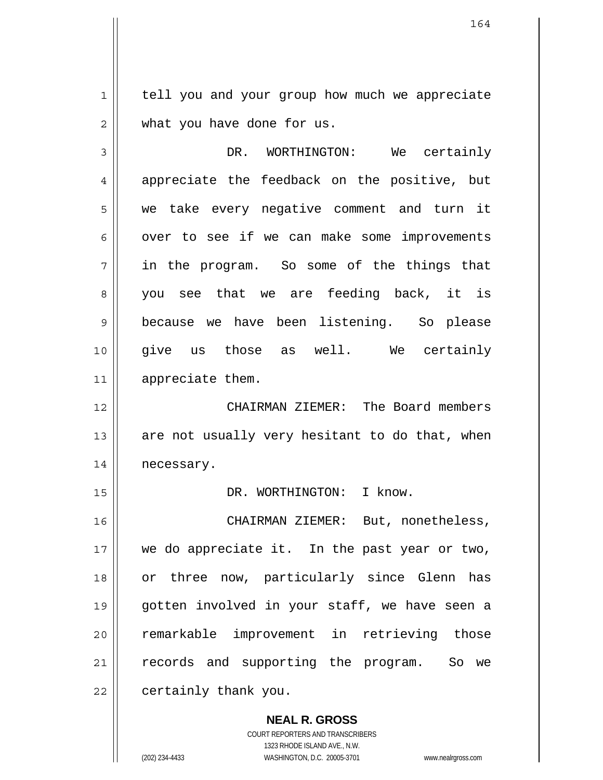1 2 tell you and your group how much we appreciate what you have done for us.

3 4 5 6 7 8 9 10 11 DR. WORTHINGTON: We certainly appreciate the feedback on the positive, but we take every negative comment and turn it over to see if we can make some improvements in the program. So some of the things that you see that we are feeding back, it is because we have been listening. So please give us those as well. We certainly appreciate them.

12 13 14 CHAIRMAN ZIEMER: The Board members are not usually very hesitant to do that, when necessary.

DR. WORTHINGTON: I know.

16 17 18 19 20 21 22 CHAIRMAN ZIEMER: But, nonetheless, we do appreciate it. In the past year or two, or three now, particularly since Glenn has gotten involved in your staff, we have seen a remarkable improvement in retrieving those records and supporting the program. So we certainly thank you.

> **NEAL R. GROSS** COURT REPORTERS AND TRANSCRIBERS 1323 RHODE ISLAND AVE., N.W. (202) 234-4433 WASHINGTON, D.C. 20005-3701 www.nealrgross.com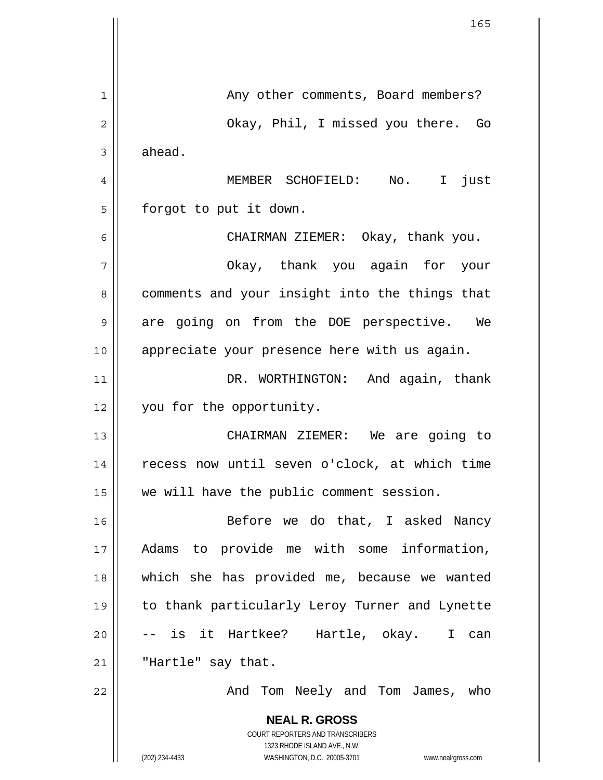|                | 165                                                                                                                                                             |
|----------------|-----------------------------------------------------------------------------------------------------------------------------------------------------------------|
|                |                                                                                                                                                                 |
|                |                                                                                                                                                                 |
| 1              | Any other comments, Board members?                                                                                                                              |
| $\overline{c}$ | Okay, Phil, I missed you there. Go                                                                                                                              |
| 3              | ahead.                                                                                                                                                          |
| 4              | MEMBER SCHOFIELD: No. I<br>just                                                                                                                                 |
| 5              | forgot to put it down.                                                                                                                                          |
| 6              | CHAIRMAN ZIEMER: Okay, thank you.                                                                                                                               |
| 7              | Okay, thank you again for your                                                                                                                                  |
| 8              | comments and your insight into the things that                                                                                                                  |
| 9              | are going on from the DOE perspective. We                                                                                                                       |
| 10             | appreciate your presence here with us again.                                                                                                                    |
| 11             | DR. WORTHINGTON: And again, thank                                                                                                                               |
| 12             | you for the opportunity.                                                                                                                                        |
| 13             | CHAIRMAN ZIEMER: We are going to                                                                                                                                |
| 14             | recess now until seven o'clock, at which time                                                                                                                   |
| 15             | we will have the public comment session.                                                                                                                        |
| 16             | Before we do that, I asked Nancy                                                                                                                                |
| 17             | Adams to provide me with some information,                                                                                                                      |
| 18             | which she has provided me, because we wanted                                                                                                                    |
| 19             | to thank particularly Leroy Turner and Lynette                                                                                                                  |
| 20             | -- is it Hartkee?  Hartle, okay.<br>I can                                                                                                                       |
| 21             | "Hartle" say that.                                                                                                                                              |
| 22             | And Tom Neely and Tom James, who                                                                                                                                |
|                | <b>NEAL R. GROSS</b><br>COURT REPORTERS AND TRANSCRIBERS<br>1323 RHODE ISLAND AVE., N.W.<br>(202) 234-4433<br>WASHINGTON, D.C. 20005-3701<br>www.nealrgross.com |
|                |                                                                                                                                                                 |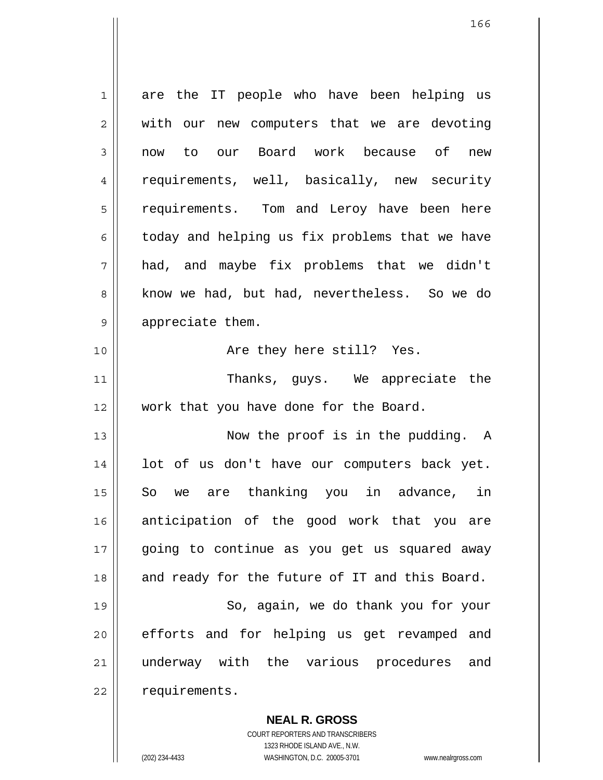1 2 3 4 5 6 7 8 9 10 11 12 13 14 15 16 17 18 19 20 21 22 are the IT people who have been helping us with our new computers that we are devoting now to our Board work because of new requirements, well, basically, new security requirements. Tom and Leroy have been here today and helping us fix problems that we have had, and maybe fix problems that we didn't know we had, but had, nevertheless. So we do appreciate them. Are they here still? Yes. Thanks, guys. We appreciate the work that you have done for the Board. Now the proof is in the pudding. A lot of us don't have our computers back yet. So we are thanking you in advance, in anticipation of the good work that you are going to continue as you get us squared away and ready for the future of IT and this Board. So, again, we do thank you for your efforts and for helping us get revamped and underway with the various procedures and requirements.

> COURT REPORTERS AND TRANSCRIBERS 1323 RHODE ISLAND AVE., N.W. (202) 234-4433 WASHINGTON, D.C. 20005-3701 www.nealrgross.com

**NEAL R. GROSS**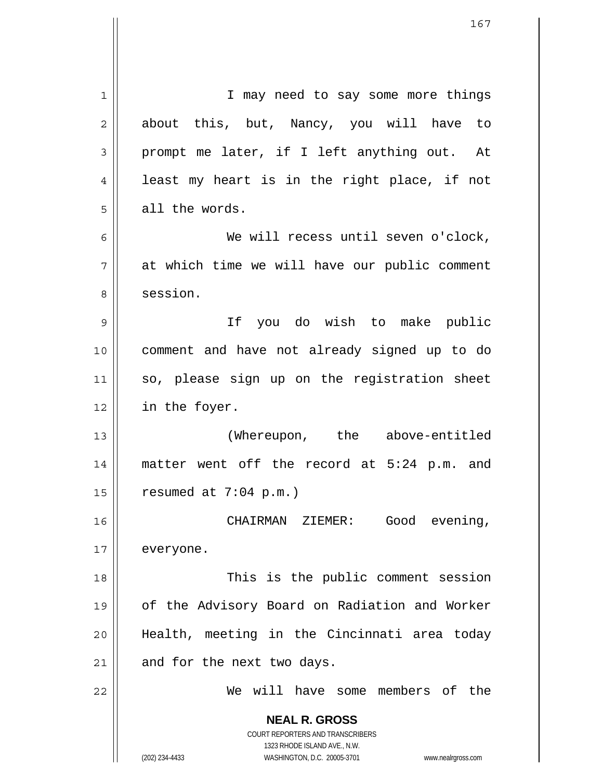**NEAL R. GROSS** COURT REPORTERS AND TRANSCRIBERS 1323 RHODE ISLAND AVE., N.W. (202) 234-4433 WASHINGTON, D.C. 20005-3701 www.nealrgross.com 1 2 3 4 5 6 7 8 9 10 11 12 13 14 15 16 17 18 19 20 21 22 I may need to say some more things about this, but, Nancy, you will have to prompt me later, if I left anything out. At least my heart is in the right place, if not all the words. We will recess until seven o'clock, at which time we will have our public comment session. If you do wish to make public comment and have not already signed up to do so, please sign up on the registration sheet in the foyer. (Whereupon, the above-entitled matter went off the record at 5:24 p.m. and resumed at 7:04 p.m.) CHAIRMAN ZIEMER: Good evening, everyone. This is the public comment session of the Advisory Board on Radiation and Worker Health, meeting in the Cincinnati area today and for the next two days. We will have some members of the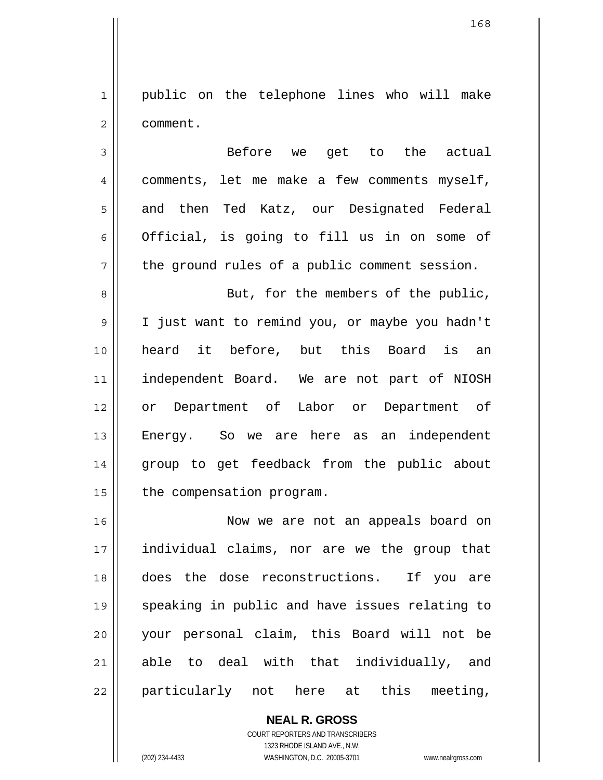1 2 public on the telephone lines who will make comment.

3 4 5 6 7 Before we get to the actual comments, let me make a few comments myself, and then Ted Katz, our Designated Federal Official, is going to fill us in on some of the ground rules of a public comment session.

8 9 10 11 12 13 14 15 But, for the members of the public, I just want to remind you, or maybe you hadn't heard it before, but this Board is an independent Board. We are not part of NIOSH or Department of Labor or Department of Energy. So we are here as an independent group to get feedback from the public about the compensation program.

16 17 18 19 20 21 22 Now we are not an appeals board on individual claims, nor are we the group that does the dose reconstructions. If you are speaking in public and have issues relating to your personal claim, this Board will not be able to deal with that individually, and particularly not here at this meeting,

> **NEAL R. GROSS** COURT REPORTERS AND TRANSCRIBERS 1323 RHODE ISLAND AVE., N.W. (202) 234-4433 WASHINGTON, D.C. 20005-3701 www.nealrgross.com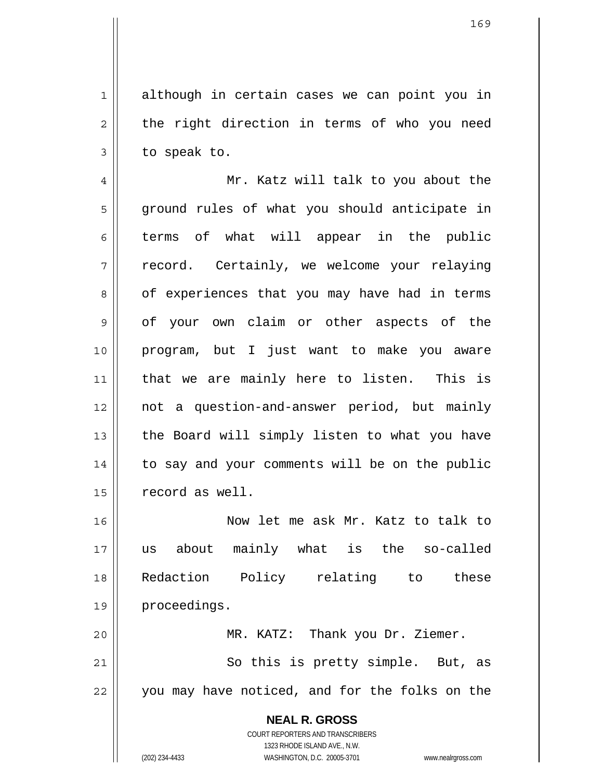although in certain cases we can point you in the right direction in terms of who you need to speak to.

4 5 6 7 8 9 10 11 12 13 14 15 Mr. Katz will talk to you about the ground rules of what you should anticipate in terms of what will appear in the public record. Certainly, we welcome your relaying of experiences that you may have had in terms of your own claim or other aspects of the program, but I just want to make you aware that we are mainly here to listen. This is not a question-and-answer period, but mainly the Board will simply listen to what you have to say and your comments will be on the public record as well.

16 17 18 19 Now let me ask Mr. Katz to talk to us about mainly what is the so-called Redaction Policy relating to these proceedings.

20 21 22 MR. KATZ: Thank you Dr. Ziemer. So this is pretty simple. But, as you may have noticed, and for the folks on the

> **NEAL R. GROSS** COURT REPORTERS AND TRANSCRIBERS 1323 RHODE ISLAND AVE., N.W. (202) 234-4433 WASHINGTON, D.C. 20005-3701 www.nealrgross.com

1

2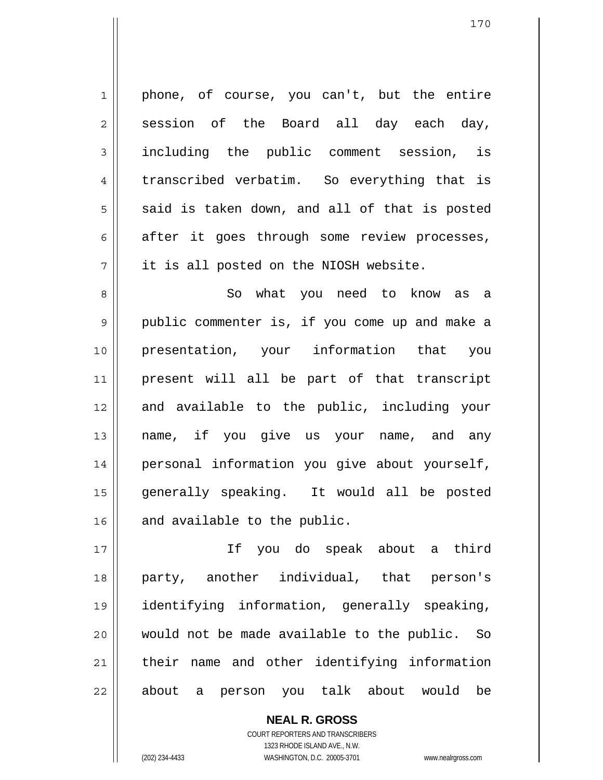1 2 3 4 5 6 7 phone, of course, you can't, but the entire session of the Board all day each day, including the public comment session, is transcribed verbatim. So everything that is said is taken down, and all of that is posted after it goes through some review processes, it is all posted on the NIOSH website.

8 9 10 11 12 13 14 15 16 So what you need to know as a public commenter is, if you come up and make a presentation, your information that you present will all be part of that transcript and available to the public, including your name, if you give us your name, and any personal information you give about yourself, generally speaking. It would all be posted and available to the public.

17 18 19 20 21 22 If you do speak about a third party, another individual, that person's identifying information, generally speaking, would not be made available to the public. So their name and other identifying information about a person you talk about would be

> COURT REPORTERS AND TRANSCRIBERS 1323 RHODE ISLAND AVE., N.W. (202) 234-4433 WASHINGTON, D.C. 20005-3701 www.nealrgross.com

**NEAL R. GROSS**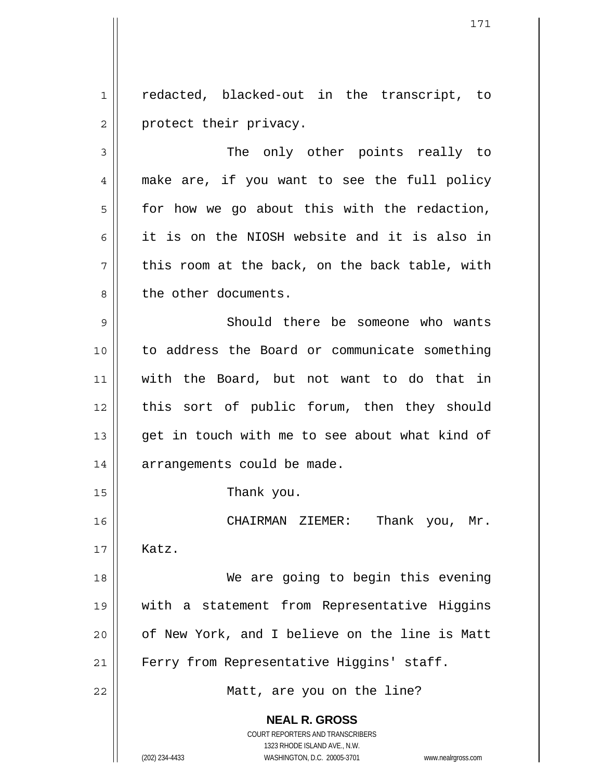1 2 redacted, blacked-out in the transcript, to protect their privacy.

3 4 5 6 7 8 The only other points really to make are, if you want to see the full policy for how we go about this with the redaction, it is on the NIOSH website and it is also in this room at the back, on the back table, with the other documents.

9 10 11 12 13 14 Should there be someone who wants to address the Board or communicate something with the Board, but not want to do that in this sort of public forum, then they should get in touch with me to see about what kind of arrangements could be made.

Thank you.

16 17 18 CHAIRMAN ZIEMER: Thank you, Mr. Katz.

 We are going to begin this evening with a statement from Representative Higgins of New York, and I believe on the line is Matt Ferry from Representative Higgins' staff.

Matt, are you on the line?

**NEAL R. GROSS**

15

19

20

21

22

COURT REPORTERS AND TRANSCRIBERS 1323 RHODE ISLAND AVE., N.W. (202) 234-4433 WASHINGTON, D.C. 20005-3701 www.nealrgross.com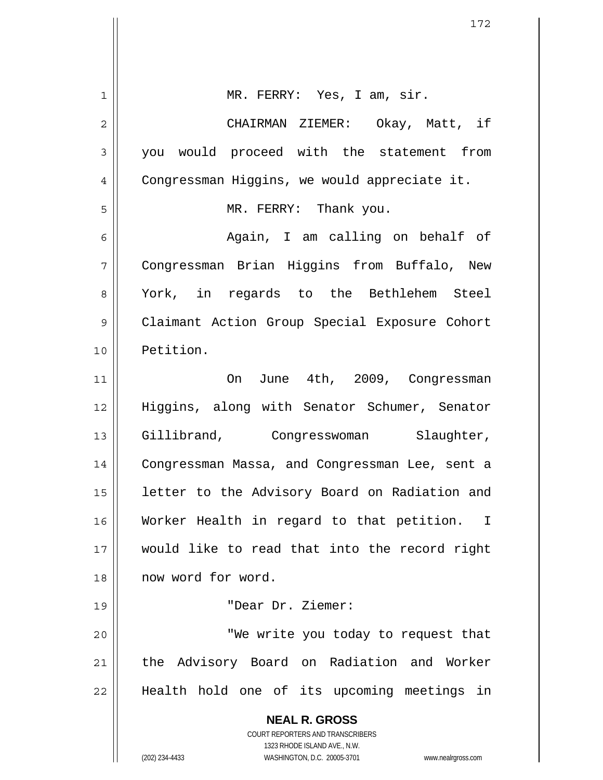| $\mathbf 1$    | MR. FERRY: Yes, I am, sir.                                                                          |
|----------------|-----------------------------------------------------------------------------------------------------|
| 2              | CHAIRMAN ZIEMER: Okay, Matt, if                                                                     |
| 3              | you would proceed with the statement from                                                           |
| $\overline{4}$ | Congressman Higgins, we would appreciate it.                                                        |
| 5              | MR. FERRY: Thank you.                                                                               |
| 6              | Again, I am calling on behalf of                                                                    |
| 7              | Congressman Brian Higgins from Buffalo, New                                                         |
| 8              | York, in regards to the Bethlehem Steel                                                             |
| $\mathsf{S}$   | Claimant Action Group Special Exposure Cohort                                                       |
| 10             | Petition.                                                                                           |
| 11             | On June 4th, 2009, Congressman                                                                      |
| 12             | Higgins, along with Senator Schumer, Senator                                                        |
| 13             | Gillibrand, Congresswoman Slaughter,                                                                |
| 14             | Congressman Massa, and Congressman Lee, sent a                                                      |
| 15             | letter to the Advisory Board on Radiation and                                                       |
| 16             | Worker Health in regard to that petition. I                                                         |
| 17             | would like to read that into the record right                                                       |
| 18             | now word for word.                                                                                  |
| 19             | "Dear Dr. Ziemer:                                                                                   |
| 20             | "We write you today to request that                                                                 |
| 21             | the Advisory Board on Radiation and Worker                                                          |
| 22             | Health hold one of its upcoming meetings in                                                         |
|                | <b>NEAL R. GROSS</b>                                                                                |
|                | <b>COURT REPORTERS AND TRANSCRIBERS</b>                                                             |
|                | 1323 RHODE ISLAND AVE., N.W.<br>(202) 234-4433<br>WASHINGTON, D.C. 20005-3701<br>www.nealrgross.com |

 $\mathsf{I}$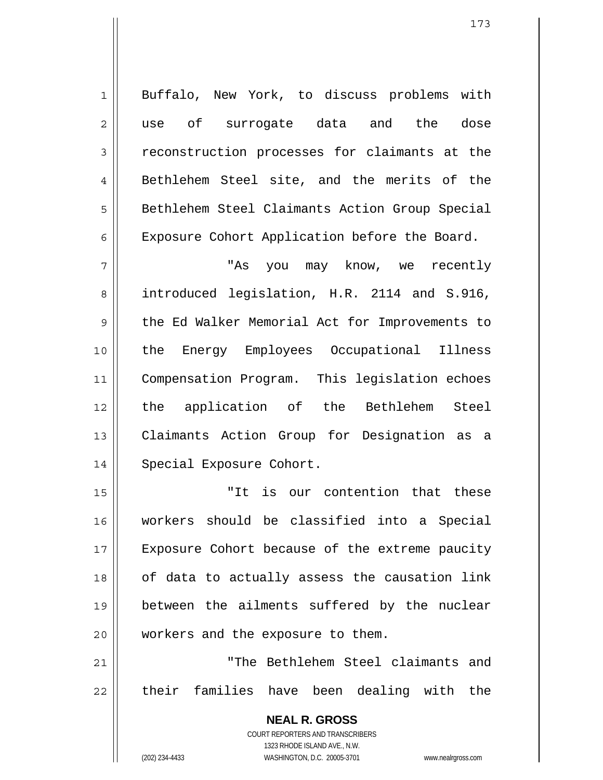1 2 3 4 5 6 Buffalo, New York, to discuss problems with use of surrogate data and the dose reconstruction processes for claimants at the Bethlehem Steel site, and the merits of the Bethlehem Steel Claimants Action Group Special Exposure Cohort Application before the Board.

7 8 9 10 11 12 13 14 "As you may know, we recently introduced legislation, H.R. 2114 and S.916, the Ed Walker Memorial Act for Improvements to the Energy Employees Occupational Illness Compensation Program. This legislation echoes the application of the Bethlehem Steel Claimants Action Group for Designation as a Special Exposure Cohort.

15 16 17 18 19 20 "It is our contention that these workers should be classified into a Special Exposure Cohort because of the extreme paucity of data to actually assess the causation link between the ailments suffered by the nuclear workers and the exposure to them.

21 22 "The Bethlehem Steel claimants and their families have been dealing with the

> **NEAL R. GROSS** COURT REPORTERS AND TRANSCRIBERS 1323 RHODE ISLAND AVE., N.W. (202) 234-4433 WASHINGTON, D.C. 20005-3701 www.nealrgross.com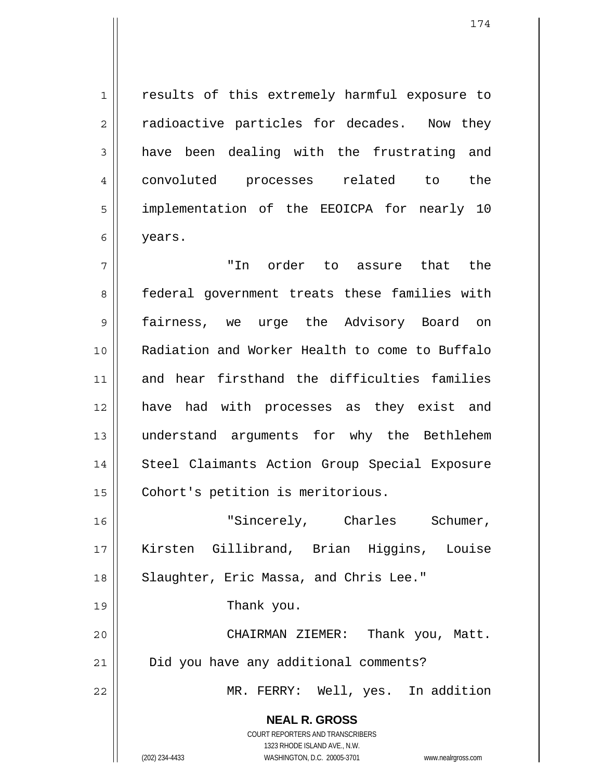results of this extremely harmful exposure to radioactive particles for decades. Now they have been dealing with the frustrating and convoluted processes related to the implementation of the EEOICPA for nearly 10 years.

7 8 9 10 11 12 13 14 15 "In order to assure that the federal government treats these families with fairness, we urge the Advisory Board on Radiation and Worker Health to come to Buffalo and hear firsthand the difficulties families have had with processes as they exist and understand arguments for why the Bethlehem Steel Claimants Action Group Special Exposure Cohort's petition is meritorious.

16 17 18 "Sincerely, Charles Schumer, Kirsten Gillibrand, Brian Higgins, Louise Slaughter, Eric Massa, and Chris Lee."

Thank you.

20 21 CHAIRMAN ZIEMER: Thank you, Matt. Did you have any additional comments?

MR. FERRY: Well, yes. In addition

**NEAL R. GROSS** COURT REPORTERS AND TRANSCRIBERS

1323 RHODE ISLAND AVE., N.W.

1

2

3

4

5

6

19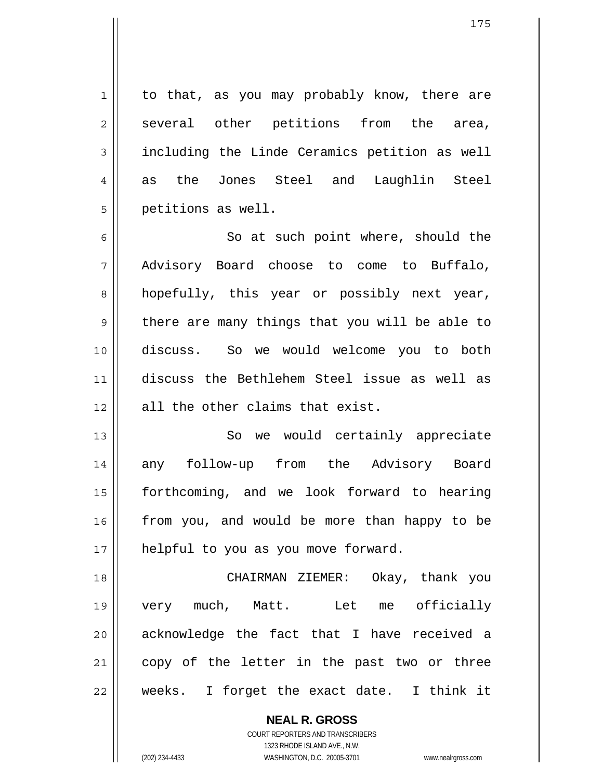1 2 3 4 5 to that, as you may probably know, there are several other petitions from the area, including the Linde Ceramics petition as well as the Jones Steel and Laughlin Steel petitions as well.

6 7 8 9 10 11 12 So at such point where, should the Advisory Board choose to come to Buffalo, hopefully, this year or possibly next year, there are many things that you will be able to discuss. So we would welcome you to both discuss the Bethlehem Steel issue as well as all the other claims that exist.

13 14 15 16 17 So we would certainly appreciate any follow-up from the Advisory Board forthcoming, and we look forward to hearing from you, and would be more than happy to be helpful to you as you move forward.

18 19 20 21 22 CHAIRMAN ZIEMER: Okay, thank you very much, Matt. Let me officially acknowledge the fact that I have received a copy of the letter in the past two or three weeks. I forget the exact date. I think it

> **NEAL R. GROSS** COURT REPORTERS AND TRANSCRIBERS 1323 RHODE ISLAND AVE., N.W. (202) 234-4433 WASHINGTON, D.C. 20005-3701 www.nealrgross.com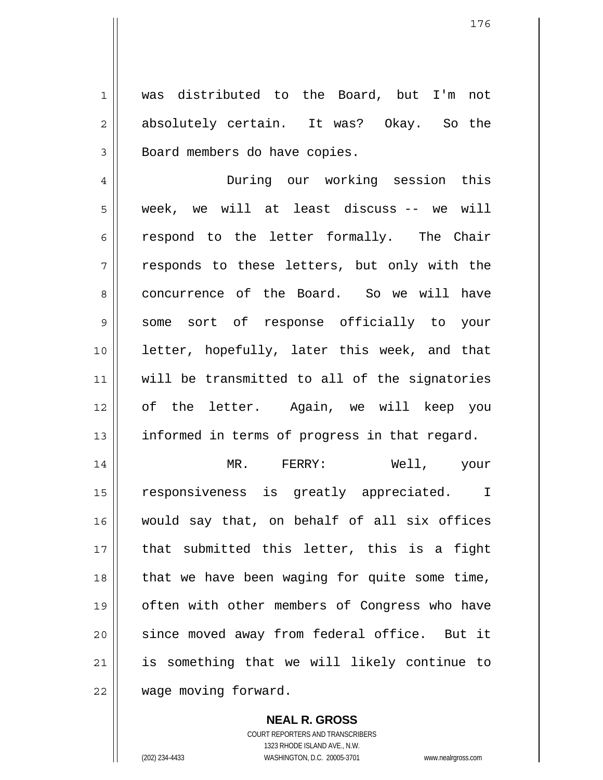was distributed to the Board, but I'm not absolutely certain. It was? Okay. So the Board members do have copies.

4 5 6 7 8 9 10 11 12 13 During our working session this week, we will at least discuss -- we will respond to the letter formally. The Chair responds to these letters, but only with the concurrence of the Board. So we will have some sort of response officially to your letter, hopefully, later this week, and that will be transmitted to all of the signatories of the letter. Again, we will keep you informed in terms of progress in that regard.

14 15 16 17 18 19 20 21 22 MR. FERRY: Well, your responsiveness is greatly appreciated. I would say that, on behalf of all six offices that submitted this letter, this is a fight that we have been waging for quite some time, often with other members of Congress who have since moved away from federal office. But it is something that we will likely continue to wage moving forward.

> **NEAL R. GROSS** COURT REPORTERS AND TRANSCRIBERS 1323 RHODE ISLAND AVE., N.W.

1

2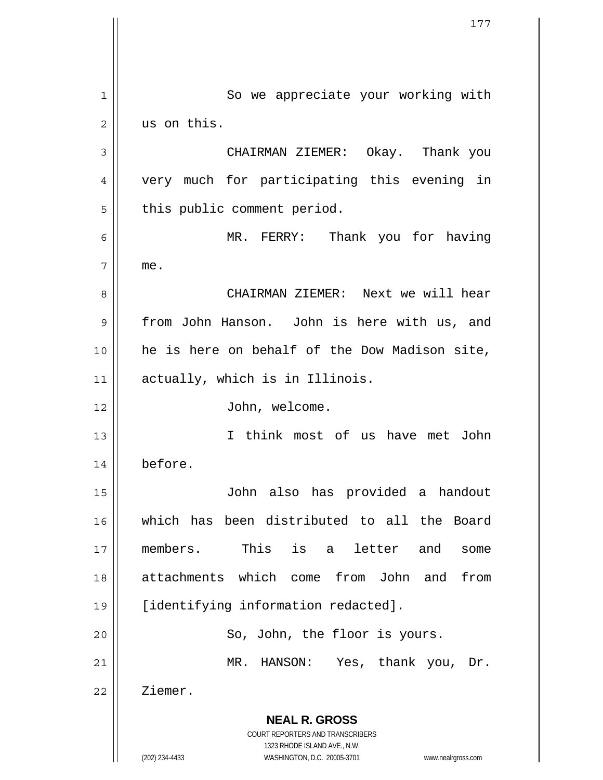**NEAL R. GROSS** COURT REPORTERS AND TRANSCRIBERS 1323 RHODE ISLAND AVE., N.W. (202) 234-4433 WASHINGTON, D.C. 20005-3701 www.nealrgross.com 1 2 3 4 5 6 7 8 9 10 11 12 13 14 15 16 17 18 19 20 21 22 So we appreciate your working with us on this. CHAIRMAN ZIEMER: Okay. Thank you very much for participating this evening in this public comment period. MR. FERRY: Thank you for having me. CHAIRMAN ZIEMER: Next we will hear from John Hanson. John is here with us, and he is here on behalf of the Dow Madison site, actually, which is in Illinois. John, welcome. I think most of us have met John before. John also has provided a handout which has been distributed to all the Board members. This is a letter and some attachments which come from John and from [identifying information redacted]. So, John, the floor is yours. MR. HANSON: Yes, thank you, Dr. Ziemer.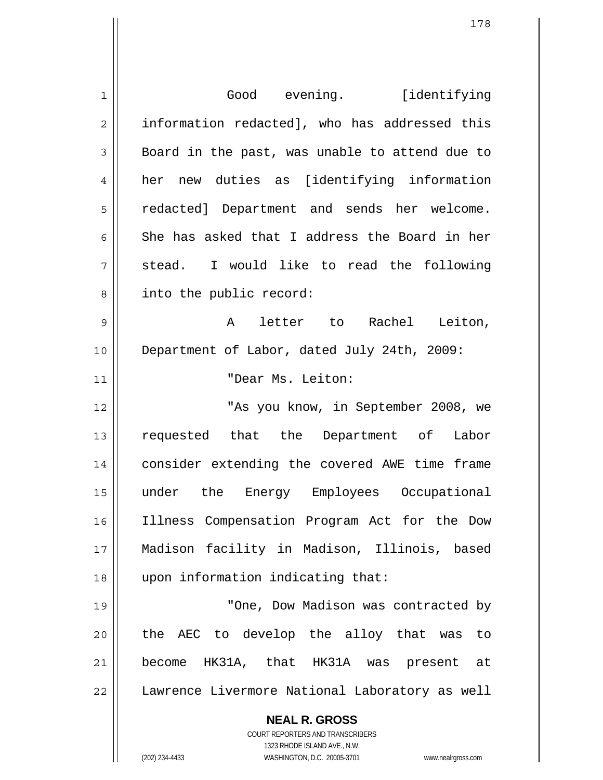| 1  | Good evening. [identifying                                                                          |
|----|-----------------------------------------------------------------------------------------------------|
| 2  | information redacted], who has addressed this                                                       |
| 3  | Board in the past, was unable to attend due to                                                      |
| 4  | her new duties as [identifying information                                                          |
| 5  | redacted] Department and sends her welcome.                                                         |
| 6  | She has asked that I address the Board in her                                                       |
| 7  | stead. I would like to read the following                                                           |
| 8  | into the public record:                                                                             |
| 9  | A letter to Rachel Leiton,                                                                          |
| 10 | Department of Labor, dated July 24th, 2009:                                                         |
| 11 | "Dear Ms. Leiton:                                                                                   |
| 12 | "As you know, in September 2008, we                                                                 |
| 13 | requested that the Department of Labor                                                              |
| 14 | consider extending the covered AWE time frame                                                       |
| 15 | under the<br>Energy Employees Occupational                                                          |
| 16 | Illness Compensation Program Act for the Dow                                                        |
| 17 | Madison facility in Madison, Illinois, based                                                        |
|    |                                                                                                     |
| 18 | upon information indicating that:                                                                   |
| 19 | "One, Dow Madison was contracted by                                                                 |
| 20 | the AEC to develop the alloy that was<br>to                                                         |
| 21 | become HK31A, that HK31A was present at                                                             |
| 22 | Lawrence Livermore National Laboratory as well                                                      |
|    | <b>NEAL R. GROSS</b>                                                                                |
|    | <b>COURT REPORTERS AND TRANSCRIBERS</b>                                                             |
|    | 1323 RHODE ISLAND AVE., N.W.<br>(202) 234-4433<br>WASHINGTON, D.C. 20005-3701<br>www.nealrgross.com |
|    |                                                                                                     |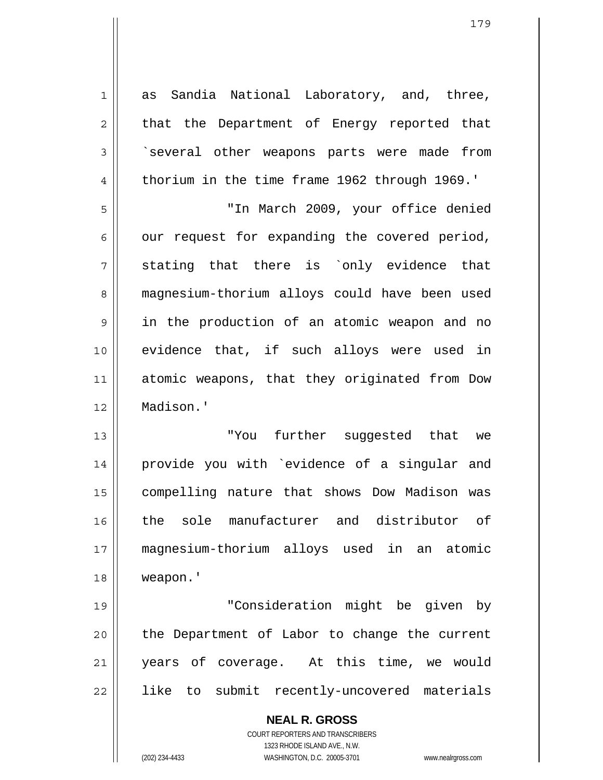**NEAL R. GROSS** 1 2 3 4 5 6 7 8 9 10 11 12 13 14 15 16 17 18 19 20 21 22 as Sandia National Laboratory, and, three, that the Department of Energy reported that `several other weapons parts were made from thorium in the time frame 1962 through 1969.' "In March 2009, your office denied our request for expanding the covered period, stating that there is `only evidence that magnesium-thorium alloys could have been used in the production of an atomic weapon and no evidence that, if such alloys were used in atomic weapons, that they originated from Dow Madison.' "You further suggested that we provide you with `evidence of a singular and compelling nature that shows Dow Madison was the sole manufacturer and distributor of magnesium-thorium alloys used in an atomic weapon.' "Consideration might be given by the Department of Labor to change the current years of coverage. At this time, we would like to submit recently-uncovered materials

> COURT REPORTERS AND TRANSCRIBERS 1323 RHODE ISLAND AVE., N.W.

(202) 234-4433 WASHINGTON, D.C. 20005-3701 www.nealrgross.com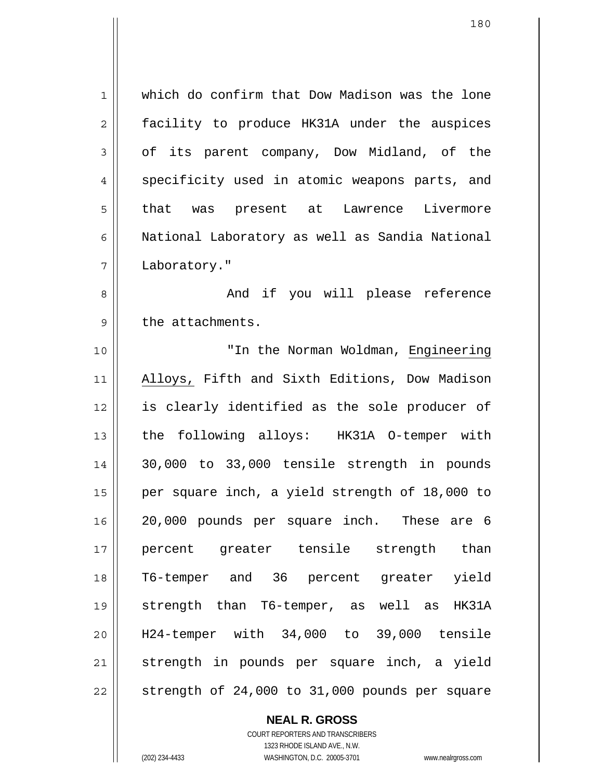1 2 3 4 5 6 7 8 9 which do confirm that Dow Madison was the lone facility to produce HK31A under the auspices of its parent company, Dow Midland, of the specificity used in atomic weapons parts, and that was present at Lawrence Livermore National Laboratory as well as Sandia National Laboratory." And if you will please reference the attachments. 10 || The Norman Woldman, Engineering Alloys, Fifth and Sixth Editions, Dow Madison is clearly identified as the sole producer of the following alloys: HK31A O-temper with 30,000 to 33,000 tensile strength in pounds per square inch, a yield strength of 18,000 to 20,000 pounds per square inch. These are 6 percent greater tensile strength than T6-temper and 36 percent greater yield strength than T6-temper, as well as HK31A H24-temper with 34,000 to 39,000 tensile strength in pounds per square inch, a yield strength of 24,000 to 31,000 pounds per square 11 12 13 14 15 16 17 18 19 20 21 22

> **NEAL R. GROSS** COURT REPORTERS AND TRANSCRIBERS

1323 RHODE ISLAND AVE., N.W. (202) 234-4433 WASHINGTON, D.C. 20005-3701 www.nealrgross.com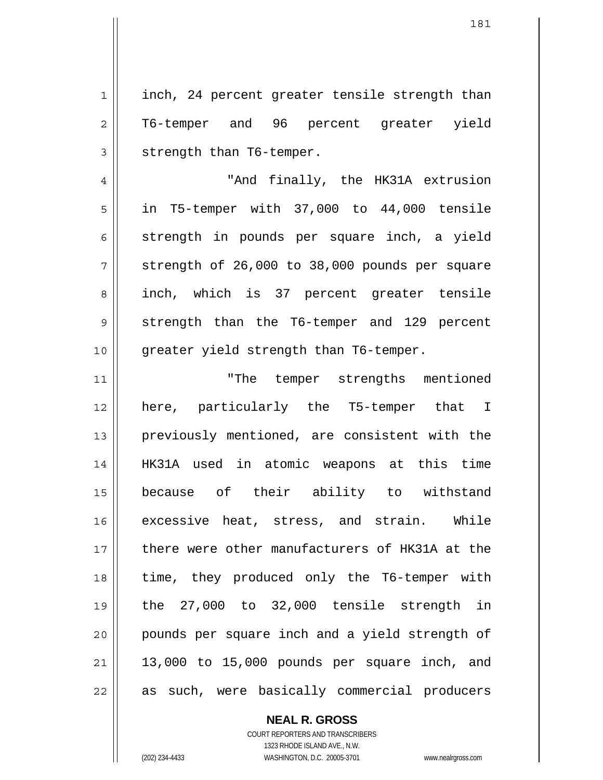1 2 3 inch, 24 percent greater tensile strength than T6-temper and 96 percent greater yield strength than T6-temper.

4 5 6 7 8 9 10 "And finally, the HK31A extrusion in T5-temper with 37,000 to 44,000 tensile strength in pounds per square inch, a yield strength of 26,000 to 38,000 pounds per square inch, which is 37 percent greater tensile strength than the T6-temper and 129 percent greater yield strength than T6-temper.

11 12 13 14 15 16 17 18 19 20 21 22 "The temper strengths mentioned here, particularly the T5-temper that I previously mentioned, are consistent with the HK31A used in atomic weapons at this time because of their ability to withstand excessive heat, stress, and strain. While there were other manufacturers of HK31A at the time, they produced only the T6-temper with the 27,000 to 32,000 tensile strength in pounds per square inch and a yield strength of 13,000 to 15,000 pounds per square inch, and as such, were basically commercial producers

**NEAL R. GROSS**

COURT REPORTERS AND TRANSCRIBERS 1323 RHODE ISLAND AVE., N.W. (202) 234-4433 WASHINGTON, D.C. 20005-3701 www.nealrgross.com

181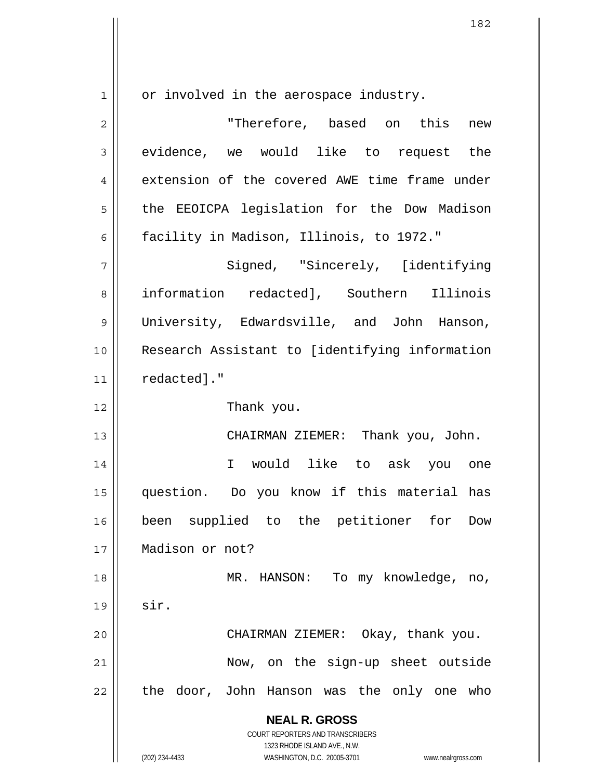1

or involved in the aerospace industry.

| $\overline{2}$ | "Therefore, based on this new                                                                                                                                   |
|----------------|-----------------------------------------------------------------------------------------------------------------------------------------------------------------|
| $\mathfrak{Z}$ | evidence, we would like to request the                                                                                                                          |
| $\overline{4}$ | extension of the covered AWE time frame under                                                                                                                   |
| 5              | the EEOICPA legislation for the Dow Madison                                                                                                                     |
| 6              | facility in Madison, Illinois, to 1972."                                                                                                                        |
| 7              | Signed, "Sincerely, [identifying                                                                                                                                |
| 8              | information redacted], Southern Illinois                                                                                                                        |
| 9              | University, Edwardsville, and John Hanson,                                                                                                                      |
| 10             | Research Assistant to [identifying information                                                                                                                  |
| 11             | redacted]."                                                                                                                                                     |
| 12             | Thank you.                                                                                                                                                      |
| 13             | CHAIRMAN ZIEMER: Thank you, John.                                                                                                                               |
| 14             | I would like to ask you one                                                                                                                                     |
| 15             | question. Do you know if this material has                                                                                                                      |
| 16             | been supplied to the petitioner for<br>Dow                                                                                                                      |
| 17             | Madison or not?                                                                                                                                                 |
| 18             | MR. HANSON:<br>To my knowledge, no,                                                                                                                             |
| 19             | sir.                                                                                                                                                            |
| 20             | CHAIRMAN ZIEMER: Okay, thank you.                                                                                                                               |
| 21             | Now, on the sign-up sheet outside                                                                                                                               |
| 22             | the door, John Hanson was the only one who                                                                                                                      |
|                | <b>NEAL R. GROSS</b><br>COURT REPORTERS AND TRANSCRIBERS<br>1323 RHODE ISLAND AVE., N.W.<br>(202) 234-4433<br>WASHINGTON, D.C. 20005-3701<br>www.nealrgross.com |
|                |                                                                                                                                                                 |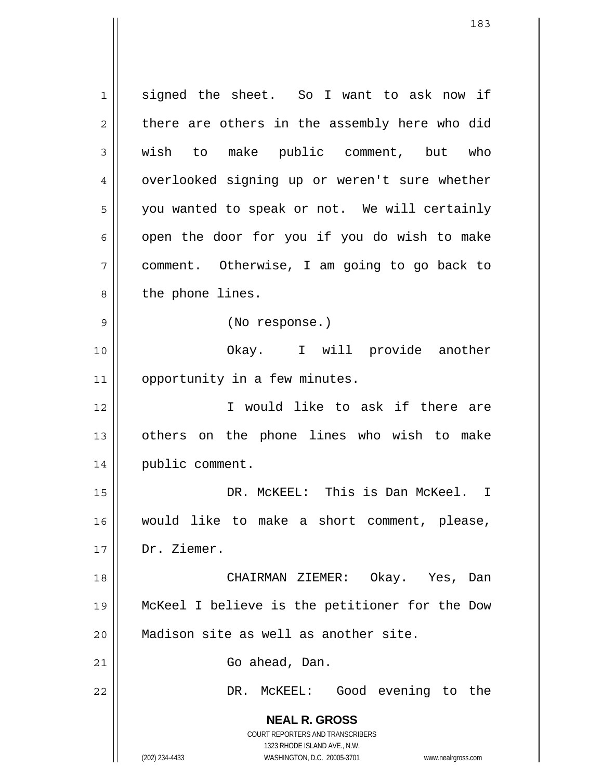**NEAL R. GROSS** COURT REPORTERS AND TRANSCRIBERS 1323 RHODE ISLAND AVE., N.W. 1 2 3 4 5 6 7 8 9 10 11 12 13 14 15 16 17 18 19 20 21 22 signed the sheet. So I want to ask now if there are others in the assembly here who did wish to make public comment, but who overlooked signing up or weren't sure whether you wanted to speak or not. We will certainly open the door for you if you do wish to make comment. Otherwise, I am going to go back to the phone lines. (No response.) Okay. I will provide another opportunity in a few minutes. I would like to ask if there are others on the phone lines who wish to make public comment. DR. McKEEL: This is Dan McKeel. I would like to make a short comment, please, Dr. Ziemer. CHAIRMAN ZIEMER: Okay. Yes, Dan McKeel I believe is the petitioner for the Dow Madison site as well as another site. Go ahead, Dan. DR. McKEEL: Good evening to the

(202) 234-4433 WASHINGTON, D.C. 20005-3701 www.nealrgross.com

183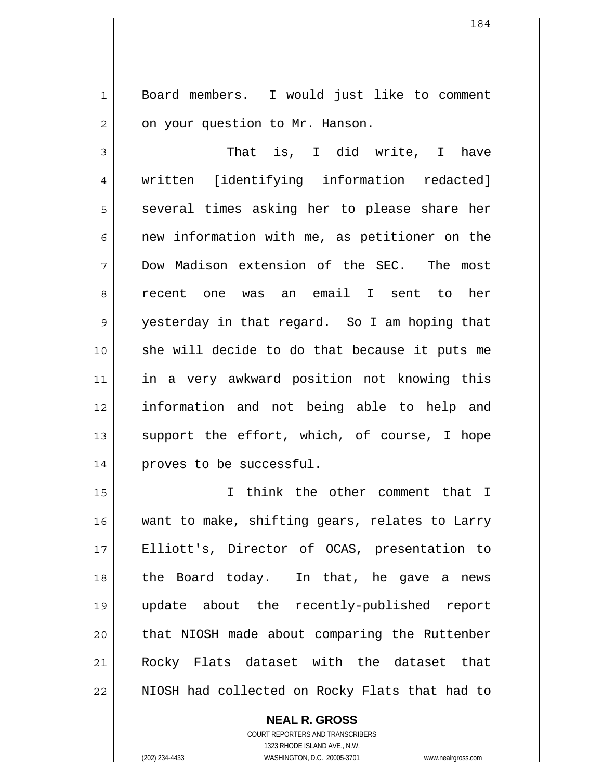Board members. I would just like to comment on your question to Mr. Hanson.

3 4 5 6 7 8 9 10 11 12 13 14 That is, I did write, I have written [identifying information redacted] several times asking her to please share her new information with me, as petitioner on the Dow Madison extension of the SEC. The most recent one was an email I sent to her yesterday in that regard. So I am hoping that she will decide to do that because it puts me in a very awkward position not knowing this information and not being able to help and support the effort, which, of course, I hope proves to be successful.

15 16 17 18 19 20 21 22 I think the other comment that I want to make, shifting gears, relates to Larry Elliott's, Director of OCAS, presentation to the Board today. In that, he gave a news update about the recently-published report that NIOSH made about comparing the Ruttenber Rocky Flats dataset with the dataset that NIOSH had collected on Rocky Flats that had to

> **NEAL R. GROSS** COURT REPORTERS AND TRANSCRIBERS 1323 RHODE ISLAND AVE., N.W.

1

2

(202) 234-4433 WASHINGTON, D.C. 20005-3701 www.nealrgross.com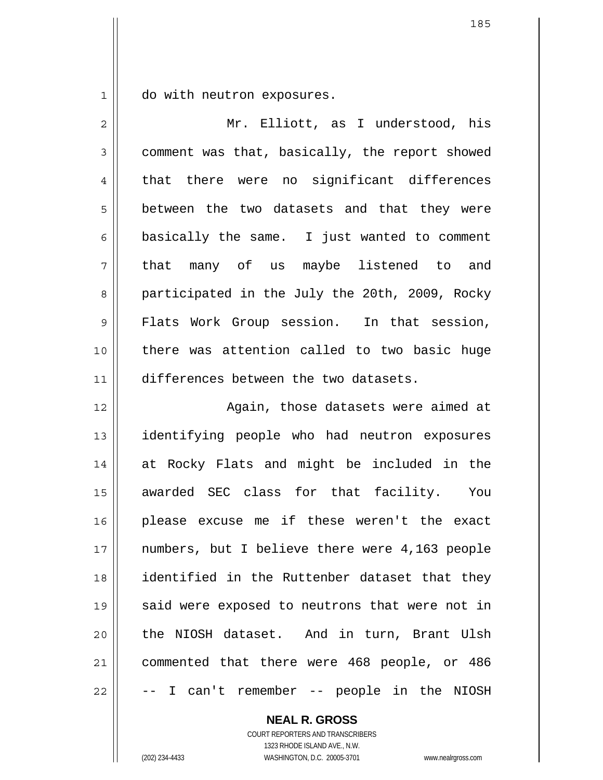1 do with neutron exposures.

| $\overline{2}$ | Mr. Elliott, as I understood, his              |
|----------------|------------------------------------------------|
| 3              | comment was that, basically, the report showed |
| 4              | that there were no significant differences     |
| 5              | between the two datasets and that they were    |
| 6              | basically the same. I just wanted to comment   |
| 7              | that many of us maybe listened to and          |
| 8              | participated in the July the 20th, 2009, Rocky |
| 9              | Flats Work Group session. In that session,     |
| 10             | there was attention called to two basic huge   |
| 11             | differences between the two datasets.          |
| 12             | Again, those datasets were aimed at            |
| 13             | identifying people who had neutron exposures   |
| 14             | at Rocky Flats and might be included in the    |
| 15             | awarded SEC class for that facility. You       |
| 16             | please excuse me if these weren't the exact    |
| 17             | numbers, but I believe there were 4,163 people |
| 18             | identified in the Ruttenber dataset that they  |
| 19             | said were exposed to neutrons that were not in |
| 20             | the NIOSH dataset. And in turn, Brant Ulsh     |
| 21             | commented that there were 468 people, or 486   |
| 22             | -- I can't remember -- people in the NIOSH     |

**NEAL R. GROSS**

COURT REPORTERS AND TRANSCRIBERS 1323 RHODE ISLAND AVE., N.W. (202) 234-4433 WASHINGTON, D.C. 20005-3701 www.nealrgross.com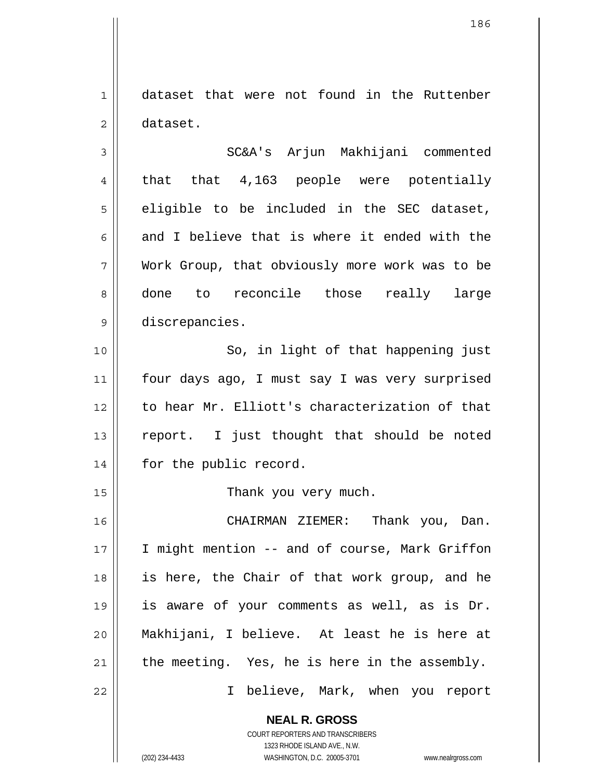1 2 dataset that were not found in the Ruttenber dataset.

3 4 5 6 7 8 9 SC&A's Arjun Makhijani commented that that 4,163 people were potentially eligible to be included in the SEC dataset, and I believe that is where it ended with the Work Group, that obviously more work was to be done to reconcile those really large discrepancies.

10 11 12 13 14 So, in light of that happening just four days ago, I must say I was very surprised to hear Mr. Elliott's characterization of that report. I just thought that should be noted for the public record.

Thank you very much.

16 17 18 19 20 21 CHAIRMAN ZIEMER: Thank you, Dan. I might mention -- and of course, Mark Griffon is here, the Chair of that work group, and he is aware of your comments as well, as is Dr. Makhijani, I believe. At least he is here at the meeting. Yes, he is here in the assembly.

I believe, Mark, when you report

**NEAL R. GROSS** COURT REPORTERS AND TRANSCRIBERS

15

22

1323 RHODE ISLAND AVE., N.W. (202) 234-4433 WASHINGTON, D.C. 20005-3701 www.nealrgross.com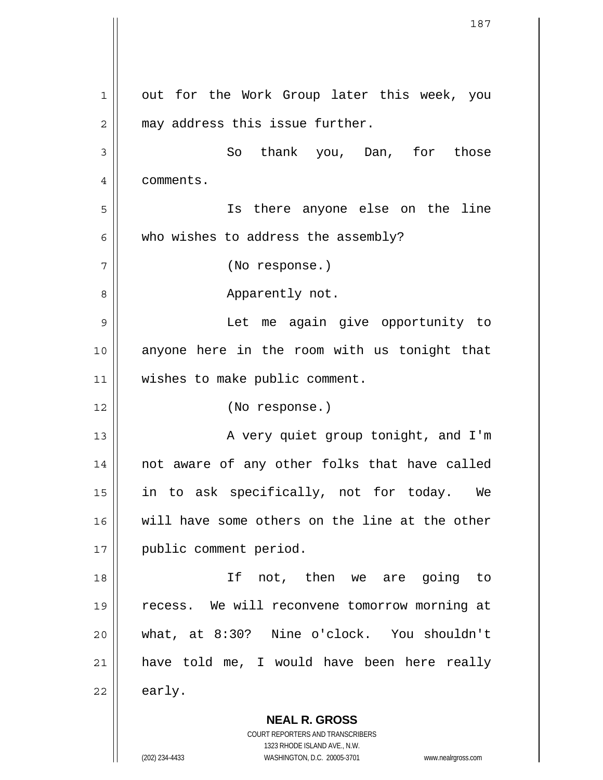**NEAL R. GROSS** COURT REPORTERS AND TRANSCRIBERS 1 2 3 4 5 6 7 8 9 10 11 12 13 14 15 16 17 18 19 20 21 22 out for the Work Group later this week, you may address this issue further. So thank you, Dan, for those comments. Is there anyone else on the line who wishes to address the assembly? (No response.) Apparently not. Let me again give opportunity to anyone here in the room with us tonight that wishes to make public comment. (No response.) A very quiet group tonight, and I'm not aware of any other folks that have called in to ask specifically, not for today. We will have some others on the line at the other public comment period. If not, then we are going to recess. We will reconvene tomorrow morning at what, at 8:30? Nine o'clock. You shouldn't have told me, I would have been here really early.

1323 RHODE ISLAND AVE., N.W.

(202) 234-4433 WASHINGTON, D.C. 20005-3701 www.nealrgross.com

187